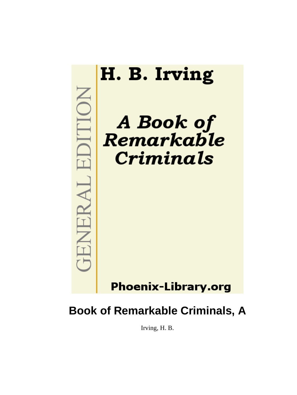

# **Book of Remarkable Criminals, A**

Irving, H. B.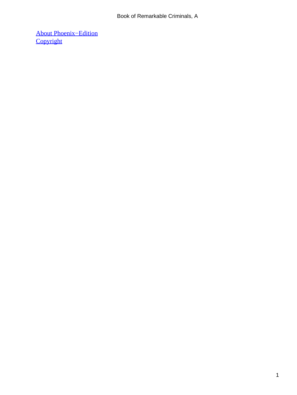[About Phoenix−Edition](#page-168-0) **[Copyright](#page-169-0)**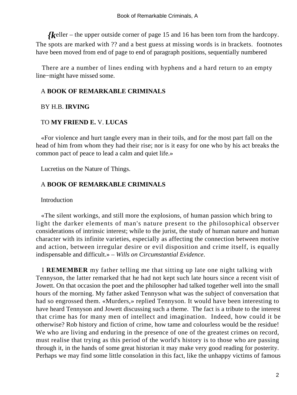*{keller – the upper outside corner of page 15 and 16 has been torn from the hardcopy.* The spots are marked with ?? and a best guess at missing words is in brackets. footnotes have been moved from end of page to end of paragraph positions, sequentially numbered

 There are a number of lines ending with hyphens and a hard return to an empty line−might have missed some.

## A **BOOK OF REMARKABLE CRIMINALS**

## BY H.B. **IRVING**

## TO **MY FRIEND E.** V. **LUCAS**

 «For violence and hurt tangle every man in their toils, and for the most part fall on the head of him from whom they had their rise; nor is it easy for one who by his act breaks the common pact of peace to lead a calm and quiet life.»

Lucretius on the Nature of Things.

## A **BOOK OF REMARKABLE CRIMINALS**

Introduction

 «The silent workings, and still more the explosions, of human passion which bring to light the darker elements of man's nature present to the philosophical observer considerations of intrinsic interest; while to the jurist, the study of human nature and human character with its infinite varieties, especially as affecting the connection between motive and action, between irregular desire or evil disposition and crime itself, is equally indispensable and difficult.» – *Wills on Circumstantial Evidence*.

 I **REMEMBER** my father telling me that sitting up late one night talking with Tennyson, the latter remarked that he had not kept such late hours since a recent visit of Jowett. On that occasion the poet and the philosopher had talked together well into the small hours of the morning. My father asked Tennyson what was the subject of conversation that had so engrossed them. «Murders,» replied Tennyson. It would have been interesting to have heard Tennyson and Jowett discussing such a theme. The fact is a tribute to the interest that crime has for many men of intellect and imagination. Indeed, how could it be otherwise? Rob history and fiction of crime, how tame and colourless would be the residue! We who are living and enduring in the presence of one of the greatest crimes on record, must realise that trying as this period of the world's history is to those who are passing through it, in the hands of some great historian it may make very good reading for posterity. Perhaps we may find some little consolation in this fact, like the unhappy victims of famous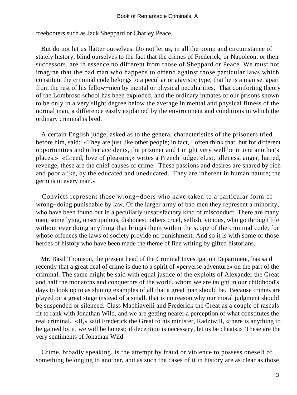freebooters such as Jack Sheppard or Charley Peace.

 But do not let us flatter ourselves. Do not let us, in all the pomp and circumstance of stately history, blind ourselves to the fact that the crimes of Frederick, or Napoleon, or their successors, are in essence no different from those of Sheppard or Peace. We must not imagine that the bad man who happens to offend against those particular laws which constitute the criminal code belongs to a peculiar or atavistic type, that he is a man set apart from the rest of his fellow−men by mental or physical peculiarities. That comforting theory of the Lombroso school has been exploded, and the ordinary inmates of our prisons shown to be only in a very slight degree below the average in mental and physical fitness of the normal man, a difference easily explained by the environment and conditions in which the ordinary criminal is bred.

 A certain English judge, asked as to the general characteristics of the prisoners tried before him, said: «They are just like other people; in fact, I often think that, but for different opportunities and other accidents, the prisoner and I might very well be in one another's places.» «Greed, love of pleasure,» writes a French judge, «lust, idleness, anger, hatred, revenge, these are the chief causes of crime. These passions and desires are shared by rich and poor alike, by the educated and uneducated. They are inherent in human nature; the germ is in every man.»

 Convicts represent those wrong−doers who have taken to a particular form of wrong−doing punishable by law. Of the larger army of bad men they represent a minority, who have been found out in a peculiarly unsatisfactory kind of misconduct. There are many men, some lying, unscrupulous, dishonest, others cruel, selfish, vicious, who go through life without ever doing anything that brings them within the scope of the criminal code, for whose offences the laws of society provide no punishment. And so it is with some of those heroes of history who have been made the theme of fine writing by gifted historians.

 Mr. Basil Thomson, the present head of the Criminal Investigation Department, has said recently that a great deal of crime is due to a spirit of «perverse adventure» on the part of the criminal. The same might be said with equal justice of the exploits of Alexander the Great and half the monarchs and conquerors of the world, whom we are taught in our childhood's days to look up to as shining examples of all that a great man should be. Because crimes are played on a great stage instead of a small, that is no reason why our moral judgment should be suspended or silenced. Class Machiavelli and Frederick the Great as a couple of rascals fit to rank with Jonathan Wild, and we are getting nearer a perception of what constitutes the real criminal. «If,» said Frederick the Great to his minister, Radziwill, «there is anything to be gained by it, we will be honest; if deception is necessary, let us be cheats.» These are the very sentiments of Jonathan Wild.

 Crime, broadly speaking, is the attempt by fraud or violence to possess oneself of something belonging to another, and as such the cases of it in history are as clear as those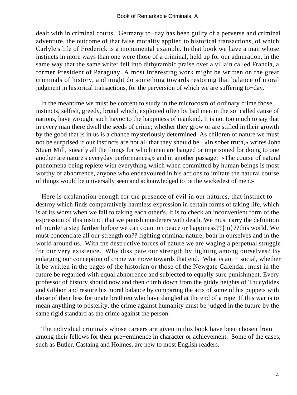dealt with in criminal courts. Germany to−day has been guilty of a perverse and criminal adventure, the outcome of that false morality applied to historical transactions, of which Carlyle's life of Frederick is a monumental example. In that book we have a man whose instincts in more ways than one were those of a criminal, held up for our admiration, in the same way that the same writer fell into dithyrambic praise over a villain called Francia, a former President of Paraguay. A most interesting work might be written on the great criminals of history, and might do something towards restoring that balance of moral judgment in historical transactions, for the perversion of which we are suffering to−day.

 In the meantime we must be content to study in the microcosm of ordinary crime those instincts, selfish, greedy, brutal which, exploited often by bad men in the so−called cause of nations, have wrought such havoc to the happiness of mankind. It is not too much to say that in every man there dwell the seeds of crime; whether they grow or are stifled in their growth by the good that is in us is a chance mysteriously determined. As children of nature we must not be surprised if our instincts are not all that they should be. «In sober truth,» writes John Stuart Mill, «nearly all the things for which men are hanged or imprisoned for doing to one another are nature's everyday performances,» and in another passage: «The course of natural phenomena being replete with everything which when committed by human beings is most worthy of abhorrence, anyone who endeavoured in his actions to imitate the natural course of things would be universally seen and acknowledged to be the wickedest of men.»

 Here is explanation enough for the presence of evil in our natures, that instinct to destroy which finds comparatively harmless expression in certain forms of taking life, which is at its worst when we fall to taking each other's. It is to check an inconvenient form of the expression of this instinct that we punish murderers with death. We must carry the definition of murder a step farther before we can count on peace or happiness??{in}??this world. We must concentrate all our strength on?? fighting criminal nature, both in ourselves and in the world around us. With the destructive forces of nature we are waging a perpetual struggle for our very existence. Why dissipate our strength by fighting among ourselves? By enlarging our conception of crime we move towards that end. What is anti− social, whether it be written in the pages of the historian or those of the Newgate Calendar, must in the future be regarded with equal abhorrence and subjected to equally sure punishment. Every professor of history should now and then climb down from the giddy heights of Thucydides and Gibbon and restore his moral balance by comparing the acts of some of his puppets with those of their less fortunate brethren who have dangled at the end of a rope. If this war is to mean anything to posterity, the crime against humanity must be judged in the future by the same rigid standard as the crime against the person.

 The individual criminals whose careers are given in this book have been chosen from among their fellows for their pre−eminence in character or achievement. Some of the cases, such as Butler, Castaing and Holmes, are new to most English readers.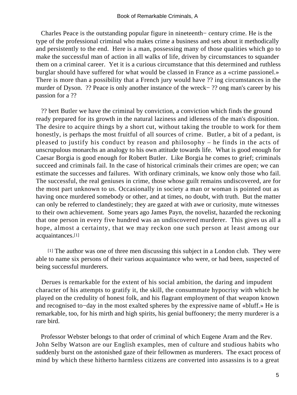Charles Peace is the outstanding popular figure in nineteenth− century crime. He is the type of the professional criminal who makes crime a business and sets about it methodically and persistently to the end. Here is a man, possessing many of those qualities which go to make the successful man of action in all walks of life, driven by circumstances to squander them on a criminal career. Yet it is a curious circumstance that this determined and ruthless burglar should have suffered for what would be classed in France as a «crime passionel.» There is more than a possibility that a French jury would have ?? ing circumstances in the murder of Dyson. ?? Peace is only another instance of the wreck− ?? ong man's career by his passion for a ??

 ?? bert Butler we have the criminal by conviction, a conviction which finds the ground ready prepared for its growth in the natural laziness and idleness of the man's disposition. The desire to acquire things by a short cut, without taking the trouble to work for them honestly, is perhaps the most fruitful of all sources of crime. Butler, a bit of a pedant, is pleased to justify his conduct by reason and philosophy – he finds in the acts of unscrupulous monarchs an analogy to his own attitude towards life. What is good enough for Caesar Borgia is good enough for Robert Butler. Like Borgia he comes to grief; criminals succeed and criminals fail. In the case of historical criminals their crimes are open; we can estimate the successes and failures. With ordinary criminals, we know only those who fail. The successful, the real geniuses in crime, those whose guilt remains undiscovered, are for the most part unknown to us. Occasionally in society a man or woman is pointed out as having once murdered somebody or other, and at times, no doubt, with truth. But the matter can only be referred to clandestinely; they are gazed at with awe or curiosity, mute witnesses to their own achievement. Some years ago James Payn, the novelist, hazarded the reckoning that one person in every five hundred was an undiscovered murderer. This gives us all a hope, almost a certainty, that we may reckon one such person at least among our acquaintances.[1]

[1] The author was one of three men discussing this subject in a London club. They were able to name six persons of their various acquaintance who were, or had been, suspected of being successful murderers.

 Derues is remarkable for the extent of his social ambition, the daring and impudent character of his attempts to gratify it, the skill, the consummate hypocrisy with which he played on the credulity of honest folk, and his flagrant employment of that weapon known and recognised to−day in the most exalted spheres by the expressive name of «bluff.» He is remarkable, too, for his mirth and high spirits, his genial buffoonery; the merry murderer is a rare bird.

 Professor Webster belongs to that order of criminal of which Eugene Aram and the Rev. John Selby Watson are our English examples, men of culture and studious habits who suddenly burst on the astonished gaze of their fellowmen as murderers. The exact process of mind by which these hitherto harmless citizens are converted into assassins is to a great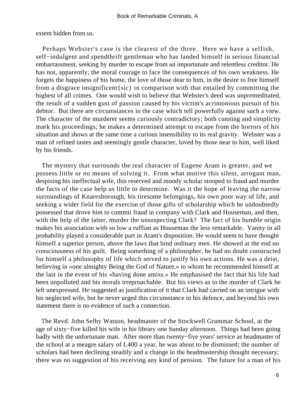extent hidden from us.

 Perhaps Webster's case is the clearest of the three. Here we have a selfish, self−indulgent and spendthrift gentleman who has landed himself in serious financial embarrassment, seeking by murder to escape from an importunate and relentless creditor. He has not, apparently, the moral courage to face the consequences of his own weakness. He forgets the happiness of his home, the love of those dear to him, in the desire to free himself from a disgrace insignificent{sic} in comparison with that entailed by committing the highest of all crimes. One would wish to believe that Webster's deed was unpremeditated, the result of a sudden gust of passion caused by his victim's acrimonious pursuit of his debtor. But there are circumstances in the case which tell powerfully against such a view. The character of the murderer seems curiously contradictory; both cunning and simplicity mark his proceedings; he makes a determined attempt to escape from the horrors of his situation and shows at the same time a curious insensibility to its real gravity. Webster was a man of refined tastes and seemingly gentle character, loved by those near to him, well liked by his friends.

 The mystery that surrounds the real character of Eugene Aram is greater, and we possess little or no means of solving it. From what motive this silent, arrogant man, despising his ineffectual wife, this reserved and moody scholar stooped to fraud and murder the facts of the case help us little to determine. Was it the hope of leaving the narrow surroundings of Knaresborough, his tiresome belongings, his own poor way of life, and seeking a wider field for the exercise of those gifts of scholarship which he undoubtedly possessed that drove him to commit fraud in company with Clark and Houseman, and then, with the help of the latter, murder the unsuspecting Clark? The fact of his humble origin makes his association with so low a ruffian as Houseman the less remarkable. Vanity in all probability played a considerable part in Aram's disposition. He would seem to have thought himself a superior person, above the laws that bind ordinary men. He showed at the end no consciousness of his guilt. Being something of a philosopher, he had no doubt constructed for himself a philosophy of life which served to justify his own actions. He was a deist, believing in «one almighty Being the God of Nature,» to whom he recommended himself at the last in the event of his «having done amiss.» He emphasised the fact that his life had been unpolluted and his morals irreproachable. But his views as to the murder of Clark he left unexpressed. He suggested as justification of it that Clark had carried on an intrigue with his neglected wife, but he never urged this circumstance in his defence, and beyond his own statement there is no evidence of such a connection.

 The Revd. John Selby Watson, headmaster of the Stockwell Grammar School, at the age of sixty−five killed his wife in his library one Sunday afternoon. Things had been going badly with the unfortunate man. After more than twenty−five years' service as headmaster of the school at a meagre salary of L400 a year, he was about to be dismissed; the number of scholars had been declining steadily and a change in the headmastership thought necessary; there was no suggestion of his receiving any kind of pension. The future for a man of his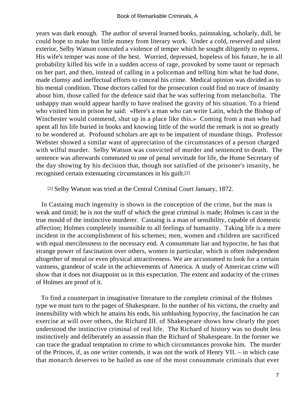years was dark enough. The author of several learned books, painstaking, scholarly, dull, he could hope to make but little money from literary work. Under a cold, reserved and silent exterior, Selby Watson concealed a violence of temper which he sought diligently to repress. His wife's temper was none of the best. Worried, depressed, hopeless of his future, he in all probability killed his wife in a sudden access of rage, provoked by some taunt or reproach on her part, and then, instead of calling in a policeman and telling him what he had done, made clumsy and ineffectual efforts to conceal his crime. Medical opinion was divided as to his mental condition. Those doctors called for the prosecution could find no trace of insanity about him, those called for the defence said that he was suffering from melancholia. The unhappy man would appear hardly to have realised the gravity of his situation. To a friend who visited him in prison he said: «Here's a man who can write Latin, which the Bishop of Winchester would commend, shut up in a place like this.» Coming from a man who had spent all his life buried in books and knowing little of the world the remark is not so greatly to be wondered at. Profound scholars are apt to be impatient of mundane things. Professor Webster showed a similar want of appreciation of the circumstances of a person charged with wilful murder. Selby Watson was convicted of murder and sentenced to death. The sentence was afterwards commuted to one of penal servitude for life, the Home Secretary of the day showing by his decision that, though not satisfied of the prisoner's insanity, he recognised certain extenuating circumstances in his guilt.[2]

[2] Selby Watson was tried at the Central Criminal Court January, 1872.

 In Castaing much ingenuity is shown in the conception of the crime, but the man is weak and timid; he is not the stuff of which the great criminal is made; Holmes is cast in the true mould of the instinctive murderer. Castaing is a man of sensibility, capable of domestic affection; Holmes completely insensible to all feelings of humanity. Taking life is a mere incident in the accomplishment of his schemes; men, women and children are sacrificed with equal mercilessness to the necessary end. A consummate liar and hypocrite, he has that strange power of fascination over others, women in particular, which is often independent altogether of moral or even physical attractiveness. We are accustomed to look for a certain vastness, grandeur of scale in the achievements of America. A study of American crime will show that it does not disappoint us in this expectation. The extent and audacity of the crimes of Holmes are proof of it.

 To find a counterpart in imaginative literature to the complete criminal of the Holmes type we must turn to the pages of Shakespeare. In the number of his victims, the cruelty and insensibility with which he attains his ends, his unblushing hypocrisy, the fascination he can exercise at will over others, the Richard III. of Shakespeare shows how clearly the poet understood the instinctive criminal of real life. The Richard of history was no doubt less instinctively and deliberately an assassin than the Richard of Shakespeare. In the former we can trace the gradual temptation to crime to which circumstances provoke him. The murder of the Princes, if, as one writer contends, it was not the work of Henry VII. – in which case that monarch deserves to be hailed as one of the most consummate criminals that ever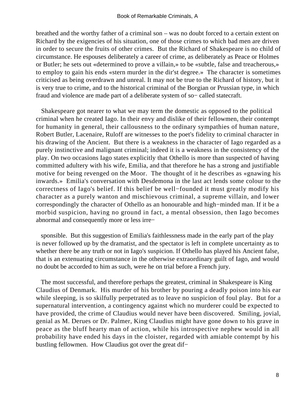breathed and the worthy father of a criminal son – was no doubt forced to a certain extent on Richard by the exigencies of his situation, one of those crimes to which bad men are driven in order to secure the fruits of other crimes. But the Richard of Shakespeare is no child of circumstance. He espouses deliberately a career of crime, as deliberately as Peace or Holmes or Butler; he sets out «determined to prove a villain,» to be «subtle, false and treacherous,» to employ to gain his ends «stern murder in the dir'st degree.» The character is sometimes criticised as being overdrawn and unreal. It may not be true to the Richard of history, but it is very true to crime, and to the historical criminal of the Borgian or Prussian type, in which fraud and violence are made part of a deliberate system of so− called statecraft.

 Shakespeare got nearer to what we may term the domestic as opposed to the political criminal when he created Iago. In their envy and dislike of their fellowmen, their contempt for humanity in general, their callousness to the ordinary sympathies of human nature, Robert Butler, Lacenaire, Ruloff are witnesses to the poet's fidelity to criminal character in his drawing of the Ancient. But there is a weakness in the character of Iago regarded as a purely instinctive and malignant criminal; indeed it is a weakness in the consistency of the play. On two occasions Iago states explicitly that Othello is more than suspected of having committed adultery with his wife, Emilia, and that therefore he has a strong and justifiable motive for being revenged on the Moor. The thought of it he describes as «gnawing his inwards.» Emilia's conversation with Desdemona in the last act lends some colour to the correctness of Iago's belief. If this belief be well−founded it must greatly modify his character as a purely wanton and mischievous criminal, a supreme villain, and lower correspondingly the character of Othello as an honourable and high−minded man. If it be a morbid suspicion, having no ground in fact, a mental obsession, then Iago becomes abnormal and consequently more or less irre−

 sponsible. But this suggestion of Emilia's faithlessness made in the early part of the play is never followed up by the dramatist, and the spectator is left in complete uncertainty as to whether there be any truth or not in Iago's suspicion. If Othello has played his Ancient false, that is an extenuating circumstance in the otherwise extraordinary guilt of Iago, and would no doubt be accorded to him as such, were he on trial before a French jury.

 The most successful, and therefore perhaps the greatest, criminal in Shakespeare is King Claudius of Denmark. His murder of his brother by pouring a deadly poison into his ear while sleeping, is so skilfully perpetrated as to leave no suspicion of foul play. But for a supernatural intervention, a contingency against which no murderer could be expected to have provided, the crime of Claudius would never have been discovered. Smiling, jovial, genial as M. Derues or Dr. Palmer, King Claudius might have gone down to his grave in peace as the bluff hearty man of action, while his introspective nephew would in all probability have ended his days in the cloister, regarded with amiable contempt by his bustling fellowmen. How Claudius got over the great dif−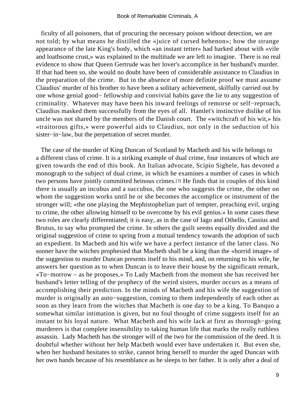ficulty of all poisoners, that of procuring the necessary poison without detection, we are not told; by what means he distilled the «juice of cursed hebenon»; how the strange appearance of the late King's body, which «an instant tetter» had barked about with «vile and loathsome crust,» was explained to the multitude we are left to imagine. There is no real evidence to show that Queen Gertrude was her lover's accomplice in her husband's murder. If that had been so, she would no doubt have been of considerable assistance to Claudius in the preparation of the crime. But in the absence of more definite proof we must assume Claudius' murder of his brother to have been a solitary achievement, skilfully carried out by one whose genial good− fellowship and convivial habits gave the lie to any suggestion of criminality. Whatever may have been his inward feelings of remorse or self−reproach, Claudius masked them successfully from the eyes of all. Hamlet's instinctive dislike of his uncle was not shared by the members of the Danish court. The «witchcraft of his wit,» his «traitorous gifts,» were powerful aids to Claudius, not only in the seduction of his sister−in−law, but the perpetration of secret murder.

 The case of the murder of King Duncan of Scotland by Macbeth and his wife belongs to a different class of crime. It is a striking example of dual crime, four instances of which are given towards the end of this book. An Italian advocate, Scipio Sighele, has devoted a monograph to the subject of dual crime, in which he examines a number of cases in which two persons have jointly committed heinous crimes.[3] He finds that in couples of this kind there is usually an incubus and a succubus, the one who suggests the crime, the other on whom the suggestion works until he or she becomes the accomplice or instrument of the stronger will; «the one playing the Mephistophelian part of tempter, preaching evil, urging to crime, the other allowing himself to be overcome by his evil genius.» In some cases these two roles are clearly differentiated; it is easy, as in the case of Iago and Othello, Cassius and Brutus, to say who prompted the crime. In others the guilt seems equally divided and the original suggestion of crime to spring from a mutual tendency towards the adoption of such an expedient. In Macbeth and his wife we have a perfect instance of the latter class. No sooner have the witches prophesied that Macbeth shall be a king than the «horrid image» of the suggestion to murder Duncan presents itself to his mind, and, on returning to his wife, he answers her question as to when Duncan is to leave their house by the significant remark, «To−morrow – as he proposes.» To Lady Macbeth from the moment she has received her husband's letter telling of the prophecy of the weird sisters, murder occurs as a means of accomplishing their prediction. In the minds of Macbeth and his wife the suggestion of murder is originally an auto−suggestion, coming to them independently of each other as soon as they learn from the witches that Macbeth is one day to be a king. To Banquo a somewhat similar intimation is given, but no foul thought of crime suggests itself for an instant to his loyal nature. What Macbeth and his wife lack at first as thorough−going murderers is that complete insensibility to taking human life that marks the really ruthless assassin. Lady Macbeth has the stronger will of the two for the commission of the deed. It is doubtful whether without her help Macbeth would ever have undertaken it. But even she, when her husband hesitates to strike, cannot bring herself to murder the aged Duncan with her own hands because of his resemblance as he sleeps to her father. It is only after a deal of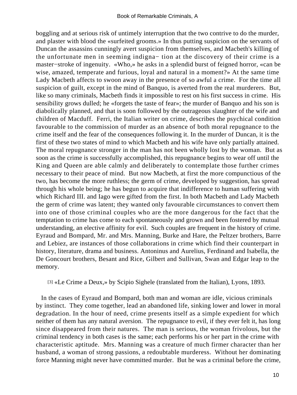boggling and at serious risk of untimely interruption that the two contrive to do the murder, and plaster with blood the «surfeited grooms.» In thus putting suspicion on the servants of Duncan the assassins cunningly avert suspicion from themselves, and Macbeth's killing of the unfortunate men in seeming indigna− tion at the discovery of their crime is a master−stroke of ingenuity. «Who,» he asks in a splendid burst of feigned horror, «can be wise, amazed, temperate and furious, loyal and natural in a moment?» At the same time Lady Macbeth affects to swoon away in the presence of so awful a crime. For the time all suspicion of guilt, except in the mind of Banquo, is averted from the real murderers. But, like so many criminals, Macbeth finds it impossible to rest on his first success in crime. His sensibility grows dulled; he «forgets the taste of fear»; the murder of Banquo and his son is diabolically planned, and that is soon followed by the outrageous slaughter of the wife and children of Macduff. Ferri, the Italian writer on crime, describes the psychical condition favourable to the commission of murder as an absence of both moral repugnance to the crime itself and the fear of the consequences following it. In the murder of Duncan, it is the first of these two states of mind to which Macbeth and his wife have only partially attained. The moral repugnance stronger in the man has not been wholly lost by the woman. But as soon as the crime is successfully accomplished, this repugnance begins to wear off until the King and Queen are able calmly and deliberately to contemplate those further crimes necessary to their peace of mind. But now Macbeth, at first the more compunctious of the two, has become the more ruthless; the germ of crime, developed by suggestion, has spread through his whole being; he has begun to acquire that indifference to human suffering with which Richard III. and Iago were gifted from the first. In both Macbeth and Lady Macbeth the germ of crime was latent; they wanted only favourable circumstances to convert them into one of those criminal couples who are the more dangerous for the fact that the temptation to crime has come to each spontaneously and grown and been fostered by mutual understanding, an elective affinity for evil. Such couples are frequent in the history of crime. Eyraud and Bompard, Mr. and Mrs. Manning, Burke and Hare, the Peltzer brothers, Barre and Lebiez, are instances of those collaborations in crime which find their counterpart in history, literature, drama and business. Antoninus and Aurelius, Ferdinand and Isabella, the De Goncourt brothers, Besant and Rice, Gilbert and Sullivan, Swan and Edgar leap to the memory.

[3] «Le Crime a Deux,» by Scipio Sighele (translated from the Italian), Lyons, 1893.

 In the cases of Eyraud and Bompard, both man and woman are idle, vicious criminals by instinct. They come together, lead an abandoned life, sinking lower and lower in moral degradation. In the hour of need, crime presents itself as a simple expedient for which neither of them has any natural aversion. The repugnance to evil, if they ever felt it, has long since disappeared from their natures. The man is serious, the woman frivolous, but the criminal tendency in both cases is the same; each performs his or her part in the crime with characteristic aptitude. Mrs. Manning was a creature of much firmer character than her husband, a woman of strong passions, a redoubtable murderess. Without her dominating force Manning might never have committed murder. But he was a criminal before the crime,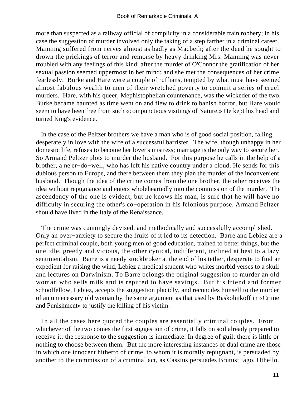more than suspected as a railway official of complicity in a considerable train robbery; in his case the suggestion of murder involved only the taking of a step farther in a criminal career. Manning suffered from nerves almost as badly as Macbeth; after the deed he sought to drown the prickings of terror and remorse by heavy drinking Mrs. Manning was never troubled with any feelings of this kind; after the murder of O'Connor the gratification of her sexual passion seemed uppermost in her mind; and she met the consequences of her crime fearlessly. Burke and Hare were a couple of ruffians, tempted by what must have seemed almost fabulous wealth to men of their wretched poverty to commit a series of cruel murders. Hare, with his queer, Mephistophelian countenance, was the wickeder of the two. Burke became haunted as time went on and flew to drink to banish horror, but Hare would seem to have been free from such «compunctious visitings of Nature.» He kept his head and turned King's evidence.

 In the case of the Peltzer brothers we have a man who is of good social position, falling desperately in love with the wife of a successful barrister. The wife, though unhappy in her domestic life, refuses to become her lover's mistress; marriage is the only way to secure her. So Armand Peltzer plots to murder the husband. For this purpose he calls in the help of a brother, a ne'er−do−well, who has left his native country under a cloud. He sends for this dubious person to Europe, and there between them they plan the murder of the inconvenient husband. Though the idea of the crime comes from the one brother, the other receives the idea without repugnance and enters wholeheartedly into the commission of the murder. The ascendency of the one is evident, but he knows his man, is sure that he will have no difficulty in securing the other's co−operation in his felonious purpose. Armand Peltzer should have lived in the Italy of the Renaissance.

 The crime was cunningly devised, and methodically and successfully accomplished. Only an over−anxiety to secure the fruits of it led to its detection. Barre and Lebiez are a perfect criminal couple, both young men of good education, trained to better things, but the one idle, greedy and vicious, the other cynical, indifferent, inclined at best to a lazy sentimentalism. Barre is a needy stockbroker at the end of his tether, desperate to find an expedient for raising the wind, Lebiez a medical student who writes morbid verses to a skull and lectures on Darwinism. To Barre belongs the original suggestion to murder an old woman who sells milk and is reputed to have savings. But his friend and former schoolfellow, Lebiez, accepts the suggestion placidly, and reconciles himself to the murder of an unnecessary old woman by the same argument as that used by Raskolnikoff in «Crime and Punishment» to justify the killing of his victim.

 In all the cases here quoted the couples are essentially criminal couples. From whichever of the two comes the first suggestion of crime, it falls on soil already prepared to receive it; the response to the suggestion is immediate. In degree of guilt there is little or nothing to choose between them. But the more interesting instances of dual crime are those in which one innocent hitherto of crime, to whom it is morally repugnant, is persuaded by another to the commission of a criminal act, as Cassius persuades Brutus; Iago, Othello.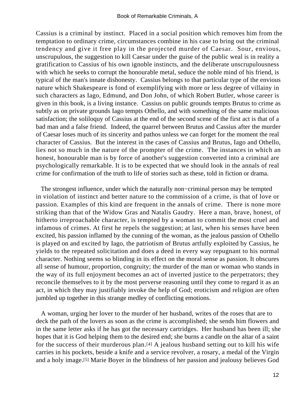Cassius is a criminal by instinct. Placed in a social position which removes him from the temptation to ordinary crime, circumstances combine in his case to bring out the criminal tendency and give it free play in the projected murder of Caesar. Sour, envious, unscrupulous, the suggestion to kill Caesar under the guise of the public weal is in reality a gratification to Cassius of his own ignoble instincts, and the deliberate unscrupulousness with which he seeks to corrupt the honourable metal, seduce the noble mind of his friend, is typical of the man's innate dishonesty. Cassius belongs to that particular type of the envious nature which Shakespeare is fond of exemplifying with more or less degree of villainy in such characters as Iago, Edmund, and Don John, of which Robert Butler, whose career is given in this book, is a living instance. Cassius on public grounds tempts Brutus to crime as subtly as on private grounds Iago tempts Othello, and with something of the same malicious satisfaction; the soliloquy of Cassius at the end of the second scene of the first act is that of a bad man and a false friend. Indeed, the quarrel between Brutus and Cassius after the murder of Caesar loses much of its sincerity and pathos unless we can forget for the moment the real character of Cassius. But the interest in the cases of Cassius and Brutus, Iago and Othello, lies not so much in the nature of the prompter of the crime. The instances in which an honest, honourable man is by force of another's suggestion converted into a criminal are psychologically remarkable. It is to be expected that we should look in the annals of real crime for confirmation of the truth to life of stories such as these, told in fiction or drama.

 The strongest influence, under which the naturally non−criminal person may be tempted in violation of instinct and better nature to the commission of a crime, is that of love or passion. Examples of this kind are frequent in the annals of crime. There is none more striking than that of the Widow Gras and Natalis Gaudry. Here a man, brave, honest, of hitherto irreproachable character, is tempted by a woman to commit the most cruel and infamous of crimes. At first he repels the suggestion; at last, when his senses have been excited, his passion inflamed by the cunning of the woman, as the jealous passion of Othello is played on and excited by Iago, the patriotism of Brutus artfully exploited by Cassius, he yields to the repeated solicitation and does a deed in every way repugnant to his normal character. Nothing seems so blinding in its effect on the moral sense as passion. It obscures all sense of humour, proportion, congruity; the murder of the man or woman who stands in the way of its full enjoyment becomes an act of inverted justice to the perpetrators; they reconcile themselves to it by the most perverse reasoning until they come to regard it as an act, in which they may justifiably invoke the help of God; eroticism and religion are often jumbled up together in this strange medley of conflicting emotions.

 A woman, urging her lover to the murder of her husband, writes of the roses that are to deck the path of the lovers as soon as the crime is accomplished; she sends him flowers and in the same letter asks if he has got the necessary cartridges. Her husband has been ill; she hopes that it is God helping them to the desired end; she burns a candle on the altar of a saint for the success of their murderous plan.[4] A jealous husband setting out to kill his wife carries in his pockets, beside a knife and a service revolver, a rosary, a medal of the Virgin and a holy image.[5] Marie Boyer in the blindness of her passion and jealousy believes God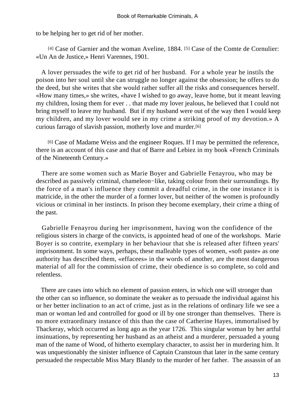to be helping her to get rid of her mother.

[4] Case of Garnier and the woman Aveline, 1884. [5] Case of the Comte de Cornulier: «Un An de Justice,» Henri Varennes, 1901.

 A lover persuades the wife to get rid of her husband. For a whole year he instils the poison into her soul until she can struggle no longer against the obsession; he offers to do the deed, but she writes that she would rather suffer all the risks and consequences herself. «How many times,» she writes, «have I wished to go away, leave home, but it meant leaving my children, losing them for ever . . that made my lover jealous, he believed that I could not bring myself to leave my husband. But if my husband were out of the way then I would keep my children, and my lover would see in my crime a striking proof of my devotion.» A curious farrago of slavish passion, motherly love and murder.[6]

[6] Case of Madame Weiss and the engineer Roques. If I may be permitted the reference, there is an account of this case and that of Barre and Lebiez in my book «French Criminals of the Nineteenth Century.»

 There are some women such as Marie Boyer and Gabrielle Fenayrou, who may be described as passively criminal, chameleon−like, taking colour from their surroundings. By the force of a man's influence they commit a dreadful crime, in the one instance it is matricide, in the other the murder of a former lover, but neither of the women is profoundly vicious or criminal in her instincts. In prison they become exemplary, their crime a thing of the past.

 Gabrielle Fenayrou during her imprisonment, having won the confidence of the religious sisters in charge of the convicts, is appointed head of one of the workshops. Marie Boyer is so contrite, exemplary in her behaviour that she is released after fifteen years' imprisonment. In some ways, perhaps, these malleable types of women, «soft paste» as one authority has described them, «effacees» in the words of another, are the most dangerous material of all for the commission of crime, their obedience is so complete, so cold and relentless.

 There are cases into which no element of passion enters, in which one will stronger than the other can so influence, so dominate the weaker as to persuade the individual against his or her better inclination to an act of crime, just as in the relations of ordinary life we see a man or woman led and controlled for good or ill by one stronger than themselves. There is no more extraordinary instance of this than the case of Catherine Hayes, immortalised by Thackeray, which occurred as long ago as the year 1726. This singular woman by her artful insinuations, by representing her husband as an atheist and a murderer, persuaded a young man of the name of Wood, of hitherto exemplary character, to assist her in murdering him. It was unquestionably the sinister influence of Captain Cranstoun that later in the same century persuaded the respectable Miss Mary Blandy to the murder of her father. The assassin of an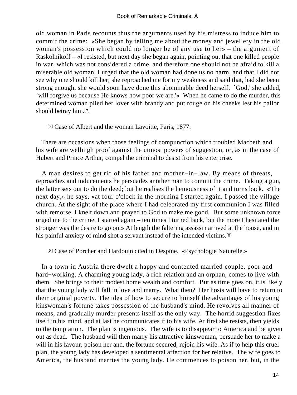old woman in Paris recounts thus the arguments used by his mistress to induce him to commit the crime: «She began by telling me about the money and jewellery in the old woman's possession which could no longer be of any use to her» – the argument of Raskolnikoff – «I resisted, but next day she began again, pointing out that one killed people in war, which was not considered a crime, and therefore one should not be afraid to kill a miserable old woman. I urged that the old woman had done us no harm, and that I did not see why one should kill her; she reproached me for my weakness and said that, had she been strong enough, she would soon have done this abominable deed herself. `God,' she added, `will forgive us because He knows how poor we are.'» When he came to do the murder, this determined woman plied her lover with brandy and put rouge on his cheeks lest his pallor should betray him.[7]

[7] Case of Albert and the woman Lavoitte, Paris, 1877.

 There are occasions when those feelings of compunction which troubled Macbeth and his wife are wellnigh proof against the utmost powers of suggestion, or, as in the case of Hubert and Prince Arthur, compel the criminal to desist from his enterprise.

 A man desires to get rid of his father and mother−in−law. By means of threats, reproaches and inducements he persuades another man to commit the crime. Taking a gun, the latter sets out to do the deed; but he realises the heinousness of it and turns back. «The next day,» he says, «at four o'clock in the morning I started again. I passed the village church. At the sight of the place where I had celebrated my first communion I was filled with remorse. I knelt down and prayed to God to make me good. But some unknown force urged me to the crime. I started again – ten times I turned back, but the more I hesitated the stronger was the desire to go on.» At length the faltering assassin arrived at the house, and in his painful anxiety of mind shot a servant instead of the intended victims.[8]

[8] Case of Porcher and Hardouin cited in Despine. «Psychologie Naturelle.»

 In a town in Austria there dwelt a happy and contented married couple, poor and hard−working. A charming young lady, a rich relation and an orphan, comes to live with them. She brings to their modest home wealth and comfort. But as time goes on, it is likely that the young lady will fall in love and marry. What then? Her hosts will have to return to their original poverty. The idea of how to secure to himself the advantages of his young kinswoman's fortune takes possession of the husband's mind. He revolves all manner of means, and gradually murder presents itself as the only way. The horrid suggestion fixes itself in his mind, and at last he communicates it to his wife. At first she resists, then yields to the temptation. The plan is ingenious. The wife is to disappear to America and be given out as dead. The husband will then marry his attractive kinswoman, persuade her to make a will in his favour, poison her and, the fortune secured, rejoin his wife. As if to help this cruel plan, the young lady has developed a sentimental affection for her relative. The wife goes to America, the husband marries the young lady. He commences to poison her, but, in the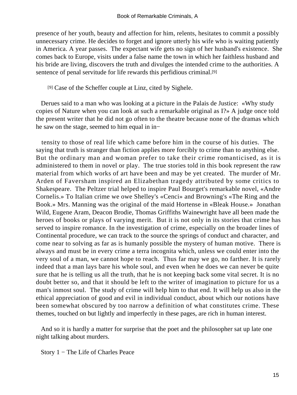presence of her youth, beauty and affection for him, relents, hesitates to commit a possibly unnecessary crime. He decides to forget and ignore utterly his wife who is waiting patiently in America. A year passes. The expectant wife gets no sign of her husband's existence. She comes back to Europe, visits under a false name the town in which her faithless husband and his bride are living, discovers the truth and divulges the intended crime to the authorities. A sentence of penal servitude for life rewards this perfidious criminal.[9]

[9] Case of the Scheffer couple at Linz, cited by Sighele.

 Derues said to a man who was looking at a picture in the Palais de Justice: «Why study copies of Nature when you can look at such a remarkable original as I?» A judge once told the present writer that he did not go often to the theatre because none of the dramas which he saw on the stage, seemed to him equal in in−

 tensity to those of real life which came before him in the course of his duties. The saying that truth is stranger than fiction applies more forcibly to crime than to anything else. But the ordinary man and woman prefer to take their crime romanticised, as it is administered to them in novel or play. The true stories told in this book represent the raw material from which works of art have been and may be yet created. The murder of Mr. Arden of Faversham inspired an Elizabethan tragedy attributed by some critics to Shakespeare. The Peltzer trial helped to inspire Paul Bourget's remarkable novel, «Andre Cornelis.» To Italian crime we owe Shelley's «Cenci» and Browning's «The Ring and the Book.» Mrs. Manning was the original of the maid Hortense in «Bleak House.» Jonathan Wild, Eugene Aram, Deacon Brodie, Thomas Griffiths Wainewright have all been made the heroes of books or plays of varying merit. But it is not only in its stories that crime has served to inspire romance. In the investigation of crime, especially on the broader lines of Continental procedure, we can track to the source the springs of conduct and character, and come near to solving as far as is humanly possible the mystery of human motive. There is always and must be in every crime a terra incognita which, unless we could enter into the very soul of a man, we cannot hope to reach. Thus far may we go, no farther. It is rarely indeed that a man lays bare his whole soul, and even when he does we can never be quite sure that he is telling us all the truth, that he is not keeping back some vital secret. It is no doubt better so, and that it should be left to the writer of imagination to picture for us a man's inmost soul. The study of crime will help him to that end. It will help us also in the ethical appreciation of good and evil in individual conduct, about which our notions have been somewhat obscured by too narrow a definition of what constitutes crime. These themes, touched on but lightly and imperfectly in these pages, are rich in human interest.

 And so it is hardly a matter for surprise that the poet and the philosopher sat up late one night talking about murders.

Story 1 − The Life of Charles Peace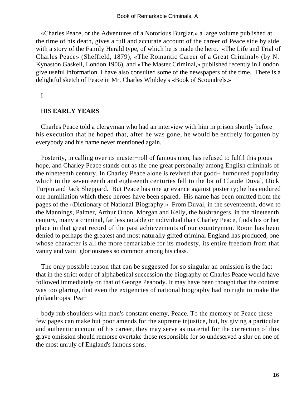«Charles Peace, or the Adventures of a Notorious Burglar,» a large volume published at the time of his death, gives a full and accurate account of the career of Peace side by side with a story of the Family Herald type, of which he is made the hero. «The Life and Trial of Charles Peace» (Sheffield, 1879), «The Romantic Career of a Great Criminal» (by N. Kynaston Gaskell, London 1906), and «The Master Criminal,» published recently in London give useful information. I have also consulted some of the newspapers of the time. There is a delightful sketch of Peace in Mr. Charles Whibley's «Book of Scoundrels.»

I

#### HIS **EARLY YEARS**

 Charles Peace told a clergyman who had an interview with him in prison shortly before his execution that he hoped that, after he was gone, he would be entirely forgotten by everybody and his name never mentioned again.

 Posterity, in calling over its muster−roll of famous men, has refused to fulfil this pious hope, and Charley Peace stands out as the one great personality among English criminals of the nineteenth century. In Charley Peace alone is revived that good− humoured popularity which in the seventeenth and eighteenth centuries fell to the lot of Claude Duval, Dick Turpin and Jack Sheppard. But Peace has one grievance against posterity; he has endured one humiliation which these heroes have been spared. His name has been omitted from the pages of the «Dictionary of National Biography.» From Duval, in the seventeenth, down to the Mannings, Palmer, Arthur Orton, Morgan and Kelly, the bushrangers, in the nineteenth century, many a criminal, far less notable or individual than Charley Peace, finds his or her place in that great record of the past achievements of our countrymen. Room has been denied to perhaps the greatest and most naturally gifted criminal England has produced, one whose character is all the more remarkable for its modesty, its entire freedom from that vanity and vain−gloriousness so common among his class.

 The only possible reason that can be suggested for so singular an omission is the fact that in the strict order of alphabetical succession the biography of Charles Peace would have followed immediately on that of George Peabody. It may have been thought that the contrast was too glaring, that even the exigencies of national biography had no right to make the philanthropist Pea−

 body rub shoulders with man's constant enemy, Peace. To the memory of Peace these few pages can make but poor amends for the supreme injustice, but, by giving a particular and authentic account of his career, they may serve as material for the correction of this grave omission should remorse overtake those responsible for so undeserved a slur on one of the most unruly of England's famous sons.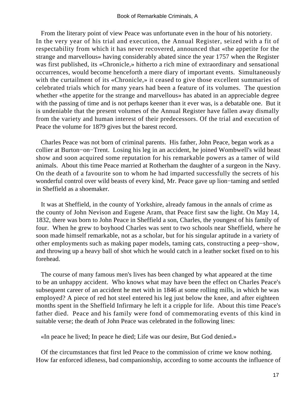From the literary point of view Peace was unfortunate even in the hour of his notoriety. In the very year of his trial and execution, the Annual Register, seized with a fit of respectability from which it has never recovered, announced that «the appetite for the strange and marvellous» having considerably abated since the year 1757 when the Register was first published, its «Chronicle,» hitherto a rich mine of extraordinary and sensational occurrences, would become henceforth a mere diary of important events. Simultaneously with the curtailment of its «Chronicle,» it ceased to give those excellent summaries of celebrated trials which for many years had been a feature of its volumes. The question whether «the appetite for the strange and marvellous» has abated in an appreciable degree with the passing of time and is not perhaps keener than it ever was, is a debatable one. But it is undeniable that the present volumes of the Annual Register have fallen away dismally from the variety and human interest of their predecessors. Of the trial and execution of Peace the volume for 1879 gives but the barest record.

 Charles Peace was not born of criminal parents. His father, John Peace, began work as a collier at Burton−on−Trent. Losing his leg in an accident, he joined Wombwell's wild beast show and soon acquired some reputation for his remarkable powers as a tamer of wild animals. About this time Peace married at Rotherham the daughter of a surgeon in the Navy. On the death of a favourite son to whom he had imparted successfully the secrets of his wonderful control over wild beasts of every kind, Mr. Peace gave up lion−taming and settled in Sheffield as a shoemaker.

 It was at Sheffield, in the county of Yorkshire, already famous in the annals of crime as the county of John Nevison and Eugene Aram, that Peace first saw the light. On May 14, 1832, there was born to John Peace in Sheffield a son, Charles, the youngest of his family of four. When he grew to boyhood Charles was sent to two schools near Sheffield, where he soon made himself remarkable, not as a scholar, but for his singular aptitude in a variety of other employments such as making paper models, taming cats, constructing a peep−show, and throwing up a heavy ball of shot which he would catch in a leather socket fixed on to his forehead.

 The course of many famous men's lives has been changed by what appeared at the time to be an unhappy accident. Who knows what may have been the effect on Charles Peace's subsequent career of an accident he met with in 1846 at some rolling mills, in which he was employed? A piece of red hot steel entered his leg just below the knee, and after eighteen months spent in the Sheffield Infirmary he left it a cripple for life. About this time Peace's father died. Peace and his family were fond of commemorating events of this kind in suitable verse; the death of John Peace was celebrated in the following lines:

«In peace he lived; In peace he died; Life was our desire, But God denied.»

 Of the circumstances that first led Peace to the commission of crime we know nothing. How far enforced idleness, bad companionship, according to some accounts the influence of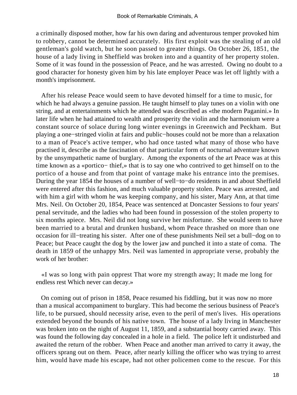a criminally disposed mother, how far his own daring and adventurous temper provoked him to robbery, cannot be determined accurately. His first exploit was the stealing of an old gentleman's gold watch, but he soon passed to greater things. On October 26, 1851, the house of a lady living in Sheffield was broken into and a quantity of her property stolen. Some of it was found in the possession of Peace, and he was arrested. Owing no doubt to a good character for honesty given him by his late employer Peace was let off lightly with a month's imprisonment.

 After his release Peace would seem to have devoted himself for a time to music, for which he had always a genuine passion. He taught himself to play tunes on a violin with one string, and at entertainments which he attended was described as «the modern Paganini.» In later life when he had attained to wealth and prosperity the violin and the harmonium were a constant source of solace during long winter evenings in Greenwich and Peckham. But playing a one−stringed violin at fairs and public−houses could not be more than a relaxation to a man of Peace's active temper, who had once tasted what many of those who have practised it, describe as the fascination of that particular form of nocturnal adventure known by the unsympathetic name of burglary. Among the exponents of the art Peace was at this time known as a «portico− thief,» that is to say one who contrived to get himself on to the portico of a house and from that point of vantage make his entrance into the premises. During the year 1854 the houses of a number of well−to−do residents in and about Sheffield were entered after this fashion, and much valuable property stolen. Peace was arrested, and with him a girl with whom he was keeping company, and his sister, Mary Ann, at that time Mrs. Neil. On October 20, 1854, Peace was sentenced at Doncaster Sessions to four years' penal servitude, and the ladies who had been found in possession of the stolen property to six months apiece. Mrs. Neil did not long survive her misfortune. She would seem to have been married to a brutal and drunken husband, whom Peace thrashed on more than one occasion for ill−treating his sister. After one of these punishments Neil set a bull−dog on to Peace; but Peace caught the dog by the lower jaw and punched it into a state of coma. The death in 1859 of the unhappy Mrs. Neil was lamented in appropriate verse, probably the work of her brother:

 «I was so long with pain opprest That wore my strength away; It made me long for endless rest Which never can decay.»

 On coming out of prison in 1858, Peace resumed his fiddling, but it was now no more than a musical accompaniment to burglary. This had become the serious business of Peace's life, to be pursued, should necessity arise, even to the peril of men's lives. His operations extended beyond the bounds of his native town. The house of a lady living in Manchester was broken into on the night of August 11, 1859, and a substantial booty carried away. This was found the following day concealed in a hole in a field. The police left it undisturbed and awaited the return of the robber. When Peace and another man arrived to carry it away, the officers sprang out on them. Peace, after nearly killing the officer who was trying to arrest him, would have made his escape, had not other policemen come to the rescue. For this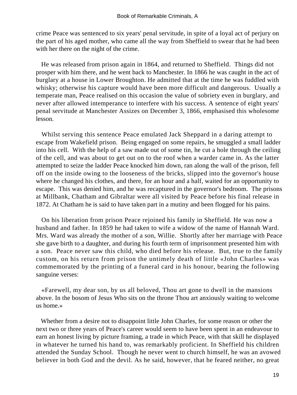crime Peace was sentenced to six years' penal servitude, in spite of a loyal act of perjury on the part of his aged mother, who came all the way from Sheffield to swear that he had been with her there on the night of the crime.

 He was released from prison again in 1864, and returned to Sheffield. Things did not prosper with him there, and he went back to Manchester. In 1866 he was caught in the act of burglary at a house in Lower Broughton. He admitted that at the time he was fuddled with whisky; otherwise his capture would have been more difficult and dangerous. Usually a temperate man, Peace realised on this occasion the value of sobriety even in burglary, and never after allowed intemperance to interfere with his success. A sentence of eight years' penal servitude at Manchester Assizes on December 3, 1866, emphasised this wholesome lesson.

 Whilst serving this sentence Peace emulated Jack Sheppard in a daring attempt to escape from Wakefield prison. Being engaged on some repairs, he smuggled a small ladder into his cell. With the help of a saw made out of some tin, he cut a hole through the ceiling of the cell, and was about to get out on to the roof when a warder came in. As the latter attempted to seize the ladder Peace knocked him down, ran along the wall of the prison, fell off on the inside owing to the looseness of the bricks, slipped into the governor's house where he changed his clothes, and there, for an hour and a half, waited for an opportunity to escape. This was denied him, and he was recaptured in the governor's bedroom. The prisons at Millbank, Chatham and Gibraltar were all visited by Peace before his final release in 1872. At Chatham he is said to have taken part in a mutiny and been flogged for his pains.

 On his liberation from prison Peace rejoined his family in Sheffield. He was now a husband and father. In 1859 he had taken to wife a widow of the name of Hannah Ward. Mrs. Ward was already the mother of a son, Willie. Shortly after her marriage with Peace she gave birth to a daughter, and during his fourth term of imprisonment presented him with a son. Peace never saw this child, who died before his release. But, true to the family custom, on his return from prison the untimely death of little «John Charles» was commemorated by the printing of a funeral card in his honour, bearing the following sanguine verses:

 «Farewell, my dear son, by us all beloved, Thou art gone to dwell in the mansions above. In the bosom of Jesus Who sits on the throne Thou art anxiously waiting to welcome us home.»

 Whether from a desire not to disappoint little John Charles, for some reason or other the next two or three years of Peace's career would seem to have been spent in an endeavour to earn an honest living by picture framing, a trade in which Peace, with that skill he displayed in whatever he turned his hand to, was remarkably proficient. In Sheffield his children attended the Sunday School. Though he never went to church himself, he was an avowed believer in both God and the devil. As he said, however, that he feared neither, no great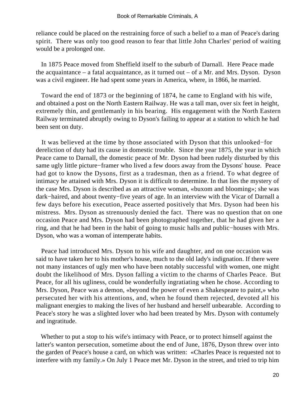reliance could be placed on the restraining force of such a belief to a man of Peace's daring spirit. There was only too good reason to fear that little John Charles' period of waiting would be a prolonged one.

 In 1875 Peace moved from Sheffield itself to the suburb of Darnall. Here Peace made the acquaintance – a fatal acquaintance, as it turned out – of a Mr. and Mrs. Dyson. Dyson was a civil engineer. He had spent some years in America, where, in 1866, he married.

 Toward the end of 1873 or the beginning of 1874, he came to England with his wife, and obtained a post on the North Eastern Railway. He was a tall man, over six feet in height, extremely thin, and gentlemanly in his bearing. His engagement with the North Eastern Railway terminated abruptly owing to Dyson's failing to appear at a station to which he had been sent on duty.

 It was believed at the time by those associated with Dyson that this unlooked−for dereliction of duty had its cause in domestic trouble. Since the year 1875, the year in which Peace came to Darnall, the domestic peace of Mr. Dyson had been rudely disturbed by this same ugly little picture−framer who lived a few doors away from the Dysons' house. Peace had got to know the Dysons, first as a tradesman, then as a friend. To what degree of intimacy he attained with Mrs. Dyson it is difficult to determine. In that lies the mystery of the case Mrs. Dyson is described as an attractive woman, «buxom and blooming»; she was dark−haired, and about twenty−five years of age. In an interview with the Vicar of Darnall a few days before his execution, Peace asserted positively that Mrs. Dyson had been his mistress. Mrs. Dyson as strenuously denied the fact. There was no question that on one occasion Peace and Mrs. Dyson had been photographed together, that he had given her a ring, and that he had been in the habit of going to music halls and public−houses with Mrs. Dyson, who was a woman of intemperate habits.

 Peace had introduced Mrs. Dyson to his wife and daughter, and on one occasion was said to have taken her to his mother's house, much to the old lady's indignation. If there were not many instances of ugly men who have been notably successful with women, one might doubt the likelihood of Mrs. Dyson falling a victim to the charms of Charles Peace. But Peace, for all his ugliness, could be wonderfully ingratiating when he chose. According to Mrs. Dyson, Peace was a demon, «beyond the power of even a Shakespeare to paint,» who persecuted her with his attentions, and, when he found them rejected, devoted all his malignant energies to making the lives of her husband and herself unbearable. According to Peace's story he was a slighted lover who had been treated by Mrs. Dyson with contumely and ingratitude.

 Whether to put a stop to his wife's intimacy with Peace, or to protect himself against the latter's wanton persecution, sometime about the end of June, 1876, Dyson threw over into the garden of Peace's house a card, on which was written: «Charles Peace is requested not to interfere with my family.» On July 1 Peace met Mr. Dyson in the street, and tried to trip him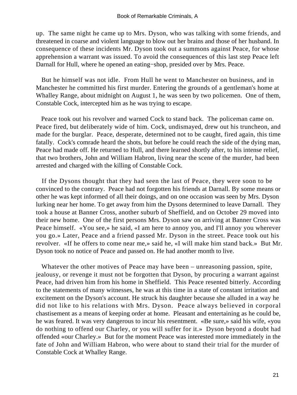up. The same night he came up to Mrs. Dyson, who was talking with some friends, and threatened in coarse and violent language to blow out her brains and those of her husband. In consequence of these incidents Mr. Dyson took out a summons against Peace, for whose apprehension a warrant was issued. To avoid the consequences of this last step Peace left Darnall for Hull, where he opened an eating−shop, presided over by Mrs. Peace.

 But he himself was not idle. From Hull he went to Manchester on business, and in Manchester he committed his first murder. Entering the grounds of a gentleman's home at Whalley Range, about midnight on August 1, he was seen by two policemen. One of them, Constable Cock, intercepted him as he was trying to escape.

 Peace took out his revolver and warned Cock to stand back. The policeman came on. Peace fired, but deliberately wide of him. Cock, undismayed, drew out his truncheon, and made for the burglar. Peace, desperate, determined not to be caught, fired again, this time fatally. Cock's comrade heard the shots, but before he could reach the side of the dying man, Peace had made off. He returned to Hull, and there learned shortly after, to his intense relief, that two brothers, John and William Habron, living near the scene of the murder, had been arrested and charged with the killing of Constable Cock.

 If the Dysons thought that they had seen the last of Peace, they were soon to be convinced to the contrary. Peace had not forgotten his friends at Darnall. By some means or other he was kept informed of all their doings, and on one occasion was seen by Mrs. Dyson lurking near her home. To get away from him the Dysons determined to leave Darnall. They took a house at Banner Cross, another suburb of Sheffield, and on October 29 moved into their new home. One of the first persons Mrs. Dyson saw on arriving at Banner Cross was Peace himself. «You see,» he said, «I am here to annoy you, and I'll annoy you wherever you go.» Later, Peace and a friend passed Mr. Dyson in the street. Peace took out his revolver. «If he offers to come near me,» said he, «I will make him stand back.» But Mr. Dyson took no notice of Peace and passed on. He had another month to live.

 Whatever the other motives of Peace may have been – unreasoning passion, spite, jealousy, or revenge it must not be forgotten that Dyson, by procuring a warrant against Peace, had driven him from his home in Sheffield. This Peace resented bitterly. According to the statements of many witnesses, he was at this time in a state of constant irritation and excitement on the Dyson's account. He struck his daughter because she alluded in a way he did not like to his relations with Mrs. Dyson. Peace always believed in corporal chastisement as a means of keeping order at home. Pleasant and entertaining as he could be, he was feared. It was very dangerous to incur his resentment. «Be sure,» said his wife, «you do nothing to offend our Charley, or you will suffer for it.» Dyson beyond a doubt had offended «our Charley.» But for the moment Peace was interested more immediately in the fate of John and William Habron, who were about to stand their trial for the murder of Constable Cock at Whalley Range.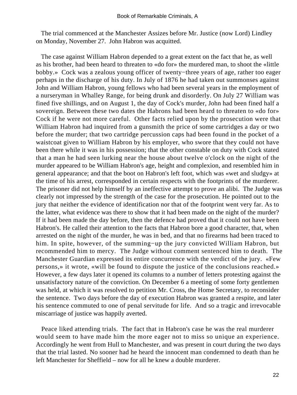The trial commenced at the Manchester Assizes before Mr. Justice (now Lord) Lindley on Monday, November 27. John Habron was acquitted.

 The case against William Habron depended to a great extent on the fact that he, as well as his brother, had been heard to threaten to «do for» the murdered man, to shoot the «little bobby.» Cock was a zealous young officer of twenty−three years of age, rather too eager perhaps in the discharge of his duty. In July of 1876 he had taken out summonses against John and William Habron, young fellows who had been several years in the employment of a nurseryman in Whalley Range, for being drunk and disorderly. On July 27 William was fined five shillings, and on August 1, the day of Cock's murder, John had been fined half a sovereign. Between these two dates the Habrons had been heard to threaten to «do for» Cock if he were not more careful. Other facts relied upon by the prosecution were that William Habron had inquired from a gunsmith the price of some cartridges a day or two before the murder; that two cartridge percussion caps had been found in the pocket of a waistcoat given to William Habron by his employer, who swore that they could not have been there while it was in his possession; that the other constable on duty with Cock stated that a man he had seen lurking near the house about twelve o'clock on the night of the murder appeared to be William Habron's age, height and complexion, and resembled him in general appearance; and that the boot on Habron's left foot, which was «wet and sludgy» at the time of his arrest, corresponded in certain respects with the footprints of the murderer. The prisoner did not help himself by an ineffective attempt to prove an alibi. The Judge was clearly not impressed by the strength of the case for the prosecution. He pointed out to the jury that neither the evidence of identification nor that of the footprint went very far. As to the latter, what evidence was there to show that it had been made on the night of the murder? If it had been made the day before, then the defence had proved that it could not have been Habron's. He called their attention to the facts that Habron bore a good character, that, when arrested on the night of the murder, he was in bed, and that no firearms had been traced to him. In spite, however, of the summing−up the jury convicted William Habron, but recommended him to mercy. The Judge without comment sentenced him to death. The Manchester Guardian expressed its entire concurrence with the verdict of the jury. «Few persons,» it wrote, «will be found to dispute the justice of the conclusions reached.» However, a few days later it opened its columns to a number of letters protesting against the unsatisfactory nature of the conviction. On December 6 a meeting of some forty gentlemen was held, at which it was resolved to petition Mr. Cross, the Home Secretary, to reconsider the sentence. Two days before the day of execution Habron was granted a respite, and later his sentence commuted to one of penal servitude for life. And so a tragic and irrevocable miscarriage of justice was happily averted.

 Peace liked attending trials. The fact that in Habron's case he was the real murderer would seem to have made him the more eager not to miss so unique an experience. Accordingly he went from Hull to Manchester, and was present in court during the two days that the trial lasted. No sooner had he heard the innocent man condemned to death than he left Manchester for Sheffield – now for all he knew a double murderer.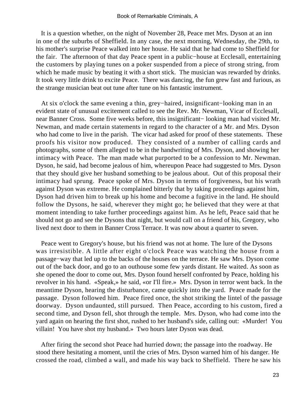It is a question whether, on the night of November 28, Peace met Mrs. Dyson at an inn in one of the suburbs of Sheffield. In any case, the next morning, Wednesday, the 29th, to his mother's surprise Peace walked into her house. He said that he had come to Sheffield for the fair. The afternoon of that day Peace spent in a public−house at Ecclesall, entertaining the customers by playing tunes on a poker suspended from a piece of strong string, from which he made music by beating it with a short stick. The musician was rewarded by drinks. It took very little drink to excite Peace. There was dancing, the fun grew fast and furious, as the strange musician beat out tune after tune on his fantastic instrument.

 At six o'clock the same evening a thin, grey−haired, insignificant−looking man in an evident state of unusual excitement called to see the Rev. Mr. Newman, Vicar of Ecclesall, near Banner Cross. Some five weeks before, this insignificant− looking man had visited Mr. Newman, and made certain statements in regard to the character of a Mr. and Mrs. Dyson who had come to live in the parish. The vicar had asked for proof of these statements. These proofs his visitor now produced. They consisted of a number of calling cards and photographs, some of them alleged to be in the handwriting of Mrs. Dyson, and showing her intimacy with Peace. The man made what purported to be a confession to Mr. Newman. Dyson, he said, had become jealous of him, whereupon Peace had suggested to Mrs. Dyson that they should give her husband something to be jealous about. Out of this proposal their intimacy had sprung. Peace spoke of Mrs. Dyson in terms of forgiveness, but his wrath against Dyson was extreme. He complained bitterly that by taking proceedings against him, Dyson had driven him to break up his home and become a fugitive in the land. He should follow the Dysons, he said, wherever they might go; he believed that they were at that moment intending to take further proceedings against him. As he left, Peace said that he should not go and see the Dysons that night, but would call on a friend of his, Gregory, who lived next door to them in Banner Cross Terrace. It was now about a quarter to seven.

 Peace went to Gregory's house, but his friend was not at home. The lure of the Dysons was irresistible. A little after eight o'clock Peace was watching the house from a passage−way that led up to the backs of the houses on the terrace. He saw Mrs. Dyson come out of the back door, and go to an outhouse some few yards distant. He waited. As soon as she opened the door to come out, Mrs. Dyson found herself confronted by Peace, holding his revolver in his hand. «Speak,» he said, «or I'll fire.» Mrs. Dyson in terror went back. In the meantime Dyson, hearing the disturbance, came quickly into the yard. Peace made for the passage. Dyson followed him. Peace fired once, the shot striking the lintel of the passage doorway. Dyson undaunted, still pursued. Then Peace, according to his custom, fired a second time, and Dyson fell, shot through the temple. Mrs. Dyson, who had come into the yard again on hearing the first shot, rushed to her husband's side, calling out: «Murder! You villain! You have shot my husband.» Two hours later Dyson was dead.

 After firing the second shot Peace had hurried down; the passage into the roadway. He stood there hesitating a moment, until the cries of Mrs. Dyson warned him of his danger. He crossed the road, climbed a wall, and made his way back to Sheffield. There he saw his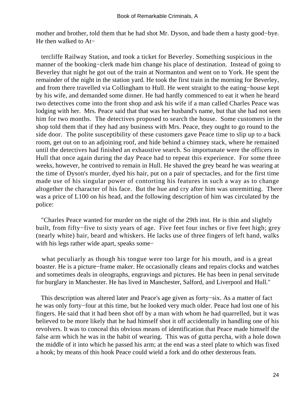mother and brother, told them that he had shot Mr. Dyson, and bade them a hasty good−bye. He then walked to At–

 tercliffe Railway Station, and took a ticket for Beverley. Something suspicious in the manner of the booking−clerk made him change his place of destination. Instead of going to Beverley that night he got out of the train at Normanton and went on to York. He spent the remainder of the night in the station yard. He took the first train in the morning for Beverley, and from there travelled via Collingham to Hull. He went straight to the eating−house kept by his wife, and demanded some dinner. He had hardly commenced to eat it when he heard two detectives come into the front shop and ask his wife if a man called Charles Peace was lodging with her. Mrs. Peace said that that was her husband's name, but that she had not seen him for two months. The detectives proposed to search the house. Some customers in the shop told them that if they had any business with Mrs. Peace, they ought to go round to the side door. The polite susceptibility of these customers gave Peace time to slip up to a back room, get out on to an adjoining roof, and hide behind a chimney stack, where he remained until the detectives had finished an exhaustive search. So importunate were the officers in Hull that once again during the day Peace had to repeat this experience. For some three weeks, however, he contrived to remain in Hull. He shaved the grey beard he was wearing at the time of Dyson's murder, dyed his hair, put on a pair of spectacles, and for the first time made use of his singular power of contorting his features in such a way as to change altogether the character of his face. But the hue and cry after him was unremitting. There was a price of L100 on his head, and the following description of him was circulated by the police:

 "Charles Peace wanted for murder on the night of the 29th inst. He is thin and slightly built, from fifty−five to sixty years of age. Five feet four inches or five feet high; grey (nearly white) hair, beard and whiskers. He lacks use of three fingers of left hand, walks with his legs rather wide apart, speaks some−

 what peculiarly as though his tongue were too large for his mouth, and is a great boaster. He is a picture−frame maker. He occasionally cleans and repairs clocks and watches and sometimes deals in oleographs, engravings and pictures. He has been in penal servitude for burglary in Manchester. He has lived in Manchester, Salford, and Liverpool and Hull."

 This description was altered later and Peace's age given as forty−six. As a matter of fact he was only forty−four at this time, but he looked very much older. Peace had lost one of his fingers. He said that it had been shot off by a man with whom he had quarrelled, but it was believed to be more likely that he had himself shot it off accidentally in handling one of his revolvers. It was to conceal this obvious means of identification that Peace made himself the false arm which he was in the habit of wearing. This was of gutta percha, with a hole down the middle of it into which he passed his arm; at the end was a steel plate to which was fixed a hook; by means of this hook Peace could wield a fork and do other dexterous feats.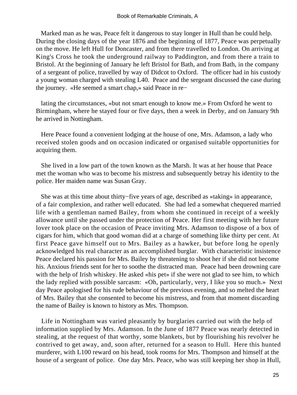Marked man as he was, Peace felt it dangerous to stay longer in Hull than he could help. During the closing days of the year 1876 and the beginning of 1877, Peace was perpetually on the move. He left Hull for Doncaster, and from there travelled to London. On arriving at King's Cross he took the underground railway to Paddington, and from there a train to Bristol. At the beginning of January he left Bristol for Bath, and from Bath, in the company of a sergeant of police, travelled by way of Didcot to Oxford. The officer had in his custody a young woman charged with stealing L40. Peace and the sergeant discussed the case during the journey. «He seemed a smart chap,» said Peace in re−

 lating the circumstances, «but not smart enough to know me.» From Oxford he went to Birmingham, where he stayed four or five days, then a week in Derby, and on January 9th he arrived in Nottingham.

 Here Peace found a convenient lodging at the house of one, Mrs. Adamson, a lady who received stolen goods and on occasion indicated or organised suitable opportunities for acquiring them.

 She lived in a low part of the town known as the Marsh. It was at her house that Peace met the woman who was to become his mistress and subsequently betray his identity to the police. Her maiden name was Susan Gray.

 She was at this time about thirty−five years of age, described as «taking» in appearance, of a fair complexion, and rather well educated. She had led a somewhat chequered married life with a gentleman named Bailey, from whom she continued in receipt of a weekly allowance until she passed under the protection of Peace. Her first meeting with her future lover took place on the occasion of Peace inviting Mrs. Adamson to dispose of a box of cigars for him, which that good woman did at a charge of something like thirty per cent. At first Peace gave himself out to Mrs. Bailey as a hawker, but before long he openly acknowledged his real character as an accomplished burglar. With characteristic insistence Peace declared his passion for Mrs. Bailey by threatening to shoot her if she did not become his. Anxious friends sent for her to soothe the distracted man. Peace had been drowning care with the help of Irish whiskey. He asked «his pet» if she were not glad to see him, to which the lady replied with possible sarcasm: «Oh, particularly, very, I like you so much.» Next day Peace apologised for his rude behaviour of the previous evening, and so melted the heart of Mrs. Bailey that she consented to become his mistress, and from that moment discarding the name of Bailey is known to history as Mrs. Thompson.

 Life in Nottingham was varied pleasantly by burglaries carried out with the help of information supplied by Mrs. Adamson. In the June of 1877 Peace was nearly detected in stealing, at the request of that worthy, some blankets, but by flourishing his revolver he contrived to get away, and, soon after, returned for a season to Hull. Here this hunted murderer, with L100 reward on his head, took rooms for Mrs. Thompson and himself at the house of a sergeant of police. One day Mrs. Peace, who was still keeping her shop in Hull,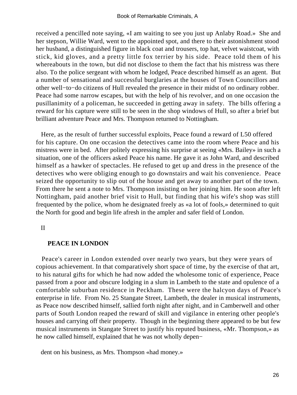received a pencilled note saying, «I am waiting to see you just up Anlaby Road.» She and her stepson, Willie Ward, went to the appointed spot, and there to their astonishment stood her husband, a distinguished figure in black coat and trousers, top hat, velvet waistcoat, with stick, kid gloves, and a pretty little fox terrier by his side. Peace told them of his whereabouts in the town, but did not disclose to them the fact that his mistress was there also. To the police sergeant with whom he lodged, Peace described himself as an agent. But a number of sensational and successful burglaries at the houses of Town Councillors and other well−to−do citizens of Hull revealed the presence in their midst of no ordinary robber. Peace had some narrow escapes, but with the help of his revolver, and on one occasion the pusillanimity of a policeman, he succeeded in getting away in safety. The bills offering a reward for his capture were still to be seen in the shop windows of Hull, so after a brief but brilliant adventure Peace and Mrs. Thompson returned to Nottingham.

 Here, as the result of further successful exploits, Peace found a reward of L50 offered for his capture. On one occasion the detectives came into the room where Peace and his mistress were in bed. After politely expressing his surprise at seeing «Mrs. Bailey» in such a situation, one of the officers asked Peace his name. He gave it as John Ward, and described himself as a hawker of spectacles. He refused to get up and dress in the presence of the detectives who were obliging enough to go downstairs and wait his convenience. Peace seized the opportunity to slip out of the house and get away to another part of the town. From there he sent a note to Mrs. Thompson insisting on her joining him. He soon after left Nottingham, paid another brief visit to Hull, but finding that his wife's shop was still frequented by the police, whom he designated freely as «a lot of fools,» determined to quit the North for good and begin life afresh in the ampler and safer field of London.

II

#### **PEACE IN LONDON**

 Peace's career in London extended over nearly two years, but they were years of copious achievement. In that comparatively short space of time, by the exercise of that art, to his natural gifts for which he had now added the wholesome tonic of experience, Peace passed from a poor and obscure lodging in a slum in Lambeth to the state and opulence of a comfortable suburban residence in Peckham. These were the halcyon days of Peace's enterprise in life. From No. 25 Stangate Street, Lambeth, the dealer in musical instruments, as Peace now described himself, sallied forth night after night, and in Camberwell and other parts of South London reaped the reward of skill and vigilance in entering other people's houses and carrying off their property. Though in the beginning there appeared to be but few musical instruments in Stangate Street to justify his reputed business, «Mr. Thompson,» as he now called himself, explained that he was not wholly depen−

dent on his business, as Mrs. Thompson «had money.»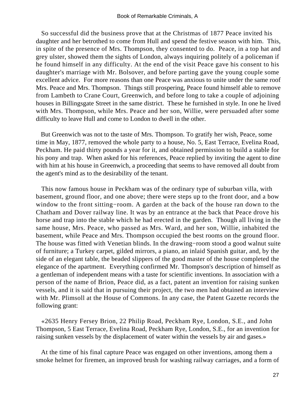So successful did the business prove that at the Christmas of 1877 Peace invited his daughter and her betrothed to come from Hull and spend the festive season with him. This, in spite of the presence of Mrs. Thompson, they consented to do. Peace, in a top hat and grey ulster, showed them the sights of London, always inquiring politely of a policeman if he found himself in any difficulty. At the end of the visit Peace gave his consent to his daughter's marriage with Mr. Bolsover, and before parting gave the young couple some excellent advice. For more reasons than one Peace was anxious to unite under the same roof Mrs. Peace and Mrs. Thompson. Things still prospering, Peace found himself able to remove from Lambeth to Crane Court, Greenwich, and before long to take a couple of adjoining houses in Billingsgate Street in the same district. These he furnished in style. In one he lived with Mrs. Thompson, while Mrs. Peace and her son, Willie, were persuaded after some difficulty to leave Hull and come to London to dwell in the other.

 But Greenwich was not to the taste of Mrs. Thompson. To gratify her wish, Peace, some time in May, 1877, removed the whole party to a house, No. 5, East Terrace, Evelina Road, Peckham. He paid thirty pounds a year for it, and obtained permission to build a stable for his pony and trap. When asked for his references, Peace replied by inviting the agent to dine with him at his house in Greenwich, a proceeding that seems to have removed all doubt from the agent's mind as to the desirability of the tenant.

 This now famous house in Peckham was of the ordinary type of suburban villa, with basement, ground floor, and one above; there were steps up to the front door, and a bow window to the front sitting−room. A garden at the back of the house ran down to the Chatham and Dover railway line. It was by an entrance at the back that Peace drove his horse and trap into the stable which he had erected in the garden. Though all living in the same house, Mrs. Peace, who passed as Mrs. Ward, and her son, Willie, inhabited the basement, while Peace and Mrs. Thompson occupied the best rooms on the ground floor. The house was fitted with Venetian blinds. In the drawing−room stood a good walnut suite of furniture; a Turkey carpet, gilded mirrors, a piano, an inlaid Spanish guitar, and, by the side of an elegant table, the beaded slippers of the good master of the house completed the elegance of the apartment. Everything confirmed Mr. Thompson's description of himself as a gentleman of independent means with a taste for scientific inventions. In association with a person of the name of Brion, Peace did, as a fact, patent an invention for raising sunken vessels, and it is said that in pursuing their project, the two men had obtained an interview with Mr. Plimsoll at the House of Commons. In any case, the Patent Gazette records the following grant:

 «2635 Henry Fersey Brion, 22 Philip Road, Peckham Rye, London, S.E., and John Thompson, 5 East Terrace, Evelina Road, Peckham Rye, London, S.E., for an invention for raising sunken vessels by the displacement of water within the vessels by air and gases.»

 At the time of his final capture Peace was engaged on other inventions, among them a smoke helmet for firemen, an improved brush for washing railway carriages, and a form of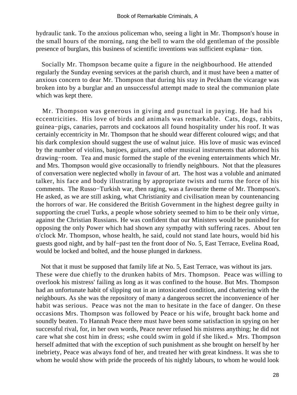hydraulic tank. To the anxious policeman who, seeing a light in Mr. Thompson's house in the small hours of the morning, rang the bell to warn the old gentleman of the possible presence of burglars, this business of scientific inventions was sufficient explana− tion.

 Socially Mr. Thompson became quite a figure in the neighbourhood. He attended regularly the Sunday evening services at the parish church, and it must have been a matter of anxious concern to dear Mr. Thompson that during his stay in Peckham the vicarage was broken into by a burglar and an unsuccessful attempt made to steal the communion plate which was kept there.

 Mr. Thompson was generous in giving and punctual in paying. He had his eccentricities. His love of birds and animals was remarkable. Cats, dogs, rabbits, guinea−pigs, canaries, parrots and cockatoos all found hospitality under his roof. It was certainly eccentricity in Mr. Thompson that he should wear different coloured wigs; and that his dark complexion should suggest the use of walnut juice. His love of music was evinced by the number of violins, banjoes, guitars, and other musical instruments that adorned his drawing−room. Tea and music formed the staple of the evening entertainments which Mr. and Mrs. Thompson would give occasionally to friendly neighbours. Not that the pleasures of conversation were neglected wholly in favour of art. The host was a voluble and animated talker, his face and body illustrating by appropriate twists and turns the force of his comments. The Russo−Turkish war, then raging, was a favourite theme of Mr. Thompson's. He asked, as we are still asking, what Christianity and civilisation mean by countenancing the horrors of war. He considered the British Government in the highest degree guilty in supporting the cruel Turks, a people whose sobriety seemed to him to be their only virtue, against the Christian Russians. He was confident that our Ministers would be punished for opposing the only Power which had shown any sympathy with suffering races. About ten o'clock Mr. Thompson, whose health, he said, could not stand late hours, would bid his guests good night, and by half−past ten the front door of No. 5, East Terrace, Evelina Road, would be locked and bolted, and the house plunged in darkness.

 Not that it must be supposed that family life at No. 5, East Terrace, was without its jars. These were due chiefly to the drunken habits of Mrs. Thompson. Peace was willing to overlook his mistress' failing as long as it was confined to the house. But Mrs. Thompson had an unfortunate habit of slipping out in an intoxicated condition, and chattering with the neighbours. As she was the repository of many a dangerous secret the inconvenience of her habit was serious. Peace was not the man to hesitate in the face of danger. On these occasions Mrs. Thompson was followed by Peace or his wife, brought back home and soundly beaten. To Hannah Peace there must have been some satisfaction in spying on her successful rival, for, in her own words, Peace never refused his mistress anything; he did not care what she cost him in dress; «she could swim in gold if she liked.» Mrs. Thompson herself admitted that with the exception of such punishment as she brought on herself by her inebriety, Peace was always fond of her, and treated her with great kindness. It was she to whom he would show with pride the proceeds of his nightly labours, to whom he would look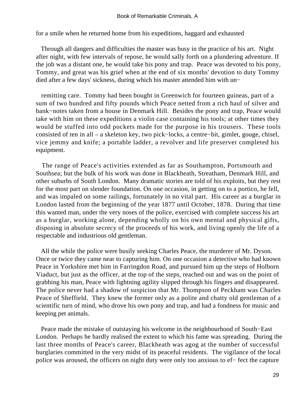for a smile when he returned home from his expeditions, haggard and exhausted

 Through all dangers and difficulties the master was busy in the practice of his art. Night after night, with few intervals of repose, he would sally forth on a plundering adventure. If the job was a distant one, he would take his pony and trap. Peace was devoted to his pony, Tommy, and great was his grief when at the end of six months' devotion to duty Tommy died after a few days' sickness, during which his master attended him with un−

 remitting care. Tommy had been bought in Greenwich for fourteen guineas, part of a sum of two hundred and fifty pounds which Peace netted from a rich haul of silver and bank−notes taken from a house in Denmark Hill. Besides the pony and trap, Peace would take with him on these expeditions a violin case containing his tools; at other times they would be stuffed into odd pockets made for the purpose in his trousers. These tools consisted of ten in all – a skeleton key, two pick−locks, a centre−bit, gimlet, gouge, chisel, vice jemmy and knife; a portable ladder, a revolver and life preserver completed his equipment.

 The range of Peace's activities extended as far as Southampton, Portsmouth and Southsea; but the bulk of his work was done in Blackheath, Streatham, Denmark Hill, and other suburbs of South London. Many dramatic stories are told of his exploits, but they rest for the most part on slender foundation. On one occasion, in getting on to a portico, he fell, and was impaled on some railings, fortunately in no vital part. His career as a burglar in London lasted from the beginning of the year 1877 until October, 1878. During that time this wanted man, under the very noses of the police, exercised with complete success his art as a burglar, working alone, depending wholly on his own mental and physical gifts, disposing in absolute secrecy of the proceeds of his work, and living openly the life of a respectable and industrious old gentleman.

 All the while the police were busily seeking Charles Peace, the murderer of Mr. Dyson. Once or twice they came near to capturing him. On one occasion a detective who had known Peace in Yorkshire met him in Farringdon Road, and pursued him up the steps of Holborn Viaduct, but just as the officer, at the top of the steps, reached out and was on the point of grabbing his man, Peace with lightning agility slipped through his fingers and disappeared. The police never had a shadow of suspicion that Mr. Thompson of Peckham was Charles Peace of Sheffield. They knew the former only as a polite and chatty old gentleman of a scientific turn of mind, who drove his own pony and trap, and had a fondness for music and keeping pet animals.

 Peace made the mistake of outstaying his welcome in the neighbourhood of South−East London. Perhaps he hardly realised the extent to which his fame was spreading. During the last three months of Peace's career, Blackheath was agog at the number of successful burglaries committed in the very midst of its peaceful residents. The vigilance of the local police was aroused, the officers on night duty were only too anxious to ef− fect the capture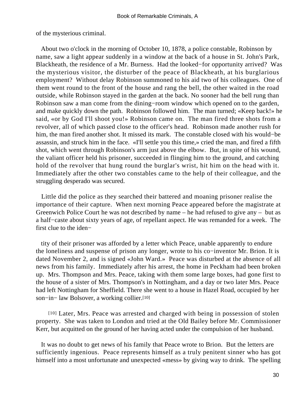of the mysterious criminal.

 About two o'clock in the morning of October 10, 1878, a police constable, Robinson by name, saw a light appear suddenly in a window at the back of a house in St. John's Park, Blackheath, the residence of a Mr. Burness. Had the looked−for opportunity arrived? Was the mysterious visitor, the disturber of the peace of Blackheath, at his burglarious employment? Without delay Robinson summoned to his aid two of his colleagues. One of them went round to the front of the house and rang the bell, the other waited in the road outside, while Robinson stayed in the garden at the back. No sooner had the bell rung than Robinson saw a man come from the dining−room window which opened on to the garden, and make quickly down the path. Robinson followed him. The man turned; «Keep back!» he said, «or by God I'll shoot you!» Robinson came on. The man fired three shots from a revolver, all of which passed close to the officer's head. Robinson made another rush for him, the man fired another shot. It missed its mark. The constable closed with his would−be assassin, and struck him in the face. «I'll settle you this time,» cried the man, and fired a fifth shot, which went through Robinson's arm just above the elbow. But, in spite of his wound, the valiant officer held his prisoner, succeeded in flinging him to the ground, and catching hold of the revolver that hung round the burglar's wrist, hit him on the head with it. Immediately after the other two constables came to the help of their colleague, and the struggling desperado was secured.

 Little did the police as they searched their battered and moaning prisoner realise the importance of their capture. When next morning Peace appeared before the magistrate at Greenwich Police Court he was not described by name – he had refused to give any – but as a half−caste about sixty years of age, of repellant aspect. He was remanded for a week. The first clue to the iden−

 tity of their prisoner was afforded by a letter which Peace, unable apparently to endure the loneliness and suspense of prison any longer, wrote to his co−inventor Mr. Brion. It is dated November 2, and is signed «John Ward.» Peace was disturbed at the absence of all news from his family. Immediately after his arrest, the home in Peckham had been broken up. Mrs. Thompson and Mrs. Peace, taking with them some large boxes, had gone first to the house of a sister of Mrs. Thompson's in Nottingham, and a day or two later Mrs. Peace had left Nottingham for Sheffield. There she went to a house in Hazel Road, occupied by her son−in− law Bolsover, a working collier.[10]

[10] Later, Mrs. Peace was arrested and charged with being in possession of stolen property. She was taken to London and tried at the Old Bailey before Mr. Commissioner Kerr, but acquitted on the ground of her having acted under the compulsion of her husband.

 It was no doubt to get news of his family that Peace wrote to Brion. But the letters are sufficiently ingenious. Peace represents himself as a truly penitent sinner who has got himself into a most unfortunate and unexpected «mess» by giving way to drink. The spelling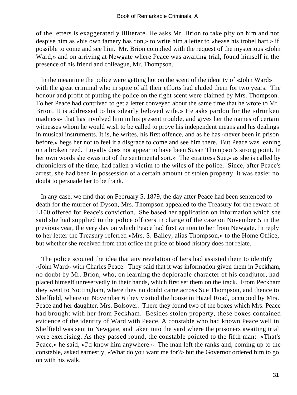of the letters is exaggeratedly illiterate. He asks Mr. Brion to take pity on him and not despise him as «his own famery has don,» to write him a letter to «hease his trobel hart,» if possible to come and see him. Mr. Brion complied with the request of the mysterious «John Ward,» and on arriving at Newgate where Peace was awaiting trial, found himself in the presence of his friend and colleague, Mr. Thompson.

 In the meantime the police were getting hot on the scent of the identity of «John Ward» with the great criminal who in spite of all their efforts had eluded them for two years. The honour and profit of putting the police on the right scent were claimed by Mrs. Thompson. To her Peace had contrived to get a letter conveyed about the same time that he wrote to Mr. Brion. It is addressed to his «dearly beloved wife.» He asks pardon for the «drunken madness» that has involved him in his present trouble, and gives her the names of certain witnesses whom he would wish to be called to prove his independent means and his dealings in musical instruments. It is, he writes, his first offence, and as he has «never been in prison before,» begs her not to feel it a disgrace to come and see him there. But Peace was leaning on a broken reed. Loyalty does not appear to have been Susan Thompson's strong point. In her own words she «was not of the sentimental sort.» The «traitress Sue,» as she is called by chroniclers of the time, had fallen a victim to the wiles of the police. Since, after Peace's arrest, she had been in possession of a certain amount of stolen property, it was easier no doubt to persuade her to be frank.

 In any case, we find that on February 5, 1879, the day after Peace had been sentenced to death for the murder of Dyson, Mrs. Thompson appealed to the Treasury for the reward of L100 offered for Peace's conviction. She based her application on information which she said she had supplied to the police officers in charge of the case on November 5 in the previous year, the very day on which Peace had first written to her from Newgate. In reply to her letter the Treasury referred «Mrs. S. Bailey, alias Thompson,» to the Home Office, but whether she received from that office the price of blood history does not relate.

 The police scouted the idea that any revelation of hers had assisted them to identify «John Ward» with Charles Peace. They said that it was information given them in Peckham, no doubt by Mr. Brion, who, on learning the deplorable character of his coadjutor, had placed himself unreservedly in their hands, which first set them on the track. From Peckham they went to Nottingham, where they no doubt came across Sue Thompson, and thence to Sheffield, where on November 6 they visited the house in Hazel Road, occupied by Mrs. Peace and her daughter, Mrs. Bolsover. There they found two of the boxes which Mrs. Peace had brought with her from Peckham. Besides stolen property, these boxes contained evidence of the identity of Ward with Peace. A constable who had known Peace well in Sheffield was sent to Newgate, and taken into the yard where the prisoners awaiting trial were exercising. As they passed round, the constable pointed to the fifth man: «That's Peace,» he said, «I'd know him anywhere.» The man left the ranks and, coming up to the constable, asked earnestly, «What do you want me for?» but the Governor ordered him to go on with his walk.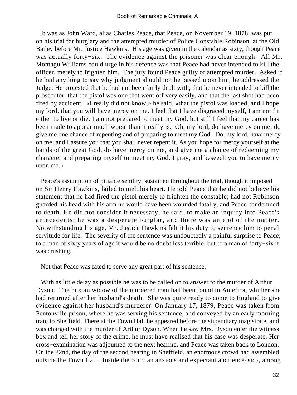It was as John Ward, alias Charles Peace, that Peace, on November 19, 1878, was put on his trial for burglary and the attempted murder of Police Constable Robinson, at the Old Bailey before Mr. Justice Hawkins. His age was given in the calendar as sixty, though Peace was actually forty−six. The evidence against the prisoner was clear enough. All Mr. Montagu Williams could urge in his defence was that Peace had never intended to kill the officer, merely to frighten him. The jury found Peace guilty of attempted murder. Asked if he had anything to say why judgment should not be passed upon him, he addressed the Judge. He protested that he had not been fairly dealt with, that he never intended to kill the prosecutor, that the pistol was one that went off very easily, and that the last shot had been fired by accident. «I really did not know,» he said, «that the pistol was loaded, and I hope, my lord, that you will have mercy on me. I feel that I have disgraced myself, I am not fit either to live or die. I am not prepared to meet my God, but still I feel that my career has been made to appear much worse than it really is. Oh, my lord, do have mercy on me; do give me one chance of repenting and of preparing to meet my God. Do, my lord, have mercy on me; and I assure you that you shall never repent it. As you hope for mercy yourself at the hands of the great God, do have mercy on me, and give me a chance of redeeming my character and preparing myself to meet my God. I pray, and beseech you to have mercy upon me.»

 Peace's assumption of pitiable senility, sustained throughout the trial, though it imposed on Sir Henry Hawkins, failed to melt his heart. He told Peace that he did not believe his statement that he had fired the pistol merely to frighten the constable; had not Robinson guarded his head with his arm he would have been wounded fatally, and Peace condemned to death. He did not consider it necessary, he said, to make an inquiry into Peace's antecedents; he was a desperate burglar, and there was an end of the matter. Notwithstanding his age, Mr. Justice Hawkins felt it his duty to sentence him to penal servitude for life. The severity of the sentence was undoubtedly a painful surprise to Peace; to a man of sixty years of age it would be no doubt less terrible, but to a man of forty−six it was crushing.

Not that Peace was fated to serve any great part of his sentence.

 With as little delay as possible he was to be called on to answer to the murder of Arthur Dyson. The buxom widow of the murdered man had been found in America, whither she had returned after her husband's death. She was quite ready to come to England to give evidence against her husband's murderer. On January 17, 1879, Peace was taken from Pentonville prison, where he was serving his sentence, and conveyed by an early morning train to Sheffield. There at the Town Hall he appeared before the stipendiary magistrate, and was charged with the murder of Arthur Dyson. When he saw Mrs. Dyson enter the witness box and tell her story of the crime, he must have realised that his case was desperate. Her cross−examination was adjourned to the next hearing, and Peace was taken back to London. On the 22nd, the day of the second hearing in Sheffield, an enormous crowd had assembled outside the Town Hall. Inside the court an anxious and expectant audiience{sic}, among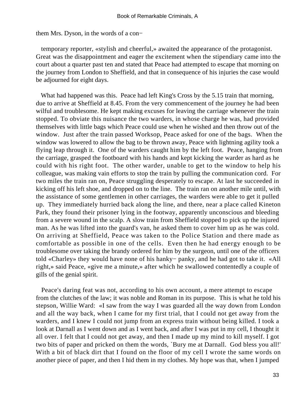them Mrs. Dyson, in the words of a con−

 temporary reporter, «stylish and cheerful,» awaited the appearance of the protagonist. Great was the disappointment and eager the excitement when the stipendiary came into the court about a quarter past ten and stated that Peace had attempted to escape that morning on the journey from London to Sheffield, and that in consequence of his injuries the case would be adjourned for eight days.

 What had happened was this. Peace had left King's Cross by the 5.15 train that morning, due to arrive at Sheffield at 8.45. From the very commencement of the journey he had been wilful and troublesome. He kept making excuses for leaving the carriage whenever the train stopped. To obviate this nuisance the two warders, in whose charge he was, had provided themselves with little bags which Peace could use when he wished and then throw out of the window. Just after the train passed Worksop, Peace asked for one of the bags. When the window was lowered to allow the bag to be thrown away, Peace with lightning agility took a flying leap through it. One of the warders caught him by the left foot. Peace, hanging from the carriage, grasped the footboard with his hands and kept kicking the warder as hard as he could with his right foot. The other warder, unable to get to the window to help his colleague, was making vain efforts to stop the train by pulling the communication cord. For two miles the train ran on, Peace struggling desperately to escape. At last he succeeded in kicking off his left shoe, and dropped on to the line. The train ran on another mile until, with the assistance of some gentlemen in other carriages, the warders were able to get it pulled up. They immediately hurried back along the line, and there, near a place called Kineton Park, they found their prisoner lying in the footway, apparently unconscious and bleeding from a severe wound in the scalp. A slow train from Sheffield stopped to pick up the injured man. As he was lifted into the guard's van, he asked them to cover him up as he was cold. On arriving at Sheffield, Peace was taken to the Police Station and there made as comfortable as possible in one of the cells. Even then he had energy enough to be troublesome over taking the brandy ordered for him by the surgeon, until one of the officers told «Charley» they would have none of his hanky− panky, and he had got to take it. «All right,» said Peace, «give me a minute,» after which he swallowed contentedly a couple of gills of the genial spirit.

 Peace's daring feat was not, according to his own account, a mere attempt to escape from the clutches of the law; it was noble and Roman in its purpose. This is what he told his stepson, Willie Ward: «I saw from the way I was guarded all the way down from London and all the way back, when I came for my first trial, that I could not get away from the warders, and I knew I could not jump from an express train without being killed. I took a look at Darnall as I went down and as I went back, and after I was put in my cell, I thought it all over. I felt that I could not get away, and then I made up my mind to kill myself. I got two bits of paper and pricked on them the words, `Bury me at Darnall. God bless you all!' With a bit of black dirt that I found on the floor of my cell I wrote the same words on another piece of paper, and then I hid them in my clothes. My hope was that, when I jumped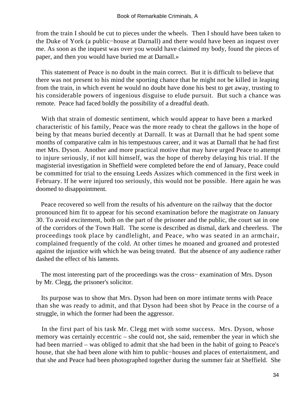from the train I should be cut to pieces under the wheels. Then I should have been taken to the Duke of York (a public−house at Darnall) and there would have been an inquest over me. As soon as the inquest was over you would have claimed my body, found the pieces of paper, and then you would have buried me at Darnall.»

 This statement of Peace is no doubt in the main correct. But it is difficult to believe that there was not present to his mind the sporting chance that he might not be killed in leaping from the train, in which event he would no doubt have done his best to get away, trusting to his considerable powers of ingenious disguise to elude pursuit. But such a chance was remote. Peace had faced boldly the possibility of a dreadful death.

 With that strain of domestic sentiment, which would appear to have been a marked characteristic of his family, Peace was the more ready to cheat the gallows in the hope of being by that means buried decently at Darnall. It was at Darnall that he had spent some months of comparative calm in his tempestuous career, and it was at Darnall that he had first met Mrs. Dyson. Another and more practical motive that may have urged Peace to attempt to injure seriously, if not kill himself, was the hope of thereby delaying his trial. If the magisterial investigation in Sheffield were completed before the end of January, Peace could be committed for trial to the ensuing Leeds Assizes which commenced in the first week in February. If he were injured too seriously, this would not be possible. Here again he was doomed to disappointment.

 Peace recovered so well from the results of his adventure on the railway that the doctor pronounced him fit to appear for his second examination before the magistrate on January 30. To avoid excitement, both on the part of the prisoner and the public, the court sat in one of the corridors of the Town Hall. The scene is described as dismal, dark and cheerless. The proceedings took place by candlelight, and Peace, who was seated in an armchair, complained frequently of the cold. At other times he moaned and groaned and protested against the injustice with which he was being treated. But the absence of any audience rather dashed the effect of his laments.

 The most interesting part of the proceedings was the cross− examination of Mrs. Dyson by Mr. Clegg, the prisoner's solicitor.

 Its purpose was to show that Mrs. Dyson had been on more intimate terms with Peace than she was ready to admit, and that Dyson had been shot by Peace in the course of a struggle, in which the former had been the aggressor.

 In the first part of his task Mr. Clegg met with some success. Mrs. Dyson, whose memory was certainly eccentric – she could not, she said, remember the year in which she had been married – was obliged to admit that she had been in the habit of going to Peace's house, that she had been alone with him to public−houses and places of entertainment, and that she and Peace had been photographed together during the summer fair at Sheffield. She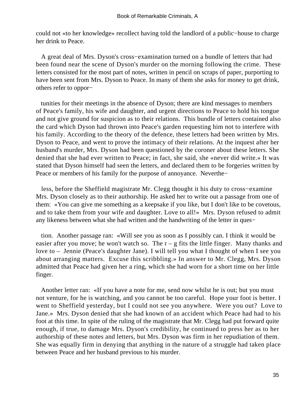could not «to her knowledge» recollect having told the landlord of a public−house to charge her drink to Peace.

 A great deal of Mrs. Dyson's cross−examination turned on a bundle of letters that had been found near the scene of Dyson's murder on the morning following the crime. These letters consisted for the most part of notes, written in pencil on scraps of paper, purporting to have been sent from Mrs. Dyson to Peace. In many of them she asks for money to get drink, others refer to oppor−

 tunities for their meetings in the absence of Dyson; there are kind messages to members of Peace's family, his wife and daughter, and urgent directions to Peace to hold his tongue and not give ground for suspicion as to their relations. This bundle of letters contained also the card which Dyson had thrown into Peace's garden requesting him not to interfere with his family. According to the theory of the defence, these letters had been written by Mrs. Dyson to Peace, and went to prove the intimacy of their relations. At the inquest after her husband's murder, Mrs. Dyson had been questioned by the coroner about these letters. She denied that she had ever written to Peace; in fact, she said, she «never did write.» It was stated that Dyson himself had seen the letters, and declared them to be forgeries written by Peace or members of his family for the purpose of annoyance. Neverthe−

 less, before the Sheffield magistrate Mr. Clegg thought it his duty to cross−examine Mrs. Dyson closely as to their authorship. He asked her to write out a passage from one of them: «You can give me something as a keepsake if you like, but I don't like to be covetous, and to take them from your wife and daughter. Love to all!» Mrs. Dyson refused to admit any likeness between what she had written and the handwriting of the letter in ques−

 tion. Another passage ran: «Will see you as soon as I possibly can. I think it would be easier after you move; he won't watch so. The  $r - g$  fits the little finger. Many thanks and love to – Jennie (Peace's daughter Jane). I will tell you what I thought of when I see you about arranging matters. Excuse this scribbling.» In answer to Mr. Clegg, Mrs. Dyson admitted that Peace had given her a ring, which she had worn for a short time on her little finger.

 Another letter ran: «If you have a note for me, send now whilst he is out; but you must not venture, for he is watching, and you cannot be too careful. Hope your foot is better. I went to Sheffield yesterday, but I could not see you anywhere. Were you out? Love to Jane.» Mrs. Dyson denied that she had known of an accident which Peace had had to his foot at this time. In spite of the ruling of the magistrate that Mr. Clegg had put forward quite enough, if true, to damage Mrs. Dyson's credibility, he continued to press her as to her authorship of these notes and letters, but Mrs. Dyson was firm in her repudiation of them. She was equally firm in denying that anything in the nature of a struggle had taken place between Peace and her husband previous to his murder.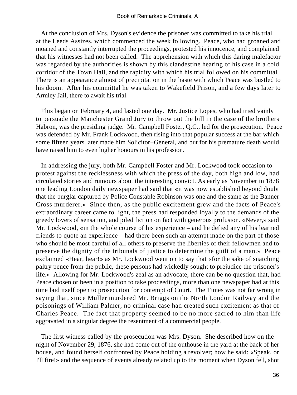At the conclusion of Mrs. Dyson's evidence the prisoner was committed to take his trial at the Leeds Assizes, which commenced the week following. Peace, who had groaned and moaned and constantly interrupted the proceedings, protested his innocence, and complained that his witnesses had not been called. The apprehension with which this daring malefactor was regarded by the authorities is shown by this clandestine hearing of his case in a cold corridor of the Town Hall, and the rapidity with which his trial followed on his committal. There is an appearance almost of precipitation in the haste with which Peace was bustled to his doom. After his committal he was taken to Wakefield Prison, and a few days later to Armley Jail, there to await his trial.

 This began on February 4, and lasted one day. Mr. Justice Lopes, who had tried vainly to persuade the Manchester Grand Jury to throw out the bill in the case of the brothers Habron, was the presiding judge. Mr. Campbell Foster, Q.C., led for the prosecution. Peace was defended by Mr. Frank Lockwood, then rising into that popular success at the bar which some fifteen years later made him Solicitor−General, and but for his premature death would have raised him to even higher honours in his profession.

 In addressing the jury, both Mr. Campbell Foster and Mr. Lockwood took occasion to protest against the recklessness with which the press of the day, both high and low, had circulated stories and rumours about the interesting convict. As early as November in 1878 one leading London daily newspaper had said that «it was now established beyond doubt that the burglar captured by Police Constable Robinson was one and the same as the Banner Cross murderer.» Since then, as the public excitement grew and the facts of Peace's extraordinary career came to light, the press had responded loyally to the demands of the greedy lovers of sensation, and piled fiction on fact with generous profusion. «Never,» said Mr. Lockwood, «in the whole course of his experience – and he defied any of his learned friends to quote an experience – had there been such an attempt made on the part of those who should be most careful of all others to preserve the liberties of their fellowmen and to preserve the dignity of the tribunals of justice to determine the guilt of a man.» Peace exclaimed «Hear, hear!» as Mr. Lockwood went on to say that «for the sake of snatching paltry pence from the public, these persons had wickedly sought to prejudice the prisoner's life.» Allowing for Mr. Lockwood's zeal as an advocate, there can be no question that, had Peace chosen or been in a position to take proceedings, more than one newspaper had at this time laid itself open to prosecution for contempt of Court. The Times was not far wrong in saying that, since Muller murdered Mr. Briggs on the North London Railway and the poisonings of William Palmer, no criminal case had created such excitement as that of Charles Peace. The fact that property seemed to be no more sacred to him than life aggravated in a singular degree the resentment of a commercial people.

 The first witness called by the prosecution was Mrs. Dyson. She described how on the night of November 29, 1876, she had come out of the outhouse in the yard at the back of her house, and found herself confronted by Peace holding a revolver; how he said: «Speak, or I'll fire!» and the sequence of events already related up to the moment when Dyson fell, shot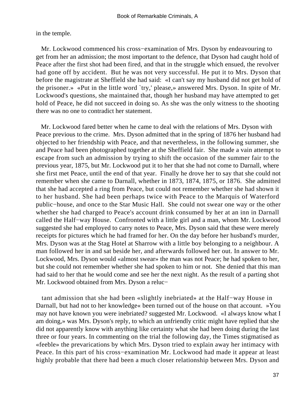in the temple.

 Mr. Lockwood commenced his cross−examination of Mrs. Dyson by endeavouring to get from her an admission; the most important to the defence, that Dyson had caught hold of Peace after the first shot had been fired, and that in the struggle which ensued, the revolver had gone off by accident. But he was not very successful. He put it to Mrs. Dyson that before the magistrate at Sheffield she had said: «I can't say my husband did not get hold of the prisoner.» «Put in the little word `try,' please,» answered Mrs. Dyson. In spite of Mr. Lockwood's questions, she maintained that, though her husband may have attempted to get hold of Peace, he did not succeed in doing so. As she was the only witness to the shooting there was no one to contradict her statement.

 Mr. Lockwood fared better when he came to deal with the relations of Mrs. Dyson with Peace previous to the crime. Mrs. Dyson admitted that in the spring of 1876 her husband had objected to her friendship with Peace, and that nevertheless, in the following summer, she and Peace had been photographed together at the Sheffield fair. She made a vain attempt to escape from such an admission by trying to shift the occasion of the summer fair to the previous year, 1875, but Mr. Lockwood put it to her that she had not come to Darnall, where she first met Peace, until the end of that year. Finally he drove her to say that she could not remember when she came to Darnall, whether in 1873, 1874, 1875, or 1876. She admitted that she had accepted a ring from Peace, but could not remember whether she had shown it to her husband. She had been perhaps twice with Peace to the Marquis of Waterford public−house, and once to the Star Music Hall. She could not swear one way or the other whether she had charged to Peace's account drink consumed by her at an inn in Darnall called the Half−way House. Confronted with a little girl and a man, whom Mr. Lockwood suggested she had employed to carry notes to Peace, Mrs. Dyson said that these were merely receipts for pictures which he had framed for her. On the day before her husband's murder, Mrs. Dyson was at the Stag Hotel at Sharrow with a little boy belonging to a neighbour. A man followed her in and sat beside her, and afterwards followed her out. In answer to Mr. Lockwood, Mrs. Dyson would «almost swear» the man was not Peace; he had spoken to her, but she could not remember whether she had spoken to him or not. She denied that this man had said to her that he would come and see her the next night. As the result of a parting shot Mr. Lockwood obtained from Mrs. Dyson a reluc−

 tant admission that she had been «slightly inebriated» at the Half−way House in Darnall, but had not to her knowledge« been turned out of the house on that account. »You may not have known you were inebriated? suggested Mr. Lockwood. «I always know what I am doing,» was Mrs. Dyson's reply, to which an unfriendly critic might have replied that she did not apparently know with anything like certainty what she had been doing during the last three or four years. In commenting on the trial the following day, the Times stigmatised as «feeble» the prevarications by which Mrs. Dyson tried to explain away her intimacy with Peace. In this part of his cross−examination Mr. Lockwood had made it appear at least highly probable that there had been a much closer relationship between Mrs. Dyson and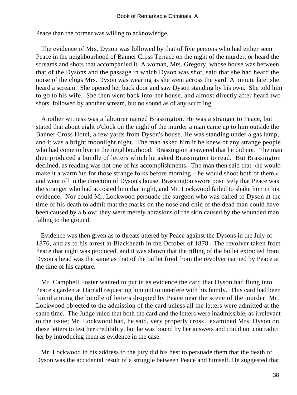Peace than the former was willing to acknowledge.

 The evidence of Mrs. Dyson was followed by that of five persons who had either seen Peace in the neighbourhood of Banner Cross Terrace on the night of the murder, or heard the screams and shots that accompanied it. A woman, Mrs. Gregory, whose house was between that of the Dysons and the passage in which Dyson was shot, said that she had heard the noise of the clogs Mrs. Dyson was wearing as she went across the yard. A minute later she heard a scream. She opened her back door and saw Dyson standing by his own. She told him to go to his wife. She then went back into her house, and almost directly after heard two shots, followed by another scream, but no sound as of any scuffling.

 Another witness was a labourer named Brassington. He was a stranger to Peace, but stated that about eight o'clock on the night of the murder a man came up to him outside the Banner Cross Hotel, a few yards from Dyson's house. He was standing under a gas lamp, and it was a bright moonlight night. The man asked him if he knew of any strange people who had come to live in the neighbourhood. Brassington answered that he did not. The man then produced a bundle of letters which he asked Brassington to read. But Brassington declined, as reading was not one of his accomplishments. The man then said that «he would make it a warm 'un for those strange folks before morning – he would shoot both of them,» and went off in the direction of Dyson's house. Brassington swore positively that Peace was the stranger who had accosted him that night, and Mr. Lockwood failed to shake him in his evidence. Nor could Mr. Lockwood persuade the surgeon who was called to Dyson at the time of his death to admit that the marks on the nose and chin of the dead man could have been caused by a blow; they were merely abrasions of the skin caused by the wounded man falling to the ground.

 Evidence was then given as to threats uttered by Peace against the Dysons in the July of 1876, and as to his arrest at Blackheath in the October of 1878. The revolver taken from Peace that night was produced, and it was shown that the rifling of the bullet extracted from Dyson's head was the same as that of the bullet fired from the revolver carried by Peace at the time of his capture.

 Mr. Campbell Foster wanted to put in as evidence the card that Dyson had flung into Peace's garden at Darnall requesting him not to interfere with his family. This card had been found among the bundle of letters dropped by Peace near the scene of the murder. Mr. Lockwood objected to the admission of the card unless all the letters were admitted at the same time. The Judge ruled that both the card and the letters were inadmissible, as irrelevant to the issue; Mr. Lockwood had, he said, very properly cross− examined Mrs. Dyson on these letters to test her credibility, but he was bound by her answers and could not contradict her by introducing them as evidence in the case.

 Mr. Lockwood in his address to the jury did his best to persuade them that the death of Dyson was the accidental result of a struggle between Peace and himself. He suggested that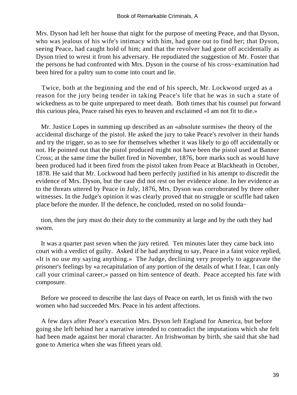Mrs. Dyson had left her house that night for the purpose of meeting Peace, and that Dyson, who was jealous of his wife's intimacy with him, had gone out to find her; that Dyson, seeing Peace, had caught hold of him; and that the revolver had gone off accidentally as Dyson tried to wrest it from his adversary. He repudiated the suggestion of Mr. Foster that the persons he had confronted with Mrs. Dyson in the course of his cross−examination had been hired for a paltry sum to come into court and lie.

 Twice, both at the beginning and the end of his speech, Mr. Lockwood urged as a reason for the jury being tender in taking Peace's life that he was in such a state of wickedness as to be quite unprepared to meet death. Both times that his counsel put forward this curious plea, Peace raised his eyes to heaven and exclaimed «I am not fit to die.»

 Mr. Justice Lopes in summing up described as an «absolute surmise» the theory of the accidental discharge of the pistol. He asked the jury to take Peace's revolver in their hands and try the trigger, so as to see for themselves whether it was likely to go off accidentally or not. He pointed out that the pistol produced might not have been the pistol used at Banner Cross; at the same time the bullet fired in November, 1876, bore marks such as would have been produced had it been fired from the pistol taken from Peace at Blackheath in October, 1878. He said that Mr. Lockwood had been perfectly justified in his attempt to discredit the evidence of Mrs. Dyson, but the case did not rest on her evidence alone. In her evidence as to the threats uttered by Peace in July, 1876, Mrs. Dyson was corroborated by three other witnesses. In the Judge's opinion it was clearly proved that no struggle or scuffle had taken place before the murder. If the defence, he concluded, rested on no solid founda−

 tion, then the jury must do their duty to the community at large and by the oath they had sworn.

 It was a quarter past seven when the jury retired. Ten minutes later they came back into court with a verdict of guilty. Asked if he had anything to say, Peace in a faint voice replied, «It is no use my saying anything.» The Judge, declining very properly to aggravate the prisoner's feelings by «a recapitulation of any portion of the details of what I fear, I can only call your criminal career,» passed on him sentence of death. Peace accepted his fate with composure.

 Before we proceed to describe the last days of Peace on earth, let us finish with the two women who had succeeded Mrs. Peace in his ardent affections.

 A few days after Peace's execution Mrs. Dyson left England for America, but before going she left behind her a narrative intended to contradict the imputations which she felt had been made against her moral character. An Irishwoman by birth, she said that she had gone to America when she was fifteen years old.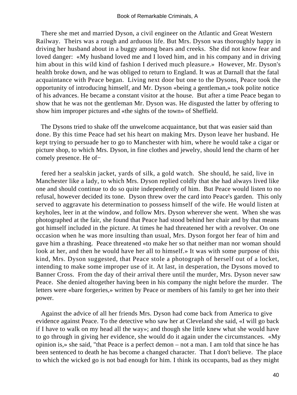There she met and married Dyson, a civil engineer on the Atlantic and Great Western Railway. Theirs was a rough and arduous life. But Mrs. Dyson was thoroughly happy in driving her husband about in a buggy among bears and creeks. She did not know fear and loved danger: «My husband loved me and I loved him, and in his company and in driving him about in this wild kind of fashion I derived much pleasure.» However, Mr. Dyson's health broke down, and he was obliged to return to England. It was at Darnall that the fatal acquaintance with Peace began. Living next door but one to the Dysons, Peace took the opportunity of introducing himself, and Mr. Dyson «being a gentleman,» took polite notice of his advances. He became a constant visitor at the house. But after a time Peace began to show that he was not the gentleman Mr. Dyson was. He disgusted the latter by offering to show him improper pictures and «the sights of the town» of Sheffield.

 The Dysons tried to shake off the unwelcome acquaintance, but that was easier said than done. By this time Peace had set his heart on making Mrs. Dyson leave her husband. He kept trying to persuade her to go to Manchester with him, where he would take a cigar or picture shop, to which Mrs. Dyson, in fine clothes and jewelry, should lend the charm of her comely presence. He of−

 fered her a sealskin jacket, yards of silk, a gold watch. She should, he said, live in Manchester like a lady, to which Mrs. Dyson replied coldly that she had always lived like one and should continue to do so quite independently of him. But Peace would listen to no refusal, however decided its tone. Dyson threw over the card into Peace's garden. This only served to aggravate his determination to possess himself of the wife. He would listen at keyholes, leer in at the window, and follow Mrs. Dyson wherever she went. When she was photographed at the fair, she found that Peace had stood behind her chair and by that means got himself included in the picture. At times he had threatened her with a revolver. On one occasion when he was more insulting than usual, Mrs. Dyson forgot her fear of him and gave him a thrashing. Peace threatened «to make her so that neither man nor woman should look at her, and then he would have her all to himself.» It was with some purpose of this kind, Mrs. Dyson suggested, that Peace stole a photograph of herself out of a locket, intending to make some improper use of it. At last, in desperation, the Dysons moved to Banner Cross. From the day of their arrival there until the murder, Mrs. Dyson never saw Peace. She denied altogether having been in his company the night before the murder. The letters were «bare forgeries,» written by Peace or members of his family to get her into their power.

 Against the advice of all her friends Mrs. Dyson had come back from America to give evidence against Peace. To the detective who saw her at Cleveland she said, «I will go back if I have to walk on my head all the way»; and though she little knew what she would have to go through in giving her evidence, she would do it again under the circumstances. «My opinion is,» she said, "that Peace is a perfect demon – not a man. I am told that since he has been sentenced to death he has become a changed character. That I don't believe. The place to which the wicked go is not bad enough for him. I think its occupants, bad as they might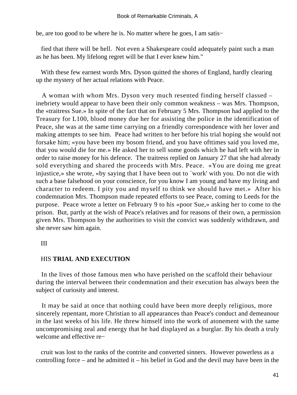be, are too good to be where he is. No matter where he goes, I am satis−

 fied that there will be hell. Not even a Shakespeare could adequately paint such a man as he has been. My lifelong regret will be that I ever knew him."

 With these few earnest words Mrs. Dyson quitted the shores of England, hardly clearing up the mystery of her actual relations with Peace.

 A woman with whom Mrs. Dyson very much resented finding herself classed – inebriety would appear to have been their only common weakness – was Mrs. Thompson, the «traitress Sue.» In spite of the fact that on February 5 Mrs. Thompson had applied to the Treasury for L100, blood money due her for assisting the police in the identification of Peace, she was at the same time carrying on a friendly correspondence with her lover and making attempts to see him. Peace had written to her before his trial hoping she would not forsake him; «you have been my bosom friend, and you have ofttimes said you loved me, that you would die for me.» He asked her to sell some goods which he had left with her in order to raise money for his defence. The traitress replied on January 27 that she had already sold everything and shared the proceeds with Mrs. Peace. «You are doing me great injustice,» she wrote, «by saying that I have been out to `work' with you. Do not die with such a base falsehood on your conscience, for you know I am young and have my living and character to redeem. I pity you and myself to think we should have met.» After his condemnation Mrs. Thompson made repeated efforts to see Peace, coming to Leeds for the purpose. Peace wrote a letter on February 9 to his «poor Sue,» asking her to come to the prison. But, partly at the wish of Peace's relatives and for reasons of their own, a permission given Mrs. Thompson by the authorities to visit the convict was suddenly withdrawn, and she never saw him again.

# III

# HIS **TRIAL AND EXECUTION**

 In the lives of those famous men who have perished on the scaffold their behaviour during the interval between their condemnation and their execution has always been the subject of curiosity and interest.

 It may be said at once that nothing could have been more deeply religious, more sincerely repentant, more Christian to all appearances than Peace's conduct and demeanour in the last weeks of his life. He threw himself into the work of atonement with the same uncompromising zeal and energy that he had displayed as a burglar. By his death a truly welcome and effective re−

 cruit was lost to the ranks of the contrite and converted sinners. However powerless as a controlling force – and he admitted it – his belief in God and the devil may have been in the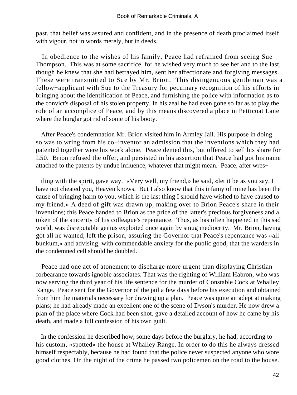past, that belief was assured and confident, and in the presence of death proclaimed itself with vigour, not in words merely, but in deeds.

 In obedience to the wishes of his family, Peace had refrained from seeing Sue Thompson. This was at some sacrifice, for he wished very much to see her and to the last, though he knew that she had betrayed him, sent her affectionate and forgiving messages. These were transmitted to Sue by Mr. Brion. This disingenuous gentleman was a fellow−applicant with Sue to the Treasury for pecuinary recognition of his efforts in bringing about the identification of Peace, and furnishing the police with information as to the convict's disposal of his stolen property. In his zeal he had even gone so far as to play the role of an accomplice of Peace, and by this means discovered a place in Petticoat Lane where the burglar got rid of some of his booty.

 After Peace's condemnation Mr. Brion visited him in Armley Jail. His purpose in doing so was to wring from his co−inventor an admission that the inventions which they had patented together were his work alone. Peace denied this, but offered to sell his share for L50. Brion refused the offer, and persisted in his assertion that Peace had got his name attached to the patents by undue influence, whatever that might mean. Peace, after wres−

 tling with the spirit, gave way. «Very well, my friend,» he said, «let it be as you say. I have not cheated you, Heaven knows. But I also know that this infamy of mine has been the cause of bringing harm to you, which is the last thing I should have wished to have caused to my friend.» A deed of gift was drawn up, making over to Brion Peace's share in their inventions; this Peace handed to Brion as the price of the latter's precious forgiveness and a token of the sincerity of his colleague's repentance. Thus, as has often happened in this sad world, was disreputable genius exploited once again by smug mediocrity. Mr. Brion, having got all he wanted, left the prison, assuring the Governor that Peace's repentance was «all bunkum,» and advising, with commendable anxiety for the public good, that the warders in the condemned cell should be doubled.

 Peace had one act of atonement to discharge more urgent than displaying Christian forbearance towards ignoble associates. That was the righting of William Habron, who was now serving the third year of his life sentence for the murder of Constable Cock at Whalley Range. Peace sent for the Governor of the jail a few days before his execution and obtained from him the materials necessary for drawing up a plan. Peace was quite an adept at making plans; he had already made an excellent one of the scene of Dyson's murder. He now drew a plan of the place where Cock had been shot, gave a detailed account of how he came by his death, and made a full confession of his own guilt.

 In the confession he described how, some days before the burglary, he had, according to his custom, «spotted» the house at Whalley Range. In order to do this he always dressed himself respectably, because he had found that the police never suspected anyone who wore good clothes. On the night of the crime he passed two policemen on the road to the house.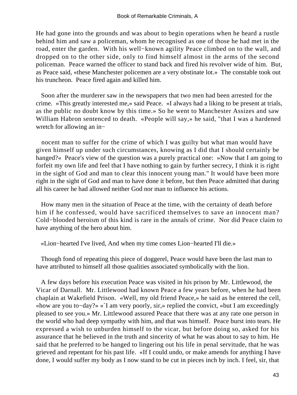He had gone into the grounds and was about to begin operations when he heard a rustle behind him and saw a policeman, whom he recognised as one of those he had met in the road, enter the garden. With his well−known agility Peace climbed on to the wall, and dropped on to the other side, only to find himself almost in the arms of the second policeman. Peace warned the officer to stand back and fired his revolver wide of him. But, as Peace said, «these Manchester policemen are a very obstinate lot.» The constable took out his truncheon. Peace fired again and killed him.

 Soon after the murderer saw in the newspapers that two men had been arrested for the crime. «This greatly interested me,» said Peace. «I always had a liking to be present at trials, as the public no doubt know by this time.» So he went to Manchester Assizes and saw William Habron sentenced to death. «People will say,» he said, "that I was a hardened wretch for allowing an in−

 nocent man to suffer for the crime of which I was guilty but what man would have given himself up under such circumstances, knowing as I did that I should certainly be hanged?« Peace's view of the question was a purely practical one: »Now that I am going to forfeit my own life and feel that I have nothing to gain by further secrecy, I think it is right in the sight of God and man to clear this innocent young man." It would have been more right in the sight of God and man to have done it before, but then Peace admitted that during all his career he had allowed neither God nor man to influence his actions.

 How many men in the situation of Peace at the time, with the certainty of death before him if he confessed, would have sacrificed themselves to save an innocent man? Cold−blooded heroism of this kind is rare in the annals of crime. Nor did Peace claim to have anything of the hero about him.

«Lion−hearted I've lived, And when my time comes Lion−hearted I'll die.»

 Though fond of repeating this piece of doggerel, Peace would have been the last man to have attributed to himself all those qualities associated symbolically with the lion.

 A few days before his execution Peace was visited in his prison by Mr. Littlewood, the Vicar of Darnall. Mr. Littlewood had known Peace a few years before, when he had been chaplain at Wakefield Prison. «Well, my old friend Peace,» he said as he entered the cell, «how are you to−day?» «`I am very poorly, sir,» replied the convict, «but I am exceedingly pleased to see you.» Mr. Littlewood assured Peace that there was at any rate one person in the world who had deep sympathy with him, and that was himself. Peace burst into tears. He expressed a wish to unburden himself to the vicar, but before doing so, asked for his assurance that he believed in the truth and sincerity of what he was about to say to him. He said that he preferred to be hanged to lingering out his life in penal servitude, that he was grieved and repentant for his past life. «If I could undo, or make amends for anything I have done, I would suffer my body as I now stand to be cut in pieces inch by inch. I feel, sir, that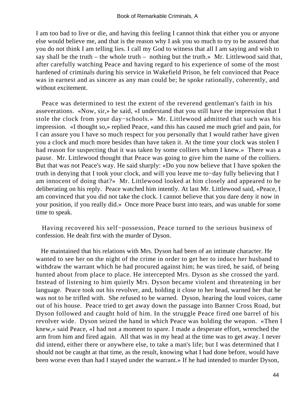I am too bad to live or die, and having this feeling I cannot think that either you or anyone else would believe me, and that is the reason why I ask you so much to try to be assured that you do not think I am telling lies. I call my God to witness that all I am saying and wish to say shall be the truth – the whole truth – nothing but the truth.» Mr. Littlewood said that, after carefully watching Peace and having regard to his experience of some of the most hardened of criminals during his service in Wakefield Prison, he felt convinced that Peace was in earnest and as sincere as any man could be; he spoke rationally, coherently, and without excitement.

 Peace was determined to test the extent of the reverend gentleman's faith in his asseverations. «Now, sir,» he said, «I understand that you still have the impression that I stole the clock from your day−schools.» Mr. Littlewood admitted that such was his impression. «I thought so,» replied Peace, «and this has caused me much grief and pain, for I can assure you I have so much respect for you personally that I would rather have given you a clock and much more besides than have taken it. At the time your clock was stolen I had reason for suspecting that it was taken by some colliers whom I knew.» There was a pause. Mr. Littlewood thought that Peace was going to give him the name of the colliers. But that was not Peace's way. He said sharply: «Do you now believe that I have spoken the truth in denying that I took your clock, and will you leave me to−day fully believing that I am innocent of doing that?» Mr. Littlewood looked at him closely and appeared to be deliberating on his reply. Peace watched him intently. At last Mr. Littlewood said, «Peace, I am convinced that you did not take the clock. I cannot believe that you dare deny it now in your position, if you really did.» Once more Peace burst into tears, and was unable for some time to speak.

 Having recovered his self−possession, Peace turned to the serious business of confession. He dealt first with the murder of Dyson.

 He maintained that his relations with Mrs. Dyson had been of an intimate character. He wanted to see her on the night of the crime in order to get her to induce her husband to withdraw the warrant which he had procured against him; he was tired, he said, of being hunted about from place to place. He intercepted Mrs. Dyson as she crossed the yard. Instead of listening to him quietly Mrs. Dyson became violent and threatening in her language. Peace took out his revolver, and, holding it close to her head, warned her that he was not to be trifled with. She refused to be warned. Dyson, hearing the loud voices, came out of his house. Peace tried to get away down the passage into Banner Cross Road, but Dyson followed and caught hold of him. In the struggle Peace fired one barrel of his revolver wide. Dyson seized the hand in which Peace was holding the weapon. «Then I knew,» said Peace, «I had not a moment to spare. I made a desperate effort, wrenched the arm from him and fired again. All that was in my head at the time was to get away. I never did intend, either there or anywhere else, to take a man's life; but I was determined that I should not be caught at that time, as the result, knowing what I had done before, would have been worse even than had I stayed under the warrant.» If he had intended to murder Dyson,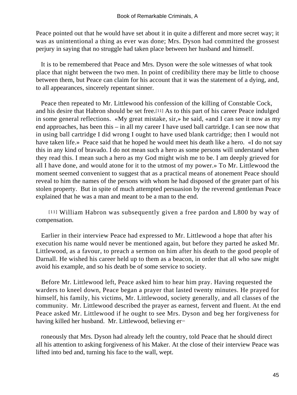Peace pointed out that he would have set about it in quite a different and more secret way; it was as unintentional a thing as ever was done; Mrs. Dyson had committed the grossest perjury in saying that no struggle had taken place between her husband and himself.

 It is to be remembered that Peace and Mrs. Dyson were the sole witnesses of what took place that night between the two men. In point of credibility there may be little to choose between them, but Peace can claim for his account that it was the statement of a dying, and, to all appearances, sincerely repentant sinner.

 Peace then repeated to Mr. Littlewood his confession of the killing of Constable Cock, and his desire that Habron should be set free.[11] As to this part of his career Peace indulged in some general reflections. «My great mistake, sir,» he said, «and I can see it now as my end approaches, has been this – in all my career I have used ball cartridge. I can see now that in using ball cartridge I did wrong I ought to have used blank cartridge; then I would not have taken life.» Peace said that he hoped he would meet his death like a hero. «I do not say this in any kind of bravado. I do not mean such a hero as some persons will understand when they read this. I mean such a hero as my God might wish me to be. I am deeply grieved for all I have done, and would atone for it to the utmost of my power.» To Mr. Littlewood the moment seemed convenient to suggest that as a practical means of atonement Peace should reveal to him the names of the persons with whom he had disposed of the greater part of his stolen property. But in spite of much attempted persuasion by the reverend gentleman Peace explained that he was a man and meant to be a man to the end.

[11] William Habron was subsequently given a free pardon and L800 by way of compensation.

 Earlier in their interview Peace had expressed to Mr. Littlewood a hope that after his execution his name would never be mentioned again, but before they parted he asked Mr. Littlewood, as a favour, to preach a sermon on him after his death to the good people of Darnall. He wished his career held up to them as a beacon, in order that all who saw might avoid his example, and so his death be of some service to society.

 Before Mr. Littlewood left, Peace asked him to hear him pray. Having requested the warders to kneel down, Peace began a prayer that lasted twenty minutes. He prayed for himself, his family, his victims, Mr. Littlewood, society generally, and all classes of the community. Mr. Littlewood described the prayer as earnest, fervent and fluent. At the end Peace asked Mr. Littlewood if he ought to see Mrs. Dyson and beg her forgiveness for having killed her husband. Mr. Littlewood, believing er−

 roneously that Mrs. Dyson had already left the country, told Peace that he should direct all his attention to asking forgiveness of his Maker. At the close of their interview Peace was lifted into bed and, turning his face to the wall, wept.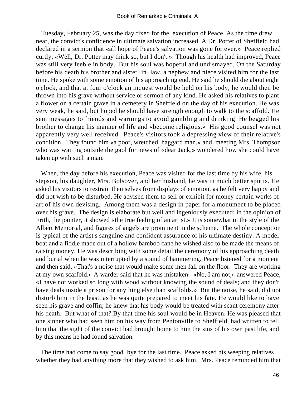Tuesday, February 25, was the day fixed for the, execution of Peace. As the time drew near, the convict's confidence in ultimate salvation increased. A Dr. Potter of Sheffield had declared in a sermon that «all hope of Peace's salvation was gone for ever.» Peace replied curtly, «Well, Dr. Potter may think so, but I don't.» Though his health had improved, Peace was still very feeble in body. But his soul was hopeful and undismayed. On the Saturday before his death his brother and sister−in−law, a nephew and niece visited him for the last time. He spoke with some emotion of his approaching end. He said he should die about eight o'clock, and that at four o'clock an inquest would be held on his body; he would then be thrown into his grave without service or sermon of any kind. He asked his relatives to plant a flower on a certain grave in a cemetery in Sheffield on the day of his execution. He was very weak, he said, but hoped he should have strength enough to walk to the scaffold. He sent messages to friends and warnings to avoid gambling and drinking. He begged his brother to change his manner of life and «become religious.» His good counsel was not apparently very well received. Peace's visitors took a depressing view of their relative's condition. They found him «a poor, wretched, haggard man,» and, meeting Mrs. Thompson who was waiting outside the gaol for news of «dear Jack,» wondered how she could have taken up with such a man.

 When, the day before his execution, Peace was visited for the last time by his wife, his stepson, his daughter, Mrs. Bolsover, and her husband, he was in much better spirits. He asked his visitors to restrain themselves from displays of emotion, as he felt very happy and did not wish to be disturbed. He advised them to sell or exhibit for money certain works of art of his own devising. Among them was a design in paper for a monument to be placed over his grave. The design is elaborate but well and ingeniously executed; in the opinion of Frith, the painter, it showed «the true feeling of an artist.» It is somewhat in the style of the Albert Memorial, and figures of angels are prominent in the scheme. The whole conception is typical of the artist's sanguine and confident assurance of his ultimate destiny. A model boat and a fiddle made out of a hollow bamboo cane he wished also to be made the means of raising money. He was describing with some detail the ceremony of his approaching death and burial when he was interrupted by a sound of hammering. Peace listened for a moment and then said, «That's a noise that would make some men fall on the floor. They are working at my own scaffold.» A warder said that he was mistaken. «No, I am not,» answered Peace, «I have not worked so long with wood without knowing the sound of deals; and they don't have deals inside a prison for anything else than scaffolds.» But the noise, he said, did not disturb him in the least, as he was quite prepared to meet his fate. He would like to have seen his grave and coffin; he knew that his body would be treated with scant ceremony after his death. But what of that? By that time his soul would be in Heaven. He was pleased that one sinner who had seen him on his way from Pentonville to Sheffield, had written to tell him that the sight of the convict had brought home to him the sins of his own past life, and by this means he had found salvation.

 The time had come to say good−bye for the last time. Peace asked his weeping relatives whether they had anything more that they wished to ask him. Mrs. Peace reminded him that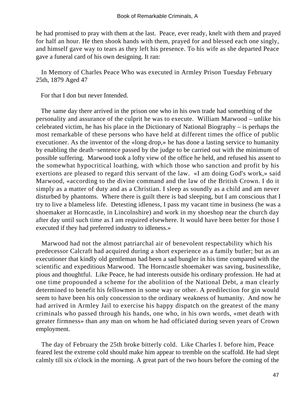he had promised to pray with them at the last. Peace, ever ready, knelt with them and prayed for half an hour. He then shook hands with them, prayed for and blessed each one singly, and himself gave way to tears as they left his presence. To his wife as she departed Peace gave a funeral card of his own designing. It ran:

 In Memory of Charles Peace Who was executed in Armley Prison Tuesday February 25th, 1879 Aged 47

For that I don but never Intended.

 The same day there arrived in the prison one who in his own trade had something of the personality and assurance of the culprit he was to execute. William Marwood – unlike his celebrated victim, he has his place in the Dictionary of National Biography – is perhaps the most remarkable of these persons who have held at different times the office of public executioner. As the inventor of the «long drop,» he has done a lasting service to humanity by enabling the death−sentence passed by the judge to be carried out with the minimum of possible suffering. Marwood took a lofty view of the office he held, and refused his assent to the somewhat hypocritical loathing, with which those who sanction and profit by his exertions are pleased to regard this servant of the law. «I am doing God's work,» said Marwood, «according to the divine command and the law of the British Crown. I do it simply as a matter of duty and as a Christian. I sleep as soundly as a child and am never disturbed by phantoms. Where there is guilt there is bad sleeping, but I am conscious that I try to live a blameless life. Detesting idleness, I pass my vacant time in business (he was a shoemaker at Horncastle, in Lincolnshire) and work in my shoeshop near the church day after day until such time as I am required elsewhere. It would have been better for those I executed if they had preferred industry to idleness.»

 Marwood had not the almost patriarchal air of benevolent respectability which his predecessor Calcraft had acquired during a short experience as a family butler; but as an executioner that kindly old gentleman had been a sad bungler in his time compared with the scientific and expeditious Marwood. The Horncastle shoemaker was saving, businesslike, pious and thoughtful. Like Peace, he had interests outside his ordinary profession. He had at one time propounded a scheme for the abolition of the National Debt, a man clearly determined to benefit his fellowmen in some way or other. A predilection for gin would seem to have been his only concession to the ordinary weakness of humanity. And now he had arrived in Armley Jail to exercise his happy dispatch on the greatest of the many criminals who passed through his hands, one who, in his own words, «met death with greater firmness» than any man on whom he had officiated during seven years of Crown employment.

 The day of February the 25th broke bitterly cold. Like Charles I. before him, Peace feared lest the extreme cold should make him appear to tremble on the scaffold. He had slept calmly till six o'clock in the morning. A great part of the two hours before the coming of the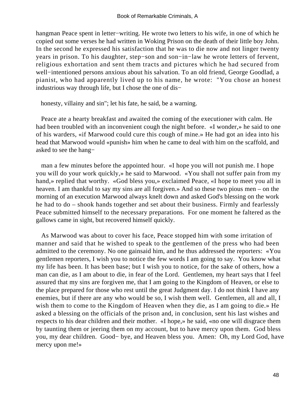hangman Peace spent in letter−writing. He wrote two letters to his wife, in one of which he copied out some verses he had written in Woking Prison on the death of their little boy John. In the second he expressed his satisfaction that he was to die now and not linger twenty years in prison. To his daughter, step−son and son−in−law he wrote letters of fervent, religious exhortation and sent them tracts and pictures which he had secured from well−intentioned persons anxious about his salvation. To an old friend, George Goodlad, a pianist, who had apparently lived up to his name, he wrote: "You chose an honest industrious way through life, but I chose the one of dis−

honesty, villainy and sin"; let his fate, he said, be a warning.

 Peace ate a hearty breakfast and awaited the coming of the executioner with calm. He had been troubled with an inconvenient cough the night before. «I wonder,» he said to one of his warders, «if Marwood could cure this cough of mine.» He had got an idea into his head that Marwood would «punish» him when he came to deal with him on the scaffold, and asked to see the hang−

 man a few minutes before the appointed hour. «I hope you will not punish me. I hope you will do your work quickly,» he said to Marwood. «You shall not suffer pain from my hand,» replied that worthy. «God bless you,» exclaimed Peace, «I hope to meet you all in heaven. I am thankful to say my sins are all forgiven.» And so these two pious men – on the morning of an execution Marwood always knelt down and asked God's blessing on the work he had to do – shook hands together and set about their business. Firmly and fearlessly Peace submitted himself to the necessary preparations. For one moment he faltered as the gallows came in sight, but recovered himself quickly.

 As Marwood was about to cover his face, Peace stopped him with some irritation of manner and said that he wished to speak to the gentlemen of the press who had been admitted to the ceremony. No one gainsaid him, and he thus addressed the reporters: «You gentlemen reporters, I wish you to notice the few words I am going to say. You know what my life has been. It has been base; but I wish you to notice, for the sake of others, how a man can die, as I am about to die, in fear of the Lord. Gentlemen, my heart says that I feel assured that my sins are forgiven me, that I am going to the Kingdom of Heaven, or else to the place prepared for those who rest until the great Judgment day. I do not think I have any enemies, but if there are any who would be so, I wish them well. Gentlemen, all and all, I wish them to come to the Kingdom of Heaven when they die, as I am going to die.» He asked a blessing on the officials of the prison and, in conclusion, sent his last wishes and respects to his dear children and their mother. «I hope,» he said, «no one will disgrace them by taunting them or jeering them on my account, but to have mercy upon them. God bless you, my dear children. Good− bye, and Heaven bless you. Amen: Oh, my Lord God, have mercy upon me!»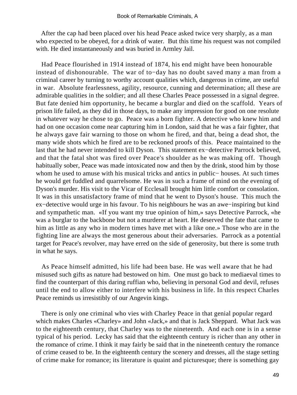After the cap had been placed over his head Peace asked twice very sharply, as a man who expected to be obeyed, for a drink of water. But this time his request was not compiled with. He died instantaneously and was buried in Armley Jail.

 Had Peace flourished in 1914 instead of 1874, his end might have been honourable instead of dishonourable. The war of to−day has no doubt saved many a man from a criminal career by turning to worthy account qualities which, dangerous in crime, are useful in war. Absolute fearlessness, agility, resource, cunning and determination; all these are admirable qualities in the soldier; and all these Charles Peace possessed in a signal degree. But fate denied him opportunity, he became a burglar and died on the scaffold. Years of prison life failed, as they did in those days, to make any impression for good on one resolute in whatever way he chose to go. Peace was a born fighter. A detective who knew him and had on one occasion come near capturing him in London, said that he was a fair fighter, that he always gave fair warning to those on whom he fired, and that, being a dead shot, the many wide shots which he fired are to be reckoned proofs of this. Peace maintained to the last that he had never intended to kill Dyson. This statement ex−detective Parrock believed, and that the fatal shot was fired over Peace's shoulder as he was making off. Though habitually sober, Peace was made intoxicated now and then by the drink, stood him by those whom he used to amuse with his musical tricks and antics in public− houses. At such times he would get fuddled and quarrelsome. He was in such a frame of mind on the evening of Dyson's murder. His visit to the Vicar of Ecclesall brought him little comfort or consolation. It was in this unsatisfactory frame of mind that he went to Dyson's house. This much the ex−detective would urge in his favour. To his neighbours he was an awe−inspiring but kind and sympathetic man. «If you want my true opinion of him,» says Detective Parrock, «he was a burglar to the backbone but not a murderer at heart. He deserved the fate that came to him as little as any who in modern times have met with a like one.» Those who are in the fighting line are always the most generous about their adversaries. Parrock as a potential target for Peace's revolver, may have erred on the side of generosity, but there is some truth in what he says.

 As Peace himself admitted, his life had been base. He was well aware that he had misused such gifts as nature had bestowed on him. One must go back to mediaeval times to find the counterpart of this daring ruffian who, believing in personal God and devil, refuses until the end to allow either to interfere with his business in life. In this respect Charles Peace reminds us irresistibly of our Angevin kings.

 There is only one criminal who vies with Charley Peace in that genial popular regard which makes Charles «Charley» and John «Jack,» and that is Jack Sheppard. What Jack was to the eighteenth century, that Charley was to the nineteenth. And each one is in a sense typical of his period. Lecky has said that the eighteenth century is richer than any other in the romance of crime. I think it may fairly be said that in the nineteenth century the romance of crime ceased to be. In the eighteenth century the scenery and dresses, all the stage setting of crime make for romance; its literature is quaint and picturesque; there is something gay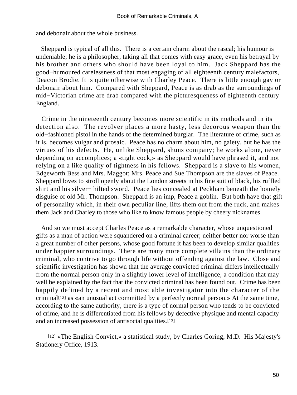and debonair about the whole business.

 Sheppard is typical of all this. There is a certain charm about the rascal; his humour is undeniable; he is a philosopher, taking all that comes with easy grace, even his betrayal by his brother and others who should have been loyal to him. Jack Sheppard has the good−humoured carelessness of that most engaging of all eighteenth century malefactors, Deacon Brodie. It is quite otherwise with Charley Peace. There is little enough gay or debonair about him. Compared with Sheppard, Peace is as drab as the surroundings of mid−Victorian crime are drab compared with the picturesqueness of eighteenth century England.

 Crime in the nineteenth century becomes more scientific in its methods and in its detection also. The revolver places a more hasty, less decorous weapon than the old−fashioned pistol in the hands of the determined burglar. The literature of crime, such as it is, becomes vulgar and prosaic. Peace has no charm about him, no gaiety, but he has the virtues of his defects. He, unlike Sheppard, shuns company; he works alone, never depending on accomplices; a «tight cock,» as Sheppard would have phrased it, and not relying on a like quality of tightness in his fellows. Sheppard is a slave to his women, Edgeworth Bess and Mrs. Maggot; Mrs. Peace and Sue Thompson are the slaves of Peace. Sheppard loves to stroll openly about the London streets in his fine suit of black, his ruffled shirt and his silver− hilted sword. Peace lies concealed at Peckham beneath the homely disguise of old Mr. Thompson. Sheppard is an imp, Peace a goblin. But both have that gift of personality which, in their own peculiar line, lifts them out from the ruck, and makes them Jack and Charley to those who like to know famous people by cheery nicknames.

 And so we must accept Charles Peace as a remarkable character, whose unquestioned gifts as a man of action were squandered on a criminal career; neither better nor worse than a great number of other persons, whose good fortune it has been to develop similar qualities under happier surroundings. There are many more complete villains than the ordinary criminal, who contrive to go through life without offending against the law. Close and scientific investigation has shown that the average convicted criminal differs intellectually from the normal person only in a slightly lower level of intelligence, a condition that may well be explained by the fact that the convicted criminal has been found out. Crime has been happily defined by a recent and most able investigator into the character of the criminal[12] as «an unusual act committed by a perfectly normal person.» At the same time, according to the same authority, there is a type of normal person who tends to be convicted of crime, and he is differentiated from his fellows by defective physique and mental capacity and an increased possession of antisocial qualities.[13]

[12] «The English Convict,» a statistical study, by Charles Goring, M.D. His Majesty's Stationery Office, 1913.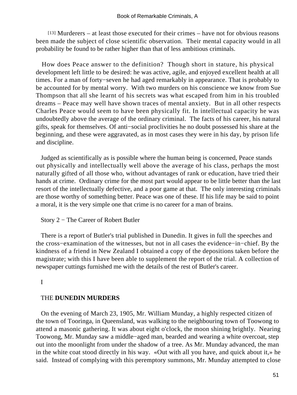[13] Murderers – at least those executed for their crimes – have not for obvious reasons been made the subject of close scientific observation. Their mental capacity would in all probability be found to be rather higher than that of less ambitious criminals.

 How does Peace answer to the definition? Though short in stature, his physical development left little to be desired: he was active, agile, and enjoyed excellent health at all times. For a man of forty−seven he had aged remarkably in appearance. That is probably to be accounted for by mental worry. With two murders on his conscience we know from Sue Thompson that all she learnt of his secrets was what escaped from him in his troubled dreams – Peace may well have shown traces of mental anxiety. But in all other respects Charles Peace would seem to have been physically fit. In intellectual capacity he was undoubtedly above the average of the ordinary criminal. The facts of his career, his natural gifts, speak for themselves. Of anti−social proclivities he no doubt possessed his share at the beginning, and these were aggravated, as in most cases they were in his day, by prison life and discipline.

 Judged as scientifically as is possible where the human being is concerned, Peace stands out physically and intellectually well above the average of his class, perhaps the most naturally gifted of all those who, without advantages of rank or education, have tried their hands at crime. Ordinary crime for the most part would appear to be little better than the last resort of the intellectually defective, and a poor game at that. The only interesting criminals are those worthy of something better. Peace was one of these. If his life may be said to point a moral, it is the very simple one that crime is no career for a man of brains.

Story 2 − The Career of Robert Butler

 There is a report of Butler's trial published in Dunedin. It gives in full the speeches and the cross−examination of the witnesses, but not in all cases the evidence−in−chief. By the kindness of a friend in New Zealand I obtained a copy of the depositions taken before the magistrate; with this I have been able to supplement the report of the trial. A collection of newspaper cuttings furnished me with the details of the rest of Butler's career.

I

#### THE **DUNEDIN MURDERS**

 On the evening of March 23, 1905, Mr. William Munday, a highly respected citizen of the town of Tooringa, in Queensland, was walking to the neighbouring town of Toowong to attend a masonic gathering. It was about eight o'clock, the moon shining brightly. Nearing Toowong, Mr. Munday saw a middle−aged man, bearded and wearing a white overcoat, step out into the moonlight from under the shadow of a tree. As Mr. Munday advanced, the man in the white coat stood directly in his way. «Out with all you have, and quick about it,» he said. Instead of complying with this peremptory summons, Mr. Munday attempted to close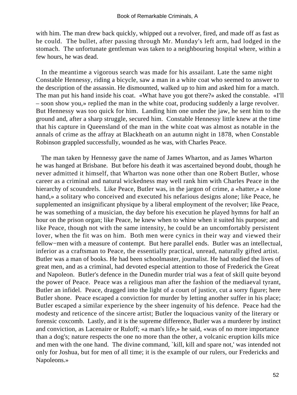with him. The man drew back quickly, whipped out a revolver, fired, and made off as fast as he could. The bullet, after passing through Mr. Munday's left arm, had lodged in the stomach. The unfortunate gentleman was taken to a neighbouring hospital where, within a few hours, he was dead.

 In the meantime a vigorous search was made for his assailant. Late the same night Constable Hennessy, riding a bicycle, saw a man in a white coat who seemed to answer to the description of the assassin. He dismounted, walked up to him and asked him for a match. The man put his hand inside his coat. «What have you got there?» asked the constable. «I'll – soon show you,» replied the man in the white coat, producing suddenly a large revolver. But Hennessy was too quick for him. Landing him one under the jaw, he sent him to the ground and, after a sharp struggle, secured him. Constable Hennessy little knew at the time that his capture in Queensland of the man in the white coat was almost as notable in the annals of crime as the affray at Blackheath on an autumn night in 1878, when Constable Robinson grappled successfully, wounded as he was, with Charles Peace.

 The man taken by Hennessy gave the name of James Wharton, and as James Wharton he was hanged at Brisbane. But before his death it was ascertained beyond doubt, though he never admitted it himself, that Wharton was none other than one Robert Butler, whose career as a criminal and natural wickedness may well rank him with Charles Peace in the hierarchy of scoundrels. Like Peace, Butler was, in the jargon of crime, a «hatter,» a «lone hand,» a solitary who conceived and executed his nefarious designs alone; like Peace, he supplemented an insignificant physique by a liberal employment of the revolver; like Peace, he was something of a musician, the day before his execution he played hymns for half an hour on the prison organ; like Peace, he knew when to whine when it suited his purpose; and like Peace, though not with the same intensity, he could be an uncomfortably persistent lover, when the fit was on him. Both men were cynics in their way and viewed their fellow−men with a measure of contempt. But here parallel ends. Butler was an intellectual, inferior as a craftsman to Peace, the essentially practical, unread, naturally gifted artist. Butler was a man of books. He had been schoolmaster, journalist. He had studied the lives of great men, and as a criminal, had devoted especial attention to those of Frederick the Great and Napoleon. Butler's defence in the Dunedin murder trial was a feat of skill quite beyond the power of Peace. Peace was a religious man after the fashion of the mediaeval tyrant, Butler an infidel. Peace, dragged into the light of a court of justice, cut a sorry figure; here Butler shone. Peace escaped a conviction for murder by letting another suffer in his place; Butler escaped a similar experience by the sheer ingenuity of his defence. Peace had the modesty and reticence of the sincere artist; Butler the loquacious vanity of the literary or forensic coxcomb. Lastly, and it is the supreme difference, Butler was a murderer by instinct and conviction, as Lacenaire or Ruloff; «a man's life,» he said, «was of no more importance than a dog's; nature respects the one no more than the other, a volcanic eruption kills mice and men with the one hand. The divine command, `kill, kill and spare not,' was intended not only for Joshua, but for men of all time; it is the example of our rulers, our Fredericks and Napoleons.»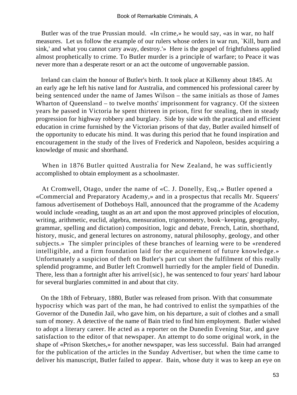Butler was of the true Prussian mould. «In crime,» he would say, «as in war, no half measures. Let us follow the example of our rulers whose orders in war run, `Kill, burn and sink,' and what you cannot carry away, destroy.'» Here is the gospel of frightfulness applied almost prophetically to crime. To Butler murder is a principle of warfare; to Peace it was never more than a desperate resort or an act the outcome of ungovernable passion.

 Ireland can claim the honour of Butler's birth. It took place at Kilkenny about 1845. At an early age he left his native land for Australia, and commenced his professional career by being sentenced under the name of James Wilson – the same initials as those of James Wharton of Queensland – to twelve months' imprisonment for vagrancy. Of the sixteen years he passed in Victoria he spent thirteen in prison, first for stealing, then in steady progression for highway robbery and burglary. Side by side with the practical and efficient education in crime furnished by the Victorian prisons of that day, Butler availed himself of the opportunity to educate his mind. It was during this period that he found inspiration and encouragement in the study of the lives of Frederick and Napoleon, besides acquiring a knowledge of music and shorthand.

 When in 1876 Butler quitted Australia for New Zealand, he was sufficiently accomplished to obtain employment as a schoolmaster.

 At Cromwell, Otago, under the name of «C. J. Donelly, Esq.,» Butler opened a «Commercial and Preparatory Academy,» and in a prospectus that recalls Mr. Squeers' famous advertisement of Dotheboys Hall, announced that the programme of the Academy would include «reading, taught as an art and upon the most approved principles of elocution, writing, arithmetic, euclid, algebra, mensuration, trigonometry, book−keeping, geography, grammar, spelling and dictation) composition, logic and debate, French, Latin, shorthand, history, music, and general lectures on astronomy, natural philosophy, geology, and other subjects.» The simpler principles of these branches of learning were to be «rendered intelligible, and a firm foundation laid for the acquirement of future knowledge.» Unfortunately a suspicion of theft on Butler's part cut short the fulfilment of this really splendid programme, and Butler left Cromwell hurriedly for the ampler field of Dunedin. There, less than a fortnight after his arrivel{sic}, he was sentenced to four years' hard labour for several burglaries committed in and about that city.

 On the 18th of February, 1880, Butler was released from prison. With that consummate hypocrisy which was part of the man, he had contrived to enlist the sympathies of the Governor of the Dunedin Jail, who gave him, on his departure, a suit of clothes and a small sum of money. A detective of the name of Bain tried to find him employment. Butler wished to adopt a literary career. He acted as a reporter on the Dunedin Evening Star, and gave satisfaction to the editor of that newspaper. An attempt to do some original work, in the shape of «Prison Sketches,» for another newspaper, was less successful. Bain had arranged for the publication of the articles in the Sunday Advertiser, but when the time came to deliver his manuscript, Butler failed to appear. Bain, whose duty it was to keep an eye on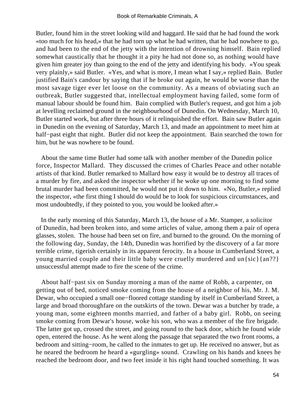Butler, found him in the street looking wild and haggard. He said that he had found the work «too much for his head,» that he had torn up what he had written, that he had nowhere to go, and had been to the end of the jetty with the intention of drowning himself. Bain replied somewhat caustically that he thought it a pity he had not done so, as nothing would have given him greater joy than going to the end of the jetty and identifying his body. «You speak very plainly,» said Butler. «Yes, and what is more, I mean what I say,» replied Bain. Butler justified Bain's candour by saying that if he broke out again, he would be worse than the most savage tiger ever let loose on the community. As a means of obviating such an outbreak, Butler suggested that, intellectual employment having failed, some form of manual labour should be found him. Bain complied with Butler's request, and got him a job at levelling reclaimed ground in the neighbourhood of Dunedin. On Wednesday, March 10, Butler started work, but after three hours of it relinquished the effort. Bain saw Butler again in Dunedin on the evening of Saturday, March 13, and made an appointment to meet him at half−past eight that night. Butler did not keep the appointment. Bain searched the town for him, but he was nowhere to be found.

 About the same time Butler had some talk with another member of the Dunedin police force, Inspector Mallard. They discussed the crimes of Charles Peace and other notable artists of that kind. Butler remarked to Mallard how easy it would be to destroy all traces of a murder by fire, and asked the inspector whether if he woke up one morning to find some brutal murder had been committed, he would not put it down to him. «No, Butler,» replied the inspector, «the first thing I should do would be to look for suspicious circumstances, and most undoubtedly, if they pointed to you, you would be looked after.»

 In the early morning of this Saturday, March 13, the house of a Mr. Stamper, a solicitor of Dunedin, had been broken into, and some articles of value, among them a pair of opera glasses, stolen. The house had been set on fire, and burned to the ground. On the morning of the following day, Sunday, the 14th, Dunedin was horrified by the discovery of a far more terrible crime, tigerish certainly in its apparent ferocity. In a house in Cumberland Street, a young married couple and their little baby were cruelly murdered and un{sic}{an??} unsuccessful attempt made to fire the scene of the crime.

 About half−past six on Sunday morning a man of the name of Robb, a carpenter, on getting out of bed, noticed smoke coming from the house of a neighbor of his, Mr. J. M. Dewar, who occupied a small one−floored cottage standing by itself in Cumberland Street, a large and broad thoroughfare on the outskirts of the town. Dewar was a butcher by trade, a young man, some eighteen months married, and father of a baby girl. Robb, on seeing smoke coming from Dewar's house, woke his son, who was a member of the fire brigade. The latter got up, crossed the street, and going round to the back door, which he found wide open, entered the house. As he went along the passage that separated the two front rooms, a bedroom and sitting−room, he called to the inmates to get up. He received no answer, but as he neared the bedroom he heard a «gurgling» sound. Crawling on his hands and knees he reached the bedroom door, and two feet inside it his right hand touched something. It was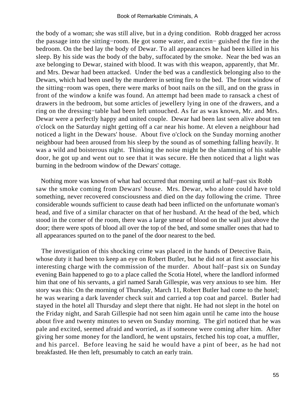the body of a woman; she was still alive, but in a dying condition. Robb dragged her across the passage into the sitting−room. He got some water, and extin− guished the fire in the bedroom. On the bed lay the body of Dewar. To all appearances he had been killed in his sleep. By his side was the body of the baby, suffocated by the smoke. Near the bed was an axe belonging to Dewar, stained with blood. It was with this weapon, apparently, that Mr. and Mrs. Dewar had been attacked. Under the bed was a candlestick belonging also to the Dewars, which had been used by the murderer in setting fire to the bed. The front window of the sitting−room was open, there were marks of boot nails on the sill, and on the grass in front of the window a knife was found. An attempt had been made to ransack a chest of drawers in the bedroom, but some articles of jewellery lying in one of the drawers, and a ring on the dressing−table had been left untouched. As far as was known, Mr. and Mrs. Dewar were a perfectly happy and united couple. Dewar had been last seen alive about ten o'clock on the Saturday night getting off a car near his home. At eleven a neighbour had noticed a light in the Dewars' house. About five o'clock on the Sunday morning another neighbour had been aroused from his sleep by the sound as of something falling heavily. It was a wild and boisterous night. Thinking the noise might be the slamming of his stable door, he got up and went out to see that it was secure. He then noticed that a light was burning in the bedroom window of the Dewars' cottage.

 Nothing more was known of what had occurred that morning until at half−past six Robb saw the smoke coming from Dewars' house. Mrs. Dewar, who alone could have told something, never recovered consciousness and died on the day following the crime. Three considerable wounds sufficient to cause death had been inflicted on the unfortunate woman's head, and five of a similar character on that of her husband. At the head of the bed, which stood in the corner of the room, there was a large smear of blood on the wall just above the door; there were spots of blood all over the top of the bed, and some smaller ones that had to all appearances spurted on to the panel of the door nearest to the bed.

 The investigation of this shocking crime was placed in the hands of Detective Bain, whose duty it had been to keep an eye on Robert Butler, but he did not at first associate his interesting charge with the commission of the murder. About half−past six on Sunday evening Bain happened to go to a place called the Scotia Hotel, where the landlord informed him that one of his servants, a girl named Sarah Gillespie, was very anxious to see him. Her story was this: On the morning of Thursday, March 11, Robert Butler had come to the hotel; he was wearing a dark lavender check suit and carried a top coat and parcel. Butler had stayed in the hotel all Thursday and slept there that night. He had not slept in the hotel on the Friday night, and Sarah Gillespie had not seen him again until he came into the house about five and twenty minutes to seven on Sunday morning. The girl noticed that he was pale and excited, seemed afraid and worried, as if someone were coming after him. After giving her some money for the landlord, he went upstairs, fetched his top coat, a muffler, and his parcel. Before leaving he said he would have a pint of beer, as he had not breakfasted. He then left, presumably to catch an early train.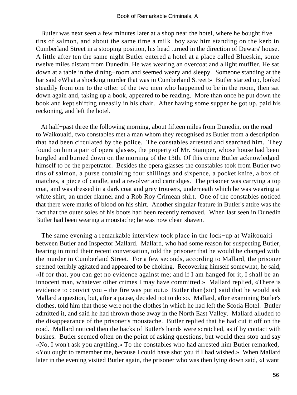Butler was next seen a few minutes later at a shop near the hotel, where he bought five tins of salmon, and about the same time a milk−boy saw him standing on the kerb in Cumberland Street in a stooping position, his head turned in the direction of Dewars' house. A little after ten the same night Butler entered a hotel at a place called Blueskin, some twelve miles distant from Dunedin. He was wearing an overcoat and a light muffler. He sat down at a table in the dining−room and seemed weary and sleepy. Someone standing at the bar said «What a shocking murder that was in Cumberland Street!» Butler started up, looked steadily from one to the other of the two men who happened to be in the room, then sat down again and, taking up a book, appeared to be reading. More than once he put down the book and kept shifting uneasily in his chair. After having some supper he got up, paid his reckoning, and left the hotel.

 At half−past three the following morning, about fifteen miles from Dunedin, on the road to Waikouaiti, two constables met a man whom they recognised as Butler from a description that had been circulated by the police. The constables arrested and searched him. They found on him a pair of opera glasses, the property of Mr. Stamper, whose house had been burgled and burned down on the morning of the 13th. Of this crime Butler acknowledged himself to be the perpetrator. Besides the opera glasses the constables took from Butler two tins of salmon, a purse containing four shillings and sixpence, a pocket knife, a box of matches, a piece of candle, and a revolver and cartridges. The prisoner was carrying a top coat, and was dressed in a dark coat and grey trousers, underneath which he was wearing a white shirt, an under flannel and a Rob Roy Crimean shirt. One of the constables noticed that there were marks of blood on his shirt. Another singular feature in Butler's attire was the fact that the outer soles of his boots had been recently removed. When last seen in Dunedin Butler had been wearing a moustache; he was now clean shaven.

 The same evening a remarkable interview took place in the lock−up at Waikouaiti between Butler and Inspector Mallard. Mallard, who had some reason for suspecting Butler, bearing in mind their recent conversation, told the prisoner that he would be charged with the murder in Cumberland Street. For a few seconds, according to Mallard, the prisoner seemed terribly agitated and appeared to be choking. Recovering himself somewhat, he said, «If for that, you can get no evidence against me; and if I am hanged for it, I shall be an innocent man, whatever other crimes I may have committed.» Mallard replied, «There is evidence to convict you – the fire was put out.» Butler than{sic} said that he would ask Mallard a question, but, after a pause, decided not to do so. Mallard, after examining Butler's clothes, told him that those were not the clothes in which he had left the Scotia Hotel. Butler admitted it, and said he had thrown those away in the North East Valley. Mallard alluded to the disappearance of the prisoner's moustache. Butler replied that he had cut it off on the road. Mallard noticed then the backs of Butler's hands were scratched, as if by contact with bushes. Butler seemed often on the point of asking questions, but would then stop and say «No, I won't ask you anything.» To the constables who had arrested him Butler remarked, «You ought to remember me, because I could have shot you if I had wished.» When Mallard later in the evening visited Butler again, the prisoner who was then lying down said, «I want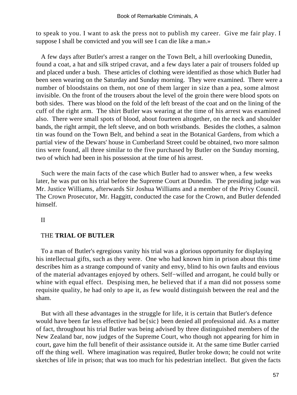to speak to you. I want to ask the press not to publish my career. Give me fair play. I suppose I shall be convicted and you will see I can die like a man.»

 A few days after Butler's arrest a ranger on the Town Belt, a hill overlooking Dunedin, found a coat, a hat and silk striped cravat, and a few days later a pair of trousers folded up and placed under a bush. These articles of clothing were identified as those which Butler had been seen wearing on the Saturday and Sunday morning. They were examined. There were a number of bloodstains on them, not one of them larger in size than a pea, some almost invisible. On the front of the trousers about the level of the groin there were blood spots on both sides. There was blood on the fold of the left breast of the coat and on the lining of the cuff of the right arm. The shirt Butler was wearing at the time of his arrest was examined also. There were small spots of blood, about fourteen altogether, on the neck and shoulder bands, the right armpit, the left sleeve, and on both wristbands. Besides the clothes, a salmon tin was found on the Town Belt, and behind a seat in the Botanical Gardens, from which a partial view of the Dewars' house in Cumberland Street could be obtained, two more salmon tins were found, all three similar to the five purchased by Butler on the Sunday morning, two of which had been in his possession at the time of his arrest.

 Such were the main facts of the case which Butler had to answer when, a few weeks later, he was put on his trial before the Supreme Court at Dunedin. The presiding judge was Mr. Justice Williams, afterwards Sir Joshua Williams and a member of the Privy Council. The Crown Prosecutor, Mr. Haggitt, conducted the case for the Crown, and Butler defended himself.

II

# THE **TRIAL OF BUTLER**

 To a man of Butler's egregious vanity his trial was a glorious opportunity for displaying his intellectual gifts, such as they were. One who had known him in prison about this time describes him as a strange compound of vanity and envy, blind to his own faults and envious of the material advantages enjoyed by others. Self−willed and arrogant, he could bully or whine with equal effect. Despising men, he believed that if a man did not possess some requisite quality, he had only to ape it, as few would distinguish between the real and the sham.

 But with all these advantages in the struggle for life, it is certain that Butler's defence would have been far less effective had be{sic} been denied all professional aid. As a matter of fact, throughout his trial Butler was being advised by three distinguished members of the New Zealand bar, now judges of the Supreme Court, who though not appearing for him in court, gave him the full benefit of their assistance outside it. At the same time Butler carried off the thing well. Where imagination was required, Butler broke down; he could not write sketches of life in prison; that was too much for his pedestrian intellect. But given the facts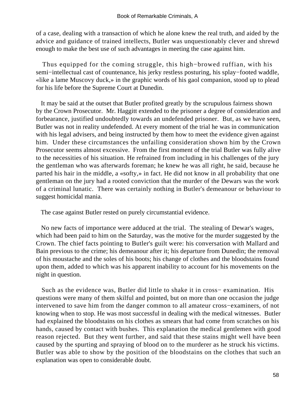of a case, dealing with a transaction of which he alone knew the real truth, and aided by the advice and guidance of trained intellects, Butler was unquestionably clever and shrewd enough to make the best use of such advantages in meeting the case against him.

 Thus equipped for the coming struggle, this high−browed ruffian, with his semi−intellectual cast of countenance, his jerky restless posturing, his splay−footed waddle, «like a lame Muscovy duck,» in the graphic words of his gaol companion, stood up to plead for his life before the Supreme Court at Dunedin.

 It may be said at the outset that Butler profited greatly by the scrupulous fairness shown by the Crown Prosecutor. Mr. Haggitt extended to the prisoner a degree of consideration and forbearance, justified undoubtedly towards an undefended prisoner. But, as we have seen, Butler was not in reality undefended. At every moment of the trial he was in communication with his legal advisers, and being instructed by them how to meet the evidence given against him. Under these circumstances the unfailing consideration shown him by the Crown Prosecutor seems almost excessive. From the first moment of the trial Butler was fully alive to the necessities of his situation. He refrained from including in his challenges of the jury the gentleman who was afterwards foreman; he knew he was all right, he said, because he parted his hair in the middle, a «softy,» in fact. He did not know in all probability that one gentleman on the jury had a rooted conviction that the murder of the Dewars was the work of a criminal lunatic. There was certainly nothing in Butler's demeanour or behaviour to suggest homicidal mania.

The case against Butler rested on purely circumstantial evidence.

 No new facts of importance were adduced at the trial. The stealing of Dewar's wages, which had been paid to him on the Saturday, was the motive for the murder suggested by the Crown. The chief facts pointing to Butler's guilt were: his conversation with Mallard and Bain previous to the crime; his demeanour after it; his departure from Dunedin; the removal of his moustache and the soles of his boots; his change of clothes and the bloodstains found upon them, added to which was his apparent inability to account for his movements on the night in question.

 Such as the evidence was, Butler did little to shake it in cross− examination. His questions were many of them skilful and pointed, but on more than one occasion the judge intervened to save him from the danger common to all amateur cross−examiners, of not knowing when to stop. He was most successful in dealing with the medical witnesses. Butler had explained the bloodstains on his clothes as smears that had come from scratches on his hands, caused by contact with bushes. This explanation the medical gentlemen with good reason rejected. But they went further, and said that these stains might well have been caused by the spurting and spraying of blood on to the murderer as he struck his victims. Butler was able to show by the position of the bloodstains on the clothes that such an explanation was open to considerable doubt.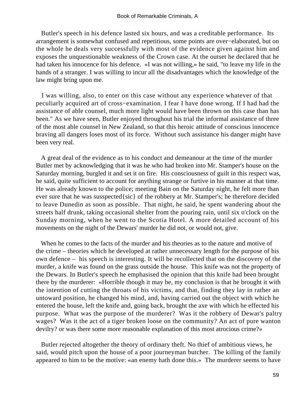Butler's speech in his defence lasted six hours, and was a creditable performance. Its arrangement is somewhat confused and repetitious, some points are over−elaborated, but on the whole he deals very successfully with most of the evidence given against him and exposes the unquestionable weakness of the Crown case. At the outset he declared that he had taken his innocence for his defence. «I was not willing,» he said, "to leave my life in the hands of a stranger. I was willing to incur all the disadvantages which the knowledge of the law might bring upon me.

 I was willing, also, to enter on this case without any experience whatever of that peculiarly acquired art of cross−examination. I fear I have done wrong. If I had had the assistance of able counsel, much more light would have been thrown on this case than has been." As we have seen, Butler enjoyed throughout his trial the informal assistance of three of the most able counsel in New Zealand, so that this heroic attitude of conscious innocence braving all dangers loses most of its force. Without such assistance his danger might have been very real.

 A great deal of the evidence as to his conduct and demeanour at the time of the murder Butler met by acknowledging that it was he who had broken into Mr. Stamper's house on the Saturday morning, burgled it and set it on fire. His consciousness of guilt in this respect was, he said, quite sufficient to account for anything strange or furtive in his manner at that time. He was already known to the police; meeting Bain on the Saturday night, he felt more than ever sure that he was susspected{sic} of the robbery at Mr. Stamper's; he therefore decided to leave Dunedin as soon as possible. That night, he said, he spent wandering about the streets half drunk, taking occasional shelter from the pouring rain, until six o'clock on the Sunday morning, when he went to the Scotia Hotel. A more detailed account of his movements on the night of the Dewars' murder he did not, or would not, give.

 When he comes to the facts of the murder and his theories as to the nature and motive of the crime – theories which he developed at rather unnecessary length for the purpose of his own defence – his speech is interesting. It will be recollected that on the discovery of the murder, a knife was found on the grass outside the house. This knife was not the property of the Dewars. In Butler's speech he emphasised the opinion that this knife had been brought there by the murderer: «Horrible though it may be, my conclusion is that he brought it with the intention of cutting the throats of his victims, and that, finding they lay in rather an untoward position, he changed his mind, and, having carried out the object with which he entered the house, left the knife and, going back, brought the axe with which he effected his purpose. What was the purpose of the murderer? Was it the robbery of Dewar's paltry wages? Was it the act of a tiger broken loose on the community? An act of pure wanton devilry? or was there some more reasonable explanation of this most atrocious crime?»

 Butler rejected altogether the theory of ordinary theft. No thief of ambitious views, he said, would pitch upon the house of a poor journeyman butcher. The killing of the family appeared to him to be the motive: «an enemy hath done this.» The murderer seems to have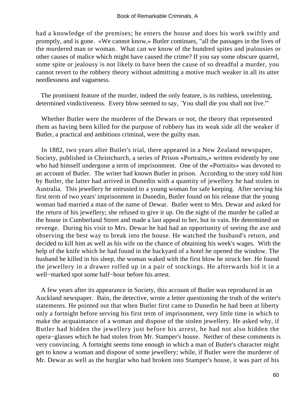had a knowledge of the premises; he enters the house and does his work swiftly and promptly, and is gone. «We cannot know,» Butler continues, "all the passages in the lives of the murdered man or woman. What can we know of the hundred spites and jealousies or other causes of malice which might have caused the crime? If you say some obscure quarrel, some spite or jealousy is not likely to have been the cause of so dreadful a murder, you cannot revert to the robbery theory without admitting a motive much weaker in all its utter needlessness and vagueness.

 The prominent feature of the murder, indeed the only feature, is its ruthless, unrelenting, determined vindictiveness. Every blow seemed to say, `You shall die you shall not live.'"

 Whether Butler were the murderer of the Dewars or not, the theory that represented them as having been killed for the purpose of robbery has its weak side all the weaker if Butler, a practical and ambitious criminal, were the guilty man.

 In 1882, two years after Butler's trial, there appeared in a New Zealand newspaper, Society, published in Christchurch, a series of Prison «Portraits,» written evidently by one who had himself undergone a term of imprisonment. One of the «Portraits» was devoted to an account of Butler. The writer had known Butler in prison. According to the story told him by Butler, the latter had arrived in Dunedin with a quantity of jewellery he had stolen in Australia. This jewellery he entrusted to a young woman for safe keeping. After serving his first term of two years' imprisonment in Dunedin, Butler found on his release that the young woman had married a man of the name of Dewar. Butler went to Mrs. Dewar and asked for the return of his jewellery; she refused to give it up. On the night of the murder he called at the house in Cumberland Street and made a last appeal to her, but in vain. He determined on revenge. During his visit to Mrs. Dewar he had had an opportunity of seeing the axe and observing the best way to break into the house. He watched the husband's return, and decided to kill him as well as his wife on the chance of obtaining his week's wages. With the help of the knife which he had found in the backyard of a hotel he opened the window. The husband he killed in his sleep, the woman waked with the first blow he struck her. He found the jewellery in a drawer rolled up in a pair of stockings. He afterwards hid it in a well−marked spot some half−hour before his arrest.

 A few years after its appearance in Society, this account of Butler was reproduced in an Auckland newspaper. Bain, the detective, wrote a letter questioning the truth of the writer's statements. He pointed out that when Butler first came to Dunedin he had been at liberty only a fortnight before serving his first term of imprisonment, very little time in which to make the acquaintance of a woman and dispose of the stolen jewellery. He asked why, if Butler had hidden the jewellery just before his arrest, he had not also hidden the opera−glasses which he had stolen from Mr. Stamper's house. Neither of these comments is very convincing. A fortnight seems time enough in which a man of Butler's character might get to know a woman and dispose of some jewellery; while, if Butler were the murderer of Mr. Dewar as well as the burglar who had broken into Stamper's house, it was part of his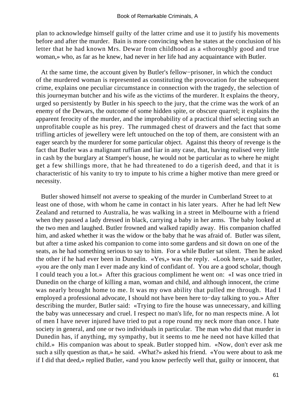plan to acknowledge himself guilty of the latter crime and use it to justify his movements before and after the murder. Bain is more convincing when he states at the conclusion of his letter that he had known Mrs. Dewar from childhood as a «thoroughly good and true woman,» who, as far as he knew, had never in her life had any acquaintance with Butler.

 At the same time, the account given by Butler's fellow−prisoner, in which the conduct of the murdered woman is represented as constituting the provocation for the subsequent crime, explains one peculiar circumstance in connection with the tragedy, the selection of this journeyman butcher and his wife as the victims of the murderer. It explains the theory, urged so persistently by Butler in his speech to the jury, that the crime was the work of an enemy of the Dewars, the outcome of some hidden spite, or obscure quarrel; it explains the apparent ferocity of the murder, and the improbability of a practical thief selecting such an unprofitable couple as his prey. The rummaged chest of drawers and the fact that some trifling articles of jewellery were left untouched on the top of them, are consistent with an eager search by the murderer for some particular object. Against this theory of revenge is the fact that Butler was a malignant ruffian and liar in any case, that, having realised very little in cash by the burglary at Stamper's house, he would not be particular as to where he might get a few shillings more, that he had threatened to do a tigerish deed, and that it is characteristic of his vanity to try to impute to his crime a higher motive than mere greed or necessity.

 Butler showed himself not averse to speaking of the murder in Cumberland Street to at least one of those, with whom he came in contact in his later years. After he had left New Zealand and returned to Australia, he was walking in a street in Melbourne with a friend when they passed a lady dressed in black, carrying a baby in her arms. The baby looked at the two men and laughed. Butler frowned and walked rapidly away. His companion chaffed him, and asked whether it was the widow or the baby that he was afraid of. Butler was silent, but after a time asked his companion to come into some gardens and sit down on one of the seats, as he had something serious to say to him. For a while Butler sat silent. Then he asked the other if he had ever been in Dunedin. «Yes,» was the reply. «Look here,» said Butler, «you are the only man I ever made any kind of confidant of. You are a good scholar, though I could teach you a lot.» After this gracious compliment he went on: «I was once tried in Dunedin on the charge of killing a man, woman and child, and although innocent, the crime was nearly brought home to me. It was my own ability that pulled me through. Had I employed a professional advocate, I should not have been here to−day talking to you.» After describing the murder, Butler said: «Trying to fire the house was unnecessary, and killing the baby was unnecessary and cruel. I respect no man's life, for no man respects mine. A lot of men I have never injured have tried to put a rope round my neck more than once. I hate society in general, and one or two individuals in particular. The man who did that murder in Dunedin has, if anything, my sympathy, but it seems to me he need not have killed that child.» His companion was about to speak. Butler stopped him. «Now, don't ever ask me such a silly question as that,» he said. «What?» asked his friend. «You were about to ask me if I did that deed,» replied Butler, «and you know perfectly well that, guilty or innocent, that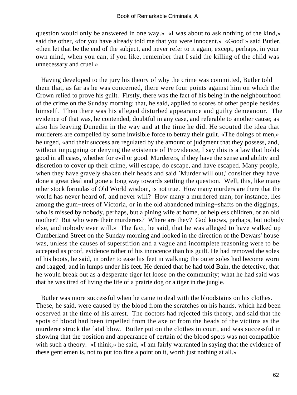question would only be answered in one way.» «I was about to ask nothing of the kind,» said the other, «for you have already told me that you were innocent.» «Good!» said Butler, «then let that be the end of the subject, and never refer to it again, except, perhaps, in your own mind, when you can, if you like, remember that I said the killing of the child was unnecessary and cruel.»

 Having developed to the jury his theory of why the crime was committed, Butler told them that, as far as he was concerned, there were four points against him on which the Crown relied to prove his guilt. Firstly, there was the fact of his being in the neighbourhood of the crime on the Sunday morning; that, he said, applied to scores of other people besides himself. Then there was his alleged disturbed appearance and guilty demeanour. The evidence of that was, he contended, doubtful in any case, and referable to another cause; as also his leaving Dunedin in the way and at the time he did. He scouted the idea that murderers are compelled by some invisible force to betray their guilt. «The doings of men,» he urged, «and their success are regulated by the amount of judgment that they possess, and, without impugning or denying the existence of Providence, I say this is a law that holds good in all cases, whether for evil or good. Murderers, if they have the sense and ability and discretion to cover up their crime, will escape, do escape, and have escaped. Many people, when they have gravely shaken their heads and said `Murder will out,' consider they have done a great deal and gone a long way towards settling the question. Well, this, like many other stock formulas of Old World wisdom, is not true. How many murders are there that the world has never heard of, and never will? How many a murdered man, for instance, lies among the gum−trees of Victoria, or in the old abandoned mining−shafts on the diggings, who is missed by nobody, perhaps, but a pining wife at home, or helpless children, or an old mother? But who were their murderers? Where are they? God knows, perhaps, but nobody else, and nobody ever will.» The fact, he said, that he was alleged to have walked up Cumberland Street on the Sunday morning and looked in the direction of the Dewars' house was, unless the causes of superstition and a vague and incomplete reasoning were to be accepted as proof, evidence rather of his innocence than his guilt. He had removed the soles of his boots, he said, in order to ease his feet in walking; the outer soles had become worn and ragged, and in lumps under his feet. He denied that he had told Bain, the detective, that he would break out as a desperate tiger let loose on the community; what he had said was that he was tired of living the life of a prairie dog or a tiger in the jungle.

 Butler was more successful when he came to deal with the bloodstains on his clothes. These, he said, were caused by the blood from the scratches on his hands, which had been observed at the time of his arrest. The doctors had rejected this theory, and said that the spots of blood had been impelled from the axe or from the heads of the victims as the murderer struck the fatal blow. Butler put on the clothes in court, and was successful in showing that the position and appearance of certain of the blood spots was not compatible with such a theory. «I think,» he said, «I am fairly warranted in saying that the evidence of these gentlemen is, not to put too fine a point on it, worth just nothing at all.»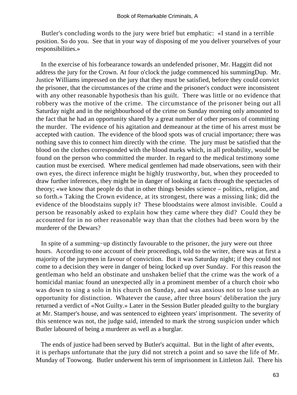Butler's concluding words to the jury were brief but emphatic: «I stand in a terrible position. So do you. See that in your way of disposing of me you deliver yourselves of your responsibilities.»

 In the exercise of his forbearance towards an undefended prisoner, Mr. Haggitt did not address the jury for the Crown. At four o'clock the judge commenced his summingDup. Mr. Justice Williams impressed on the jury that they must be satisfied, before they could convict the prisoner, that the circumstances of the crime and the prisoner's conduct were inconsistent with any other reasonable hypothesis than his guilt. There was little or no evidence that robbery was the motive of the crime. The circumstance of the prisoner being out all Saturday night and in the neighbourhood of the crime on Sunday morning only amounted to the fact that he had an opportunity shared by a great number of other persons of committing the murder. The evidence of his agitation and demeanour at the time of his arrest must be accepted with caution. The evidence of the blood spots was of crucial importance; there was nothing save this to connect him directly with the crime. The jury must be satisfied that the blood on the clothes corresponded with the blood marks which, in all probability, would be found on the person who committed the murder. In regard to the medical testimony some caution must be exercised. Where medical gentlemen had made observations, seen with their own eyes, the direct inference might be highly trustworthy, but, when they proceeded to draw further inferences, they might be in danger of looking at facts through the spectacles of theory; «we know that people do that in other things besides science – politics, religion, and so forth.» Taking the Crown evidence, at its strongest, there was a missing link; did the evidence of the bloodstains supply it? These bloodstains were almost invisible. Could a person be reasonably asked to explain how they came where they did? Could they be accounted for in no other reasonable way than that the clothes had been worn by the murderer of the Dewars?

 In spite of a summing−up distinctly favourable to the prisoner, the jury were out three hours. According to one account of their proceedings, told to the writer, there was at first a majority of the jurymen in favour of conviction. But it was Saturday night; if they could not come to a decision they were in danger of being locked up over Sunday. For this reason the gentleman who held an obstinate and unshaken belief that the crime was the work of a homicidal maniac found an unexpected ally in a prominent member of a church choir who was down to sing a solo in his church on Sunday, and was anxious not to lose such an opportunity for distinction. Whatever the cause, after three hours' deliberation the jury returned a verdict of «Not Guilty.» Later in the Session Butler pleaded guilty to the burglary at Mr. Stamper's house, and was sentenced to eighteen years' imprisonment. The severity of this sentence was not, the judge said, intended to mark the strong suspicion under which Butler laboured of being a murderer as well as a burglar.

 The ends of justice had been served by Butler's acquittal. But in the light of after events, it is perhaps unfortunate that the jury did not stretch a point and so save the life of Mr. Munday of Toowong. Butler underwent his term of imprisonment in Littleton Jail. There his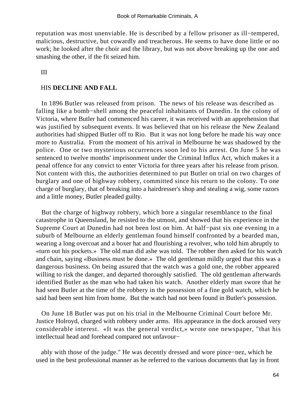reputation was most unenviable. He is described by a fellow prisoner as ill−tempered, malicious, destructive, but cowardly and treacherous. He seems to have done little or no work; he looked after the choir and the library, but was not above breaking up the one and smashing the other, if the fit seized him.

#### III

#### HIS **DECLINE AND FALL**

 In 1896 Butler was released from prison. The news of his release was described as falling like a bomb−shell among the peaceful inhabitants of Dunedin. In the colony of Victoria, where Butler had commenced his career, it was received with an apprehension that was justified by subsequent events. It was believed that on his release the New Zealand authorities had shipped Butler off to Rio. But it was not long before he made his way once more to Australia. From the moment of his arrival in Melbourne he was shadowed by the police. One or two mysterious occurrences soon led to his arrest. On June 5 he was sentenced to twelve months' imprisonment under the Criminal Influx Act, which makes it a penal offence for any convict to enter Victoria for three years after his release from prison. Not content with this, the authorities determined to put Butler on trial on two charges of burglary and one of highway robbery, committed since his return to the colony. To one charge of burglary, that of breaking into a hairdresser's shop and stealing a wig, some razors and a little money, Butler pleaded guilty.

 But the charge of highway robbery, which bore a singular resemblance to the final catastrophe in Queensland, he resisted to the utmost, and showed that his experience in the Supreme Court at Dunedin had not been lost on him. At half−past six one evening in a suburb of Melbourne an elderly gentleman found himself confronted by a bearded man, wearing a long overcoat and a boxer hat and flourishing a revolver, who told him abruptly to «turn out his pockets.» The old man did ashe was told. The robber then asked for his watch and chain, saying «Business must be done.» The old gentleman mildly urged that this was a dangerous business. On being assured that the watch was a gold one, the robber appeared willing to risk the danger, and departed thoroughly satisfied. The old gentleman afterwards identified Butler as the man who had taken his watch. Another elderly man swore that he had seen Butler at the time of the robbery in the possession of a fine gold watch, which he said had been sent him from home. But the watch had not been found in Butler's possession.

 On June 18 Butler was put on his trial in the Melbourne Criminal Court before Mr. Justice Holroyd, charged with robbery under arms. His appearance in the dock aroused very considerable interest. «It was the general verdict,» wrote one newspaper, "that his intellectual head and forehead compared not unfavour−

 ably with those of the judge." He was decently dressed and wore pince−nez, which he used in the best professional manner as he referred to the various documents that lay in front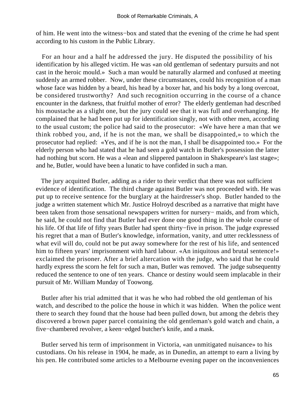of him. He went into the witness−box and stated that the evening of the crime he had spent according to his custom in the Public Library.

 For an hour and a half he addressed the jury. He disputed the possibility of his identification by his alleged victim. He was «an old gentleman of sedentary pursuits and not cast in the heroic mould.» Such a man would be naturally alarmed and confused at meeting suddenly an armed robber. Now, under these circumstances, could his recognition of a man whose face was hidden by a beard, his head by a boxer hat, and his body by a long overcoat, be considered trustworthy? And such recognition occurring in the course of a chance encounter in the darkness, that fruitful mother of error? The elderly gentleman had described his moustache as a slight one, but the jury could see that it was full and overhanging. He complained that he had been put up for identification singly, not with other men, according to the usual custom; the police had said to the prosecutor: «We have here a man that we think robbed you, and, if he is not the man, we shall be disappointed,» to which the prosecutor had replied: «Yes, and if he is not the man, I shall be disappointed too.» For the elderly person who had stated that he had seen a gold watch in Butler's possession the latter had nothing but scorn. He was a «lean and slippered pantaloon in Shakespeare's last stage»; and he, Butler, would have been a lunatic to have confided in such a man.

 The jury acquitted Butler, adding as a rider to their verdict that there was not sufficient evidence of identification. The third charge against Butler was not proceeded with. He was put up to receive sentence for the burglary at the hairdresser's shop. Butler handed to the judge a written statement which Mr. Justice Holroyd described as a narrative that might have been taken from those sensational newspapers written for nursery− maids, and from which, he said, he could not find that Butler had ever done one good thing in the whole course of his life. Of that life of fifty years Butler had spent thirty−five in prison. The judge expressed his regret that a man of Butler's knowledge, information, vanity, and utter recklessness of what evil will do, could not be put away somewhere for the rest of his life, and sentenced him to fifteen years' imprisonment with hard labour. «An iniquitous and brutal sentence!» exclaimed the prisoner. After a brief altercation with the judge, who said that he could hardly express the scorn he felt for such a man, Butler was removed. The judge subsequentty reduced the sentence to one of ten years. Chance or destiny would seem implacable in their pursuit of Mr. William Munday of Toowong.

 Butler after his trial admitted that it was he who had robbed the old gentleman of his watch, and described to the police the house in which it was hidden. When the police went there to search they found that the house had been pulled down, but among the debris they discovered a brown paper parcel containing the old gentleman's gold watch and chain, a five−chambered revolver, a keen−edged butcher's knife, and a mask.

 Butler served his term of imprisonment in Victoria, «an unmitigated nuisance» to his custodians. On his release in 1904, he made, as in Dunedin, an attempt to earn a living by his pen. He contributed some articles to a Melbourne evening paper on the inconveniences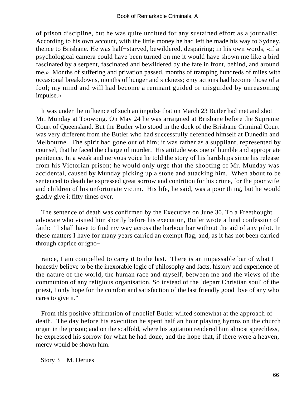of prison discipline, but he was quite unfitted for any sustained effort as a journalist. According to his own account, with the little money he had left he made his way to Sydney, thence to Brisbane. He was half−starved, bewildered, despairing; in his own words, «if a psychological camera could have been turned on me it would have shown me like a bird fascinated by a serpent, fascinated and bewildered by the fate in front, behind, and around me.» Months of suffering and privation passed, months of tramping hundreds of miles with occasional breakdowns, months of hunger and sickness; «my actions had become those of a fool; my mind and will had become a remnant guided or misguided by unreasoning impulse.»

 It was under the influence of such an impulse that on March 23 Butler had met and shot Mr. Munday at Toowong. On May 24 he was arraigned at Brisbane before the Supreme Court of Queensland. But the Butler who stood in the dock of the Brisbane Criminal Court was very different from the Butler who had successfully defended himself at Dunedin and Melbourne. The spirit had gone out of him; it was rather as a suppliant, represented by counsel, that he faced the charge of murder. His attitude was one of humble and appropriate penitence. In a weak and nervous voice he told the story of his hardships since his release from his Victorian prison; he would only urge that the shooting of Mr. Munday was accidental, caused by Munday picking up a stone and attacking him. When about to be sentenced to death he expressed great sorrow and contrition for his crime, for the poor wife and children of his unfortunate victim. His life, he said, was a poor thing, but he would gladly give it fifty times over.

 The sentence of death was confirmed by the Executive on June 30. To a Freethought advocate who visited him shortly before his execution, Butler wrote a final confession of faith: "I shall have to find my way across the harbour bar without the aid of any pilot. In these matters I have for many years carried an exempt flag, and, as it has not been carried through caprice or igno−

 rance, I am compelled to carry it to the last. There is an impassable bar of what I honestly believe to be the inexorable logic of philosophy and facts, history and experience of the nature of the world, the human race and myself, between me and the views of the communion of any religious organisation. So instead of the `depart Christian soul' of the priest, I only hope for the comfort and satisfaction of the last friendly good−bye of any who cares to give it."

 From this positive affirmation of unbelief Butler wilted somewhat at the approach of death. The day before his execution he spent half an hour playing hymns on the church organ in the prison; and on the scaffold, where his agitation rendered him almost speechless, he expressed his sorrow for what he had done, and the hope that, if there were a heaven, mercy would be shown him.

Story 3 − M. Derues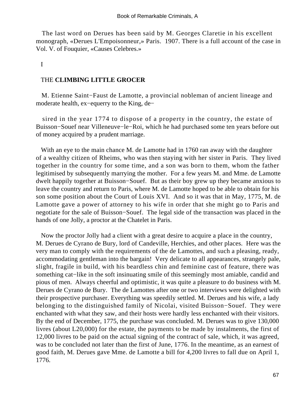The last word on Derues has been said by M. Georges Claretie in his excellent monograph, «Derues L'Empoisonneur,» Paris. 1907. There is a full account of the case in Vol. V. of Fouquier, «Causes Celebres.»

### I

### THE **CLIMBING LITTLE GROCER**

 M. Etienne Saint−Faust de Lamotte, a provincial nobleman of ancient lineage and moderate health, ex−equerry to the King, de−

 sired in the year 1774 to dispose of a property in the country, the estate of Buisson−Souef near Villeneuve−le−Roi, which he had purchased some ten years before out of money acquired by a prudent marriage.

 With an eye to the main chance M. de Lamotte had in 1760 ran away with the daughter of a wealthy citizen of Rheims, who was then staying with her sister in Paris. They lived together in the country for some time, and a son was born to them, whom the father legitimised by subsequently marrying the mother. For a few years M. and Mme. de Lamotte dwelt happily together at Buisson−Souef. But as their boy grew up they became anxious to leave the country and return to Paris, where M. de Lamotte hoped to be able to obtain for his son some position about the Court of Louis XVI. And so it was that in May, 1775, M. de Lamotte gave a power of attorney to his wife in order that she might go to Paris and negotiate for the sale of Buisson−Souef. The legal side of the transaction was placed in the hands of one Jolly, a proctor at the Chatelet in Paris.

 Now the proctor Jolly had a client with a great desire to acquire a place in the country, M. Derues de Cyrano de Bury, lord of Candeville, Herchies, and other places. Here was the very man to comply with the requirements of the de Lamottes, and such a pleasing, ready, accommodating gentleman into the bargain! Very delicate to all appearances, strangely pale, slight, fragile in build, with his beardless chin and feminine cast of feature, there was something cat–like in the soft insinuating smile of this seemingly most amiable, candid and pious of men. Always cheerful and optimistic, it was quite a pleasure to do business with M. Derues de Cyrano de Bury. The de Lamottes after one or two interviews were delighted with their prospective purchaser. Everything was speedily settled. M. Derues and his wife, a lady belonging to the distinguished family of Nicolai, visited Buisson−Souef. They were enchanted with what they saw, and their hosts were hardly less enchanted with their visitors. By the end of December, 1775, the purchase was concluded. M. Derues was to give 130,000 livres (about L20,000) for the estate, the payments to be made by instalments, the first of 12,000 livres to be paid on the actual signing of the contract of sale, which, it was agreed, was to be concluded not later than the first of June, 1776. In the meantime, as an earnest of good faith, M. Derues gave Mme. de Lamotte a bill for 4,200 livres to fall due on April 1, 1776.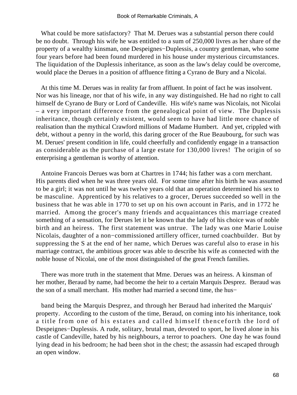What could be more satisfactory? That M. Derues was a substantial person there could be no doubt. Through his wife he was entitled to a sum of 250,000 livres as her share of the property of a wealthy kinsman, one Despeignes−Duplessis, a country gentleman, who some four years before had been found murdered in his house under mysterious circumstances. The liquidation of the Duplessis inheritance, as soon as the law's delay could be overcome, would place the Derues in a position of affluence fitting a Cyrano de Bury and a Nicolai.

 At this time M. Derues was in reality far from affluent. In point of fact he was insolvent. Nor was his lineage, nor that of his wife, in any way distinguished. He had no right to call himself de Cyrano de Bury or Lord of Candeville. His wife's name was Nicolais, not Nicolai – a very important difference from the genealogical point of view. The Duplessis inheritance, though certainly existent, would seem to have had little more chance of realisation than the mythical Crawford millions of Madame Humbert. And yet, crippled with debt, without a penny in the world, this daring grocer of the Rue Beaubourg, for such was M. Derues' present condition in life, could cheerfully and confidently engage in a transaction as considerable as the purchase of a large estate for 130,000 livres! The origin of so enterprising a gentleman is worthy of attention.

 Antoine Francois Derues was born at Chartres in 1744; his father was a corn merchant. His parents died when he was three years old. For some time after his birth he was assumed to be a girl; it was not until he was twelve years old that an operation determined his sex to be masculine. Apprenticed by his relatives to a grocer, Derues succeeded so well in the business that he was able in 1770 to set up on his own account in Paris, and in 1772 he married. Among the grocer's many friends and acquaintances this marriage created something of a sensation, for Derues let it be known that the lady of his choice was of noble birth and an heiress. The first statement was untrue. The lady was one Marie Louise Nicolais, daughter of a non−commissioned artillery officer, turned coachbuilder. But by suppressing the S at the end of her name, which Derues was careful also to erase in his marriage contract, the ambitious grocer was able to describe his wife as connected with the noble house of Nicolai, one of the most distinguished of the great French families.

 There was more truth in the statement that Mme. Derues was an heiress. A kinsman of her mother, Beraud by name, had become the heir to a certain Marquis Desprez. Beraud was the son of a small merchant. His mother had married a second time, the hus−

 band being the Marquis Desprez, and through her Beraud had inherited the Marquis' property. According to the custom of the time, Beraud, on coming into his inheritance, took a title from one of his estates and called himself thenceforth the lord of Despeignes−Duplessis. A rude, solitary, brutal man, devoted to sport, he lived alone in his castle of Candeville, hated by his neighbours, a terror to poachers. One day he was found lying dead in his bedroom; he had been shot in the chest; the assassin had escaped through an open window.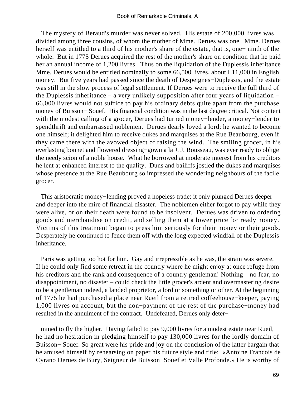The mystery of Beraud's murder was never solved. His estate of 200,000 livres was divided among three cousins, of whom the mother of Mme. Derues was one. Mme. Derues herself was entitled to a third of his mother's share of the estate, that is, one− ninth of the whole. But in 1775 Derues acquired the rest of the mother's share on condition that he paid her an annual income of 1,200 livres. Thus on the liquidation of the Duplessis inheritance Mme. Derues would be entitled nominally to some 66,500 livres, about L11,000 in English money. But five years had passed since the death of Despeignes−Duplessis, and the estate was still in the slow process of legal settlement. If Derues were to receive the full third of the Duplessis inheritance – a very unlikely supposition after four years of liquidation – 66,000 livres would not suffice to pay his ordinary debts quite apart from the purchase money of Buisson− Souef. His financial condition was in the last degree critical. Not content with the modest calling of a grocer, Derues had turned money−lender, a money−lender to spendthrift and embarrassed noblemen. Derues dearly loved a lord; he wanted to become one himself; it delighted him to receive dukes and marquises at the Rue Beaubourg, even if they came there with the avowed object of raising the wind. The smiling grocer, in his everlasting bonnet and flowered dressing−gown a la J. J. Rousseau, was ever ready to oblige the needy scion of a noble house. What he borrowed at moderate interest from his creditors he lent at enhanced interest to the quality. Duns and bailiffs jostled the dukes and marquises whose presence at the Rue Beaubourg so impressed the wondering neighbours of the facile grocer.

 This aristocratic money−lending proved a hopeless trade; it only plunged Derues deeper and deeper into the mire of financial disaster. The noblemen either forgot to pay while they were alive, or on their death were found to be insolvent. Derues was driven to ordering goods and merchandise on credit, and selling them at a lower price for ready money. Victims of this treatment began to press him seriously for their money or their goods. Desperately he continued to fence them off with the long expected windfall of the Duplessis inheritance.

 Paris was getting too hot for him. Gay and irrepressible as he was, the strain was severe. If he could only find some retreat in the country where he might enjoy at once refuge from his creditors and the rank and consequence of a country gentleman! Nothing – no fear, no disappointment, no disaster – could check the little grocer's ardent and overmastering desire to be a gentleman indeed, a landed proprietor, a lord or something or other. At the beginning of 1775 he had purchased a place near Rueil from a retired coffeehouse−keeper, paying 1,000 livres on account, but the non−payment of the rest of the purchase−money had resulted in the annulment of the contract. Undefeated, Derues only deter−

 mined to fly the higher. Having failed to pay 9,000 livres for a modest estate near Rueil, he had no hesitation in pledging himself to pay 130,000 livres for the lordly domain of Buisson− Souef. So great were his pride and joy on the conclusion of the latter bargain that he amused himself by rehearsing on paper his future style and title: «Antoine Francois de Cyrano Derues de Bury, Seigneur de Buisson−Souef et Valle Profonde.» He is worthy of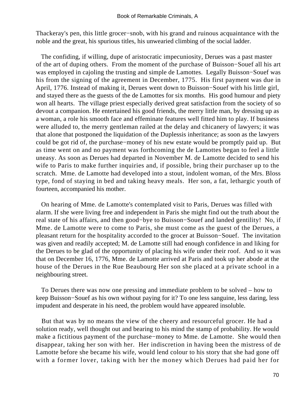Thackeray's pen, this little grocer−snob, with his grand and ruinous acquaintance with the noble and the great, his spurious titles, his unwearied climbing of the social ladder.

 The confiding, if willing, dupe of aristocratic impecuniosity, Derues was a past master of the art of duping others. From the moment of the purchase of Buisson−Souef all his art was employed in cajoling the trusting and simple de Lamottes. Legally Buisson−Souef was his from the signing of the agreement in December, 1775. His first payment was due in April, 1776. Instead of making it, Derues went down to Buisson−Souef with his little girl, and stayed there as the guests of the de Lamottes for six months. His good humour and piety won all hearts. The village priest especially derived great satisfaction from the society of so devout a companion. He entertained his good friends, the merry little man, by dressing up as a woman, a role his smooth face and effeminate features well fitted him to play. If business were alluded to, the merry gentleman railed at the delay and chicanery of lawyers; it was that alone that postponed the liquidation of the Duplessis inheritance; as soon as the lawyers could be got rid of, the purchase−money of his new estate would be promptly paid up. But as time went on and no payment was forthcoming the de Lamottes began to feel a little uneasy. As soon as Derues had departed in November M. de Lamotte decided to send his wife to Paris to make further inquiries and, if possible, bring their purchaser up to the scratch. Mme. de Lamotte had developed into a stout, indolent woman, of the Mrs. Bloss type, fond of staying in bed and taking heavy meals. Her son, a fat, lethargic youth of fourteen, accompanied his mother.

 On hearing of Mme. de Lamotte's contemplated visit to Paris, Derues was filled with alarm. If she were living free and independent in Paris she might find out the truth about the real state of his affairs, and then good−bye to Buisson−Souef and landed gentility! No, if Mme. de Lamotte were to come to Paris, she must come as the guest of the Derues, a pleasant return for the hospitality accorded to the grocer at Buisson−Souef. The invitation was given and readily accepted; M. de Lamotte still had enough confidence in and liking for the Derues to be glad of the opportunity of placing his wife under their roof. And so it was that on December 16, 1776, Mme. de Lamotte arrived at Paris and took up her abode at the house of the Derues in the Rue Beaubourg Her son she placed at a private school in a neighbouring street.

 To Derues there was now one pressing and immediate problem to be solved – how to keep Buisson−Souef as his own without paying for it? To one less sanguine, less daring, less impudent and desperate in his need, the problem would have appeared insoluble.

 But that was by no means the view of the cheery and resourceful grocer. He had a solution ready, well thought out and bearing to his mind the stamp of probability. He would make a fictitious payment of the purchase−money to Mme. de Lamotte. She would then disappear, taking her son with her. Her indiscretion in having been the mistress of de Lamotte before she became his wife, would lend colour to his story that she had gone off with a former lover, taking with her the money which Derues had paid her for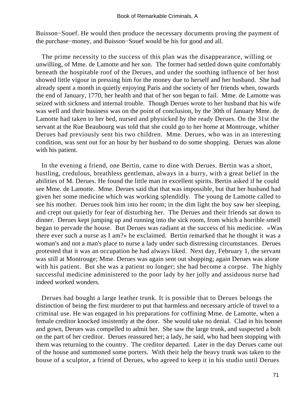Buisson−Souef. He would then produce the necessary documents proving the payment of the purchase−money, and Buisson−Souef would be his for good and all.

 The prime necessity to the success of this plan was the disappearance, willing or unwilling, of Mme. de Lamotte and her son. The former had settled down quite comfortably beneath the hospitable roof of the Derues, and under the soothing influence of her host showed little vigour in pressing him for the money due to herself and her husband. She had already spent a month in quietly enjoying Paris and the society of her friends when, towards the end of January, 1770, her health and that of her son began to fail. Mme. de Lamotte was seized with sickness and internal trouble. Though Derues wrote to her husband that his wife was well and their business was on the point of conclusion, by the 30th of January Mme. de Lamotte had taken to her bed, nursed and physicked by the ready Derues. On the 31st the servant at the Rue Beaubourg was told that she could go to her home at Montrouge, whither Derues had previously sent his two children. Mme. Derues, who was in an interesting condition, was sent out for an hour by her husband to do some shopping. Derues was alone with his patient.

 In the evening a friend, one Bertin, came to dine with Derues. Bertin was a short, hustling, credulous, breathless gentleman, always in a hurry, with a great belief in the abilities of M. Derues. He found the little man in excellent spirits. Bertin asked if he could see Mme. de Lamotte. Mme. Derues said that that was impossible, but that her husband had given her some medicine which was working splendidly. The young de Lamotte called to see his mother. Derues took him into her room; in the dim light the boy saw her sleeping, and crept out quietly for fear of disturbing her. The Derues and their friends sat down to dinner. Derues kept jumping up and running into the sick room, from which a horrible smell began to pervade the house. But Derues was radiant at the success of his medicine. «Was there ever such a nurse as I am?» he exclaimed. Bertin remarked that he thought it was a woman's and not a man's place to nurse a lady under such distressing circumstances. Derues protested that it was an occupation he had always liked. Next day, February 1, the servant was still at Montrouge; Mme. Derues was again sent out shopping; again Derues was alone with his patient. But she was a patient no longer; she had become a corpse. The highly successful medicine administered to the poor lady by her jolly and assiduous nurse had indeed worked wonders.

 Derues had bought a large leather trunk. It is possible that to Derues belongs the distinction of being the first murderer to put that harmless and necessary article of travel to a criminal use. He was engaged in his preparations for coffining Mme. de Lamotte, when a female creditor knocked insistently at the door. She would take no denial. Clad in his bonnet and gown, Derues was compelled to admit her. She saw the large trunk, and suspected a bolt on the part of her creditor. Derues reassured her; a lady, he said, who had been stopping with them was returning to the country. The creditor departed. Later in the day Derues came out of the house and summoned some porters. With their help the heavy trunk was taken to the house of a sculptor, a friend of Derues, who agreed to keep it in his studio until Derues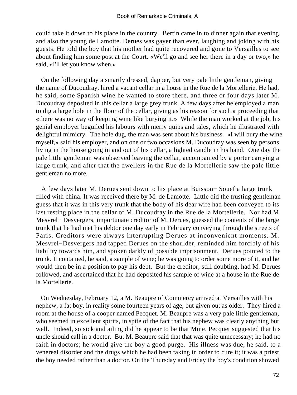could take it down to his place in the country. Bertin came in to dinner again that evening, and also the young de Lamotte. Derues was gayer than ever, laughing and joking with his guests. He told the boy that his mother had quite recovered and gone to Versailles to see about finding him some post at the Court. «We'll go and see her there in a day or two,» he said, «I'll let you know when.»

 On the following day a smartly dressed, dapper, but very pale little gentleman, giving the name of Ducoudray, hired a vacant cellar in a house in the Rue de la Mortellerie. He had, he said, some Spanish wine he wanted to store there, and three or four days later M. Ducoudray deposited in this cellar a large grey trunk. A few days after he employed a man to dig a large hole in the floor of the cellar, giving as his reason for such a proceeding that «there was no way of keeping wine like burying it.» While the man worked at the job, his genial employer beguiled his labours with merry quips and tales, which he illustrated with delightful mimicry. The hole dug, the man was sent about his business. «I will bury the wine myself,» said his employer, and on one or two occasions M. Ducoudray was seen by persons living in the house going in and out of his cellar, a lighted candle in his hand. One day the pale little gentleman was observed leaving the cellar, accompanied by a porter carrying a large trunk, and after that the dwellers in the Rue de la Mortellerie saw the pale little gentleman no more.

 A few days later M. Derues sent down to his place at Buisson− Souef a large trunk filled with china. It was received there by M. de Lamotte. Little did the trusting gentleman guess that it was in this very trunk that the body of his dear wife had been conveyed to its last resting place in the cellar of M. Ducoudray in the Rue de la Mortellerie. Nor had M. Mesvrel− Desvergers, importunate creditor of M. Derues, guessed the contents of the large trunk that he had met his debtor one day early in February conveying through the streets of Paris. Creditors were always interrupting Derues at inconvenient moments. M. Mesvrel−Desvergers had tapped Derues on the shoulder, reminded him forcibly of his liability towards him, and spoken darkly of possible imprisonment. Derues pointed to the trunk. It contained, he said, a sample of wine; he was going to order some more of it, and he would then be in a position to pay his debt. But the creditor, still doubting, had M. Derues followed, and ascertained that he had deposited his sample of wine at a house in the Rue de la Mortellerie.

 On Wednesday, February 12, a M. Beaupre of Commercy arrived at Versailles with his nephew, a fat boy, in reality some fourteen years of age, but given out as older. They hired a room at the house of a cooper named Pecquet. M. Beaupre was a very pale little gentleman, who seemed in excellent spirits, in spite of the fact that his nephew was clearly anything but well. Indeed, so sick and ailing did he appear to be that Mme. Pecquet suggested that his uncle should call in a doctor. But M. Beaupre said that that was quite unnecessary; he had no faith in doctors; he would give the boy a good purge. His illness was due, he said, to a venereal disorder and the drugs which he had been taking in order to cure it; it was a priest the boy needed rather than a doctor. On the Thursday and Friday the boy's condition showed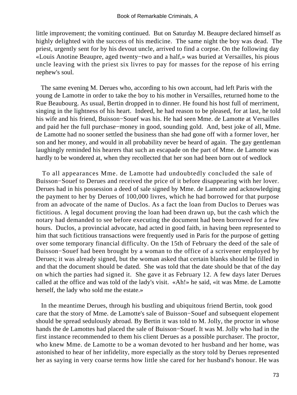little improvement; the vomiting continued. But on Saturday M. Beaupre declared himself as highly delighted with the success of his medicine. The same night the boy was dead. The priest, urgently sent for by his devout uncle, arrived to find a corpse. On the following day «Louis Anotine Beaupre, aged twenty−two and a half,» was buried at Versailles, his pious uncle leaving with the priest six livres to pay for masses for the repose of his erring nephew's soul.

 The same evening M. Derues who, according to his own account, had left Paris with the young de Lamotte in order to take the boy to his mother in Versailles, returned home to the Rue Beaubourg. As usual, Bertin dropped in to dinner. He found his host full of merriment, singing in the lightness of his heart. Indeed, he had reason to be pleased, for at last, he told his wife and his friend, Buisson−Souef was his. He had seen Mme. de Lamotte at Versailles and paid her the full purchase−money in good, sounding gold. And, best joke of all, Mme. de Lamotte had no sooner settled the business than she had gone off with a former lover, her son and her money, and would in all probability never be heard of again. The gay gentleman laughingly reminded his hearers that such an escapade on the part of Mme. de Lamotte was hardly to be wondered at, when they recollected that her son had been born out of wedlock

 To all appearances Mme. de Lamotte had undoubtedly concluded the sale of Buisson−Souef to Derues and received the price of it before disappearing with her lover. Derues had in his possession a deed of sale signed by Mme. de Lamotte and acknowledging the payment to her by Derues of 100,000 livres, which he had borrowed for that purpose from an advocate of the name of Duclos. As a fact the loan from Duclos to Derues was fictitious. A legal document proving the loan had been drawn up, but the cash which the notary had demanded to see before executing the document had been borrowed for a few hours. Duclos, a provincial advocate, had acted in good faith, in having been represented to him that such fictitious transactions were frequently used in Paris for the purpose of getting over some temporary financial difficulty. On the 15th of February the deed of the sale of Buisson−Souef had been brought by a woman to the office of a scrivener employed by Derues; it was already signed, but the woman asked that certain blanks should be filled in and that the document should be dated. She was told that the date should be that of the day on which the parties had signed it. She gave it as February 12. A few days later Derues called at the office and was told of the lady's visit. «Ah!» he said, «it was Mme. de Lamotte herself, the lady who sold me the estate.»

 In the meantime Derues, through his bustling and ubiquitous friend Bertin, took good care that the story of Mme. de Lamotte's sale of Buisson−Souef and subsequent elopement should be spread sedulously abroad. By Bertin it was told to M. Jolly, the proctor in whose hands the de Lamottes had placed the sale of Buisson−Souef. It was M. Jolly who had in the first instance recommended to them his client Derues as a possible purchaser. The proctor, who knew Mme. de Lamotte to be a woman devoted to her husband and her home, was astonished to hear of her infidelity, more especially as the story told by Derues represented her as saying in very coarse terms how little she cared for her husband's honour. He was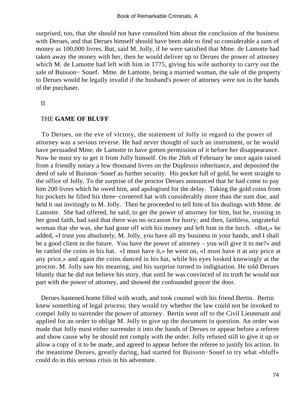surprised, too, that she should not have consulted him about the conclusion of the business with Derues, and that Derues himself should have been able to find so considerable a sum of money as 100,000 livres. But, said M. Jolly, if he were satisfied that Mme. de Lamotte had taken away the money with her, then he would deliver up to Derues the power of attorney which M. de Lamotte had left with him in 1775, giving his wife authority to carry out the sale of Buisson− Souef. Mme. de Lamotte, being a married woman, the sale of the property to Derues would be legally invalid if the husband's power of attorney were not in the hands of the purchaser.

II

## THE **GAME OF BLUFF**

 To Derues, on the eve of victory, the statement of Jolly in regard to the power of attorney was a serious reverse. He had never thought of such an instrument, or he would have persuaded Mme. de Lamotte to have gotten permission of it before her disappearance. Now he must try to get it from Jolly himself. On the 26th of February he once again raised from a friendly notary a few thousand livres on the Duplessis inheritance, and deposited the deed of sale of Buisson−Souef as further security. His pocket full of gold, he went straight to the office of Jolly. To the surprise of the proctor Derues announced that he had come to pay him 200 livres which he owed him, and apologised for the delay. Taking the gold coins from his pockets he filled his three−cornered hat with considerably more than the sum due, and held it out invitingly to M. Jolly. Then he proceeded to tell him of his dealings with Mme. de Lamotte. She had offered, he said, to get the power of attorney for him, but he, trusting in her good faith, had said that there was no occasion for hurry; and then, faithless, ungrateful woman that she was, she had gone off with his money and left him in the lurch. «But,» he added, «I trust you absolutely, M. Jolly, you have all my business in your hands, and I shall be a good client in the future. You have the power of attorney – you will give it to me?» and he rattled the coins in his hat. «I must have it,» he went on, «I must have it at any price at any price,» and again the coins danced in his hat, while his eyes looked knowingly at the proctor. M. Jolly saw his meaning, and his surprise turned to indignation. He told Derues bluntly that he did not believe his story, that until he was convinced of its truth he would not part with the power of attorney, and showed the confounded grocer the door.

 Derues hastened home filled with wrath, and took counsel with his friend Bertin. Bertin knew something of legal process; they would try whether the law could not be invoked to compel Jolly to surrender the power of attorney. Bertin went off to the Civil Lieutenant and applied for an order to oblige M. Jolly to give up the document in question. An order was made that Jolly must either surrender it into the hands of Derues or appear before a referee and show cause why he should not comply with the order. Jolly refused still to give it up or allow a copy of it to be made, and agreed to appear before the referee to justify his action. In the meantime Derues, greatly daring, had started for Buisson−Souef to try what «bluff» could do in this serious crisis in his adventure.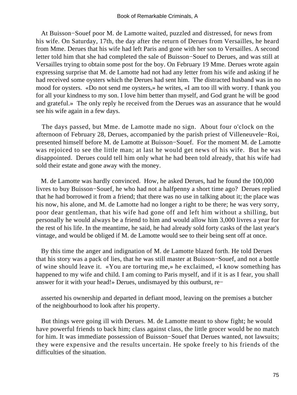At Buisson−Souef poor M. de Lamotte waited, puzzled and distressed, for news from his wife. On Saturday, 17th, the day after the return of Derues from Versailles, he heard from Mme. Derues that his wife had left Paris and gone with her son to Versailles. A second letter told him that she had completed the sale of Buisson−Souef to Derues, and was still at Versailles trying to obtain some post for the boy. On February 19 Mme. Derues wrote again expressing surprise that M. de Lamotte had not had any letter from his wife and asking if he had received some oysters which the Derues had sent him. The distracted husband was in no mood for oysters. «Do not send me oysters,» he writes, «I am too ill with worry. I thank you for all your kindness to my son. I love him better than myself, and God grant he will be good and grateful.» The only reply he received from the Derues was an assurance that he would see his wife again in a few days.

 The days passed, but Mme. de Lamotte made no sign. About four o'clock on the afternoon of February 28, Derues, accompanied by the parish priest of Villeneuvele−Roi, presented himself before M. de Lamotte at Buisson−Souef. For the moment M. de Lamotte was rejoiced to see the little man; at last he would get news of his wife. But he was disappointed. Derues could tell him only what he had been told already, that his wife had sold their estate and gone away with the money.

 M. de Lamotte was hardly convinced. How, he asked Derues, had he found the 100,000 livres to buy Buisson−Souef, he who had not a halfpenny a short time ago? Derues replied that he had borrowed it from a friend; that there was no use in talking about it; the place was his now, his alone, and M. de Lamotte had no longer a right to be there; he was very sorry, poor dear gentleman, that his wife had gone off and left him without a shilling, but personally he would always be a friend to him and would allow him 3,000 livres a year for the rest of his life. In the meantime, he said, he had already sold forty casks of the last year's vintage, and would be obliged if M. de Lamotte would see to their being sent off at once.

 By this time the anger and indignation of M. de Lamotte blazed forth. He told Derues that his story was a pack of lies, that he was still master at Buisson−Souef, and not a bottle of wine should leave it. «You are torturing me,» he exclaimed, «I know something has happened to my wife and child. I am coming to Paris myself, and if it is as I fear, you shall answer for it with your head!» Derues, undismayed by this outburst, re−

 asserted his ownership and departed in defiant mood, leaving on the premises a butcher of the neighbourhood to look after his property.

 But things were going ill with Derues. M. de Lamotte meant to show fight; he would have powerful friends to back him; class against class, the little grocer would be no match for him. It was immediate possession of Buisson−Souef that Derues wanted, not lawsuits; they were expensive and the results uncertain. He spoke freely to his friends of the difficulties of the situation.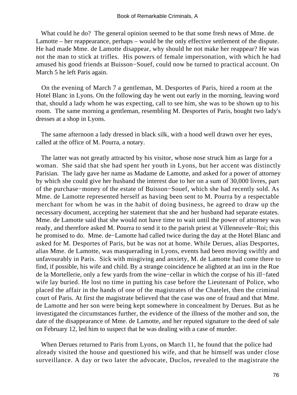What could he do? The general opinion seemed to be that some fresh news of Mme. de Lamotte – her reappearance, perhaps – would be the only effective settlement of the dispute. He had made Mme. de Lamotte disappear, why should he not make her reappear? He was not the man to stick at trifles. His powers of female impersonation, with which he had amused his good friends at Buisson−Souef, could now be turned to practical account. On March 5 he left Paris again.

 On the evening of March 7 a gentleman, M. Desportes of Paris, hired a room at the Hotel Blanc in Lyons. On the following day he went out early in the morning, leaving word that, should a lady whom he was expecting, call to see him, she was to be shown up to his room. The same morning a gentleman, resembling M. Desportes of Paris, bought two lady's dresses at a shop in Lyons.

 The same afternoon a lady dressed in black silk, with a hood well drawn over her eyes, called at the office of M. Pourra, a notary.

 The latter was not greatly attracted by his visitor, whose nose struck him as large for a woman. She said that she had spent her youth in Lyons, but her accent was distinctly Parisian. The lady gave her name as Madame de Lamotte, and asked for a power of attorney by which she could give her husband the interest due to her on a sum of 30,000 livres, part of the purchase−money of the estate of Buisson−Souef, which she had recently sold. As Mme. de Lamotte represented herself as having been sent to M. Pourra by a respectable merchant for whom he was in the habit of doing business, he agreed to draw up the necessary document, accepting her statement that she and her husband had separate estates. Mme. de Lamotte said that she would not have time to wait until the power of attorney was ready, and therefore asked M. Pourra to send it to the parish priest at Villeneuvele−Roi; this he promised to do. Mme. de−Lamotte had called twice during the day at the Hotel Blanc and asked for M. Desportes of Paris, but he was not at home. While Derues, alias Desportes, alias Mme. de Lamotte, was masquerading in Lyons, events had been moving swiftly and unfavourably in Paris. Sick with misgiving and anxiety, M. de Lamotte had come there to find, if possible, his wife and child. By a strange coincidence he alighted at an inn in the Rue de la Mortellerie, only a few yards from the wine−cellar in which the corpse of his ill−fated wife lay buried. He lost no time in putting his case before the Lieutenant of Police, who placed the affair in the hands of one of the magistrates of the Chatelet, then the criminal court of Paris. At first the magistrate believed that the case was one of fraud and that Mme. de Lamotte and her son were being kept somewhere in concealment by Derues. But as he investigated the circumstances further, the evidence of the illness of the mother and son, the date of the disappearance of Mme. de Lamotte, and her reputed signature to the deed of sale on February 12, led him to suspect that he was dealing with a case of murder.

 When Derues returned to Paris from Lyons, on March 11, he found that the police had already visited the house and questioned his wife, and that he himself was under close surveillance. A day or two later the advocate, Duclos, revealed to the magistrate the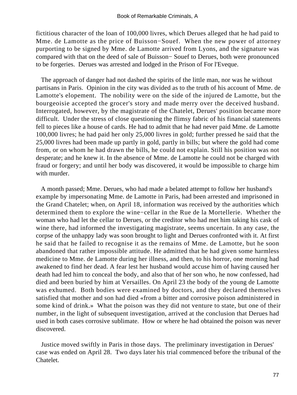fictitious character of the loan of 100,000 livres, which Derues alleged that he had paid to Mme. de Lamotte as the price of Buisson−Souef. When the new power of attorney purporting to be signed by Mme. de Lamotte arrived from Lyons, and the signature was compared with that on the deed of sale of Buisson− Souef to Derues, both were pronounced to be forgeries. Derues was arrested and lodged in the Prison of For l'Eveque.

 The approach of danger had not dashed the spirits of the little man, nor was he without partisans in Paris. Opinion in the city was divided as to the truth of his account of Mme. de Lamotte's elopement. The nobility were on the side of the injured de Lamotte, but the bourgeoisie accepted the grocer's story and made merry over the deceived husband. Interrogated, however, by the magistrate of the Chatelet, Derues' position became more difficult. Under the stress of close questioning the flimsy fabric of his financial statements fell to pieces like a house of cards. He had to admit that he had never paid Mme. de Lamotte 100,000 livres; he had paid her only 25,000 livres in gold; further pressed he said that the 25,000 livres had been made up partly in gold, partly in bills; but where the gold had come from, or on whom he had drawn the bills, he could not explain. Still his position was not desperate; and he knew it. In the absence of Mme. de Lamotte he could not be charged with fraud or forgery; and until her body was discovered, it would be impossible to charge him with murder.

 A month passed; Mme. Derues, who had made a belated attempt to follow her husband's example by impersonating Mme. de Lamotte in Paris, had been arrested and imprisoned in the Grand Chatelet; when, on April 18, information was received by the authorities which determined them to explore the wine−cellar in the Rue de la Mortellerie. Whether the woman who had let the cellar to Derues, or the creditor who had met him taking his cask of wine there, had informed the investigating magistrate, seems uncertain. In any case, the corpse of the unhappy lady was soon brought to light and Derues confronted with it. At first he said that he failed to recognise it as the remains of Mme. de Lamotte, but he soon abandoned that rather impossible attitude. He admitted that he had given some harmless medicine to Mme. de Lamotte during her illness, and then, to his horror, one morning had awakened to find her dead. A fear lest her husband would accuse him of having caused her death had led him to conceal the body, and also that of her son who, he now confessed, had died and been buried by him at Versailles. On April 23 the body of the young de Lamotte was exhumed. Both bodies were examined by doctors, and they declared themselves satisfied that mother and son had died «from a bitter and corrosive poison administered in some kind of drink.» What the poison was they did not venture to state, but one of their number, in the light of subsequent investigation, arrived at the conclusion that Derues had used in both cases corrosive sublimate. How or where he had obtained the poison was never discovered.

 Justice moved swiftly in Paris in those days. The preliminary investigation in Derues' case was ended on April 28. Two days later his trial commenced before the tribunal of the Chatelet.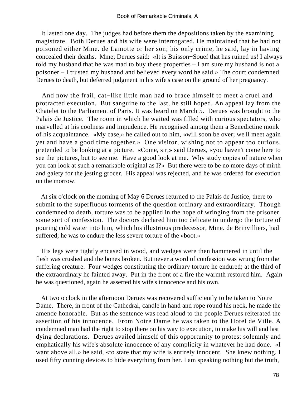It lasted one day. The judges had before them the depositions taken by the examining magistrate. Both Derues and his wife were interrogated. He maintained that he had not poisoned either Mme. de Lamotte or her son; his only crime, he said, lay in having concealed their deaths. Mme; Derues said: «It is Buisson−Souef that has ruined us! I always told my husband that he was mad to buy these properties – I am sure my husband is not a poisoner – I trusted my husband and believed every word he said.» The court condemned Derues to death, but deferred judgment in his wife's case on the ground of her pregnancy.

 And now the frail, cat−like little man had to brace himself to meet a cruel and protracted execution. But sanguine to the last, he still hoped. An appeal lay from the Chatelet to the Parliament of Paris. It was heard on March 5. Derues was brought to the Palais de Justice. The room in which he waited was filled with curious spectators, who marvelled at his coolness and impudence. He recognised among them a Benedictine monk of his acquaintance. «My case,» he called out to him, «will soon be over; we'll meet again yet and have a good time together.» One visitor, wishing not to appear too curious, pretended to be looking at a picture. «Come, sir,» said Derues, «you haven't come here to see the pictures, but to see me. Have a good look at me. Why study copies of nature when you can look at such a remarkable original as I?» But there were to be no more days of mirth and gaiety for the jesting grocer. His appeal was rejected, and he was ordered for execution on the morrow.

 At six o'clock on the morning of May 6 Derues returned to the Palais de Justice, there to submit to the superfluous torments of the question ordinary and extraordinary. Though condemned to death, torture was to be applied in the hope of wringing from the prisoner some sort of confession. The doctors declared him too delicate to undergo the torture of pouring cold water into him, which his illustrious predecessor, Mme. de Brinvilliers, had suffered; he was to endure the less severe torture of the «boot.»

 His legs were tightly encased in wood, and wedges were then hammered in until the flesh was crushed and the bones broken. But never a word of confession was wrung from the suffering creature. Four wedges constituting the ordinary torture he endured; at the third of the extraordinary he fainted away. Put in the front of a fire the warmth restored him. Again he was questioned, again he asserted his wife's innocence and his own.

 At two o'clock in the afternoon Derues was recovered sufficiently to be taken to Notre Dame. There, in front of the Cathedral, candle in hand and rope round his neck, he made the amende honorable. But as the sentence was read aloud to the people Derues reiterated the assertion of his innocence. From Notre Dame he was taken to the Hotel de Ville. A condemned man had the right to stop there on his way to execution, to make his will and last dying declarations. Derues availed himself of this opportunity to protest solemnly and emphatically his wife's absolute innocence of any complicity in whatever he had done. «I want above all,» he said, «to state that my wife is entirely innocent. She knew nothing. I used fifty cunning devices to hide everything from her. I am speaking nothing but the truth,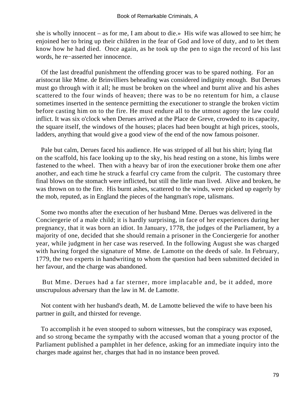she is wholly innocent – as for me, I am about to die.» His wife was allowed to see him; he enjoined her to bring up their children in the fear of God and love of duty, and to let them know how he had died. Once again, as he took up the pen to sign the record of his last words, he re−asserted her innocence.

 Of the last dreadful punishment the offending grocer was to be spared nothing. For an aristocrat like Mme. de Brinvilliers beheading was considered indignity enough. But Derues must go through with it all; he must be broken on the wheel and burnt alive and his ashes scattered to the four winds of heaven; there was to be no retentum for him, a clause sometimes inserted in the sentence permitting the executioner to strangle the broken victim before casting him on to the fire. He must endure all to the utmost agony the law could inflict. It was six o'clock when Derues arrived at the Place de Greve, crowded to its capacity, the square itself, the windows of the houses; places had been bought at high prices, stools, ladders, anything that would give a good view of the end of the now famous poisoner.

 Pale but calm, Derues faced his audience. He was stripped of all but his shirt; lying flat on the scaffold, his face looking up to the sky, his head resting on a stone, his limbs were fastened to the wheel. Then with a heavy bar of iron the executioner broke them one after another, and each time he struck a fearful cry came from the culprit. The customary three final blows on the stomach were inflicted, but still the little man lived. Alive and broken, he was thrown on to the fire. His burnt ashes, scattered to the winds, were picked up eagerly by the mob, reputed, as in England the pieces of the hangman's rope, talismans.

 Some two months after the execution of her husband Mme. Derues was delivered in the Conciergerie of a male child; it is hardly surprising, in face of her experiences during her pregnancy, that it was born an idiot. In January, 1778, the judges of the Parliament, by a majority of one, decided that she should remain a prisoner in the Conciergerie for another year, while judgment in her case was reserved. In the following August she was charged with having forged the signature of Mme. de Lamotte on the deeds of sale. In February, 1779, the two experts in handwriting to whom the question had been submitted decided in her favour, and the charge was abandoned.

 But Mme. Derues had a far sterner, more implacable and, be it added, more unscrupulous adversary than the law in M. de Lamotte.

 Not content with her husband's death, M. de Lamotte believed the wife to have been his partner in guilt, and thirsted for revenge.

 To accomplish it he even stooped to suborn witnesses, but the conspiracy was exposed, and so strong became the sympathy with the accused woman that a young proctor of the Parliament published a pamphlet in her defence, asking for an immediate inquiry into the charges made against her, charges that had in no instance been proved.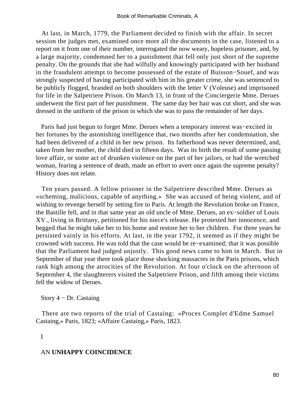At last, in March, 1779, the Parliament decided to finish with the affair. In secret session the judges met, examined once more all the documents in the case, listened to a report on it from one of their number, interrogated the now weary, hopeless prisoner, and, by a large majority, condemned her to a punishment that fell only just short of the supreme penalty. On the grounds that she had wilfully and knowingly participated with her husband in the fraudulent attempt to become possessed of the estate of Buisson−Souef, and was strongly suspected of having participated with him in his greater crime, she was sentenced to be publicly flogged, branded on both shoulders with the letter V (Voleuse) and imprisoned for life in the Salpetriere Prison. On March 13, in front of the Conciergerie Mme. Derues underwent the first part of her punishment. The same day her hair was cut short, and she was dressed in the uniform of the prison in which she was to pass the remainder of her days.

 Paris had just begun to forget Mme. Derues when a temporary interest was−excited in her fortunes by the astonishing intelligence that, two months after her condemnation, she had been delivered of a child in her new prison. Its fatherhood was never determined, and, taken from her mother, the child died in fifteen days. Was its birth the result of some passing love affair, or some act of drunken violence on the part of her jailors, or had the wretched woman, fearing a sentence of death, made an effort to avert once again the supreme penalty? History does not relate.

 Ten years passed. A fellow prisoner in the Salpetriere described Mme. Derues as «scheming, malicious, capable of anything.» She was accused of being violent, and of wishing to revenge herself by setting fire to Paris. At length the Revolution broke on France, the Bastille fell, and in that same year an old uncle of Mme. Derues, an ex−soldier of Louis XV., living in Brittany, petitioned for his niece's release. He protested her innocence, and begged that he might take her to his home and restore her to her children. For three years he persisted vainly in his efforts. At last, in the year 1792, it seemed as if they might be crowned with success. He was told that the case would be re−examined; that it was possible that the Parliament had judged unjustly. This good news came to him in March. But in September of that year there took place those shocking massacres in the Paris prisons, which rank high among the atrocities of the Revolution. At four o'clock on the afternoon of September 4, the slaughterers visited the Salpetriere Prison, and fifth among their victims fell the widow of Derues.

Story 4 − Dr. Castaing

 There are two reports of the trial of Castaing: «Proces Complet d'Edme Samuel Castaing,» Paris, 1823; «Affaire Castaing,» Paris, 1823.

I

## AN **UNHAPPY COINCIDENCE**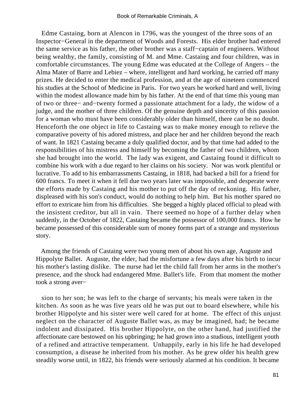Edme Castaing, born at Alencon in 1796, was the youngest of the three sons of an Inspector−General in the department of Woods and Forests. His elder brother had entered the same service as his father, the other brother was a staff−captain of engineers. Without being wealthy, the family, consisting of M. and Mme. Castaing and four children, was in comfortable circumstances. The young Edme was educated at the College of Angers – the Alma Mater of Barre and Lebiez – where, intelligent and hard working, he carried off many prizes. He decided to enter the medical profession, and at the age of nineteen commenced his studies at the School of Medicine in Paris. For two years he worked hard and well, living within the modest allowance made him by his father. At the end of that time this young man of two or three− and−twenty formed a passionate attachment for a lady, the widow of a judge, and the mother of three children. Of the genuine depth and sincerity of this passion for a woman who must have been considerably older than himself, there can be no doubt. Henceforth the one object in life to Castaing was to make money enough to relieve the comparative poverty of his adored mistress, and place her and her children beyond the reach of want. In 1821 Castaing became a duly qualified doctor, and by that time had added to the responsibilities of his mistress and himself by becoming the father of two children, whom she had brought into the world. The lady was exigent, and Castaing found it difficult to combine his work with a due regard to her claims on his society. Nor was work plentiful or lucrative. To add to his embarrassments Castaing, in 1818, had backed a bill for a friend for 600 francs. To meet it when it fell due two years later was impossible, and desperate were the efforts made by Castaing and his mother to put off the day of reckoning. His father, displeased with his son's conduct, would do nothing to help him. But his mother spared no effort to extricate him from his difficulties. She begged a highly placed official to plead with the insistent creditor, but all in vain. There seemed no hope of a further delay when suddenly, in the October of 1822, Castaing became the possessor of 100,000 francs. How he became possessed of this considerable sum of money forms part of a strange and mysterious story.

 Among the friends of Castaing were two young men of about his own age, Auguste and Hippolyte Ballet. Auguste, the elder, had the misfortune a few days after his birth to incur his mother's lasting dislike. The nurse had let the child fall from her arms in the mother's presence, and the shock had endangered Mme. Ballet's life. From that moment the mother took a strong aver−

 sion to her son; he was left to the charge of servants; his meals were taken in the kitchen. As soon as he was five years old he was put out to board elsewhere, while his brother Hippolyte and his sister were well cared for at home. The effect of this unjust neglect on the character of Auguste Ballet was, as may be imagined, had; he became indolent and dissipated. His brother Hippolyte, on the other hand, had justified the affectionate care bestowed on his upbringing; he had grown into a studious, intelligent youth of a refined and attractive temperament. Unhappily, early in his life he had developed consumption, a disease he inherited from his mother. As he grew older his health grew steadily worse until, in 1822, his friends were seriously alarmed at his condition. It became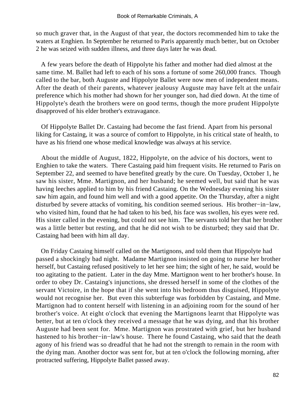so much graver that, in the August of that year, the doctors recommended him to take the waters at Enghien. In September he returned to Paris apparently much better, but on October 2 he was seized with sudden illness, and three days later he was dead.

 A few years before the death of Hippolyte his father and mother had died almost at the same time. M. Ballet had left to each of his sons a fortune of some 260,000 francs. Though called to the bar, both Auguste and Hippolyte Ballet were now men of independent means. After the death of their parents, whatever jealousy Auguste may have felt at the unfair preference which his mother had shown for her younger son, had died down. At the time of Hippolyte's death the brothers were on good terms, though the more prudent Hippolyte disapproved of his elder brother's extravagance.

 Of Hippolyte Ballet Dr. Castaing had become the fast friend. Apart from his personal liking for Castaing, it was a source of comfort to Hippolyte, in his critical state of health, to have as his friend one whose medical knowledge was always at his service.

 About the middle of August, 1822, Hippolyte, on the advice of his doctors, went to Enghien to take the waters. There Castaing paid him frequent visits. He returned to Paris on September 22, and seemed to have benefited greatly by the cure. On Tuesday, October 1, he saw his sister, Mme. Martignon, and her husband; he seemed well, but said that he was having leeches applied to him by his friend Castaing. On the Wednesday evening his sister saw him again, and found him well and with a good appetite. On the Thursday, after a night disturbed by severe attacks of vomiting, his condition seemed serious. His brother−in−law, who visited him, found that he had taken to his bed, his face was swollen, his eyes were red. His sister called in the evening, but could not see him. The servants told her that her brother was a little better but resting, and that he did not wish to be disturbed; they said that Dr. Castaing had been with him all day.

 On Friday Castaing himself called on the Martignons, and told them that Hippolyte had passed a shockingly bad night. Madame Martignon insisted on going to nurse her brother herself, but Castaing refused positively to let her see him; the sight of her, he said, would be too agitating to the patient. Later in the day Mme. Martignon went to her brother's house. In order to obey Dr. Castaing's injunctions, she dressed herself in some of the clothes of the servant Victoire, in the hope that if she went into his bedroom thus disguised, Hippolyte would not recognise her. But even this subterfuge was forbidden by Castaing, and Mme. Martignon had to content herself with listening in an adjoining room for the sound of her brother's voice. At eight o'clock that evening the Martignons learnt that Hippolyte was better, but at ten o'clock they received a message that he was dying, and that his brother Auguste had been sent for. Mme. Martignon was prostrated with grief, but her husband hastened to his brother−in−law's house. There he found Castaing, who said that the death agony of his friend was so dreadful that he had not the strength to remain in the room with the dying man. Another doctor was sent for, but at ten o'clock the following morning, after protracted suffering, Hippolyte Ballet passed away.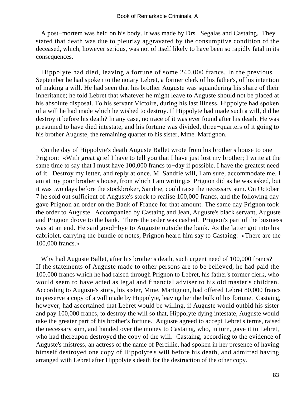A post−mortem was held on his body. It was made by Drs. Segalas and Castaing. They stated that death was due to pleurisy aggravated by the consumptive condition of the deceased, which, however serious, was not of itself likely to have been so rapidly fatal in its consequences.

 Hippolyte had died, leaving a fortune of some 240,000 francs. In the previous September he had spoken to the notary Lebret, a former clerk of his father's, of his intention of making a will. He had seen that his brother Auguste was squandering his share of their inheritance; he told Lebret that whatever he might leave to Auguste should not be placed at his absolute disposal. To his servant Victoire, during his last illness, Hippolyte had spoken of a will he had made which he wished to destroy. If Hippolyte had made such a will, did he destroy it before his death? In any case, no trace of it was ever found after his death. He was presumed to have died intestate, and his fortune was divided, three−quarters of it going to his brother Auguste, the remaining quarter to his sister, Mme. Martignon.

 On the day of Hippolyte's death Auguste Ballet wrote from his brother's house to one Prignon: «With great grief I have to tell you that I have just lost my brother; I write at the same time to say that I must have 100,000 francs to−day if possible. I have the greatest need of it. Destroy my letter, and reply at once. M. Sandrie will, I am sure, accommodate me. I am at my poor brother's house, from which I am writing.» Prignon did as he was asked, but it was two days before the stockbroker, Sandrie, could raise the necessary sum. On October 7 he sold out sufficient of Auguste's stock to realise 100,000 francs, and the following day gave Prignon an order on the Bank of France for that amount. The same day Prignon took the order to Auguste. Accompanied by Castaing and Jean, Auguste's black servant, Auguste and Prignon drove to the bank. There the order was cashed. Prignon's part of the business was at an end. He said good−bye to Auguste outside the bank. As the latter got into his cabriolet, carrying the bundle of notes, Prignon heard him say to Castaing: «There are the 100,000 francs.»

 Why had Auguste Ballet, after his brother's death, such urgent need of 100,000 francs? If the statements of Auguste made to other persons are to be believed, he had paid the 100,000 francs which he had raised through Prignon to Lebret, his father's former clerk, who would seem to have acted as legal and financial adviser to his old master's children. According to Auguste's story, his sister, Mme. Martignon, had offered Lebret 80,000 francs to preserve a copy of a will made by Hippolyte, leaving her the bulk of his fortune. Castaing, however, had ascertained that Lebret would be willing, if Auguste would outbid his sister and pay 100,000 francs, to destroy the will so that, Hippolyte dying intestate, Auguste would take the greater part of his brother's fortune. Auguste agreed to accept Lebret's terms, raised the necessary sum, and handed over the money to Castaing, who, in turn, gave it to Lebret, who had thereupon destroyed the copy of the will. Castaing, according to the evidence of Auguste's mistress, an actress of the name of Percillie, had spoken in her presence of having himself destroyed one copy of Hippolyte's will before his death, and admitted having arranged with Lebret after Hippolyte's death for the destruction of the other copy.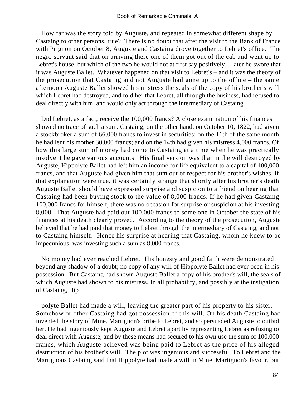How far was the story told by Auguste, and repeated in somewhat different shape by Castaing to other persons, true? There is no doubt that after the visit to the Bank of France with Prignon on October 8, Auguste and Castaing drove together to Lebret's office. The negro servant said that on arriving there one of them got out of the cab and went up to Lebret's house, but which of the two he would not at first say positively. Later he swore that it was Auguste Ballet. Whatever happened on that visit to Lebret's – and it was the theory of the prosecution that Castaing and not Auguste had gone up to the office – the same afternoon Auguste Ballet showed his mistress the seals of the copy of his brother's will which Lebret had destroyed, and told her that Lebret, all through the business, had refused to deal directly with him, and would only act through the intermediary of Castaing.

 Did Lebret, as a fact, receive the 100,000 francs? A close examination of his finances showed no trace of such a sum. Castaing, on the other hand, on October 10, 1822, had given a stockbroker a sum of 66,000 francs to invest in securities; on the 11th of the same month he had lent his mother 30,000 francs; and on the 14th had given his mistress 4,000 francs. Of how this large sum of money had come to Castaing at a time when he was practically insolvent he gave various accounts. His final version was that in the will destroyed by Auguste, Hippolyte Ballet had left him an income for life equivalent to a capital of 100,000 francs, and that Auguste had given him that sum out of respect for his brother's wishes. If that explanation were true, it was certainly strange that shortly after his brother's death Auguste Ballet should have expressed surprise and suspicion to a friend on hearing that Castaing had been buying stock to the value of 8,000 francs. If he had given Castaing 100,000 francs for himself, there was no occasion for surprise or suspicion at his investing 8,000. That Auguste had paid out 100,000 francs to some one in October the state of his finances at his death clearly proved. According to the theory of the prosecution, Auguste believed that he had paid that money to Lebret through the intermediary of Castaing, and not to Castaing himself. Hence his surprise at hearing that Castaing, whom he knew to be impecunious, was investing such a sum as 8,000 francs.

 No money had ever reached Lebret. His honesty and good faith were demonstrated beyond any shadow of a doubt; no copy of any will of Hippolyte Ballet had ever been in his possession. But Castaing had shown Auguste Ballet a copy of his brother's will, the seals of which Auguste had shown to his mistress. In all probability, and possibly at the instigation of Castaing, Hip−

 polyte Ballet had made a will, leaving the greater part of his property to his sister. Somehow or other Castaing had got possession of this will. On his death Castaing had invented the story of Mme. Martignon's bribe to Lebret, and so persuaded Auguste to outbid her. He had ingeniously kept Auguste and Lebret apart by representing Lebret as refusing to deal direct with Auguste, and by these means had secured to his own use the sum of 100,000 francs, which Auguste believed was being paid to Lebret as the price of his alleged destruction of his brother's will. The plot was ingenious and successful. To Lebret and the Martignons Castaing said that Hippolyte had made a will in Mme. Martignon's favour, but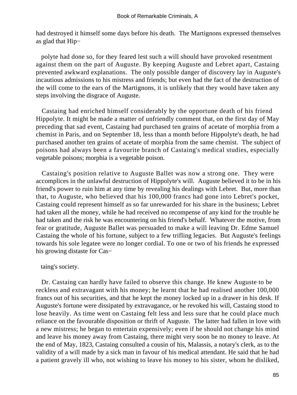had destroyed it himself some days before his death. The Martignons expressed themselves as glad that Hip−

 polyte had done so, for they feared lest such a will should have provoked resentment against them on the part of Auguste. By keeping Auguste and Lebret apart, Castaing prevented awkward explanations. The only possible danger of discovery lay in Auguste's incautious admissions to his mistress and friends; but even had the fact of the destruction of the will come to the ears of the Martignons, it is unlikely that they would have taken any steps involving the disgrace of Auguste.

 Castaing had enriched himself considerably by the opportune death of his friend Hippolyte. It might be made a matter of unfriendly comment that, on the first day of May preceding that sad event, Castaing had purchased ten grains of acetate of morphia from a chemist in Paris, and on September 18, less than a month before Hippolyte's death, he had purchased another ten grains of acetate of morphia from the same chemist. The subject of poisons had always been a favourite branch of Castaing's medical studies, especially vegetable poisons; morphia is a vegetable poison.

 Castaing's position relative to Auguste Ballet was now a strong one. They were accomplices in the unlawful destruction of Hippolyte's will. Auguste believed it to be in his friend's power to ruin him at any time by revealing his dealings with Lebret. But, more than that, to Auguste, who believed that his 100,000 francs had gone into Lebret's pocket, Castaing could represent himself as so far unrewarded for his share in the business; Lebret had taken all the money, while he had received no recompense of any kind for the trouble he had taken and the risk he was encountering on his friend's behalf. Whatever the motive, from fear or gratitude, Auguste Ballet was persuaded to make a will leaving Dr. Edme Samuel Castaing the whole of his fortune, subject to a few trifling legacies. But Auguste's feelings towards his sole legatee were no longer cordial. To one or two of his friends he expressed his growing distaste for Cas−

taing's society.

 Dr. Castaing can hardly have failed to observe this change. He knew Auguste to be reckless and extravagant with his money; he learnt that he had realised another 100,000 francs out of his securities, and that he kept the money locked up in a drawer in his desk. If Auguste's fortune were dissipated by extravagance, or he revoked his will, Castaing stood to lose heavily. As time went on Castaing felt less and less sure that he could place much reliance on the favourable disposition or thrift of Auguste. The latter had fallen in love with a new mistress; he began to entertain expensively; even if he should not change his mind and leave his money away from Castaing, there might very soon be no money to leave. At the end of May, 1823, Castaing consulted a cousin of his, Malassis, a notary's clerk, as to the validity of a will made by a sick man in favour of his medical attendant. He said that he had a patient gravely ill who, not wishing to leave his money to his sister, whom he disliked,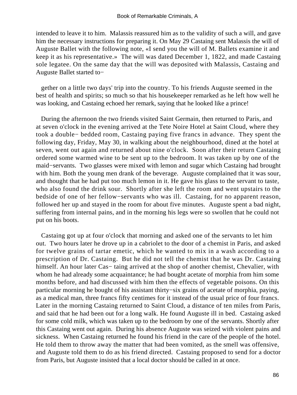intended to leave it to him. Malassis reassured him as to the validity of such a will, and gave him the necessary instructions for preparing it. On May 29 Castaing sent Malassis the will of Auguste Ballet with the following note, «I send you the will of M. Ballets examine it and keep it as his representative.» The will was dated December 1, 1822, and made Castaing sole legatee. On the same day that the will was deposited with Malassis, Castaing and Auguste Ballet started to−

 gether on a little two days' trip into the country. To his friends Auguste seemed in the best of health and spirits; so much so that his housekeeper remarked as he left how well he was looking, and Castaing echoed her remark, saying that he looked like a prince!

 During the afternoon the two friends visited Saint Germain, then returned to Paris, and at seven o'clock in the evening arrived at the Tete Noire Hotel at Saint Cloud, where they took a double− bedded room, Castaing paying five francs in advance. They spent the following day, Friday, May 30, in walking about the neighbourhood, dined at the hotel at seven, went out again and returned about nine o'clock. Soon after their return Castaing ordered some warmed wine to be sent up to the bedroom. It was taken up by one of the maid−servants. Two glasses were mixed with lemon and sugar which Castaing had brought with him. Both the young men drank of the beverage. Auguste complained that it was sour, and thought that he had put too much lemon in it. He gave his glass to the servant to taste, who also found the drink sour. Shortly after she left the room and went upstairs to the bedside of one of her fellow−servants who was ill. Castaing, for no apparent reason, followed her up and stayed in the room for about five minutes. Auguste spent a bad night, suffering from internal pains, and in the morning his legs were so swollen that he could not put on his boots.

 Castaing got up at four o'clock that morning and asked one of the servants to let him out. Two hours later he drove up in a cabriolet to the door of a chemist in Paris, and asked for twelve grains of tartar emetic, which he wanted to mix in a wash according to a prescription of Dr. Castaing. But he did not tell the chemist that he was Dr. Castaing himself. An hour later Cas− taing arrived at the shop of another chemist, Chevalier, with whom he had already some acquaintance; he had bought acetate of morphia from him some months before, and had discussed with him then the effects of vegetable poisons. On this particular morning he bought of his assistant thirty−six grains of acetate of morphia, paying, as a medical man, three francs fifty centimes for it instead of the usual price of four francs. Later in the morning Castaing returned to Saint Cloud, a distance of ten miles from Paris, and said that he had been out for a long walk. He found Auguste ill in bed. Castaing asked for some cold milk, which was taken up to the bedroom by one of the servants. Shortly after this Castaing went out again. During his absence Auguste was seized with violent pains and sickness. When Castaing returned he found his friend in the care of the people of the hotel. He told them to throw away the matter that had been vomited, as the smell was offensive, and Auguste told them to do as his friend directed. Castaing proposed to send for a doctor from Paris, but Auguste insisted that a local doctor should be called in at once.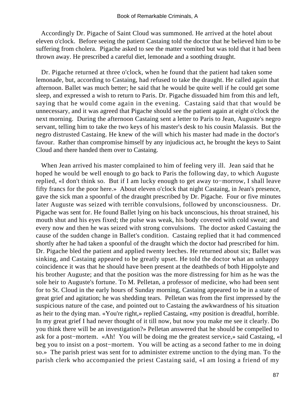Accordingly Dr. Pigache of Saint Cloud was summoned. He arrived at the hotel about eleven o'clock. Before seeing the patient Castaing told the doctor that he believed him to be suffering from cholera. Pigache asked to see the matter vomited but was told that it had been thrown away. He prescribed a careful diet, lemonade and a soothing draught.

 Dr. Pigache returned at three o'clock, when he found that the patient had taken some lemonade, but, according to Castaing, had refused to take the draught. He called again that afternoon. Ballet was much better; he said that he would be quite well if he could get some sleep, and expressed a wish to return to Paris. Dr. Pigache dissuaded him from this and left, saying that he would come again in the evening. Castaing said that that would be unnecessary, and it was agreed that Pigache should see the patient again at eight o'clock the next morning. During the afternoon Castaing sent a letter to Paris to Jean, Auguste's negro servant, telling him to take the two keys of his master's desk to his cousin Malassis. But the negro distrusted Castaing. He knew of the will which his master had made in the doctor's favour. Rather than compromise himself by any injudicious act, he brought the keys to Saint Cloud and there handed them over to Castaing.

 When Jean arrived his master complained to him of feeling very ill. Jean said that he hoped he would be well enough to go back to Paris the following day, to which Auguste replied, «I don't think so. But if I am lucky enough to get away to−morrow, I shall leave fifty francs for the poor here.» About eleven o'clock that night Castaing, in Jean's presence, gave the sick man a spoonful of the draught prescribed by Dr. Pigache. Four or five minutes later Auguste was seized with terrible convulsions, followed by unconsciousness. Dr. Pigache was sent for. He found Ballet lying on his back unconscious, his throat strained, his mouth shut and his eyes fixed; the pulse was weak, his body covered with cold sweat; and every now and then he was seized with strong convulsions. The doctor asked Castaing the cause of the sudden change in Ballet's condition. Castaing replied that it had commenced shortly after he had taken a spoonful of the draught which the doctor had prescribed for him. Dr. Pigache bled the patient and applied twenty leeches. He returned about six; Ballet was sinking, and Castaing appeared to be greatly upset. He told the doctor what an unhappy coincidence it was that he should have been present at the deathbeds of both Hippolyte and his brother Auguste; and that the position was the more distressing for him as he was the sole heir to Auguste's fortune. To M. Pelletan, a professor of medicine, who had been sent for to St. Cloud in the early hours of Sunday morning, Castaing appeared to be in a state of great grief and agitation; he was shedding tears. Pelletan was from the first impressed by the suspicious nature of the case, and pointed out to Castaing the awkwardness of his situation as heir to the dying man. «You're right,» replied Castaing, «my position is dreadful, horrible. In my great grief I had never thought of it till now, but now you make me see it clearly. Do you think there will be an investigation?» Pelletan answered that he should be compelled to ask for a post−mortem. «Ah! You will be doing me the greatest service,» said Castaing, «I beg you to insist on a post−mortem. You will be acting as a second father to me in doing so.» The parish priest was sent for to administer extreme unction to the dying man. To the parish clerk who accompanied the priest Castaing said, «I am losing a friend of my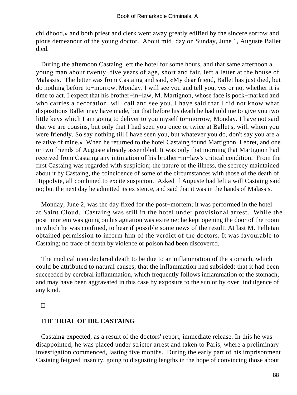childhood,» and both priest and clerk went away greatly edified by the sincere sorrow and pious demeanour of the young doctor. About mid−day on Sunday, June 1, Auguste Ballet died.

 During the afternoon Castaing left the hotel for some hours, and that same afternoon a young man about twenty−five years of age, short and fair, left a letter at the house of Malassis. The letter was from Castaing and said, «My dear friend, Ballet has just died, but do nothing before to−morrow, Monday. I will see you and tell you, yes or no, whether it is time to act. I expect that his brother−in−law, M. Martignon, whose face is pock−marked and who carries a decoration, will call and see you. I have said that I did not know what dispositions Ballet may have made, but that before his death he had told me to give you two little keys which I am going to deliver to you myself to−morrow, Monday. I have not said that we are cousins, but only that I had seen you once or twice at Ballet's, with whom you were friendly. So say nothing till I have seen you, but whatever you do, don't say you are a relative of mine.» When he returned to the hotel Castaing found Martignon, Lebret, and one or two friends of Auguste already assembled. It was only that morning that Martignon had received from Castaing any intimation of his brother−in−law's critical condition. From the first Castaing was regarded with suspicion; the nature of the illness, the secrecy maintained about it by Castaing, the coincidence of some of the circumstances with those of the death of Hippolyte, all combined to excite suspicion. Asked if Auguste had left a will Castaing said no; but the next day he admitted its existence, and said that it was in the hands of Malassis.

 Monday, June 2, was the day fixed for the post−mortem; it was performed in the hotel at Saint Cloud. Castaing was still in the hotel under provisional arrest. While the post−mortem was going on his agitation was extreme; he kept opening the door of the room in which he was confined, to hear if possible some news of the result. At last M. Pelletan obtained permission to inform him of the verdict of the doctors. It was favourable to Castaing; no trace of death by violence or poison had been discovered.

 The medical men declared death to be due to an inflammation of the stomach, which could be attributed to natural causes; that the inflammation had subsided; that it had been succeeded by cerebral inflammation, which frequently follows inflammation of the stomach, and may have been aggravated in this case by exposure to the sun or by over−indulgence of any kind.

II

## THE **TRIAL OF DR. CASTAING**

 Castaing expected, as a result of the doctors' report, immediate release. In this he was disappointed; he was placed under stricter arrest and taken to Paris, where a preliminary investigation commenced, lasting five months. During the early part of his imprisonment Castaing feigned insanity, going to disgusting lengths in the hope of convincing those about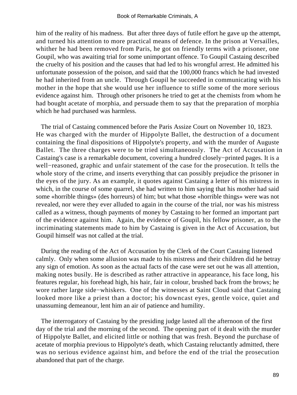him of the reality of his madness. But after three days of futile effort he gave up the attempt, and turned his attention to more practical means of defence. In the prison at Versailles, whither he had been removed from Paris, he got on friendly terms with a prisoner, one Goupil, who was awaiting trial for some unimportant offence. To Goupil Castaing described the cruelty of his position and the causes that had led to his wrongful arrest. He admitted his unfortunate possession of the poison, and said that the 100,000 francs which he had invested he had inherited from an uncle. Through Goupil he succeeded in communicating with his mother in the hope that she would use her influence to stifle some of the more serious evidence against him. Through other prisoners he tried to get at the chemists from whom he had bought acetate of morphia, and persuade them to say that the preparation of morphia which he had purchased was harmless.

 The trial of Castaing commenced before the Paris Assize Court on November 10, 1823. He was charged with the murder of Hippolyte Ballet, the destruction of a document containing the final dispositions of Hippolyte's property, and with the murder of Auguste Ballet. The three charges were to be tried simultaneously. The Act of Accusation in Castaing's case is a remarkable document, covering a hundred closely−printed pages. It is a well−reasoned, graphic and unfair statement of the case for the prosecution. It tells the whole story of the crime, and inserts everything that can possibly prejudice the prisoner in the eyes of the jury. As an example, it quotes against Castaing a letter of his mistress in which, in the course of some quarrel, she had written to him saying that his mother had said some «horrible things» (des horreurs) of him; but what those «horrible things» were was not revealed, nor were they ever alluded to again in the course of the trial, nor was his mistress called as a witness, though payments of money by Castaing to her formed an important part of the evidence against him. Again, the evidence of Goupil, his fellow prisoner, as to the incriminating statements made to him by Castaing is given in the Act of Accusation, but Goupil himself was not called at the trial.

 During the reading of the Act of Accusation by the Clerk of the Court Castaing listened calmly. Only when some allusion was made to his mistress and their children did he betray any sign of emotion. As soon as the actual facts of the case were set out he was all attention, making notes busily. He is described as rather attractive in appearance, his face long, his features regular, his forehead high, his hair, fair in colour, brushed back from the brows; he wore rather large side−whiskers. One of the witnesses at Saint Cloud said that Castaing looked more like a priest than a doctor; his downcast eyes, gentle voice, quiet and unassuming demeanour, lent him an air of patience and humility.

 The interrogatory of Castaing by the presiding judge lasted all the afternoon of the first day of the trial and the morning of the second. The opening part of it dealt with the murder of Hippolyte Ballet, and elicited little or nothing that was fresh. Beyond the purchase of acetate of morphia previous to Hippolyte's death, which Castaing reluctantly admitted, there was no serious evidence against him, and before the end of the trial the prosecution abandoned that part of the charge.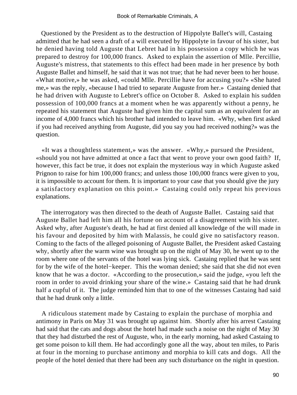Questioned by the President as to the destruction of Hippolyte Ballet's will, Castaing admitted that he had seen a draft of a will executed by Hippolyte in favour of his sister, but he denied having told Auguste that Lebret had in his possession a copy which he was prepared to destroy for 100,000 francs. Asked to explain the assertion of Mlle. Percillie, Auguste's mistress, that statements to this effect had been made in her presence by both Auguste Ballet and himself, he said that it was not true; that he had never been to her house. «What motive,» he was asked, «could Mlle. Percillie have for accusing you?» «She hated me,» was the reply, «because I had tried to separate Auguste from her.» Castaing denied that he had driven with Auguste to Lebret's office on October 8. Asked to explain his sudden possession of 100,000 francs at a moment when he was apparently without a penny, he repeated his statement that Auguste had given him the capital sum as an equivalent for an income of 4,000 francs which his brother had intended to leave him. «Why, when first asked if you had received anything from Auguste, did you say you had received nothing?» was the question.

 «It was a thoughtless statement,» was the answer. «Why,» pursued the President, «should you not have admitted at once a fact that went to prove your own good faith? If, however, this fact be true, it does not explain the mysterious way in which Auguste asked Prignon to raise for him 100,000 francs; and unless those 100,000 francs were given to you, it is impossible to account for them. It is important to your case that you should give the jury a satisfactory explanation on this point.» Castaing could only repeat his previous explanations.

 The interrogatory was then directed to the death of Auguste Ballet. Castaing said that Auguste Ballet had left him all his fortune on account of a disagreement with his sister. Asked why, after Auguste's death, he had at first denied all knowledge of the will made in his favour and deposited by him with Malassis, he could give no satisfactory reason. Coming to the facts of the alleged poisoning of Auguste Ballet, the President asked Castaing why, shortly after the warm wine was brought up on the night of May 30, he went up to the room where one of the servants of the hotel was lying sick. Castaing replied that he was sent for by the wife of the hotel−keeper. This the woman denied; she said that she did not even know that he was a doctor. «According to the prosecution,» said the judge, «you left the room in order to avoid drinking your share of the wine.» Castaing said that he had drunk half a cupful of it. The judge reminded him that to one of the witnesses Castaing had said that he had drunk only a little.

 A ridiculous statement made by Castaing to explain the purchase of morphia and antimony in Paris on May 31 was brought up against him. Shortly after his arrest Castaing had said that the cats and dogs about the hotel had made such a noise on the night of May 30 that they had disturbed the rest of Auguste, who, in the early morning, had asked Castaing to get some poison to kill them. He had accordingly gone all the way, about ten miles, to Paris at four in the morning to purchase antimony and morphia to kill cats and dogs. All the people of the hotel denied that there had been any such disturbance on the night in question.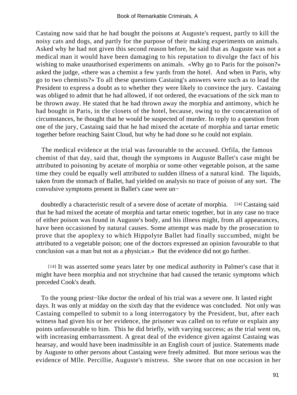Castaing now said that he had bought the poisons at Auguste's request, partly to kill the noisy cats and dogs, and partly for the purpose of their making experiments on animals. Asked why he had not given this second reason before, he said that as Auguste was not a medical man it would have been damaging to his reputation to divulge the fact of his wishing to make unauthorised experiments on animals. «Why go to Paris for the poison?» asked the judge, «there was a chemist a few yards from the hotel. And when in Paris, why go to two chemists?» To all these questions Castaing's answers were such as to lead the President to express a doubt as to whether they were likely to convince the jury. Castaing was obliged to admit that he had allowed, if not ordered, the evacuations of the sick man to be thrown away. He stated that he had thrown away the morphia and antimony, which he had bought in Paris, in the closets of the hotel, because, owing to the concatenation of circumstances, he thought that he would be suspected of murder. In reply to a question from one of the jury, Castaing said that he had mixed the acetate of morphia and tartar emetic together before reaching Saint Cloud, but why he had done so he could not explain.

 The medical evidence at the trial was favourable to the accused. Orfila, the famous chemist of that day, said that, though the symptoms in Auguste Ballet's case might be attributed to poisoning by acetate of morphia or some other vegetable poison, at the same time they could be equally well attributed to sudden illness of a natural kind. The liquids, taken from the stomach of Ballet, had yielded on analysis no trace of poison of any sort. The convulsive symptoms present in Ballet's case were un−

doubtedly a characteristic result of a severe dose of acetate of morphia. [14] Castaing said that he had mixed the acetate of morphia and tartar emetic together, but in any case no trace of either poison was found in Auguste's body, and his illness might, from all appearances, have been occasioned by natural causes. Some attempt was made by the prosecution to prove that the apoplexy to which Hippolyte Ballet had finally succumbed, might be attributed to a vegetable poison; one of the doctors expressed an opinion favourable to that conclusion «as a man but not as a physician.» But the evidence did not go further.

[14] It was asserted some years later by one medical authority in Palmer's case that it might have been morphia and not strychnine that had caused the tetanic symptoms which preceded Cook's death.

 To the young priest−like doctor the ordeal of his trial was a severe one. It lasted eight days. It was only at midday on the sixth day that the evidence was concluded. Not only was Castaing compelled to submit to a long interrogatory by the President, but, after each witness had given his or her evidence, the prisoner was called on to refute or explain any points unfavourable to him. This he did briefly, with varying success; as the trial went on, with increasing embarrassment. A great deal of the evidence given against Castaing was hearsay, and would have been inadmissible in an English court of justice. Statements made by Auguste to other persons about Castaing were freely admitted. But more serious was the evidence of Mlle. Percillie, Auguste's mistress. She swore that on one occasion in her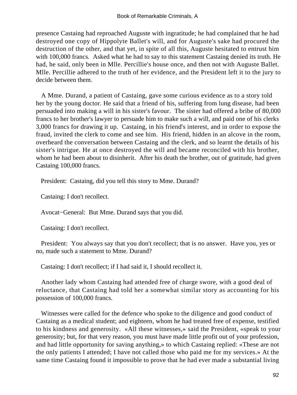presence Castaing had reproached Auguste with ingratitude; he had complained that he had destroyed one copy of Hippolyte Ballet's will, and for Auguste's sake had procured the destruction of the other, and that yet, in spite of all this, Auguste hesitated to entrust him with 100,000 francs. Asked what he had to say to this statement Castaing denied its truth. He had, he said, only been in Mlle. Percillie's house once, and then not with Auguste Ballet. Mlle. Percillie adhered to the truth of her evidence, and the President left it to the jury to decide between them.

 A Mme. Durand, a patient of Castaing, gave some curious evidence as to a story told her by the young doctor. He said that a friend of his, suffering from lung disease, had been persuaded into making a will in his sister's favour. The sister had offered a bribe of 80,000 francs to her brother's lawyer to persuade him to make such a will, and paid one of his clerks 3,000 francs for drawing it up. Castaing, in his friend's interest, and in order to expose the fraud, invited the clerk to come and see him. His friend, hidden in an alcove in the room, overheard the conversation between Castaing and the clerk, and so learnt the details of his sister's intrigue. He at once destroyed the will and became reconciled with his brother, whom he had been about to disinherit. After his death the brother, out of gratitude, had given Castaing 100,000 francs.

President: Castaing, did you tell this story to Mme. Durand?

Castaing: I don't recollect.

Avocat−General: But Mme. Durand says that you did.

Castaing: I don't recollect.

 President: You always say that you don't recollect; that is no answer. Have you, yes or no, made such a statement to Mme. Durand?

Castaing: I don't recollect; if I had said it, I should recollect it.

 Another lady whom Castaing had attended free of charge swore, with a good deal of reluctance, that Castaing had told her a somewhat similar story as accounting for his possession of 100,000 francs.

 Witnesses were called for the defence who spoke to the diligence and good conduct of Castaing as a medical student; and eighteen, whom he had treated free of expense, testified to his kindness and generosity. «All these witnesses,» said the President, «speak to your generosity; but, for that very reason, you must have made little profit out of your profession, and had little opportunity for saving anything,» to which Castaing replied: «These are not the only patients I attended; I have not called those who paid me for my services.» At the same time Castaing found it impossible to prove that he had ever made a substantial living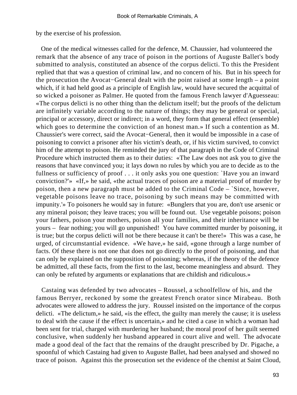by the exercise of his profession.

 One of the medical witnesses called for the defence, M. Chaussier, had volunteered the remark that the absence of any trace of poison in the portions of Auguste Ballet's body submitted to analysis, constituted an absence of the corpus delicti. To this the President replied that that was a question of criminal law, and no concern of his. But in his speech for the prosecution the Avocat−General dealt with the point raised at some length – a point which, if it had held good as a principle of English law, would have secured the acquittal of so wicked a poisoner as Palmer. He quoted from the famous French lawyer d'Aguesseau: «The corpus delicti is no other thing than the delictum itself; but the proofs of the delictum are infinitely variable according to the nature of things; they may be general or special, principal or accessory, direct or indirect; in a word, they form that general effect (ensemble) which goes to determine the conviction of an honest man.» If such a contention as M. Chaussier's were correct, said the Avocat−General, then it would be impossible in a case of poisoning to convict a prisoner after his victim's death, or, if his victim survived, to convict him of the attempt to poison. He reminded the jury of that paragraph in the Code of Criminal Procedure which instructed them as to their duties: «The Law does not ask you to give the reasons that have convinced you; it lays down no rules by which you are to decide as to the fullness or sufficiency of proof . . . it only asks you one question: `Have you an inward conviction?'» «If,» he said, «the actual traces of poison are a material proof of murder by poison, then a new paragraph must be added to the Criminal Code – `Since, however, vegetable poisons leave no trace, poisoning by such means may be committed with impunity.'» To poisoners he would say in future: «Bunglers that you are, don't use arsenic or any mineral poison; they leave traces; you will be found out. Use vegetable poisons; poison your fathers, poison your mothers, poison all your families, and their inheritance will be yours – fear nothing; you will go unpunished! You have committed murder by poisoning, it is true; but the corpus delicti will not be there because it can't be there!» This was a case, he urged, of circumstantial evidence. «We have,» he said, «gone through a large number of facts. Of these there is not one that does not go directly to the proof of poisoning, and that can only be explained on the supposition of poisoning; whereas, if the theory of the defence be admitted, all these facts, from the first to the last, become meaningless and absurd. They can only be refuted by arguments or explanations that are childish and ridiculous.»

 Castaing was defended by two advocates – Roussel, a schoolfellow of his, and the famous Berryer, reckoned by some the greatest French orator since Mirabeau. Both advocates were allowed to address the jury. Roussel insisted on the importance of the corpus delicti. «The delictum,» he said, «is the effect, the guilty man merely the cause; it is useless to deal with the cause if the effect is uncertain,» and he cited a case in which a woman had been sent for trial, charged with murdering her husband; the moral proof of her guilt seemed conclusive, when suddenly her husband appeared in court alive and well. The advocate made a good deal of the fact that the remains of the draught prescribed by Dr. Pigache, a spoonful of which Castaing had given to Auguste Ballet, had been analysed and showed no trace of poison. Against this the prosecution set the evidence of the chemist at Saint Cloud,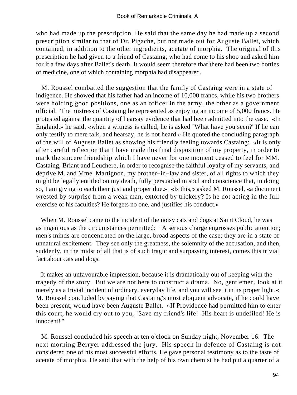who had made up the prescription. He said that the same day he had made up a second prescription similar to that of Dr. Pigache, but not made out for Auguste Ballet, which contained, in addition to the other ingredients, acetate of morphia. The original of this prescription he had given to a friend of Castaing, who had come to his shop and asked him for it a few days after Ballet's death. It would seem therefore that there had been two bottles of medicine, one of which containing morphia had disappeared.

 M. Roussel combatted the suggestion that the family of Castaing were in a state of indigence. He showed that his father had an income of 10,000 francs, while his two brothers were holding good positions, one as an officer in the army, the other as a government official. The mistress of Castaing he represented as enjoying an income of 5,000 francs. He protested against the quantity of hearsay evidence that had been admitted into the case. «In England,» he said, «when a witness is called, he is asked `What have you seen?' If he can only testify to mere talk, and hearsay, he is not heard.» He quoted the concluding paragraph of the will of Auguste Ballet as showing his friendly feeling towards Castaing: «It is only after careful reflection that I have made this final disposition of my property, in order to mark the sincere friendship which I have never for one moment ceased to feel for MM. Castaing, Briant and Leuchere, in order to recognise the faithful loyalty of my servants, and deprive M. and Mme. Martignon, my brother−in−law and sister, of all rights to which they might be legally entitled on my death, fully persuaded in soul and conscience that, in doing so, I am giving to each their just and proper due.» «Is this,» asked M. Roussel, «a document wrested by surprise from a weak man, extorted by trickery? Is he not acting in the full exercise of his faculties? He forgets no one, and justifies his conduct.»

 When M. Roussel came to the incident of the noisy cats and dogs at Saint Cloud, he was as ingenious as the circumstances permitted: "A serious charge engrosses public attention; men's minds are concentrated on the large, broad aspects of the case; they are in a state of unnatural excitement. They see only the greatness, the solemnity of the accusation, and then, suddenly, in the midst of all that is of such tragic and surpassing interest, comes this trivial fact about cats and dogs.

 It makes an unfavourable impression, because it is dramatically out of keeping with the tragedy of the story. But we are not here to construct a drama. No, gentlemen, look at it merely as a trivial incident of ordinary, everyday life, and you will see it in its proper light.« M. Roussel concluded by saying that Castaing's most eloquent advocate, if he could have been present, would have been Auguste Ballet. »If Providence had permitted him to enter this court, he would cry out to you, `Save my friend's life! His heart is undefiled! He is innocent!'"

 M. Roussel concluded his speech at ten o'clock on Sunday night, November 16. The next morning Berryer addressed the jury. His speech in defence of Castaing is not considered one of his most successful efforts. He gave personal testimony as to the taste of acetate of morphia. He said that with the help of his own chemist he had put a quarter of a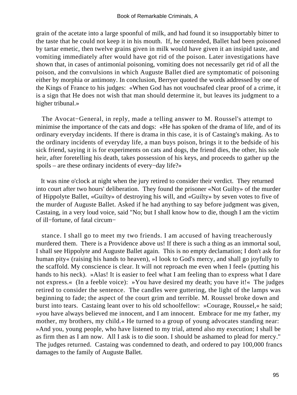grain of the acetate into a large spoonful of milk, and had found it so insupportably bitter to the taste that he could not keep it in his mouth. If, he contended, Ballet had been poisoned by tartar emetic, then twelve grains given in milk would have given it an insipid taste, and vomiting immediately after would have got rid of the poison. Later investigations have shown that, in cases of antimonial poisoning, vomiting does not necessarily get rid of all the poison, and the convulsions in which Auguste Ballet died are symptomatic of poisoning either by morphia or antimony. In conclusion, Berryer quoted the words addressed by one of the Kings of France to his judges: «When God has not vouchsafed clear proof of a crime, it is a sign that He does not wish that man should determine it, but leaves its judgment to a higher tribunal.»

 The Avocat−General, in reply, made a telling answer to M. Roussel's attempt to minimise the importance of the cats and dogs: «He has spoken of the drama of life, and of its ordinary everyday incidents. If there is drama in this case, it is of Castaing's making. As to the ordinary incidents of everyday life, a man buys poison, brings it to the bedside of his sick friend, saying it is for experiments on cats and dogs, the friend dies, the other, his sole heir, after foretelling his death, takes possession of his keys, and proceeds to gather up the spoils – are these ordinary incidents of every–day life?»

 It was nine o'clock at night when the jury retired to consider their verdict. They returned into court after two hours' deliberation. They found the prisoner «Not Guilty» of the murder of Hippolyte Ballet, «Guilty» of destroying his will, and «Guilty» by seven votes to five of the murder of Auguste Ballet. Asked if he had anything to say before judgment was given, Castaing, in a very loud voice, said "No; but I shall know how to die, though I am the victim of ill−fortune, of fatal circum−

 stance. I shall go to meet my two friends. I am accused of having treacherously murdered them. There is a Providence above us! If there is such a thing as an immortal soul, I shall see Hippolyte and Auguste Ballet again. This is no empty declamation; I don't ask for human pity« (raising his hands to heaven), »I look to God's mercy, and shall go joyfully to the scaffold. My conscience is clear. It will not reproach me even when I feel« (putting his hands to his neck). »Alas! It is easier to feel what I am feeling than to express what I dare not express.« (In a feeble voice): »You have desired my death; you have it!« The judges retired to consider the sentence. The candles were guttering, the light of the lamps was beginning to fade; the aspect of the court grim and terrible. M. Roussel broke down and burst into tears. Castaing leant over to his old schoolfellow: »Courage, Roussel,« he said; »you have always believed me innocent, and I am innocent. Embrace for me my father, my mother, my brothers, my child.« He turned to a group of young advocates standing near: »And you, young people, who have listened to my trial, attend also my execution; I shall be as firm then as I am now. All I ask is to die soon. I should be ashamed to plead for mercy." The judges returned. Castaing was condemned to death, and ordered to pay 100,000 francs damages to the family of Auguste Ballet.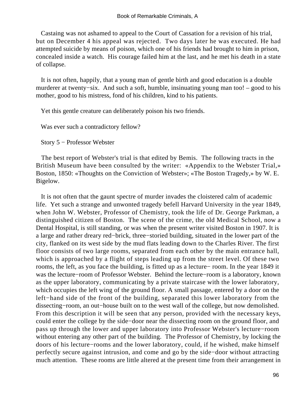Castaing was not ashamed to appeal to the Court of Cassation for a revision of his trial, but on December 4 his appeal was rejected. Two days later he was executed. He had attempted suicide by means of poison, which one of his friends had brought to him in prison, concealed inside a watch. His courage failed him at the last, and he met his death in a state of collapse.

 It is not often, happily, that a young man of gentle birth and good education is a double murderer at twenty−six. And such a soft, humble, insinuating young man too! – good to his mother, good to his mistress, fond of his children, kind to his patients.

Yet this gentle creature can deliberately poison his two friends.

Was ever such a contradictory fellow?

Story 5 − Professor Webster

 The best report of Webster's trial is that edited by Bemis. The following tracts in the British Museum have been consulted by the writer: «Appendix to the Webster Trial,» Boston, 1850: «Thoughts on the Conviction of Webster»; «The Boston Tragedy,» by W. E. Bigelow.

 It is not often that the gaunt spectre of murder invades the cloistered calm of academic life. Yet such a strange and unwonted tragedy befell Harvard University in the year 1849, when John W. Webster, Professor of Chemistry, took the life of Dr. George Parkman, a distinguished citizen of Boston. The scene of the crime, the old Medical School, now a Dental Hospital, is still standing, or was when the present writer visited Boston in 1907. It is a large and rather dreary red−brick, three−storied building, situated in the lower part of the city, flanked on its west side by the mud flats leading down to the Charles River. The first floor consists of two large rooms, separated from each other by the main entrance hall, which is approached by a flight of steps leading up from the street level. Of these two rooms, the left, as you face the building, is fitted up as a lecture− room. In the year 1849 it was the lecture−room of Professor Webster. Behind the lecture−room is a laboratory, known as the upper laboratory, communicating by a private staircase with the lower laboratory, which occupies the left wing of the ground floor. A small passage, entered by a door on the left−hand side of the front of the building, separated this lower laboratory from the dissecting−room, an out−house built on to the west wall of the college, but now demolished. From this description it will be seen that any person, provided with the necessary keys, could enter the college by the side−door near the dissecting room on the ground floor, and pass up through the lower and upper laboratory into Professor Webster's lecture−room without entering any other part of the building. The Professor of Chemistry, by locking the doors of his lecture−rooms and the lower laboratory, could, if he wished, make himself perfectly secure against intrusion, and come and go by the side−door without attracting much attention. These rooms are little altered at the present time from their arrangement in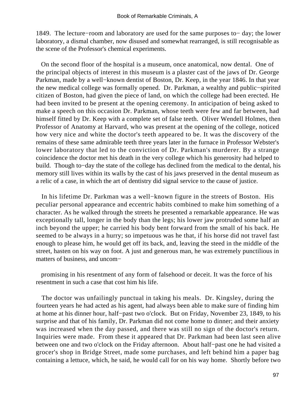1849. The lecture−room and laboratory are used for the same purposes to− day; the lower laboratory, a dismal chamber, now disused and somewhat rearranged, is still recognisable as the scene of the Professor's chemical experiments.

 On the second floor of the hospital is a museum, once anatomical, now dental. One of the principal objects of interest in this museum is a plaster cast of the jaws of Dr. George Parkman, made by a well−known dentist of Boston, Dr. Keep, in the year 1846. In that year the new medical college was formally opened. Dr. Parkman, a wealthy and public−spirited citizen of Boston, had given the piece of land, on which the college had been erected. He had been invited to be present at the opening ceremony. In anticipation of being asked to make a speech on this occasion Dr. Parkman, whose teeth were few and far between, had himself fitted by Dr. Keep with a complete set of false teeth. Oliver Wendell Holmes, then Professor of Anatomy at Harvard, who was present at the opening of the college, noticed how very nice and white the doctor's teeth appeared to be. It was the discovery of the remains of these same admirable teeth three years later in the furnace in Professor Webster's lower laboratory that led to the conviction of Dr. Parkman's murderer. By a strange coincidence the doctor met his death in the very college which his generosity had helped to build. Though to−day the state of the college has declined from the medical to the dental, his memory still lives within its walls by the cast of his jaws preserved in the dental museum as a relic of a case, in which the art of dentistry did signal service to the cause of justice.

 In his lifetime Dr. Parkman was a well−known figure in the streets of Boston. His peculiar personal appearance and eccentric habits combined to make him something of a character. As he walked through the streets he presented a remarkable appearance. He was exceptionally tall, longer in the body than the legs; his lower jaw protruded some half an inch beyond the upper; he carried his body bent forward from the small of his back. He seemed to be always in a hurry; so impetuous was he that, if his horse did not travel fast enough to please him, he would get off its back, and, leaving the steed in the middle of the street, hasten on his way on foot. A just and generous man, he was extremely punctilious in matters of business, and uncom−

 promising in his resentment of any form of falsehood or deceit. It was the force of his resentment in such a case that cost him his life.

 The doctor was unfailingly punctual in taking his meals. Dr. Kingsley, during the fourteen years he had acted as his agent, had always been able to make sure of finding him at home at his dinner hour, half−past two o'clock. But on Friday, November 23, 1849, to his surprise and that of his family, Dr. Parkman did not come home to dinner; and their anxiety was increased when the day passed, and there was still no sign of the doctor's return. Inquiries were made. From these it appeared that Dr. Parkman had been last seen alive between one and two o'clock on the Friday afternoon. About half−past one he had visited a grocer's shop in Bridge Street, made some purchases, and left behind him a paper bag containing a lettuce, which, he said, he would call for on his way home. Shortly before two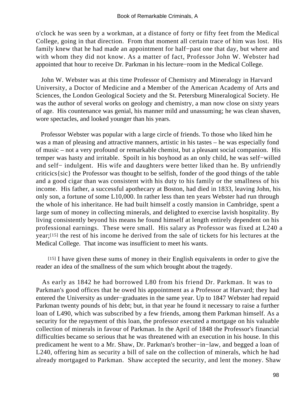o'clock he was seen by a workman, at a distance of forty or fifty feet from the Medical College, going in that direction. From that moment all certain trace of him was lost. His family knew that he had made an appointment for half−past one that day, but where and with whom they did not know. As a matter of fact, Professor John W. Webster had appointed that hour to receive Dr. Parkman in his lecture−room in the Medical College.

 John W. Webster was at this time Professor of Chemistry and Mineralogy in Harvard University, a Doctor of Medicine and a Member of the American Academy of Arts and Sciences, the London Geological Society and the St. Petersburg Mineralogical Society. He was the author of several works on geology and chemistry, a man now close on sixty years of age. His countenance was genial, his manner mild and unassuming; he was clean shaven, wore spectacles, and looked younger than his years.

 Professor Webster was popular with a large circle of friends. To those who liked him he was a man of pleasing and attractive manners, artistic in his tastes – he was especially fond of music – not a very profound or remarkable chemist, but a pleasant social companion. His temper was hasty and irritable. Spoilt in his boyhood as an only child, he was self−willed and self− indulgent. His wife and daughters were better liked than he. By unfriendly criticics{sic} the Professor was thought to be selfish, fonder of the good things of the table and a good cigar than was consistent with his duty to his family or the smallness of his income. His father, a successful apothecary at Boston, had died in 1833, leaving John, his only son, a fortune of some L10,000. In rather less than ten years Webster had run through the whole of his inheritance. He had built himself a costly mansion in Cambridge, spent a large sum of money in collecting minerals, and delighted to exercise lavish hospitality. By living consistently beyond his means he found himself at length entirely dependent on his professional earnings. These were small. His salary as Professor was fixed at L240 a year;[15] the rest of his income he derived from the sale of tickets for his lectures at the Medical College. That income was insufficient to meet his wants.

[15] I have given these sums of money in their English equivalents in order to give the reader an idea of the smallness of the sum which brought about the tragedy.

 As early as 1842 he had borrowed L80 from his friend Dr. Parkman. It was to Parkman's good offices that he owed his appointment as a Professor at Harvard; they had entered the University as under−graduates in the same year. Up to 1847 Webster had repaid Parkman twenty pounds of his debt; but, in that year he found it necessary to raise a further loan of L490, which was subscribed by a few friends, among them Parkman himself. As a security for the repayment of this loan, the professor executed a mortgage on his valuable collection of minerals in favour of Parkman. In the April of 1848 the Professor's financial difficulties became so serious that he was threatened with an execution in his house. In this predicament he went to a Mr. Shaw, Dr. Parkman's brother−in−law, and begged a loan of L240, offering him as security a bill of sale on the collection of minerals, which he had already mortgaged to Parkman. Shaw accepted the security, and lent the money. Shaw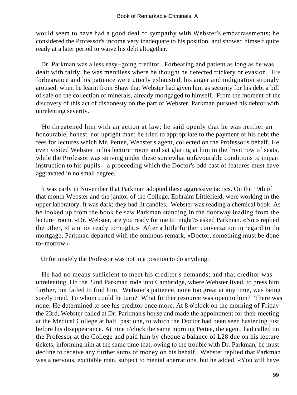would seem to have had a good deal of sympathy with Webster's embarrassments; he considered the Professor's income very inadequate to his position, and showed himself quite ready at a later period to waive his debt altogether.

 Dr. Parkman was a less easy−going creditor. Forbearing and patient as long as he was dealt with fairly, he was merciless where he thought he detected trickery or evasion. His forbearance and his patience were utterly exhausted, his anger and indignation strongly aroused, when he learnt from Shaw that Webster had given him as security for his debt a bill of sale on the collection of minerals, already mortgaged to himself. From the moment of the discovery of this act of dishonesty on the part of Webster, Parkman pursued his debtor with unrelenting severity.

 He threatened him with an action at law; he said openly that he was neither an honourable, honest, nor upright man; he tried to appropriate to the payment of his debt the fees for lectures which Mr. Pettee, Webster's agent, collected on the Professor's behalf. He even visited Webster in his lecture−room and sat glaring at him in the front row of seats, while the Professor was striving under these somewhat unfavourable conditions to impart instruction to his pupils – a proceeding which the Doctor's odd cast of features must have aggravated in no small degree.

 It was early in November that Parkman adopted these aggressive tactics. On the 19th of that month Webster and the janitor of the College, Ephraim Littlefield, were working in the upper laboratory. It was dark; they had lit candles. Webster was reading a chemical book. As he looked up from the book he saw Parkman standing in the doorway leading from the lecture−room. «Dr. Webster, are you ready for me to−night?» asked Parkman. «No,» replied the other, «I am not ready to−night.» After a little further conversation in regard to the mortgage, Parkman departed with the ominous remark, «Doctor, something must be done to−morrow.»

Unfortunately the Professor was not in a position to do anything.

 He had no means sufficient to meet his creditor's demands; and that creditor was unrelenting. On the 22nd Parkman rode into Cambridge, where Webster lived, to press him further, but failed to find him. Webster's patience, none too great at any time, was being sorely tried. To whom could he turn? What further resource was open to him? There was none. He determined to see his creditor once more. At 8 o'clock on the morning of Friday the 23rd, Webster called at Dr. Parkman's house and made the appointment for their meeting at the Medical College at half−past one, to which the Doctor had been seen hastening just before his disappearance. At nine o'clock the same morning Pettee, the agent, had called on the Professor at the College and paid him by cheque a balance of L28 due on his lecture tickets, informing him at the same time that, owing to the trouble with Dr. Parkman, he must decline to receive any further sums of money on his behalf. Webster replied that Parkman was a nervous, excitable man, subject to mental aberrations, but he added, «You will have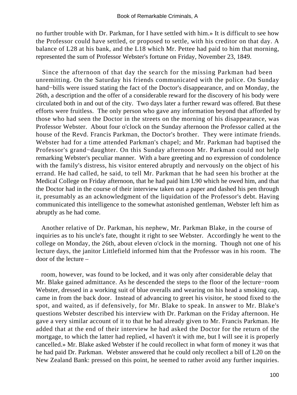no further trouble with Dr. Parkman, for I have settled with him.» It is difficult to see how the Professor could have settled, or proposed to settle, with his creditor on that day. A balance of L28 at his bank, and the L18 which Mr. Pettee had paid to him that morning, represented the sum of Professor Webster's fortune on Friday, November 23, 1849.

 Since the afternoon of that day the search for the missing Parkman had been unremitting. On the Saturday his friends communicated with the police. On Sunday hand−bills were issued stating the fact of the Doctor's disappearance, and on Monday, the 26th, a description and the offer of a considerable reward for the discovery of his body were circulated both in and out of the city. Two days later a further reward was offered. But these efforts were fruitless. The only person who gave any information beyond that afforded by those who had seen the Doctor in the streets on the morning of his disappearance, was Professor Webster. About four o'clock on the Sunday afternoon the Professor called at the house of the Revd. Francis Parkman, the Doctor's brother. They were intimate friends. Webster had for a time attended Parkman's chapel; and Mr. Parkman had baptised the Professor's grand−daughter. On this Sunday afternoon Mr. Parkman could not help remarking Webster's peculiar manner. With a bare greeting and no expression of condolence with the family's distress, his visitor entered abruptly and nervously on the object of his errand. He had called, he said, to tell Mr. Parkman that he had seen his brother at the Medical College on Friday afternoon, that he had paid him L90 which he owed him, and that the Doctor had in the course of their interview taken out a paper and dashed his pen through it, presumably as an acknowledgment of the liquidation of the Professor's debt. Having communicated this intelligence to the somewhat astonished gentleman, Webster left him as abruptly as he had come.

 Another relative of Dr. Parkman, his nephew, Mr. Parkman Blake, in the course of inquiries as to his uncle's fate, thought it right to see Webster. Accordingly he went to the college on Monday, the 26th, about eleven o'clock in the morning. Though not one of his lecture days, the janitor Littlefield informed him that the Professor was in his room. The door of the lecture –

 room, however, was found to be locked, and it was only after considerable delay that Mr. Blake gained admittance. As he descended the steps to the floor of the lecture−room Webster, dressed in a working suit of blue overalls and wearing on his head a smoking cap, came in from the back door. Instead of advancing to greet his visitor, he stood fixed to the spot, and waited, as if defensively, for Mr. Blake to speak. In answer to Mr. Blake's questions Webster described his interview with Dr. Parkman on the Friday afternoon. He gave a very similar account of it to that he had already given to Mr. Francis Parkman. He added that at the end of their interview he had asked the Doctor for the return of the mortgage, to which the latter had replied, «I haven't it with me, but I will see it is properly cancelled.» Mr. Blake asked Webster if he could recollect in what form of money it was that he had paid Dr. Parkman. Webster answered that he could only recollect a bill of L20 on the New Zealand Bank: pressed on this point, he seemed to rather avoid any further inquiries.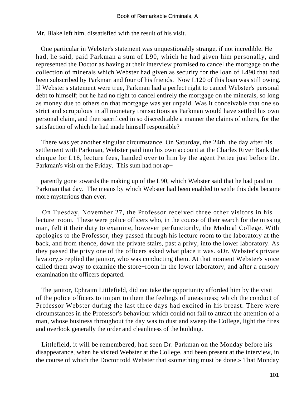Mr. Blake left him, dissatisfied with the result of his visit.

 One particular in Webster's statement was unquestionably strange, if not incredible. He had, he said, paid Parkman a sum of L90, which he had given him personally, and represented the Doctor as having at their interview promised to cancel the mortgage on the collection of minerals which Webster had given as security for the loan of L490 that had been subscribed by Parkman and four of his friends. Now L120 of this loan was still owing. If Webster's statement were true, Parkman had a perfect right to cancel Webster's personal debt to himself; but he had no right to cancel entirely the mortgage on the minerals, so long as money due to others on that mortgage was yet unpaid. Was it conceivable that one so strict and scrupulous in all monetary transactions as Parkman would have settled his own personal claim, and then sacrificed in so discreditable a manner the claims of others, for the satisfaction of which he had made himself responsible?

 There was yet another singular circumstance. On Saturday, the 24th, the day after his settlement with Parkman, Webster paid into his own account at the Charles River Bank the cheque for L18, lecture fees, handed over to him by the agent Pettee just before Dr. Parkman's visit on the Friday. This sum had not ap−

 parently gone towards the making up of the L90, which Webster said that he had paid to Parkman that day. The means by which Webster had been enabled to settle this debt became more mysterious than ever.

 On Tuesday, November 27, the Professor received three other visitors in his lecture−room. These were police officers who, in the course of their search for the missing man, felt it their duty to examine, however perfunctorily, the Medical College. With apologies to the Professor, they passed through his lecture room to the laboratory at the back, and from thence, down the private stairs, past a privy, into the lower laboratory. As they passed the privy one of the officers asked what place it was. «Dr. Webster's private lavatory,» replied the janitor, who was conducting them. At that moment Webster's voice called them away to examine the store−room in the lower laboratory, and after a cursory examination the officers departed.

 The janitor, Ephraim Littlefield, did not take the opportunity afforded him by the visit of the police officers to impart to them the feelings of uneasiness; which the conduct of Professor Webster during the last three days had excited in his breast. There were circumstances in the Professor's behaviour which could not fail to attract the attention of a man, whose business throughout the day was to dust and sweep the College, light the fires and overlook generally the order and cleanliness of the building.

 Littlefield, it will be remembered, had seen Dr. Parkman on the Monday before his disappearance, when he visited Webster at the College, and been present at the interview, in the course of which the Doctor told Webster that «something must be done.» That Monday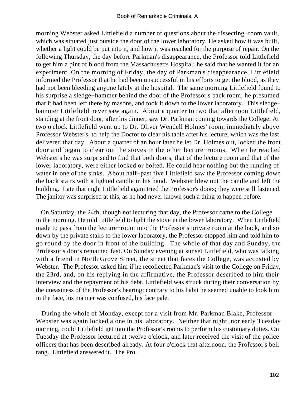morning Webster asked Littlefield a number of questions about the dissecting−room vault, which was situated just outside the door of the lower laboratory. He asked how it was built, whether a light could be put into it, and how it was reached for the purpose of repair. On the following Thursday, the day before Parkman's disappearance, the Professor told Littlefield to get him a pint of blood from the Massachusetts Hospital; he said that he wanted it for an experiment. On the morning of Friday, the day of Parkman's disappearance, Littlefield informed the Professor that he had been unsuccessful in his efforts to get the blood, as they had not been bleeding anyone lately at the hospital. The same morning Littlefield found to his surprise a sledge−hammer behind the door of the Professor's back room; he presumed that it had been left there by masons, and took it down to the lower laboratory. This sledge− hammer Littlefield never saw again. About a quarter to two that afternoon Littlefield, standing at the front door, after his dinner, saw Dr. Parkman coming towards the College. At two o'clock Littlefield went up to Dr. Oliver Wendell Holmes' room, immediately above Professor Webster's, to help the Doctor to clear his table after his lecture, which was the last delivered that day. About a quarter of an hour later he let Dr. Holmes out, locked the front door and began to clear out the stoves in the other lecture−rooms. When he reached Webster's he was surprised to find that both doors, that of the lecture room and that of the lower laboratory, were either locked or bolted. He could hear nothing but the running of water in one of the sinks. About half−past five Littlefield saw the Professor coming down the back stairs with a lighted candle in his hand. Webster blew out the candle and left the building. Late that night Littlefield again tried the Professor's doors; they were still fastened. The janitor was surprised at this, as he had never known such a thing to happen before.

 On Saturday, the 24th, though not lecturing that day, the Professor came to the College in the morning. He told Littlefield to light the stove in the lower laboratory. When Littlefield made to pass from the lecture−room into the Professor's private room at the back, and so down by the private stairs to the lower laboratory, the Professor stopped him and told him to go round by the door in front of the building. The whole of that day and Sunday, the Professor's doors remained fast. On Sunday evening at sunset Littlefield, who was talking with a friend in North Grove Street, the street that faces the College, was accosted by Webster. The Professor asked him if he recollected Parkman's visit to the College on Friday, the 23rd, and, on his replying in the affirmative, the Professor described to him their interview and the repayment of his debt. Littlefield was struck during their conversation by the uneasiness of the Professor's bearing; contrary to his habit he seemed unable to look him in the face, his manner was confused, his face pale.

 During the whole of Monday, except for a visit from Mr. Parkman Blake, Professor Webster was again locked alone in his laboratory. Neither that night, nor early Tuesday morning, could Littlefield get into the Professor's rooms to perform his customary duties. On Tuesday the Professor lectured at twelve o'clock, and later received the visit of the police officers that has been described already. At four o'clock that afternoon, the Professor's bell rang. Littlefield answered it. The Pro−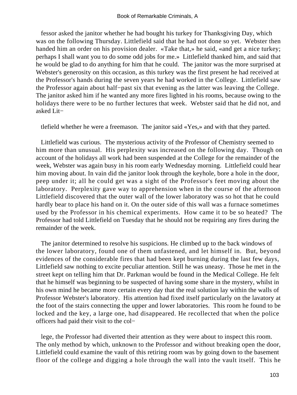fessor asked the janitor whether he had bought his turkey for Thanksgiving Day, which was on the following Thursday. Littlefield said that he had not done so yet. Webster then handed him an order on his provision dealer. «Take that,» he said, «and get a nice turkey; perhaps I shall want you to do some odd jobs for me.» Littlefield thanked him, and said that he would be glad to do anything for him that he could. The janitor was the more surprised at Webster's generosity on this occasion, as this turkey was the first present he had received at the Professor's hands during the seven years he had worked in the College. Littlefield saw the Professor again about half−past six that evening as the latter was leaving the College. The janitor asked him if he wanted any more fires lighted in his rooms, because owing to the holidays there were to be no further lectures that week. Webster said that he did not, and asked Lit−

tlefield whether he were a freemason. The janitor said «Yes,» and with that they parted.

 Littlefield was curious. The mysterious activity of the Professor of Chemistry seemed to him more than unusual. His perplexity was increased on the following day. Though on account of the holidays all work had been suspended at the College for the remainder of the week, Webster was again busy in his room early Wednesday morning. Littlefield could hear him moving about. In vain did the janitor look through the keyhole, bore a hole in the door, peep under it; all he could get was a sight of the Professor's feet moving about the laboratory. Perplexity gave way to apprehension when in the course of the afternoon Littlefield discovered that the outer wall of the lower laboratory was so hot that he could hardly bear to place his hand on it. On the outer side of this wall was a furnace sometimes used by the Professor in his chemical experiments. How came it to be so heated? The Professor had told Littlefield on Tuesday that he should not be requiring any fires during the remainder of the week.

 The janitor determined to resolve his suspicions. He climbed up to the back windows of the lower laboratory, found one of them unfastened, and let himself in. But, beyond evidences of the considerable fires that had been kept burning during the last few days, Littlefield saw nothing to excite peculiar attention. Still he was uneasy. Those he met in the street kept on telling him that Dr. Parkman would be found in the Medical College. He felt that he himself was beginning to be suspected of having some share in the mystery, whilst in his own mind he became more certain every day that the real solution lay within the walls of Professor Webster's laboratory. His attention had fixed itself particularly on the lavatory at the foot of the stairs connecting the upper and lower laboratories. This room he found to be locked and the key, a large one, had disappeared. He recollected that when the police officers had paid their visit to the col−

 lege, the Professor had diverted their attention as they were about to inspect this room. The only method by which, unknown to the Professor and without breaking open the door, Littlefield could examine the vault of this retiring room was by going down to the basement floor of the college and digging a hole through the wall into the vault itself. This he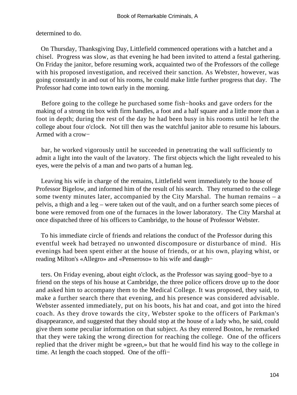determined to do.

 On Thursday, Thanksgiving Day, Littlefield commenced operations with a hatchet and a chisel. Progress was slow, as that evening he had been invited to attend a festal gathering. On Friday the janitor, before resuming work, acquainted two of the Professors of the college with his proposed investigation, and received their sanction. As Webster, however, was going constantly in and out of his rooms, he could make little further progress that day. The Professor had come into town early in the morning.

 Before going to the college he purchased some fish−hooks and gave orders for the making of a strong tin box with firm handles, a foot and a half square and a little more than a foot in depth; during the rest of the day he had been busy in his rooms until he left the college about four o'clock. Not till then was the watchful janitor able to resume his labours. Armed with a crow−

 bar, he worked vigorously until he succeeded in penetrating the wall sufficiently to admit a light into the vault of the lavatory. The first objects which the light revealed to his eyes, were the pelvis of a man and two parts of a human leg.

 Leaving his wife in charge of the remains, Littlefield went immediately to the house of Professor Bigelow, and informed him of the result of his search. They returned to the college some twenty minutes later, accompanied by the City Marshal. The human remains – a pelvis, a thigh and a leg – were taken out of the vault, and on a further search some pieces of bone were removed from one of the furnaces in the lower laboratory. The City Marshal at once dispatched three of his officers to Cambridge, to the house of Professor Webster.

 To his immediate circle of friends and relations the conduct of the Professor during this eventful week had betrayed no unwonted discomposure or disturbance of mind. His evenings had been spent either at the house of friends, or at his own, playing whist, or reading Milton's «Allegro» and «Penseroso» to his wife and daugh−

 ters. On Friday evening, about eight o'clock, as the Professor was saying good−bye to a friend on the steps of his house at Cambridge, the three police officers drove up to the door and asked him to accompany them to the Medical College. It was proposed, they said, to make a further search there that evening, and his presence was considered advisable. Webster assented immediately, put on his boots, his hat and coat, and got into the hired coach. As they drove towards the city, Webster spoke to the officers of Parkman's disappearance, and suggested that they should stop at the house of a lady who, he said, could give them some peculiar information on that subject. As they entered Boston, he remarked that they were taking the wrong direction for reaching the college. One of the officers replied that the driver might be «green,» but that he would find his way to the college in time. At length the coach stopped. One of the offi−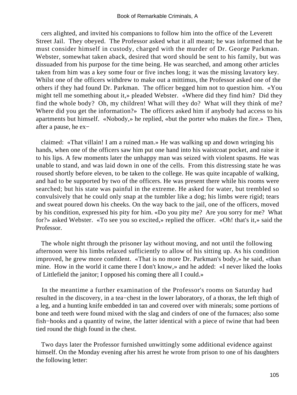cers alighted, and invited his companions to follow him into the office of the Leverett Street Jail. They obeyed. The Professor asked what it all meant; he was informed that he must consider himself in custody, charged with the murder of Dr. George Parkman. Webster, somewhat taken aback, desired that word should be sent to his family, but was dissuaded from his purpose for the time being. He was searched, and among other articles taken from him was a key some four or five inches long; it was the missing lavatory key. Whilst one of the officers withdrew to make out a mittimus, the Professor asked one of the others if they had found Dr. Parkman. The officer begged him not to question him. «You might tell me something about it,» pleaded Webster. «Where did they find him? Did they find the whole body? Oh, my children! What will they do? What will they think of me? Where did you get the information?» The officers asked him if anybody had access to his apartments but himself. «Nobody,» he replied, «but the porter who makes the fire.» Then, after a pause, he ex−

 claimed: «That villain! I am a ruined man.» He was walking up and down wringing his hands, when one of the officers saw him put one hand into his waistcoat pocket, and raise it to his lips. A few moments later the unhappy man was seized with violent spasms. He was unable to stand, and was laid down in one of the cells. From this distressing state he was roused shortly before eleven, to be taken to the college. He was quite incapable of walking, and had to be supported by two of the officers. He was present there while his rooms were searched; but his state was painful in the extreme. He asked for water, but trembled so convulsively that he could only snap at the tumbler like a dog; his limbs were rigid; tears and sweat poured down his cheeks. On the way back to the jail, one of the officers, moved by his condition, expressed his pity for him. «Do you pity me? Are you sorry for me? What for?» asked Webster. «To see you so excited,» replied the officer. «Oh! that's it,» said the Professor.

 The whole night through the prisoner lay without moving, and not until the following afternoon were his limbs relaxed sufficiently to allow of his sitting up. As his condition improved, he grew more confident. «That is no more Dr. Parkman's body,» he said, «than mine. How in the world it came there I don't know,» and he added: «I never liked the looks of Littlefield the janitor; I opposed his coming there all I could.»

 In the meantime a further examination of the Professor's rooms on Saturday had resulted in the discovery, in a tea−chest in the lower laboratory, of a thorax, the left thigh of a leg, and a hunting knife embedded in tan and covered over with minerals; some portions of bone and teeth were found mixed with the slag and cinders of one of the furnaces; also some fish−hooks and a quantity of twine, the latter identical with a piece of twine that had been tied round the thigh found in the chest.

 Two days later the Professor furnished unwittingly some additional evidence against himself. On the Monday evening after his arrest he wrote from prison to one of his daughters the following letter: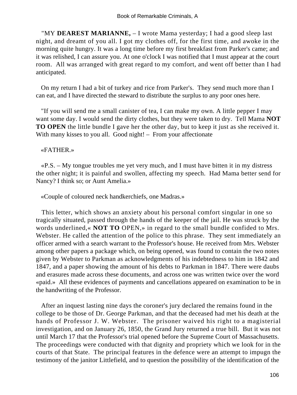"MY **DEAREST MARIANNE,** – I wrote Mama yesterday; I had a good sleep last night, and dreamt of you all. I got my clothes off, for the first time, and awoke in the morning quite hungry. It was a long time before my first breakfast from Parker's came; and it was relished, I can assure you. At one o'clock I was notified that I must appear at the court room. All was arranged with great regard to my comfort, and went off better than I had anticipated.

 On my return I had a bit of turkey and rice from Parker's. They send much more than I can eat, and I have directed the steward to distribute the surplus to any poor ones here.

 "If you will send me a small canister of tea, I can make my own. A little pepper I may want some day. I would send the dirty clothes, but they were taken to dry. Tell Mama **NOT TO OPEN** the little bundle I gave her the other day, but to keep it just as she received it. With many kisses to you all. Good night! – From your affectionate

## «FATHER.»

 $\alpha$ P.S. – My tongue troubles me yet very much, and I must have bitten it in my distress the other night; it is painful and swollen, affecting my speech. Had Mama better send for Nancy? I think so; or Aunt Amelia.»

«Couple of coloured neck handkerchiefs, one Madras.»

 This letter, which shows an anxiety about his personal comfort singular in one so tragically situated, passed through the hands of the keeper of the jail. He was struck by the words underlined,« **NOT TO** OPEN,» in regard to the small bundle confided to Mrs. Webster. He called the attention of the police to this phrase. They sent immediately an officer armed with a search warrant to the Professor's house. He received from Mrs. Webster among other papers a package which, on being opened, was found to contain the two notes given by Webster to Parkman as acknowledgments of his indebtedness to him in 1842 and 1847, and a paper showing the amount of his debts to Parkman in 1847. There were daubs and erasures made across these documents, and across one was written twice over the word «paid.» All these evidences of payments and cancellations appeared on examination to be in the handwriting of the Professor.

 After an inquest lasting nine days the coroner's jury declared the remains found in the college to be those of Dr. George Parkman, and that the deceased had met his death at the hands of Professor J. W. Webster. The prisoner waived his right to a magisterial investigation, and on January 26, 1850, the Grand Jury returned a true bill. But it was not until March 17 that the Professor's trial opened before the Supreme Court of Massachusetts. The proceedings were conducted with that dignity and propriety which we look for in the courts of that State. The principal features in the defence were an attempt to impugn the testimony of the janitor Littlefield, and to question the possibility of the identification of the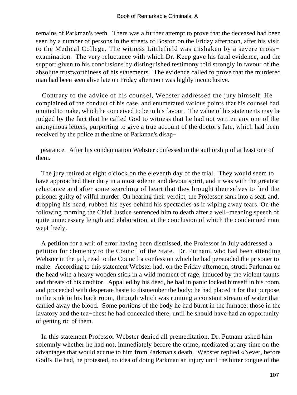remains of Parkman's teeth. There was a further attempt to prove that the deceased had been seen by a number of persons in the streets of Boston on the Friday afternoon, after his visit to the Medical College. The witness Littlefield was unshaken by a severe cross− examination. The very reluctance with which Dr. Keep gave his fatal evidence, and the support given to his conclusions by distinguished testimony told strongly in favour of the absolute trustworthiness of his statements. The evidence called to prove that the murdered man had been seen alive late on Friday afternoon was highly inconclusive.

 Contrary to the advice of his counsel, Webster addressed the jury himself. He complained of the conduct of his case, and enumerated various points that his counsel had omitted to make, which he conceived to be in his favour. The value of his statements may be judged by the fact that he called God to witness that he had not written any one of the anonymous letters, purporting to give a true account of the doctor's fate, which had been received by the police at the time of Parkman's disap−

 pearance. After his condemnation Webster confessed to the authorship of at least one of them.

 The jury retired at eight o'clock on the eleventh day of the trial. They would seem to have approached their duty in a most solemn and devout spirit, and it was with the greatest reluctance and after some searching of heart that they brought themselves to find the prisoner guilty of wilful murder. On hearing their verdict, the Professor sank into a seat, and, dropping his head, rubbed his eyes behind his spectacles as if wiping away tears. On the following morning the Chief Justice sentenced him to death after a well−meaning speech of quite unnecessary length and elaboration, at the conclusion of which the condemned man wept freely.

 A petition for a writ of error having been dismissed, the Professor in July addressed a petition for clemency to the Council of the State. Dr. Putnam, who had been attending Webster in the jail, read to the Council a confession which he had persuaded the prisoner to make. According to this statement Webster had, on the Friday afternoon, struck Parkman on the head with a heavy wooden stick in a wild moment of rage, induced by the violent taunts and threats of his creditor. Appalled by his deed, he had in panic locked himself in his room, and proceeded with desperate haste to dismember the body; he had placed it for that purpose in the sink in his back room, through which was running a constant stream of water that carried away the blood. Some portions of the body he had burnt in the furnace; those in the lavatory and the tea−chest he had concealed there, until he should have had an opportunity of getting rid of them.

 In this statement Professor Webster denied all premeditation. Dr. Putnam asked him solemnly whether he had not, immediately before the crime, meditated at any time on the advantages that would accrue to him from Parkman's death. Webster replied «Never, before God!» He had, he protested, no idea of doing Parkman an injury until the bitter tongue of the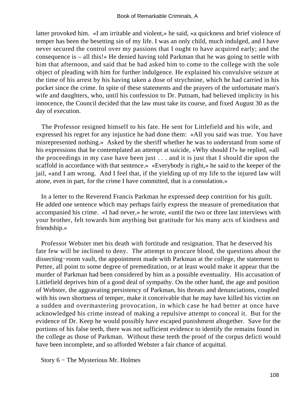latter provoked him. «I am irritable and violent,» he said, «a quickness and brief violence of temper has been the besetting sin of my life. I was an only child, much indulged, and I have never secured the control over my passions that I ought to have acquired early; and the consequence is – all this!» He denied having told Parkman that he was going to settle with him that afternoon, and said that he had asked him to come to the college with the sole object of pleading with him for further indulgence. He explained his convulsive seizure at the time of his arrest by his having taken a dose of strychnine, which he had carried in his pocket since the crime. In spite of these statements and the prayers of the unfortunate man's wife and daughters, who, until his confession to Dr. Putnam, had believed implicity in his innocence, the Council decided that the law must take its course, and fixed August 30 as the day of execution.

 The Professor resigned himself to his fate. He sent for Littlefield and his wife, and expressed his regret for any injustice he had done them: «All you said was true. You have misrepresented nothing.» Asked by the sheriff whether he was to understand from some of his expressions that he contemplated an attempt at suicide, «Why should I?» he replied, «all the proceedings in my case have been just . . . and it is just that I should die upon the scaffold in accordance with that sentence.» «Everybody is right,» he said to the keeper of the jail, «and I am wrong. And I feel that, if the yielding up of my life to the injured law will atone, even in part, for the crime I have committed, that is a consolation.»

 In a letter to the Reverend Francis Parkman he expressed deep contrition for his guilt. He added one sentence which may perhaps fairly express the measure of premeditation that accompanied his crime. «I had never,» he wrote, «until the two or three last interviews with your brother, felt towards him anything but gratitude for his many acts of kindness and friendship.»

 Professor Webster met his death with fortitude and resignation. That he deserved his fate few will be inclined to deny. The attempt to procure blood, the questions about the dissecting−room vault, the appointment made with Parkman at the college, the statement to Pettee, all point to some degree of premeditation, or at least would make it appear that the murder of Parkman had been considered by him as a possible eventuality. His accusation of Littlefield deprives him of a good deal of sympathy. On the other hand, the age and position of Webster, the aggravating persistency of Parkman, his threats and denunciations, coupled with his own shortness of temper, make it conceivable that he may have killed his victim on a sudden and overmastering provocation, in which case he had better at once have acknowledged his crime instead of making a repulsive attempt to conceal it. But for the evidence of Dr. Keep he would possibly have escaped punishment altogether. Save for the portions of his false teeth, there was not sufficient evidence to identify the remains found in the college as those of Parkman. Without these teeth the proof of the corpus delicti would have been incomplete, and so afforded Webster a fair chance of acquittal.

Story 6 − The Mysterious Mr. Holmes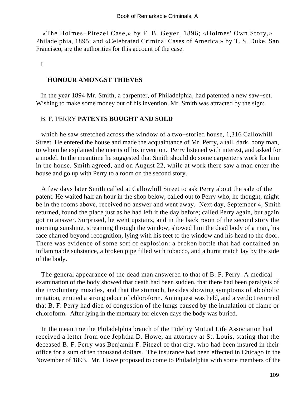«The Holmes−Pitezel Case,» by F. B. Geyer, 1896; «Holmes' Own Story,» Philadelphia, 1895; and «Celebrated Criminal Cases of America,» by T. S. Duke, San Francisco, are the authorities for this account of the case.

I

#### **HONOUR AMONGST THIEVES**

 In the year 1894 Mr. Smith, a carpenter, of Philadelphia, had patented a new saw−set. Wishing to make some money out of his invention, Mr. Smith was attracted by the sign:

## B. F. PERRY **PATENTS BOUGHT AND SOLD**

 which he saw stretched across the window of a two−storied house, 1,316 Callowhill Street. He entered the house and made the acquaintance of Mr. Perry, a tall, dark, bony man, to whom he explained the merits of his invention. Perry listened with interest, and asked for a model. In the meantime he suggested that Smith should do some carpenter's work for him in the house. Smith agreed, and on August 22, while at work there saw a man enter the house and go up with Perry to a room on the second story.

 A few days later Smith called at Callowhill Street to ask Perry about the sale of the patent. He waited half an hour in the shop below, called out to Perry who, he thought, might be in the rooms above, received no answer and went away. Next day, September 4, Smith returned, found the place just as he had left it the day before; called Perry again, but again got no answer. Surprised, he went upstairs, and in the back room of the second story the morning sunshine, streaming through the window, showed him the dead body of a man, his face charred beyond recognition, lying with his feet to the window and his head to the door. There was evidence of some sort of explosion: a broken bottle that had contained an inflammable substance, a broken pipe filled with tobacco, and a burnt match lay by the side of the body.

 The general appearance of the dead man answered to that of B. F. Perry. A medical examination of the body showed that death had been sudden, that there had been paralysis of the involuntary muscles, and that the stomach, besides showing symptoms of alcoholic irritation, emitted a strong odour of chloroform. An inquest was held, and a verdict returned that B. F. Perry had died of congestion of the lungs caused by the inhalation of flame or chloroform. After lying in the mortuary for eleven days the body was buried.

 In the meantime the Philadelphia branch of the Fidelity Mutual Life Association had received a letter from one Jephtha D. Howe, an attorney at St. Louis, stating that the deceased B. F. Perry was Benjamin F. Pitezel of that city, who had been insured in their office for a sum of ten thousand dollars. The insurance had been effected in Chicago in the November of 1893. Mr. Howe proposed to come to Philadelphia with some members of the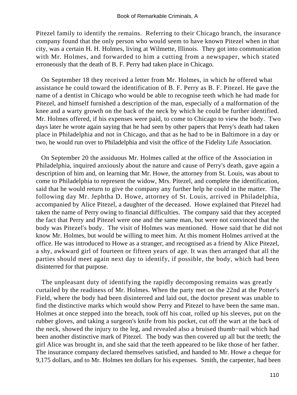Pitezel family to identify the remains. Referring to their Chicago branch, the insurance company found that the only person who would seem to have known Pitezel when in that city, was a certain H. H. Holmes, living at Wilmette, Illinois. They got into communication with Mr. Holmes, and forwarded to him a cutting from a newspaper, which stated erroneously that the death of B. F. Perry had taken place in Chicago.

 On September 18 they received a letter from Mr. Holmes, in which he offered what assistance he could toward the identification of B. F. Perry as B. F. Pitezel. He gave the name of a dentist in Chicago who would be able to recognise teeth which he had made for Pitezel, and himself furnished a description of the man, especially of a malformation of the knee and a warty growth on the back of the neck by which he could be further identified. Mr. Holmes offered, if his expenses were paid, to come to Chicago to view the body. Two days later he wrote again saying that he had seen by other papers that Perry's death had taken place in Philadelphia and not in Chicago, and that as he had to be in Baltimore in a day or two, he would run over to Philadelphia and visit the office of the Fidelity Life Association.

 On September 20 the assiduous Mr. Holmes called at the office of the Association in Philadelphia, inquired anxiously about the nature and cause of Perry's death, gave again a description of him and, on learning that Mr. Howe, the attorney from St. Louis, was about to come to Philadelphia to represent the widow, Mrs. Pitezel, and complete the identification, said that he would return to give the company any further help he could in the matter. The following day Mr. Jephtha D. Howe, attorney of St. Louis, arrived in Philadelphia, accompanied by Alice Pitezel, a daughter of the deceased. Howe explained that Pitezel had taken the name of Perry owing to financial difficulties. The company said that they accepted the fact that Perry and Pitezel were one and the same man, but were not convinced that the body was Pitezel's body. The visit of Holmes was mentioned. Howe said that he did not know Mr. Holmes, but would be willing to meet him. At this moment Holmes arrived at the office. He was introduced to Howe as a stranger, and recognised as a friend by Alice Pitezel, a shy, awkward girl of fourteen or fifteen years of age. It was then arranged that all the parties should meet again next day to identify, if possible, the body, which had been disinterred for that purpose.

 The unpleasant duty of identifying the rapidly decomposing remains was greatly curtailed by the readiness of Mr. Holmes. When the party met on the 22nd at the Potter's Field, where the body had been disinterred and laid out, the doctor present was unable to find the distinctive marks which would show Perry and Pitezel to have been the same man. Holmes at once stepped into the breach, took off his coat, rolled up his sleeves, put on the rubber gloves, and taking a surgeon's knife from his pocket, cut off the wart at the back of the neck, showed the injury to the leg, and revealed also a bruised thumb−nail which had been another distinctive mark of Pitezel. The body was then covered up all but the teeth; the girl Alice was brought in, and she said that the teeth appeared to be like those of her father. The insurance company declared themselves satisfied, and handed to Mr. Howe a cheque for 9,175 dollars, and to Mr. Holmes ten dollars for his expenses. Smith, the carpenter, had been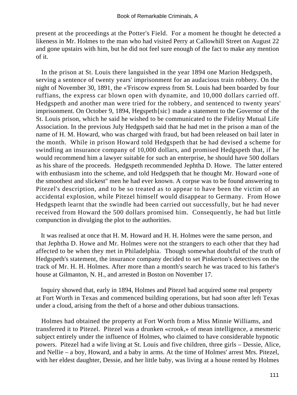present at the proceedings at the Potter's Field. For a moment he thought he detected a likeness in Mr. Holmes to the man who had visited Perry at Callowhill Street on August 22 and gone upstairs with him, but he did not feel sure enough of the fact to make any mention of it.

 In the prison at St. Louis there languished in the year 1894 one Marion Hedgspeth, serving a sentence of twenty years' imprisonment for an audacious train robbery. On the night of November 30, 1891, the «'Friscow express from St. Louis had been boarded by four ruffians, the express car blown open with dynamite, and 10,000 dollars carried off. Hedgspeth and another man were tried for the robbery, and sentenced to twenty years' imprisonment. On October 9, 1894, Hegspeth{sic} made a statement to the Governor of the St. Louis prison, which he said he wished to be communicated to the Fidelity Mutual Life Association. In the previous July Hedgspeth said that he had met in the prison a man of the name of H. M. Howard, who was charged with fraud, but had been released on bail later in the month. While in prison Howard told Hedgspeth that he had devised a scheme for swindling an insurance company of 10,000 dollars, and promised Hedgspeth that, if he would recommend him a lawyer suitable for such an enterprise, he should have 500 dollars as his share of the proceeds. Hedgspeth recommended Jephtha D. Howe. The latter entered with enthusiasm into the scheme, and told Hedgspeth that he thought Mr. Howard »one of the smoothest and slickest" men he had ever known. A corpse was to be found answering to Pitezel's description, and to be so treated as to appear to have been the victim of an accidental explosion, while Pitezel himself would disappear to Germany. From Howe Hedgspeth learnt that the swindle had been carried out successfully, but he had never received from Howard the 500 dollars promised him. Consequently, he had but little compunction in divulging the plot to the authorities.

 It was realised at once that H. M. Howard and H. H. Holmes were the same person, and that Jephtha D. Howe and Mr. Holmes were not the strangers to each other that they had affected to be when they met in Philadelphia. Though somewhat doubtful of the truth of Hedgspeth's statement, the insurance company decided to set Pinkerton's detectives on the track of Mr. H. H. Holmes. After more than a month's search he was traced to his father's house at Gilmanton, N. H., and arrested in Boston on November 17.

 Inquiry showed that, early in 1894, Holmes and Pitezel had acquired some real property at Fort Worth in Texas and commenced building operations, but had soon after left Texas under a cloud, arising from the theft of a horse and other dubious transactions.

 Holmes had obtained the property at Fort Worth from a Miss Minnie Williams, and transferred it to Pitezel. Pitezel was a drunken «crook,» of mean intelligence, a mesmeric subject entirely under the influence of Holmes, who claimed to have considerable hypnotic powers. Pitezel had a wife living at St. Louis and five children, three girls – Dessie, Alice, and Nellie – a boy, Howard, and a baby in arms. At the time of Holmes' arrest Mrs. Pitezel, with her eldest daughter, Dessie, and her little baby, was living at a house rented by Holmes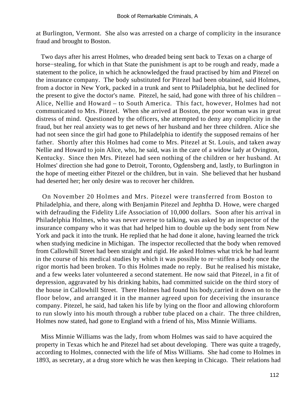at Burlington, Vermont. She also was arrested on a charge of complicity in the insurance fraud and brought to Boston.

 Two days after his arrest Holmes, who dreaded being sent back to Texas on a charge of horse−stealing, for which in that State the punishment is apt to be rough and ready, made a statement to the police, in which he acknowledged the fraud practised by him and Pitezel on the insurance company. The body substituted for Pitezel had been obtained, said Holmes, from a doctor in New York, packed in a trunk and sent to Philadelphia, but he declined for the present to give the doctor's name. Pitezel, he said, had gone with three of his children – Alice, Nellie and Howard – to South America. This fact, however, Holmes had not communicated to Mrs. Pitezel. When she arrived at Boston, the poor woman was in great distress of mind. Questioned by the officers, she attempted to deny any complicity in the fraud, but her real anxiety was to get news of her husband and her three children. Alice she had not seen since the girl had gone to Philadelphia to identify the supposed remains of her father. Shortly after this Holmes had come to Mrs. Pitezel at St. Louis, and taken away Nellie and Howard to join Alice, who, he said, was in the care of a widow lady at Ovington, Kentucky. Since then Mrs. Pitezel had seen nothing of the children or her husband. At Holmes' direction she had gone to Detroit, Toronto, Ogdensberg and, lastly, to Burlington in the hope of meeting either Pitezel or the children, but in vain. She believed that her husband had deserted her; her only desire was to recover her children.

 On November 20 Holmes and Mrs. Pitezel were transferred from Boston to Philadelphia, and there, along with Benjamin Pitezel and Jephtha D. Howe, were charged with defrauding the Fidelity Life Association of 10,000 dollars. Soon after his arrival in Philadelphia Holmes, who was never averse to talking, was asked by an inspector of the insurance company who it was that had helped him to double up the body sent from New York and pack it into the trunk. He replied that he had done it alone, having learned the trick when studying medicine in Michigan. The inspector recollected that the body when removed from Callowhill Street had been straight and rigid. He asked Holmes what trick he had learnt in the course of his medical studies by which it was possible to re−stiffen a body once the rigor mortis had been broken. To this Holmes made no reply. But he realised his mistake, and a few weeks later volunteered a second statement. He now said that Pitezel, in a fit of depression, aggravated by his drinking habits, had committed suicide on the third story of the house in Callowhill Street. There Holmes had found his body,carried it down on to the floor below, and arranged it in the manner agreed upon for deceiving the insurance company. Pitezel, he said, had taken his life by lying on the floor and allowing chloroform to run slowly into his mouth through a rubber tube placed on a chair. The three children, Holmes now stated, had gone to England with a friend of his, Miss Minnie Williams.

 Miss Minnie Williams was the lady, from whom Holmes was said to have acquired the property in Texas which he and Pitezel had set about developing. There was quite a tragedy, according to Holmes, connected with the life of Miss Williams. She had come to Holmes in 1893, as secretary, at a drug store which he was then keeping in Chicago. Their relations had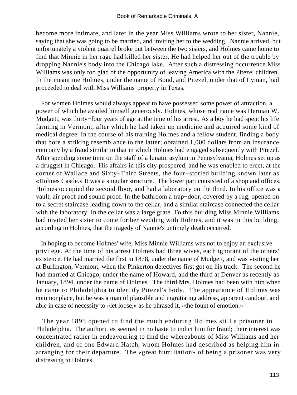become more intimate, and later in the year Miss Williams wrote to her sister, Nannie, saying that she was going to be married, and inviting her to the wedding. Nannie arrived, but unfortunately a violent quarrel broke out between the two sisters, and Holmes came home to find that Minnie in her rage had killed her sister. He had helped her out of the trouble by dropping Nannie's body into the Chicago lake. After such a distressing occurrence Miss Williams was only too glad of the opportunity of leaving America with the Pitezel children. In the meantime Holmes, under the name of Bond, and Pitezel, under that of Lyman, had proceeded to deal with Miss Williams' property in Texas.

 For women Holmes would always appear to have possessed some power of attraction, a power of which he availed himself generously. Holmes, whose real name was Herman W. Mudgett, was thirty−four years of age at the time of his arrest. As a boy he had spent his life farming in Vermont, after which he had taken up medicine and acquired some kind of medical degree. In the course of his training Holmes and a fellow student, finding a body that bore a striking resemblance to the latter; obtained 1,000 dollars from an insurance company by a fraud similar to that in which Holmes had engaged subsequently with Pitezel. After spending some time on the staff of a lunatic asylum in Pennsylvania, Holmes set up as a druggist in Chicago. His affairs in this city prospered, and he was enabled to erect, at the corner of Wallace and Sixty−Third Streets, the four−storied building known later as «Holmes Castle.» It was a singular structure. The lower part consisted of a shop and offices. Holmes occupied the second floor, and had a laboratory on the third. In his office was a vault, air proof and sound proof. In the bathroom a trap−door, covered by a rug, opened on to a secret staircase leading down to the cellar, and a similar staircase connected the cellar with the laboratory. In the cellar was a large grate. To this building Miss Minnie Williams had invited her sister to come for her wedding with Holmes, and it was in this building, according to Holmes, that the tragedy of Nannie's untimely death occurred.

 In hoping to become Holmes' wife, Miss Minnie Williams was not to enjoy an exclusive privilege. At the time of his arrest Holmes had three wives, each ignorant of the others' existence. He had married the first in 1878, under the name of Mudgett, and was visiting her at Burlington, Vermont, when the Pinkerton detectives first got on his track. The second he had married at Chicago, under the name of Howard, and the third at Denver as recently as January, 1894, under the name of Holmes. The third Mrs. Holmes had been with him when he came to Philadelphia to identify Pitezel's body. The appearance of Holmes was commonplace, but he was a man of plausible and ingratiating address, apparent candour, and able in case of necessity to «let loose,» as he phrased it, «the fount of emotion.»

 The year 1895 opened to find the much enduring Holmes still a prisoner in Philadelphia. The authorities seemed in no haste to indict him for fraud; their interest was concentrated rather in endeavouring to find the whereabouts of Miss Williams and her children, and of one Edward Hatch, whom Holmes had described as helping him in arranging for their departure. The «great humiliation» of being a prisoner was very distressing to Holmes.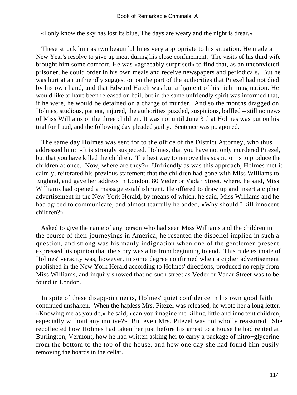«I only know the sky has lost its blue, The days are weary and the night is drear.»

 These struck him as two beautiful lines very appropriate to his situation. He made a New Year's resolve to give up meat during his close confinement. The visits of his third wife brought him some comfort. He was «agreeably surprised» to find that, as an unconvicted prisoner, he could order in his own meals and receive newspapers and periodicals. But he was hurt at an unfriendly suggestion on the part of the authorities that Pitezel had not died by his own hand, and that Edward Hatch was but a figment of his rich imagination. He would like to have been released on bail, but in the same unfriendly spirit was informed that, if he were, he would be detained on a charge of murder. And so the months dragged on. Holmes, studious, patient, injured, the authorities puzzled, suspicions, baffled – still no news of Miss Williams or the three children. It was not until June 3 that Holmes was put on his trial for fraud, and the following day pleaded guilty. Sentence was postponed.

 The same day Holmes was sent for to the office of the District Attorney, who thus addressed him: «It is strongly suspected, Holmes, that you have not only murdered Pitezel, but that you have killed the children. The best way to remove this suspicion is to produce the children at once. Now, where are they?» Unfriendly as was this approach, Holmes met it calmly, reiterated his previous statement that the children had gone with Miss Williams to England, and gave her address in London, 80 Veder or Vadar Street, where, he said, Miss Williams had opened a massage establishment. He offered to draw up and insert a cipher advertisement in the New York Herald, by means of which, he said, Miss Williams and he had agreed to communicate, and almost tearfully he added, «Why should I kill innocent children?»

 Asked to give the name of any person who had seen Miss Williams and the children in the course of their journeyings in America, he resented the disbelief implied in such a question, and strong was his manly indignation when one of the gentlemen present expressed his opinion that the story was a lie from beginning to end. This rude estimate of Holmes' veracity was, however, in some degree confirmed when a cipher advertisement published in the New York Herald according to Holmes' directions, produced no reply from Miss Williams, and inquiry showed that no such street as Veder or Vadar Street was to be found in London.

 In spite of these disappointments, Holmes' quiet confidence in his own good faith continued unshaken. When the hapless Mrs. Pitezel was released, he wrote her a long letter. «Knowing me as you do,» he said, «can you imagine me killing little and innocent children, especially without any motive?» But even Mrs. Pitezel was not wholly reassured. She recollected how Holmes had taken her just before his arrest to a house he had rented at Burlington, Vermont, how he had written asking her to carry a package of nitro−glycerine from the bottom to the top of the house, and how one day she had found him busily removing the boards in the cellar.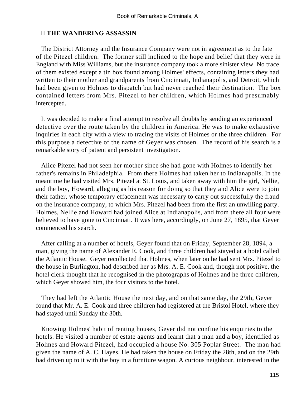## II **THE WANDERING ASSASSIN**

 The District Attorney and the Insurance Company were not in agreement as to the fate of the Pitezel children. The former still inclined to the hope and belief that they were in England with Miss Williams, but the insurance company took a more sinister view. No trace of them existed except a tin box found among Holmes' effects, containing letters they had written to their mother and grandparents from Cincinnati, Indianapolis, and Detroit, which had been given to Holmes to dispatch but had never reached their destination. The box contained letters from Mrs. Pitezel to her children, which Holmes had presumably intercepted.

 It was decided to make a final attempt to resolve all doubts by sending an experienced detective over the route taken by the children in America. He was to make exhaustive inquiries in each city with a view to tracing the visits of Holmes or the three children. For this purpose a detective of the name of Geyer was chosen. The record of his search is a remarkable story of patient and persistent investigation.

 Alice Pitezel had not seen her mother since she had gone with Holmes to identify her father's remains in Philadelphia. From there Holmes had taken her to Indianapolis. In the meantime he had visited Mrs. Pitezel at St. Louis, and taken away with him the girl, Nellie, and the boy, Howard, alleging as his reason for doing so that they and Alice were to join their father, whose temporary effacement was necessary to carry out successfully the fraud on the insurance company, to which Mrs. Pitezel had been from the first an unwilling party. Holmes, Nellie and Howard had joined Alice at Indianapolis, and from there all four were believed to have gone to Cincinnati. It was here, accordingly, on June 27, 1895, that Geyer commenced his search.

 After calling at a number of hotels, Geyer found that on Friday, September 28, 1894, a man, giving the name of Alexander E. Cook, and three children had stayed at a hotel called the Atlantic House. Geyer recollected that Holmes, when later on he had sent Mrs. Pitezel to the house in Burlington, had described her as Mrs. A. E. Cook and, though not positive, the hotel clerk thought that he recognised in the photographs of Holmes and he three children, which Geyer showed him, the four visitors to the hotel.

 They had left the Atlantic House the next day, and on that same day, the 29th, Geyer found that Mr. A. E. Cook and three children had registered at the Bristol Hotel, where they had stayed until Sunday the 30th.

 Knowing Holmes' habit of renting houses, Geyer did not confine his enquiries to the hotels. He visited a number of estate agents and learnt that a man and a boy, identified as Holmes and Howard Pitezel, had occupied a house No. 305 Poplar Street. The man had given the name of A. C. Hayes. He had taken the house on Friday the 28th, and on the 29th had driven up to it with the boy in a furniture wagon. A curious neighbour, interested in the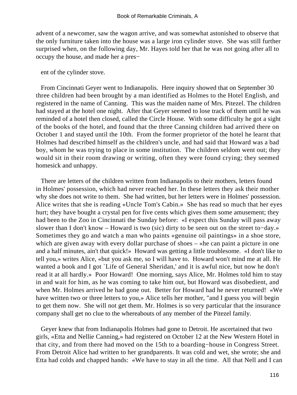advent of a newcomer, saw the wagon arrive, and was somewhat astonished to observe that the only furniture taken into the house was a large iron cylinder stove. She was still further surprised when, on the following day, Mr. Hayes told her that he was not going after all to occupy the house, and made her a pres−

ent of the cylinder stove.

 From Cincinnati Geyer went to Indianapolis. Here inquiry showed that on September 30 three children had been brought by a man identified as Holmes to the Hotel English, and registered in the name of Canning. This was the maiden name of Mrs. Pitezel. The children had stayed at the hotel one night. After that Geyer seemed to lose track of them until he was reminded of a hotel then closed, called the Circle House. With some difficulty he got a sight of the books of the hotel, and found that the three Canning children had arrived there on October 1 and stayed until the 10th. From the former proprietor of the hotel he learnt that Holmes had described himself as the children's uncle, and had said that Howard was a bad boy, whom he was trying to place in some institution. The children seldom went out; they would sit in their room drawing or writing, often they were found crying; they seemed homesick and unhappy.

 There are letters of the children written from Indianapolis to their mothers, letters found in Holmes' possession, which had never reached her. In these letters they ask their mother why she does not write to them. She had written, but her letters were in Holmes' possession. Alice writes that she is reading «Uncle Tom's Cabin.» She has read so much that her eyes hurt; they have bought a crystal pen for five cents which gives them some amusement; they had been to the Zoo in Cincinnati the Sunday before: «I expect this Sunday will pass away slower than I don't know – Howard is two (sic) dirty to be seen out on the street to−day.» Sometimes they go and watch a man who paints «genuine oil paintings» in a shoe store, which are given away with every dollar purchase of shoes – «he can paint a picture in one and a half minutes, ain't that quick!» Howard was getting a little troublesome. «I don't like to tell you,» writes Alice, «but you ask me, so I will have to. Howard won't mind me at all. He wanted a book and I got `Life of General Sheridan,' and it is awful nice, but now he don't read it at all hardly.» Poor Howard! One morning, says Alice, Mr. Holmes told him to stay in and wait for him, as he was coming to take him out, but Howard was disobedient, and when Mr. Holmes arrived he had gone out. Better for Howard had he never returned! «We have written two or three letters to you,» Alice tells her mother, "and I guess you will begin to get them now. She will not get them. Mr. Holmes is so very particular that the insurance company shall get no clue to the whereabouts of any member of the Pitezel family.

 Geyer knew that from Indianapolis Holmes had gone to Detroit. He ascertained that two girls, «Etta and Nellie Canning,» had registered on October 12 at the New Western Hotel in that city, and from there had moved on the 15th to a boarding−house in Congress Street. From Detroit Alice had written to her grandparents. It was cold and wet, she wrote; she and Etta had colds and chapped hands: «We have to stay in all the time. All that Nell and I can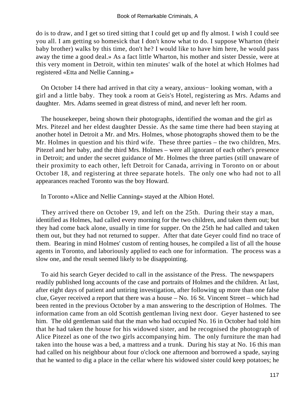do is to draw, and I get so tired sitting that I could get up and fly almost. I wish I could see you all. I am getting so homesick that I don't know what to do. I suppose Wharton (their baby brother) walks by this time, don't he? I would like to have him here, he would pass away the time a good deal.» As a fact little Wharton, his mother and sister Dessie, were at this very moment in Detroit, within ten minutes' walk of the hotel at which Holmes had registered «Etta and Nellie Canning.»

 On October 14 there had arrived in that city a weary, anxious− looking woman, with a girl and a little baby. They took a room at Geis's Hotel, registering as Mrs. Adams and daughter. Mrs. Adams seemed in great distress of mind, and never left her room.

 The housekeeper, being shown their photographs, identified the woman and the girl as Mrs. Pitezel and her eldest daughter Dessie. As the same time there had been staying at another hotel in Detroit a Mr. and Mrs. Holmes, whose photographs showed them to be the Mr. Holmes in question and his third wife. These three parties – the two children, Mrs. Pitezel and her baby, and the third Mrs. Holmes – were all ignorant of each other's presence in Detroit; and under the secret guidance of Mr. Holmes the three parties (still unaware of their proximity to each other, left Detroit for Canada, arriving in Toronto on or about October 18, and registering at three separate hotels. The only one who had not to all appearances reached Toronto was the boy Howard.

In Toronto «Alice and Nellie Canning» stayed at the Albion Hotel.

 They arrived there on October 19, and left on the 25th. During their stay a man, identified as Holmes, had called every morning for the two children, and taken them out; but they had come back alone, usually in time for supper. On the 25th he had called and taken them out, but they had not returned to supper. After that date Geyer could find no trace of them. Bearing in mind Holmes' custom of renting houses, he compiled a list of all the house agents in Toronto, and laboriously applied to each one for information. The process was a slow one, and the result seemed likely to be disappointing.

 To aid his search Geyer decided to call in the assistance of the Press. The newspapers readily published long accounts of the case and portraits of Holmes and the children. At last, after eight days of patient and untiring investigation, after following up more than one false clue, Geyer received a report that there was a house – No. 16 St. Vincent Street – which had been rented in the previous October by a man answering to the description of Holmes. The information came from an old Scottish gentleman living next door. Geyer hastened to see him. The old gentleman said that the man who had occupied No. 16 in October had told him that he had taken the house for his widowed sister, and he recognised the photograph of Alice Pitezel as one of the two girls accompanying him. The only furniture the man had taken into the house was a bed, a mattress and a trunk. During his stay at No. 16 this man had called on his neighbour about four o'clock one afternoon and borrowed a spade, saying that he wanted to dig a place in the cellar where his widowed sister could keep potatoes; he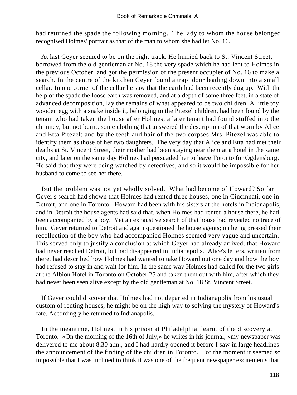had returned the spade the following morning. The lady to whom the house belonged recognised Holmes' portrait as that of the man to whom she had let No. 16.

 At last Geyer seemed to be on the right track. He hurried back to St. Vincent Street, borrowed from the old gentleman at No. 18 the very spade which he had lent to Holmes in the previous October, and got the permission of the present occupier of No. 16 to make a search. In the centre of the kitchen Geyer found a trap−door leading down into a small cellar. In one corner of the cellar he saw that the earth had been recently dug up. With the help of the spade the loose earth was removed, and at a depth of some three feet, in a state of advanced decomposition, lay the remains of what appeared to be two children. A little toy wooden egg with a snake inside it, belonging to the Pitezel children, had been found by the tenant who had taken the house after Holmes; a later tenant had found stuffed into the chimney, but not burnt, some clothing that answered the description of that worn by Alice and Etta Pitezel; and by the teeth and hair of the two corpses Mrs. Pitezel was able to identify them as those of her two daughters. The very day that Alice and Etta had met their deaths at St. Vincent Street, their mother had been staying near them at a hotel in the same city, and later on the same day Holmes had persuaded her to leave Toronto for Ogdensburg. He said that they were being watched by detectives, and so it would be impossible for her husband to come to see her there.

 But the problem was not yet wholly solved. What had become of Howard? So far Geyer's search had shown that Holmes had rented three houses, one in Cincinnati, one in Detroit, and one in Toronto. Howard had been with his sisters at the hotels in Indianapolis, and in Detroit the house agents had said that, when Holmes had rented a house there, he had been accompanied by a boy. Yet an exhaustive search of that house had revealed no trace of him. Geyer returned to Detroit and again questioned the house agents; on being pressed their recollection of the boy who had accompanied Holmes seemed very vague and uncertain. This served only to justify a conclusion at which Geyer had already arrived, that Howard had never reached Detroit, but had disappeared in Indianapolis. Alice's letters, written from there, had described how Holmes had wanted to take Howard out one day and how the boy had refused to stay in and wait for him. In the same way Holmes had called for the two girls at the Albion Hotel in Toronto on October 25 and taken them out with him, after which they had never been seen alive except by the old gentleman at No. 18 St. Vincent Street.

 If Geyer could discover that Holmes had not departed in Indianapolis from his usual custom of renting houses, he might be on the high way to solving the mystery of Howard's fate. Accordingly he returned to Indianapolis.

 In the meantime, Holmes, in his prison at Philadelphia, learnt of the discovery at Toronto. «On the morning of the 16th of July,» he writes in his journal, «my newspaper was delivered to me about 8.30 a.m., and I had hardly opened it before I saw in large headlines the announcement of the finding of the children in Toronto. For the moment it seemed so impossible that I was inclined to think it was one of the frequent newspaper excitements that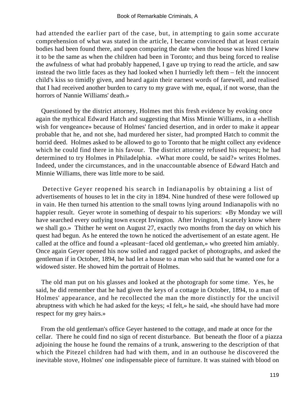had attended the earlier part of the case, but, in attempting to gain some accurate comprehension of what was stated in the article, I became convinced that at least certain bodies had been found there, and upon comparing the date when the house was hired I knew it to be the same as when the children had been in Toronto; and thus being forced to realise the awfulness of what had probably happened, I gave up trying to read the article, and saw instead the two little faces as they had looked when I hurriedly left them – felt the innocent child's kiss so timidly given, and heard again their earnest words of farewell, and realised that I had received another burden to carry to my grave with me, equal, if not worse, than the horrors of Nannie Williams' death.»

 Questioned by the district attorney, Holmes met this fresh evidence by evoking once again the mythical Edward Hatch and suggesting that Miss Minnie Williams, in a «hellish wish for vengeance» because of Holmes' fancied desertion, and in order to make it appear probable that he, and not she, had murdered her sister, had prompted Hatch to commit the horrid deed. Holmes asked to be allowed to go to Toronto that he might collect any evidence which he could find there in his favour. The district attorney refused his request; he had determined to try Holmes in Philadelphia. «What more could, be said?» writes Holmes. Indeed, under the circumstances, and in the unaccountable absence of Edward Hatch and Minnie Williams, there was little more to be said.

 Detective Geyer reopened his search in Indianapolis by obtaining a list of advertisements of houses to let in the city in 1894. Nine hundred of these were followed up in vain. He then turned his attention to the small towns lying around Indianapolis with no happier result. Geyer wrote in something of despair to his superiors: «By Monday we will have searched every outlying town except Irvington. After Irvington, I scarcely know where we shall go.» Thither he went on August 27, exactly two months from the day on which his quest had begun. As he entered the town he noticed the advertisement of an estate agent. He called at the office and found a «pleasant−faced old gentleman,» who greeted him amiably. Once again Geyer opened his now soiled and ragged packet of photographs, and asked the gentleman if in October, 1894, he had let a house to a man who said that he wanted one for a widowed sister. He showed him the portrait of Holmes.

 The old man put on his glasses and looked at the photograph for some time. Yes, he said, he did remember that he had given the keys of a cottage in October, 1894, to a man of Holmes' appearance, and he recollected the man the more distinctly for the uncivil abruptness with which he had asked for the keys; «I felt,» he said, «he should have had more respect for my grey hairs.»

 From the old gentleman's office Geyer hastened to the cottage, and made at once for the cellar. There he could find no sign of recent disturbance. But beneath the floor of a piazza adjoining the house he found the remains of a trunk, answering to the description of that which the Pitezel children had had with them, and in an outhouse he discovered the inevitable stove, Holmes' one indispensable piece of furniture. It was stained with blood on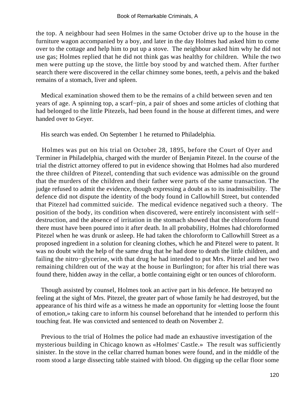the top. A neighbour had seen Holmes in the same October drive up to the house in the furniture wagon accompanied by a boy, and later in the day Holmes had asked him to come over to the cottage and help him to put up a stove. The neighbour asked him why he did not use gas; Holmes replied that he did not think gas was healthy for children. While the two men were putting up the stove, the little boy stood by and watched them. After further search there were discovered in the cellar chimney some bones, teeth, a pelvis and the baked remains of a stomach, liver and spleen.

 Medical examination showed them to be the remains of a child between seven and ten years of age. A spinning top, a scarf−pin, a pair of shoes and some articles of clothing that had belonged to the little Pitezels, had been found in the house at different times, and were handed over to Geyer.

His search was ended. On September 1 he returned to Philadelphia.

 Holmes was put on his trial on October 28, 1895, before the Court of Oyer and Terminer in Philadelphia, charged with the murder of Benjamin Pitezel. In the course of the trial the district attorney offered to put in evidence showing that Holmes had also murdered the three children of Pitezel, contending that such evidence was admissible on the ground that the murders of the children and their father were parts of the same transaction. The judge refused to admit the evidence, though expressing a doubt as to its inadmissibility. The defence did not dispute the identity of the body found in Callowhill Street, but contended that Pitezel had committed suicide. The medical evidence negatived such a theory. The position of the body, its condition when discovered, were entirely inconsistent with self− destruction, and the absence of irritation in the stomach showed that the chloroform found there must have been poured into it after death. In all probability, Holmes had chloroformed Pitezel when he was drunk or asleep. He had taken the chloroform to Callowhill Street as a proposed ingredient in a solution for cleaning clothes, which he and Pitezel were to patent. It was no doubt with the help of the same drug that he had done to death the little children, and failing the nitro−glycerine, with that drug he had intended to put Mrs. Pitezel and her two remaining children out of the way at the house in Burlington; for after his trial there was found there, hidden away in the cellar, a bottle containing eight or ten ounces of chloroform.

 Though assisted by counsel, Holmes took an active part in his defence. He betrayed no feeling at the sight of Mrs. Pitezel, the greater part of whose family he had destroyed, but the appearance of his third wife as a witness he made an opportunity for «letting loose the fount of emotion,» taking care to inform his counsel beforehand that he intended to perform this touching feat. He was convicted and sentenced to death on November 2.

 Previous to the trial of Holmes the police had made an exhaustive investigation of the mysterious building in Chicago known as «Holmes' Castle.» The result was sufficiently sinister. In the stove in the cellar charred human bones were found, and in the middle of the room stood a large dissecting table stained with blood. On digging up the cellar floor some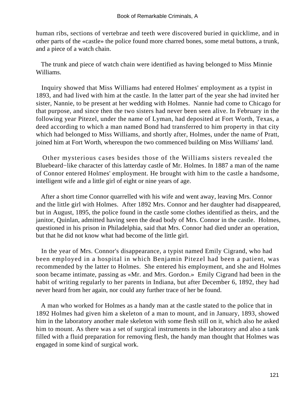human ribs, sections of vertebrae and teeth were discovered buried in quicklime, and in other parts of the «castle» the police found more charred bones, some metal buttons, a trunk, and a piece of a watch chain.

 The trunk and piece of watch chain were identified as having belonged to Miss Minnie Williams.

 Inquiry showed that Miss Williams had entered Holmes' employment as a typist in 1893, and had lived with him at the castle. In the latter part of the year she had invited her sister, Nannie, to be present at her wedding with Holmes. Nannie had come to Chicago for that purpose, and since then the two sisters had never been seen alive. In February in the following year Pitezel, under the name of Lyman, had deposited at Fort Worth, Texas, a deed according to which a man named Bond had transferred to him property in that city which had belonged to Miss Williams, and shortly after, Holmes, under the name of Pratt, joined him at Fort Worth, whereupon the two commenced building on Miss Williams' land.

 Other mysterious cases besides those of the Williams sisters revealed the Bluebeard−like character of this latterday castle of Mr. Holmes. In 1887 a man of the name of Connor entered Holmes' employment. He brought with him to the castle a handsome, intelligent wife and a little girl of eight or nine years of age.

 After a short time Connor quarrelled with his wife and went away, leaving Mrs. Connor and the little girl with Holmes. After 1892 Mrs. Connor and her daughter had disappeared, but in August, 1895, the police found in the castle some clothes identified as theirs, and the janitor, Quinlan, admitted having seen the dead body of Mrs. Connor in the castle. Holmes, questioned in his prison in Philadelphia, said that Mrs. Connor had died under an operation, but that he did not know what had become of the little girl.

 In the year of Mrs. Connor's disappearance, a typist named Emily Cigrand, who had been employed in a hospital in which Benjamin Pitezel had been a patient, was recommended by the latter to Holmes. She entered his employment, and she and Holmes soon became intimate, passing as «Mr. and Mrs. Gordon.» Emily Cigrand had been in the habit of writing regularly to her parents in Indiana, but after December 6, 1892, they had never heard from her again, nor could any further trace of her be found.

 A man who worked for Holmes as a handy man at the castle stated to the police that in 1892 Holmes had given him a skeleton of a man to mount, and in January, 1893, showed him in the laboratory another male skeleton with some flesh still on it, which also he asked him to mount. As there was a set of surgical instruments in the laboratory and also a tank filled with a fluid preparation for removing flesh, the handy man thought that Holmes was engaged in some kind of surgical work.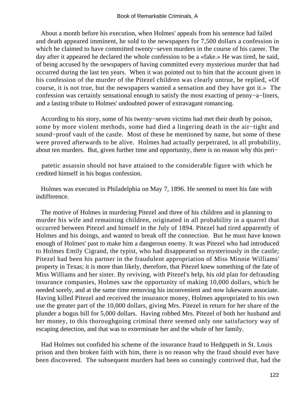About a month before his execution, when Holmes' appeals from his sentence had failed and death appeared imminent, he sold to the newspapers for 7,500 dollars a confession in which he claimed to have committed twenty−seven murders in the course of his career. The day after it appeared he declared the whole confession to be a «fake.» He was tired, he said, of being accused by the newspapers of having committed every mysterious murder that had occurred during the last ten years. When it was pointed out to him that the account given in his confession of the murder of the Pitezel children was clearly untrue, he replied, «Of course, it is not true, but the newspapers wanted a sensation and they have got it.» The confession was certainly sensational enough to satisfy the most exacting of penny−a−liners, and a lasting tribute to Holmes' undoubted power of extravagant romancing.

 According to his story, some of his twenty−seven victims had met their death by poison, some by more violent methods, some had died a lingering death in the air−tight and sound−proof vault of the castle. Most of these he mentioned by name, but some of these were proved afterwards to be alive. Holmes had actually perpetrated, in all probability, about ten murders. But, given further time and opportunity, there is no reason why this peri−

 patetic assassin should not have attained to the considerable figure with which he credited himself in his bogus confession.

 Holmes was executed in Philadelphia on May 7, 1896. He seemed to meet his fate with indifference.

 The motive of Holmes in murdering Pitezel and three of his children and in planning to murder his wife and remaining children, originated in all probability in a quarrel that occurred between Pitezel and himself in the July of 1894. Pitezel had tired apparently of Holmes and his doings, and wanted to break off the connection. But he must have known enough of Holmes' past to make him a dangerous enemy. It was Pitezel who had introduced to Holmes Emily Cigrand, the typist, who had disappeared so mysteriously in the castle; Pitezel had been his partner in the fraudulent appropriation of Miss Minnie Williams' property in Texas; it is more than likely, therefore, that Pitezel knew something of the fate of Miss Williams and her sister. By reviving, with Pitezel's help, his old plan for defrauding insurance companies, Holmes saw the opportunity of making 10,000 dollars, which he needed sorely, and at the same time removing his inconvenient and now lukewarm associate. Having killed Pitezel and received the insurance money, Holmes appropriated to his own use the greater part of the 10,000 dollars, giving Mrs. Pitezel in return for her share of the plunder a bogus bill for 5,000 dollars. Having robbed Mrs. Pitezel of both her husband and her money, to this thoroughgoing criminal there seemed only one satisfactory way of escaping detection, and that was to exterminate her and the whole of her family.

 Had Holmes not confided his scheme of the insurance fraud to Hedgspeth in St. Louis prison and then broken faith with him, there is no reason why the fraud should ever have been discovered. The subsequent murders had been so cunningly contrived that, had the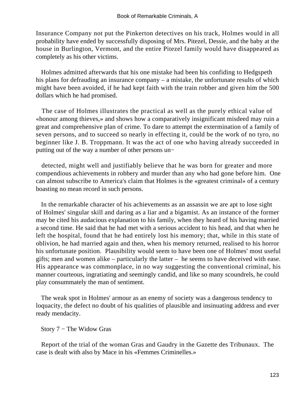Insurance Company not put the Pinkerton detectives on his track, Holmes would in all probability have ended by successfully disposing of Mrs. Pitezel, Dessie, and the baby at the house in Burlington, Vermont, and the entire Pitezel family would have disappeared as completely as his other victims.

 Holmes admitted afterwards that his one mistake had been his confiding to Hedgspeth his plans for defrauding an insurance company – a mistake, the unfortunate results of which might have been avoided, if he had kept faith with the train robber and given him the 500 dollars which he had promised.

 The case of Holmes illustrates the practical as well as the purely ethical value of «honour among thieves,» and shows how a comparatively insignificant misdeed may ruin a great and comprehensive plan of crime. To dare to attempt the extermination of a family of seven persons, and to succeed so nearly in effecting it, could be the work of no tyro, no beginner like J. B. Troppmann. It was the act of one who having already succeeded in putting out of the way a number of other persons un−

 detected, might well and justifiably believe that he was born for greater and more compendious achievements in robbery and murder than any who had gone before him. One can almost subscribe to America's claim that Holmes is the «greatest criminal» of a century boasting no mean record in such persons.

 In the remarkable character of his achievements as an assassin we are apt to lose sight of Holmes' singular skill and daring as a liar and a bigamist. As an instance of the former may be cited his audacious explanation to his family, when they heard of his having married a second time. He said that he had met with a serious accident to his head, and that when he left the hospital, found that he had entirely lost his memory; that, while in this state of oblivion, he had married again and then, when his memory returned, realised to his horror his unfortunate position. Plausibility would seem to have been one of Holmes' most useful gifts; men and women alike – particularly the latter – he seems to have deceived with ease. His appearance was commonplace, in no way suggesting the conventional criminal, his manner courteous, ingratiating and seemingly candid, and like so many scoundrels, he could play consummately the man of sentiment.

 The weak spot in Holmes' armour as an enemy of society was a dangerous tendency to loquacity, the defect no doubt of his qualities of plausible and insinuating address and ever ready mendacity.

Story 7 − The Widow Gras

 Report of the trial of the woman Gras and Gaudry in the Gazette des Tribunaux. The case is dealt with also by Mace in his «Femmes Criminelles.»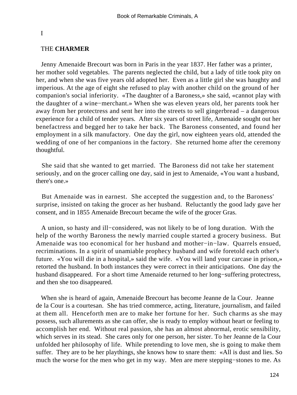#### I

#### THE **CHARMER**

 Jenny Amenaide Brecourt was born in Paris in the year 1837. Her father was a printer, her mother sold vegetables. The parents neglected the child, but a lady of title took pity on her, and when she was five years old adopted her. Even as a little girl she was haughty and imperious. At the age of eight she refused to play with another child on the ground of her companion's social inferiority. «The daughter of a Baroness,» she said, «cannot play with the daughter of a wine−merchant.» When she was eleven years old, her parents took her away from her protectress and sent her into the streets to sell gingerbread – a dangerous experience for a child of tender years. After six years of street life, Amenaide sought out her benefactress and begged her to take her back. The Baroness consented, and found her employment in a silk manufactory. One day the girl, now eighteen years old, attended the wedding of one of her companions in the factory. She returned home after the ceremony thoughtful.

 She said that she wanted to get married. The Baroness did not take her statement seriously, and on the grocer calling one day, said in jest to Amenaide, «You want a husband, there's one.»

 But Amenaide was in earnest. She accepted the suggestion and, to the Baroness' surprise, insisted on taking the grocer as her husband. Reluctantly the good lady gave her consent, and in 1855 Amenaide Brecourt became the wife of the grocer Gras.

 A union, so hasty and ill−considered, was not likely to be of long duration. With the help of the worthy Baroness the newly married couple started a grocery business. But Amenaide was too economical for her husband and mother−in−law. Quarrels ensued, recriminations. In a spirit of unamiable prophecy husband and wife foretold each other's future. «You will die in a hospital,» said the wife. «You will land your carcase in prison,» retorted the husband. In both instances they were correct in their anticipations. One day the husband disappeared. For a short time Amenaide returned to her long−suffering protectress, and then she too disappeared.

 When she is heard of again, Amenaide Brecourt has become Jeanne de la Cour. Jeanne de la Cour is a courtesan. She has tried commerce, acting, literature, journalism, and failed at them all. Henceforth men are to make her fortune for her. Such charms as she may possess, such allurements as she can offer, she is ready to employ without heart or feeling to accomplish her end. Without real passion, she has an almost abnormal, erotic sensibility, which serves in its stead. She cares only for one person, her sister. To her Jeanne de la Cour unfolded her philosophy of life. While pretending to love men, she is going to make them suffer. They are to be her playthings, she knows how to snare them: «All is dust and lies. So much the worse for the men who get in my way. Men are mere stepping−stones to me. As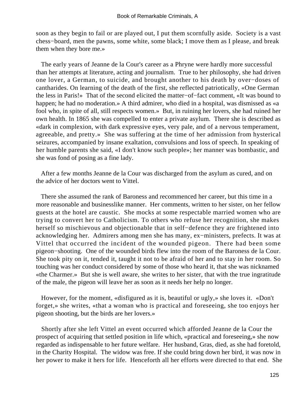soon as they begin to fail or are played out, I put them scornfully aside. Society is a vast chess−board, men the pawns, some white, some black; I move them as I please, and break them when they bore me.»

 The early years of Jeanne de la Cour's career as a Phryne were hardly more successful than her attempts at literature, acting and journalism. True to her philosophy, she had driven one lover, a German, to suicide, and brought another to his death by over−doses of cantharides. On learning of the death of the first, she reflected patriotically, «One German the less in Paris!» That of the second elicited the matter−of−fact comment, «It was bound to happen; he had no moderation.» A third admirer, who died in a hospital, was dismissed as «a fool who, in spite of all, still respects women.» But, in ruining her lovers, she had ruined her own health. In 1865 she was compelled to enter a private asylum. There she is described as «dark in complexion, with dark expressive eyes, very pale, and of a nervous temperament, agreeable, and pretty.» She was suffering at the time of her admission from hysterical seizures, accompanied by insane exaltation, convulsions and loss of speech. In speaking of her humble parents she said, «I don't know such people»; her manner was bombastic, and she was fond of posing as a fine lady.

 After a few months Jeanne de la Cour was discharged from the asylum as cured, and on the advice of her doctors went to Vittel.

 There she assumed the rank of Baroness and recommenced her career, but this time in a more reasonable and businesslike manner. Her comments, written to her sister, on her fellow guests at the hotel are caustic. She mocks at some respectable married women who are trying to convert her to Catholicism. To others who refuse her recognition, she makes herself so mischievous and objectionable that in self−defence they are frightened into acknowledging her. Admirers among men she has many, ex−ministers, prefects. It was at Vittel that occurred the incident of the wounded pigeon. There had been some pigeon−shooting. One of the wounded birds flew into the room of the Baroness de la Cour. She took pity on it, tended it, taught it not to be afraid of her and to stay in her room. So touching was her conduct considered by some of those who heard it, that she was nicknamed «the Charmer.» But she is well aware, she writes to her sister, that with the true ingratitude of the male, the pigeon will leave her as soon as it needs her help no longer.

 However, for the moment, «disfigured as it is, beautiful or ugly,» she loves it. «Don't forget,» she writes, «that a woman who is practical and foreseeing, she too enjoys her pigeon shooting, but the birds are her lovers.»

 Shortly after she left Vittel an event occurred which afforded Jeanne de la Cour the prospect of acquiring that settled position in life which, «practical and foreseeing,» she now regarded as indispensable to her future welfare. Her husband, Gras, died, as she had foretold, in the Charity Hospital. The widow was free. If she could bring down her bird, it was now in her power to make it hers for life. Henceforth all her efforts were directed to that end. She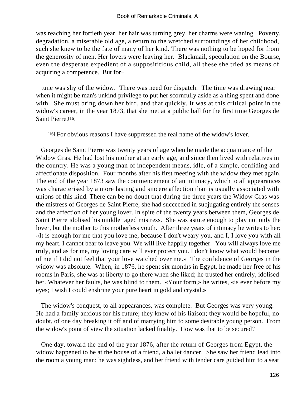was reaching her fortieth year, her hair was turning grey, her charms were waning. Poverty, degradation, a miserable old age, a return to the wretched surroundings of her childhood, such she knew to be the fate of many of her kind. There was nothing to be hoped for from the generosity of men. Her lovers were leaving her. Blackmail, speculation on the Bourse, even the desperate expedient of a supposititious child, all these she tried as means of acquiring a competence. But for−

 tune was shy of the widow. There was need for dispatch. The time was drawing near when it might be man's unkind privilege to put her scornfully aside as a thing spent and done with. She must bring down her bird, and that quickly. It was at this critical point in the widow's career, in the year 1873, that she met at a public ball for the first time Georges de Saint Pierre.[16]

[16] For obvious reasons I have suppressed the real name of the widow's lover.

 Georges de Saint Pierre was twenty years of age when he made the acquaintance of the Widow Gras. He had lost his mother at an early age, and since then lived with relatives in the country. He was a young man of independent means, idle, of a simple, confiding and affectionate disposition. Four months after his first meeting with the widow they met again. The end of the year 1873 saw the commencement of an intimacy, which to all appearances was characterised by a more lasting and sincere affection than is usually associated with unions of this kind. There can be no doubt that during the three years the Widow Gras was the mistress of Georges de Saint Pierre, she had succeeded in subjugating entirely the senses and the affection of her young lover. In spite of the twenty years between them, Georges de Saint Pierre idolised his middle−aged mistress. She was astute enough to play not only the lover, but the mother to this motherless youth. After three years of intimacy he writes to her: «It is enough for me that you love me, because I don't weary you, and I, I love you with all my heart. I cannot bear to leave you. We will live happily together. You will always love me truly, and as for me, my loving care will ever protect you. I don't know what would become of me if I did not feel that your love watched over me.» The confidence of Georges in the widow was absolute. When, in 1876, he spent six months in Egypt, he made her free of his rooms in Paris, she was at liberty to go there when she liked; he trusted her entirely, idolised her. Whatever her faults, he was blind to them. «Your form,» he writes, «is ever before my eyes; I wish I could enshrine your pure heart in gold and crystal.»

 The widow's conquest, to all appearances, was complete. But Georges was very young. He had a family anxious for his future; they knew of his liaison; they would be hopeful, no doubt, of one day breaking it off and of marrying him to some desirable young person. From the widow's point of view the situation lacked finality. How was that to be secured?

 One day, toward the end of the year 1876, after the return of Georges from Egypt, the widow happened to be at the house of a friend, a ballet dancer. She saw her friend lead into the room a young man; he was sightless, and her friend with tender care guided him to a seat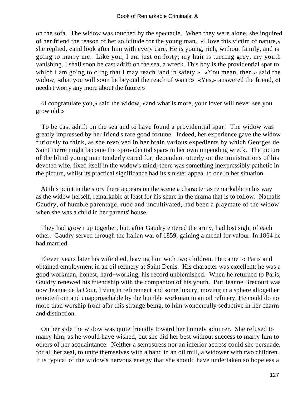on the sofa. The widow was touched by the spectacle. When they were alone, she inquired of her friend the reason of her solicitude for the young man. «I love this victim of nature,» she replied, «and look after him with every care. He is young, rich, without family, and is going to marry me. Like you, I am just on forty; my hair is turning grey, my youth vanishing. I shall soon be cast adrift on the sea, a wreck. This boy is the providential spar to which I am going to cling that I may reach land in safety.» «You mean, then,» said the widow, «that you will soon be beyond the reach of want?» «Yes,» answered the friend, «I needn't worry any more about the future.»

 «I congratulate you,» said the widow, «and what is more, your lover will never see you grow old.»

 To be cast adrift on the sea and to have found a providential spar! The widow was greatly impressed by her friend's rare good fortune. Indeed, her experience gave the widow furiously to think, as she revolved in her brain various expedients by which Georges de Saint Pierre might become the «providential spar» in her own impending wreck. The picture of the blind young man tenderly cared for, dependent utterly on the ministrations of his devoted wife, fixed itself in the widow's mind; there was something inexpressibly pathetic in the picture, whilst its practical significance had its sinister appeal to one in her situation.

 At this point in the story there appears on the scene a character as remarkable in his way as the widow herself, remarkable at least for his share in the drama that is to follow. Nathalis Gaudry, of humble parentage, rude and uncultivated, had been a playmate of the widow when she was a child in her parents' house.

 They had grown up together, but, after Gaudry entered the army, had lost sight of each other. Gaudry served through the Italian war of 1859, gaining a medal for valour. In 1864 he had married.

 Eleven years later his wife died, leaving him with two children. He came to Paris and obtained employment in an oil refinery at Saint Denis. His character was excellent; he was a good workman, honest, hard−working, his record unblemished. When he returned to Paris, Gaudry renewed his friendship with the companion of his youth. But Jeanne Brecourt was now Jeanne de la Cour, living in refinement and some luxury, moving in a sphere altogether remote from and unapproachable by the humble workman in an oil refinery. He could do no more than worship from afar this strange being, to him wonderfully seductive in her charm and distinction.

 On her side the widow was quite friendly toward her homely admirer. She refused to marry him, as he would have wished, but she did her best without success to marry him to others of her acquaintance. Neither a sempstress nor an inferior actress could she persuade, for all her zeal, to unite themselves with a hand in an oil mill, a widower with two children. It is typical of the widow's nervous energy that she should have undertaken so hopeless a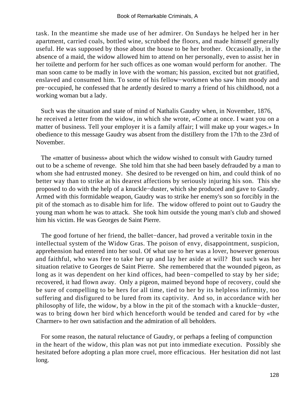task. In the meantime she made use of her admirer. On Sundays he helped her in her apartment, carried coals, bottled wine, scrubbed the floors, and made himself generally useful. He was supposed by those about the house to be her brother. Occasionally, in the absence of a maid, the widow allowed him to attend on her personally, even to assist her in her toilette and perform for her such offices as one woman would perform for another. The man soon came to be madly in love with the woman; his passion, excited but not gratified, enslaved and consumed him. To some of his fellow−workmen who saw him moody and pre−occupied, he confessed that he ardently desired to marry a friend of his childhood, not a working woman but a lady.

 Such was the situation and state of mind of Nathalis Gaudry when, in November, 1876, he received a letter from the widow, in which she wrote, «Come at once. I want you on a matter of business. Tell your employer it is a family affair; I will make up your wages.» In obedience to this message Gaudry was absent from the distillery from the 17th to the 23rd of November.

 The «matter of business» about which the widow wished to consult with Gaudry turned out to be a scheme of revenge. She told him that she had been basely defrauded by a man to whom she had entrusted money. She desired to be revenged on him, and could think of no better way than to strike at his dearest affections by seriously injuring his son. This she proposed to do with the help of a knuckle−duster, which she produced and gave to Gaudry. Armed with this formidable weapon, Gaudry was to strike her enemy's son so forcibly in the pit of the stomach as to disable him for life. The widow offered to point out to Gaudry the young man whom he was to attack. She took him outside the young man's club and showed him his victim. He was Georges de Saint Pierre.

 The good fortune of her friend, the ballet−dancer, had proved a veritable toxin in the intellectual system of the Widow Gras. The poison of envy, disappointment, suspicion, apprehension had entered into her soul. Of what use to her was a lover, however generous and faithful, who was free to take her up and lay her aside at will? But such was her situation relative to Georges de Saint Pierre. She remembered that the wounded pigeon, as long as it was dependent on her kind offices, had been−compelled to stay by her side; recovered, it had flown away. Only a pigeon, maimed beyond hope of recovery, could she be sure of compelling to be hers for all time, tied to her by its helpless infirmity, too suffering and disfigured to be lured from its captivity. And so, in accordance with her philosophy of life, the widow, by a blow in the pit of the stomach with a knuckle−duster, was to bring down her bird which henceforth would be tended and cared for by «the Charmer» to her own satisfaction and the admiration of all beholders.

 For some reason, the natural reluctance of Gaudry, or perhaps a feeling of compunction in the heart of the widow, this plan was not put into immediate execution. Possibly she hesitated before adopting a plan more cruel, more efficacious. Her hesitation did not last long.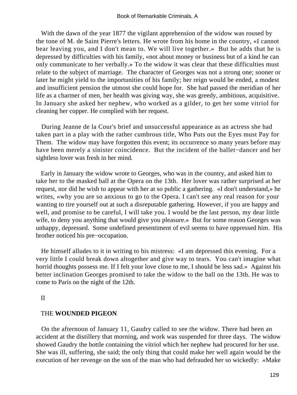With the dawn of the year 1877 the vigilant apprehension of the widow was roused by the tone of M. de Saint Pierre's letters. He wrote from his home in the country, «I cannot bear leaving you, and I don't mean to. We will live together.» But he adds that he is depressed by difficulties with his family, «not about money or business but of a kind he can only communicate to her verbally.» To the widow it was clear that these difficulties must relate to the subject of marriage. The character of Georges was not a strong one; sooner or later he might yield to the importunities of his family; her reign would be ended, a modest and insufficient pension the utmost she could hope for. She had passed the meridian of her life as a charmer of men, her health was giving way, she was greedy, ambitious, acquisitive. In January she asked her nephew, who worked as a gilder, to get her some vitriol for cleaning her copper. He complied with her request.

 During Jeanne de la Cour's brief and unsuccessful appearance as an actress she had taken part in a play with the rather cumbrous title, Who Puts out the Eyes must Pay for Them. The widow may have forgotten this event; its occurrence so many years before may have been merely a sinister coincidence. But the incident of the ballet−dancer and her sightless lover was fresh in her mind.

 Early in January the widow wrote to Georges, who was in the country, and asked him to take her to the masked ball at the Opera on the 13th. Her lover was rather surprised at her request, nor did he wish to appear with her at so public a gathering. «I don't understand,» he writes, «why you are so anxious to go to the Opera. I can't see any real reason for your wanting to tire yourself out at such a disreputable gathering. However, if you are happy and well, and promise to be careful, I will take you. I would be the last person, my dear little wife, to deny you anything that would give you pleasure.» But for some reason Georges was unhappy, depressed. Some undefined presentiment of evil seems to have oppressed him. His brother noticed his pre−occupation.

 He himself alludes to it in writing to his mistress: «I am depressed this evening. For a very little I could break down altogether and give way to tears. You can't imagine what horrid thoughts possess me. If I felt your love close to me, I should be less sad.» Against his better inclination Georges promised to take the widow to the ball on the 13th. He was to come to Paris on the night of the 12th.

## II

# THE **WOUNDED PIGEON**

 On the afternoon of January 11, Gaudry called to see the widow. There had been an accident at the distillery that morning, and work was suspended for three days. The widow showed Gaudry the bottle containing the vitriol which her nephew had procured for her use. She was ill, suffering, she said; the only thing that could make her well again would be the execution of her revenge on the son of the man who had defrauded her so wickedly: «Make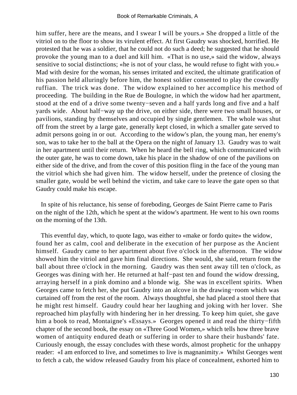him suffer, here are the means, and I swear I will be yours.» She dropped a little of the vitriol on to the floor to show its virulent effect. At first Gaudry was shocked, horrified. He protested that he was a soldier, that he could not do such a deed; he suggested that he should provoke the young man to a duel and kill him. «That is no use,» said the widow, always sensitive to social distinctions; «he is not of your class, he would refuse to fight with you.» Mad with desire for the woman, his senses irritated and excited, the ultimate gratification of his passion held alluringly before him, the honest soldier consented to play the cowardly ruffian. The trick was done. The widow explained to her accomplice his method of proceeding. The building in the Rue de Boulogne, in which the widow had her apartment, stood at the end of a drive some twenty−seven and a half yards long and five and a half yards wide. About half−way up the drive, on either side, there were two small houses, or pavilions, standing by themselves and occupied by single gentlemen. The whole was shut off from the street by a large gate, generally kept closed, in which a smaller gate served to admit persons going in or out. According to the widow's plan, the young man, her enemy's son, was to take her to the ball at the Opera on the night of January 13. Gaudry was to wait in her apartment until their return. When he heard the bell ring, which communicated with the outer gate, he was to come down, take his place in the shadow of one of the pavilions on either side of the drive, and from the cover of this position fling in the face of the young man the vitriol which she had given him. The widow herself, under the pretence of closing the smaller gate, would be well behind the victim, and take care to leave the gate open so that Gaudry could make his escape.

 In spite of his reluctance, his sense of foreboding, Georges de Saint Pierre came to Paris on the night of the 12th, which he spent at the widow's apartment. He went to his own rooms on the morning of the 13th.

 This eventful day, which, to quote Iago, was either to «make or fordo quite» the widow, found her as calm, cool and deliberate in the execution of her purpose as the Ancient himself. Gaudry came to her apartment about five o'clock in the afternoon. The widow showed him the vitriol and gave him final directions. She would, she said, return from the ball about three o'clock in the morning. Gaudry was then sent away till ten o'clock, as Georges was dining with her. He returned at half−past ten and found the widow dressing, arraying herself in a pink domino and a blonde wig. She was in excellent spirits. When Georges came to fetch her, she put Gaudry into an alcove in the drawing−room which was curtained off from the rest of the room. Always thoughtful, she had placed a stool there that he might rest himself. Gaudry could hear her laughing and joking with her lover. She reproached him playfully with hindering her in her dressing. To keep him quiet, she gave him a book to read, Montaigne's «Essays.» Georges opened it and read the thirty−fifth chapter of the second book, the essay on «Three Good Women,» which tells how three brave women of antiquity endured death or suffering in order to share their husbands' fate. Curiously enough, the essay concludes with these words, almost prophetic for the unhappy reader: «I am enforced to live, and sometimes to live is magnanimity.» Whilst Georges went to fetch a cab, the widow released Gaudry from his place of concealment, exhorted him to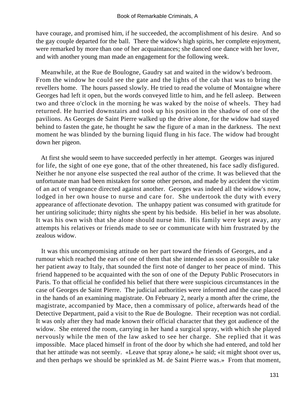have courage, and promised him, if he succeeded, the accomplishment of his desire. And so the gay couple departed for the ball. There the widow's high spirits, her complete enjoyment, were remarked by more than one of her acquaintances; she danced one dance with her lover, and with another young man made an engagement for the following week.

 Meanwhile, at the Rue de Boulogne, Gaudry sat and waited in the widow's bedroom. From the window he could see the gate and the lights of the cab that was to bring the revellers home. The hours passed slowly. He tried to read the volume of Montaigne where Georges had left it open, but the words conveyed little to him, and he fell asleep. Between two and three o'clock in the morning he was waked by the noise of wheels. They had returned. He hurried downstairs and took up his position in the shadow of one of the pavilions. As Georges de Saint Pierre walked up the drive alone, for the widow had stayed behind to fasten the gate, he thought he saw the figure of a man in the darkness. The next moment he was blinded by the burning liquid flung in his face. The widow had brought down her pigeon.

 At first she would seem to have succeeded perfectly in her attempt. Georges was injured for life, the sight of one eye gone, that of the other threatened, his face sadly disfigured. Neither he nor anyone else suspected the real author of the crime. It was believed that the unfortunate man had been mistaken for some other person, and made by accident the victim of an act of vengeance directed against another. Georges was indeed all the widow's now, lodged in her own house to nurse and care for. She undertook the duty with every appearance of affectionate devotion. The unhappy patient was consumed with gratitude for her untiring solicitude; thirty nights she spent by his bedside. His belief in her was absolute. It was his own wish that she alone should nurse him. His family were kept away, any attempts his relatives or friends made to see or communicate with him frustrated by the zealous widow.

 It was this uncompromising attitude on her part toward the friends of Georges, and a rumour which reached the ears of one of them that she intended as soon as possible to take her patient away to Italy, that sounded the first note of danger to her peace of mind. This friend happened to be acquainted with the son of one of the Deputy Public Prosecutors in Paris. To that official he confided his belief that there were suspicious circumstances in the case of Georges de Saint Pierre. The judicial authorities were informed and the case placed in the hands of an examining magistrate. On February 2, nearly a month after the crime, the magistrate, accompanied by Mace, then a commissary of police, afterwards head of the Detective Department, paid a visit to the Rue de Boulogne. Their reception was not cordial. It was only after they had made known their official character that they got audience of the widow. She entered the room, carrying in her hand a surgical spray, with which she played nervously while the men of the law asked to see her charge. She replied that it was impossible. Mace placed himself in front of the door by which she had entered, and told her that her attitude was not seemly. «Leave that spray alone,» he said; «it might shoot over us, and then perhaps we should be sprinkled as M. de Saint Pierre was.» From that moment,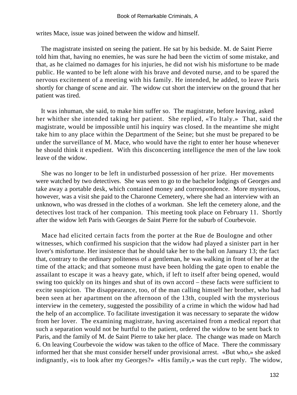writes Mace, issue was joined between the widow and himself.

 The magistrate insisted on seeing the patient. He sat by his bedside. M. de Saint Pierre told him that, having no enemies, he was sure he had been the victim of some mistake, and that, as he claimed no damages for his injuries, he did not wish his misfortune to be made public. He wanted to be left alone with his brave and devoted nurse, and to be spared the nervous excitement of a meeting with his family. He intended, he added, to leave Paris shortly for change of scene and air. The widow cut short the interview on the ground that her patient was tired.

 It was inhuman, she said, to make him suffer so. The magistrate, before leaving, asked her whither she intended taking her patient. She replied, «To Italy.» That, said the magistrate, would be impossible until his inquiry was closed. In the meantime she might take him to any place within the Department of the Seine; but she must be prepared to be under the surveillance of M. Mace, who would have the right to enter her house whenever he should think it expedient. With this disconcerting intelligence the men of the law took leave of the widow.

 She was no longer to be left in undisturbed possession of her prize. Her movements were watched by two detectives. She was seen to go to the bachelor lodgings of Georges and take away a portable desk, which contained money and correspondence. More mysterious, however, was a visit she paid to the Charonne Cemetery, where she had an interview with an unknown, who was dressed in the clothes of a workman. She left the cemetery alone, and the detectives lost track of her companion. This meeting took place on February 11. Shortly after the widow left Paris with Georges de Saint Pierre for the suburb of Courbevoie.

 Mace had elicited certain facts from the porter at the Rue de Boulogne and other witnesses, which confirmed his suspicion that the widow had played a sinister part in her lover's misfortune. Her insistence that he should take her to the ball on January 13; the fact that, contrary to the ordinary politeness of a gentleman, he was walking in front of her at the time of the attack; and that someone must have been holding the gate open to enable the assailant to escape it was a heavy gate, which, if left to itself after being opened, would swing too quickly on its hinges and shut of its own accord – these facts were sufficient to excite suspicion. The disappearance, too, of the man calling himself her brother, who had been seen at her apartment on the afternoon of the 13th, coupled with the mysterious interview in the cemetery, suggested the possibility of a crime in which the widow had had the help of an accomplice. To facilitate investigation it was necessary to separate the widow from her lover. The examining magistrate, having ascertained from a medical report that such a separation would not be hurtful to the patient, ordered the widow to be sent back to Paris, and the family of M. de Saint Pierre to take her place. The change was made on March 6. On leaving Courbevoie the widow was taken to the office of Mace. There the commissary informed her that she must consider herself under provisional arrest. «But who,» she asked indignantly, «is to look after my Georges?» «His family,» was the curt reply. The widow,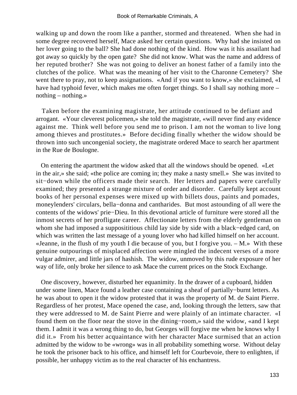walking up and down the room like a panther, stormed and threatened. When she had in some degree recovered herself, Mace asked her certain questions. Why had she insisted on her lover going to the ball? She had done nothing of the kind. How was it his assailant had got away so quickly by the open gate? She did not know. What was the name and address of her reputed brother? She was not going to deliver an honest father of a family into the clutches of the police. What was the meaning of her visit to the Charonne Cemetery? She went there to pray, not to keep assignations. «And if you want to know,» she exclaimed, «I have had typhoid fever, which makes me often forget things. So I shall say nothing more – nothing – nothing.»

 Taken before the examining magistrate, her attitude continued to be defiant and arrogant. «Your cleverest policemen,» she told the magistrate, «will never find any evidence against me. Think well before you send me to prison. I am not the woman to live long among thieves and prostitutes.» Before deciding finally whether the widow should be thrown into such uncongenial society, the magistrate ordered Mace to search her apartment in the Rue de Boulogne.

 On entering the apartment the widow asked that all the windows should be opened. «Let in the air,» she said; «the police are coming in; they make a nasty smell.» She was invited to sit−down while the officers made their search. Her letters and papers were carefully examined; they presented a strange mixture of order and disorder. Carefully kept account books of her personal expenses were mixed up with billets dous, paints and pomades, moneylenders' circulars, bella−donna and cantharides. But most astounding of all were the contents of the widows' prie−Dieu. In this devotional article of furniture were stored all the inmost secrets of her profligate career. Affectionate letters from the elderly gentleman on whom she had imposed a supposititious child lay side by side with a black−edged card, on which was written the last message of a young lover who had killed himself on her account. «Jeanne, in the flush of my youth I die because of you, but I forgive you.  $-M.$ » With these genuine outpourings of misplaced affection were mingled the indecent verses of a more vulgar admirer, and little jars of hashish. The widow, unmoved by this rude exposure of her way of life, only broke her silence to ask Mace the current prices on the Stock Exchange.

 One discovery, however, disturbed her equanimity. In the drawer of a cupboard, hidden under some linen, Mace found a leather case containing a sheaf of partially−burnt letters. As he was about to open it the widow protested that it was the property of M. de Saint Pierre. Regardless of her protest, Mace opened the case, and, looking through the letters, saw that they were addressed to M. de Saint Pierre and were plainly of an intimate character. «I found them on the floor near the stove in the dining−room,» said the widow, «and I kept them. I admit it was a wrong thing to do, but Georges will forgive me when he knows why I did it.» From his better acquaintance with her character Mace surmised that an action admitted by the widow to be «wrong» was in all probability something worse. Without delay he took the prisoner back to his office, and himself left for Courbevoie, there to enlighten, if possible, her unhappy victim as to the real character of his enchantress.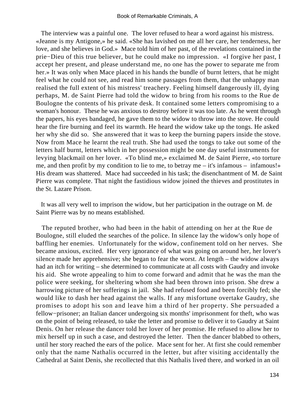The interview was a painful one. The lover refused to hear a word against his mistress. «Jeanne is my Antigone,» he said. «She has lavished on me all her care, her tenderness, her love, and she believes in God.» Mace told him of her past, of the revelations contained in the prie−Dieu of this true believer, but he could make no impression. «I forgive her past, I accept her present, and please understand me, no one has the power to separate me from her.» It was only when Mace placed in his hands the bundle of burnt letters, that he might feel what he could not see, and read him some passages from them, that the unhappy man realised the full extent of his mistress' treachery. Feeling himself dangerously ill, dying perhaps, M. de Saint Pierre had told the widow to bring from his rooms to the Rue de Boulogne the contents of his private desk. It contained some letters compromising to a woman's honour. These he was anxious to destroy before it was too late. As he went through the papers, his eyes bandaged, he gave them to the widow to throw into the stove. He could hear the fire burning and feel its warmth. He heard the widow take up the tongs. He asked her why she did so. She answered that it was to keep the burning papers inside the stove. Now from Mace he learnt the real truth. She had used the tongs to take out some of the letters half burnt, letters which in her possession might be one day useful instruments for levying blackmail on her lover. «To blind me,» exclaimed M. de Saint Pierre, «to torture me, and then profit by my condition to lie to me, to betray me – it's infamous – infamous!» His dream was shattered. Mace had succeeded in his task; the disenchantment of M. de Saint Pierre was complete. That night the fastidious widow joined the thieves and prostitutes in the St. Lazare Prison.

 It was all very well to imprison the widow, but her participation in the outrage on M. de Saint Pierre was by no means established.

 The reputed brother, who had been in the habit of attending on her at the Rue de Boulogne, still eluded the searches of the police. In silence lay the widow's only hope of baffling her enemies. Unfortunately for the widow, confinement told on her nerves. She became anxious, excited. Her very ignorance of what was going on around her, her lover's silence made her apprehensive; she began to fear the worst. At length – the widow always had an itch for writing – she determined to communicate at all costs with Gaudry and invoke his aid. She wrote appealing to him to come forward and admit that he was the man the police were seeking, for sheltering whom she had been thrown into prison. She drew a harrowing picture of her sufferings in jail. She had refused food and been forcibly fed; she would like to dash her head against the walls. If any misfortune overtake Gaudry, she promises to adopt his son and leave him a third of her property. She persuaded a fellow−prisoner; an Italian dancer undergoing six months' imprisonment for theft, who was on the point of being released, to take the letter and promise to deliver it to Gaudry at Saint Denis. On her release the dancer told her lover of her promise. He refused to allow her to mix herself up in such a case, and destroyed the letter. Then the dancer blabbed to others, until her story reached the ears of the police. Mace sent for her. At first she could remember only that the name Nathalis occurred in the letter, but after visiting accidentally the Cathedral at Saint Denis, she recollected that this Nathalis lived there, and worked in an oil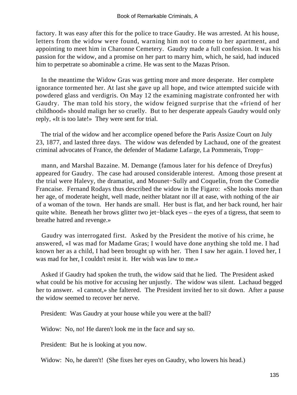factory. It was easy after this for the police to trace Gaudry. He was arrested. At his house, letters from the widow were found, warning him not to come to her apartment, and appointing to meet him in Charonne Cemetery. Gaudry made a full confession. It was his passion for the widow, and a promise on her part to marry him, which, he said, had induced him to perpetrate so abominable a crime. He was sent to the Mazas Prison.

 In the meantime the Widow Gras was getting more and more desperate. Her complete ignorance tormented her. At last she gave up all hope, and twice attempted suicide with powdered glass and verdigris. On May 12 the examining magistrate confronted her with Gaudry. The man told his story, the widow feigned surprise that the «friend of her childhood» should malign her so cruelly. But to her desperate appeals Gaudry would only reply, «It is too late!» They were sent for trial.

 The trial of the widow and her accomplice opened before the Paris Assize Court on July 23, 1877, and lasted three days. The widow was defended by Lachaud, one of the greatest criminal advocates of France, the defender of Madame Lafarge, La Pommerais, Tropp−

 mann, and Marshal Bazaine. M. Demange (famous later for his defence of Dreyfus) appeared for Gaudry. The case had aroused considerable interest. Among those present at the trial were Halevy, the dramatist, and Mounet−Sully and Coquelin, from the Comedie Francaise. Fernand Rodays thus described the widow in the Figaro: «She looks more than her age, of moderate height, well made, neither blatant nor ill at ease, with nothing of the air of a woman of the town. Her hands are small. Her bust is flat, and her back round, her hair quite white. Beneath her brows glitter two jet−black eyes – the eyes of a tigress, that seem to breathe hatred and revenge.»

 Gaudry was interrogated first. Asked by the President the motive of his crime, he answered, «I was mad for Madame Gras; I would have done anything she told me. I had known her as a child, I had been brought up with her. Then I saw her again. I loved her, I was mad for her, I couldn't resist it. Her wish was law to me.»

 Asked if Gaudry had spoken the truth, the widow said that he lied. The President asked what could be his motive for accusing her unjustly. The widow was silent. Lachaud begged her to answer. «I cannot,» she faltered. The President invited her to sit down. After a pause the widow seemed to recover her nerve.

President: Was Gaudry at your house while you were at the ball?

Widow: No, no! He daren't look me in the face and say so.

President: But he is looking at you now.

Widow: No, he daren't! (She fixes her eyes on Gaudry, who lowers his head.)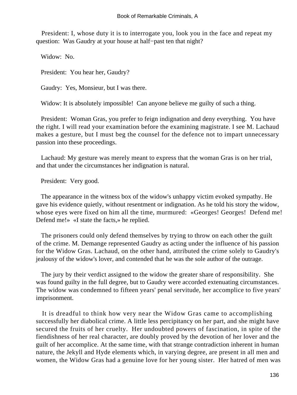President: I, whose duty it is to interrogate you, look you in the face and repeat my question: Was Gaudry at your house at half–past ten that night?

Widow: No.

President: You hear her, Gaudry?

Gaudry: Yes, Monsieur, but I was there.

Widow: It is absolutely impossible! Can anyone believe me guilty of such a thing.

 President: Woman Gras, you prefer to feign indignation and deny everything. You have the right. I will read your examination before the examining magistrate. I see M. Lachaud makes a gesture, but I must beg the counsel for the defence not to impart unnecessary passion into these proceedings.

 Lachaud: My gesture was merely meant to express that the woman Gras is on her trial, and that under the circumstances her indignation is natural.

President: Very good.

 The appearance in the witness box of the widow's unhappy victim evoked sympathy. He gave his evidence quietly, without resentment or indignation. As he told his story the widow, whose eyes were fixed on him all the time, murmured: «Georges! Georges! Defend me! Defend me!» «I state the facts,» he replied.

 The prisoners could only defend themselves by trying to throw on each other the guilt of the crime. M. Demange represented Gaudry as acting under the influence of his passion for the Widow Gras. Lachaud, on the other hand, attributed the crime solely to Gaudry's jealousy of the widow's lover, and contended that he was the sole author of the outrage.

 The jury by their verdict assigned to the widow the greater share of responsibility. She was found guilty in the full degree, but to Gaudry were accorded extenuating circumstances. The widow was condemned to fifteen years' penal servitude, her accomplice to five years' imprisonment.

 It is dreadful to think how very near the Widow Gras came to accomplishing successfully her diabolical crime. A little less percipitancy on her part, and she might have secured the fruits of her cruelty. Her undoubted powers of fascination, in spite of the fiendishness of her real character, are doubly proved by the devotion of her lover and the guilt of her accomplice. At the same time, with that strange contradiction inherent in human nature, the Jekyll and Hyde elements which, in varying degree, are present in all men and women, the Widow Gras had a genuine love for her young sister. Her hatred of men was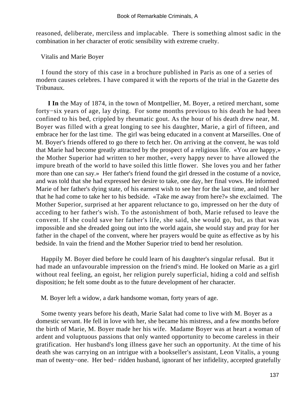reasoned, deliberate, merciless and implacable. There is something almost sadic in the combination in her character of erotic sensibility with extreme cruelty.

Vitalis and Marie Boyer

 I found the story of this case in a brochure published in Paris as one of a series of modern causes celebres. I have compared it with the reports of the trial in the Gazette des Tribunaux.

**I In** the May of 1874, in the town of Montpellier, M. Boyer, a retired merchant, some forty−six years of age, lay dying. For some months previous to his death he had been confined to his bed, crippled by rheumatic gout. As the hour of his death drew near, M. Boyer was filled with a great longing to see his daughter, Marie, a girl of fifteen, and embrace her for the last time. The girl was being educated in a convent at Marseilles. One of M. Boyer's friends offered to go there to fetch her. On arriving at the convent, he was told that Marie had become greatly attracted by the prospect of a religious life. «You are happy,» the Mother Superior had written to her mother, «very happy never to have allowed the impure breath of the world to have soiled this little flower. She loves you and her father more than one can say.» Her father's friend found the girl dressed in the costume of a novice, and was told that she had expressed her desire to take, one day, her final vows. He informed Marie of her father's dying state, of his earnest wish to see her for the last time, and told her that he had come to take her to his bedside. «Take me away from here?» she exclaimed. The Mother Superior, surprised at her apparent reluctance to go, impressed on her the duty of acceding to her father's wish. To the astonishment of both, Marie refused to leave the convent. If she could save her father's life, she said, she would go, but, as that was impossible and she dreaded going out into the world again, she would stay and pray for her father in the chapel of the convent, where her prayers would be quite as effective as by his bedside. In vain the friend and the Mother Superior tried to bend her resolution.

 Happily M. Boyer died before he could learn of his daughter's singular refusal. But it had made an unfavourable impression on the friend's mind. He looked on Marie as a girl without real feeling, an egoist, her religion purely superficial, hiding a cold and selfish disposition; he felt some doubt as to the future development of her character.

M. Boyer left a widow, a dark handsome woman, forty years of age.

 Some twenty years before his death, Marie Salat had come to live with M. Boyer as a domestic servant. He fell in love with her, she became his mistress, and a few months before the birth of Marie, M. Boyer made her his wife. Madame Boyer was at heart a woman of ardent and voluptuous passions that only wanted opportunity to become careless in their gratification. Her husband's long illness gave her such an opportunity. At the time of his death she was carrying on an intrigue with a bookseller's assistant, Leon Vitalis, a young man of twenty−one. Her bed− ridden husband, ignorant of her infidelity, accepted gratefully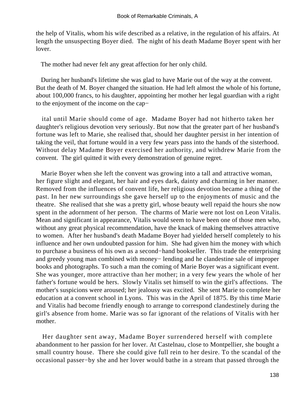the help of Vitalis, whom his wife described as a relative, in the regulation of his affairs. At length the unsuspecting Boyer died. The night of his death Madame Boyer spent with her lover.

The mother had never felt any great affection for her only child.

 During her husband's lifetime she was glad to have Marie out of the way at the convent. But the death of M. Boyer changed the situation. He had left almost the whole of his fortune, about 100,000 francs, to his daughter, appointing her mother her legal guardian with a right to the enjoyment of the income on the cap−

 ital until Marie should come of age. Madame Boyer had not hitherto taken her daughter's religious devotion very seriously. But now that the greater part of her husband's fortune was left to Marie, she realised that, should her daughter persist in her intention of taking the veil, that fortune would in a very few years pass into the hands of the sisterhood. Without delay Madame Boyer exercised her authority, and withdrew Marie from the convent. The girl quitted it with every demonstration of genuine regret.

 Marie Boyer when she left the convent was growing into a tall and attractive woman, her figure slight and elegant, her hair and eyes dark, dainty and charming in her manner. Removed from the influences of convent life, her religious devotion became a thing of the past. In her new surroundings she gave herself up to the enjoyments of music and the theatre. She realised that she was a pretty girl, whose beauty well repaid the hours she now spent in the adornment of her person. The charms of Marie were not lost on Leon Vitalis. Mean and significant in appearance, Vitalis would seem to have been one of those men who, without any great physical recommendation, have the knack of making themselves attractive to women. After her husband's death Madame Boyer had yielded herself completely to his influence and her own undoubted passion for him. She had given him the money with which to purchase a business of his own as a second−hand bookseller. This trade the enterprising and greedy young man combined with money− lending and he clandestine sale of improper books and photographs. To such a man the coming of Marie Boyer was a significant event. She was younger, more attractive than her mother; in a very few years the whole of her father's fortune would be hers. Slowly Vitalis set himself to win the girl's affections. The mother's suspicions were aroused; her jealousy was excited. She sent Marie to complete her education at a convent school in Lyons. This was in the April of 1875. By this time Marie and Vitalis had become friendly enough to arrange to correspond clandestinely during the girl's absence from home. Marie was so far ignorant of the relations of Vitalis with her mother.

 Her daughter sent away, Madame Boyer surrendered herself with complete abandonment to her passion for her lover. At Castelnau, close to Montpellier, she bought a small country house. There she could give full rein to her desire. To the scandal of the occasional passer−by she and her lover would bathe in a stream that passed through the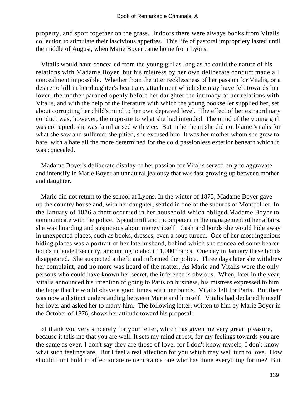property, and sport together on the grass. Indoors there were always books from Vitalis' collection to stimulate their lascivious appetites. This life of pastoral impropriety lasted until the middle of August, when Marie Boyer came home from Lyons.

 Vitalis would have concealed from the young girl as long as he could the nature of his relations with Madame Boyer, but his mistress by her own deliberate conduct made all concealment impossible. Whether from the utter recklessness of her passion for Vitalis, or a desire to kill in her daughter's heart any attachment which she may have felt towards her lover, the mother paraded openly before her daughter the intimacy of her relations with Vitalis, and with the help of the literature with which the young bookseller supplied her, set about corrupting her child's mind to her own depraved level. The effect of her extraordinary conduct was, however, the opposite to what she had intended. The mind of the young girl was corrupted; she was familiarised with vice. But in her heart she did not blame Vitalis for what she saw and suffered; she pitied, she excused him. It was her mother whom she grew to hate, with a hate all the more determined for the cold passionless exterior beneath which it was concealed.

 Madame Boyer's deliberate display of her passion for Vitalis served only to aggravate and intensify in Marie Boyer an unnatural jealousy that was fast growing up between mother and daughter.

 Marie did not return to the school at Lyons. In the winter of 1875, Madame Boyer gave up the country house and, with her daughter, settled in one of the suburbs of Montpellier. In the January of 1876 a theft occurred in her household which obliged Madame Boyer to communicate with the police. Spendthrift and incompetent in the management of her affairs, she was hoarding and suspicious about money itself. Cash and bonds she would hide away in unexpected places, such as books, dresses, even a soup tureen. One of her most ingenious hiding places was a portrait of her late husband, behind which she concealed some bearer bonds in landed security, amounting to about 11,000 francs. One day in January these bonds disappeared. She suspected a theft, and informed the police. Three days later she withdrew her complaint, and no more was heard of the matter. As Marie and Vitalis were the only persons who could have known her secret, the inference is obvious. When, later in the year, Vitalis announced his intention of going to Paris on business, his mistress expressed to him the hope that he would «have a good time» with her bonds. Vitalis left for Paris. But there was now a distinct understanding between Marie and himself. Vitalis had declared himself her lover and asked her to marry him. The following letter, written to him by Marie Boyer in the October of 1876, shows her attitude toward his proposal:

 «I thank you very sincerely for your letter, which has given me very great−pleasure, because it tells me that you are well. It sets my mind at rest, for my feelings towards you are the same as ever. I don't say they are those of love, for I don't know myself; I don't know what such feelings are. But I feel a real affection for you which may well turn to love. How should I not hold in affectionate remembrance one who has done everything for me? But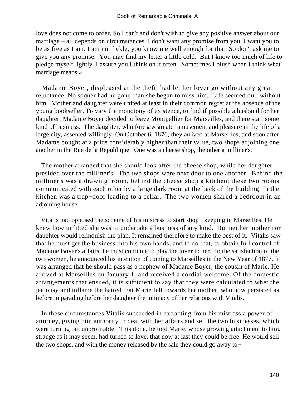love does not come to order. So I can't and don't wish to give any positive answer about our marriage – all depends on circumstances. I don't want any promise from you, I want you to be as free as I am. I am not fickle, you know me well enough for that. So don't ask me to give you any promise. You may find my letter a little cold. But I know too much of life to pledge myself lightly. I assure you I think on it often. Sometimes I blush when I think what marriage means.»

 Madame Boyer, displeased at the theft, had let her lover go without any great reluctance. No sooner had he gone than she began to miss him. Life seemed dull without him. Mother and daughter were united at least in their common regret at the absence of the young bookseller. To vary the monotony of existence, to find if possible a husband for her daughter, Madame Boyer decided to leave Montpellier for Marseilles, and there start some kind of business. The daughter, who foresaw greater amusement and pleasure in the life of a large city, assented willingly. On October 6, 1876, they arrived at Marseilles, and soon after Madame bought at a price considerably higher than their value, two shops adjoining one another in the Rue de la Republique. One was a cheese shop, the other a milliner's.

 The mother arranged that she should look after the cheese shop, while her daughter presided over the milliner's. The two shops were next door to one another. Behind the milliner's was a drawing−room, behind the cheese shop a kitchen; these two rooms communicated with each other by a large dark room at the back of the building. In the kitchen was a trap−door leading to a cellar. The two women shared a bedroom in an adjoining house.

 Vitalis had opposed the scheme of his mistress to start shop− keeping in Marseilles. He knew how unfitted she was to undertake a business of any kind. But neither mother nor daughter would relinquish the plan. It remained therefore to make the best of it. Vitalis saw that he must get the business into his own hands; and to do that, to obtain full control of Madame Boyer's affairs, he must continue to play the lover to her. To the satisfaction of the two women, he announced his intention of coming to Marseilles in the New Year of 1877. It was arranged that he should pass as a nephew of Madame Boyer, the cousin of Marie. He arrived at Marseilles on January 1, and received a cordial welcome. Of the domestic arrangements that ensued, it is sufficient to say that they were calculated to whet the jealousy and inflame the hatred that Marie felt towards her mother, who now persisted as before in parading before her daughter the intimacy of her relations with Vitalis.

 In these circumstances Vitalis succeeded in extracting from his mistress a power of attorney, giving him authority to deal with her affairs and sell the two businesses, which were turning out unprofitable. This done, he told Marie, whose growing attachment to him, strange as it may seem, had turned to love, that now at last they could be free. He would sell the two shops, and with the money released by the sale they could go away to−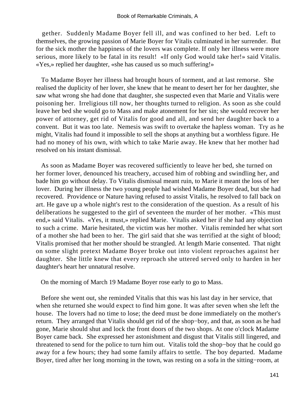gether. Suddenly Madame Boyer fell ill, and was confined to her bed. Left to themselves, the growing passion of Marie Boyer for Vitalis culminated in her surrender. But for the sick mother the happiness of the lovers was complete. If only her illness were more serious, more likely to be fatal in its result! «If only God would take her!» said Vitalis. «Yes,» replied her daughter, «she has caused us so much suffering!»

 To Madame Boyer her illness had brought hours of torment, and at last remorse. She realised the duplicity of her lover, she knew that he meant to desert her for her daughter, she saw what wrong she had done that daughter, she suspected even that Marie and Vitalis were poisoning her. Irreligious till now, her thoughts turned to religion. As soon as she could leave her bed she would go to Mass and make atonement for her sin; she would recover her power of attorney, get rid of Vitalis for good and all, and send her daughter back to a convent. But it was too late. Nemesis was swift to overtake the hapless woman. Try as he might, Vitalis had found it impossible to sell the shops at anything but a worthless figure. He had no money of his own, with which to take Marie away. He knew that her mother had resolved on his instant dismissal.

 As soon as Madame Boyer was recovered sufficiently to leave her bed, she turned on her former lover, denounced his treachery, accused him of robbing and swindling her, and bade him go without delay. To Vitalis dismissal meant ruin, to Marie it meant the loss of her lover. During her illness the two young people had wished Madame Boyer dead, but she had recovered. Providence or Nature having refused to assist Vitalis, he resolved to fall back on art. He gave up a whole night's rest to the consideration of the question. As a result of his deliberations he suggested to the girl of seventeen the murder of her mother. «This must end,» said Vitalis. «Yes, it must,» replied Marie. Vitalis asked her if she had any objection to such a crime. Marie hesitated, the victim was her mother. Vitalis reminded her what sort of a mother she had been to her. The girl said that she was terrified at the sight of blood; Vitalis promised that her mother should be strangled. At length Marie consented. That night on some slight pretext Madame Boyer broke out into violent reproaches against her daughter. She little knew that every reproach she uttered served only to harden in her daughter's heart her unnatural resolve.

On the morning of March 19 Madame Boyer rose early to go to Mass.

 Before she went out, she reminded Vitalis that this was his last day in her service, that when she returned she would expect to find him gone. It was after seven when she left the house. The lovers had no time to lose; the deed must be done immediately on the mother's return. They arranged that Vitalis should get rid of the shop−boy, and that, as soon as he had gone, Marie should shut and lock the front doors of the two shops. At one o'clock Madame Boyer came back. She expressed her astonishment and disgust that Vitalis still lingered, and threatened to send for the police to turn him out. Vitalis told the shop−boy that he could go away for a few hours; they had some family affairs to settle. The boy departed. Madame Boyer, tired after her long morning in the town, was resting on a sofa in the sitting−room, at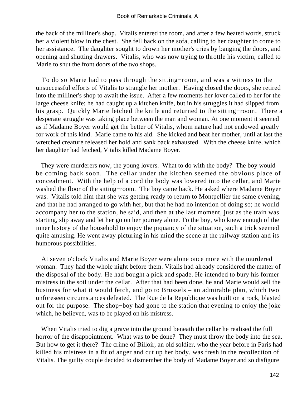the back of the milliner's shop. Vitalis entered the room, and after a few heated words, struck her a violent blow in the chest. She fell back on the sofa, calling to her daughter to come to her assistance. The daughter sought to drown her mother's cries by banging the doors, and opening and shutting drawers. Vitalis, who was now trying to throttle his victim, called to Marie to shut the front doors of the two shops.

 To do so Marie had to pass through the sitting−room, and was a witness to the unsuccessful efforts of Vitalis to strangle her mother. Having closed the doors, she retired into the milliner's shop to await the issue. After a few moments her lover called to her for the large cheese knife; he had caught up a kitchen knife, but in his struggles it had slipped from his grasp. Quickly Marie fetched the knife and returned to the sitting−room. There a desperate struggle was taking place between the man and woman. At one moment it seemed as if Madame Boyer would get the better of Vitalis, whom nature had not endowed greatly for work of this kind. Marie came to his aid. She kicked and beat her mother, until at last the wretched creature released her hold and sank back exhausted. With the cheese knife, which her daughter had fetched, Vitalis killed Madame Boyer.

 They were murderers now, the young lovers. What to do with the body? The boy would be coming back soon. The cellar under the kitchen seemed the obvious place of concealment. With the help of a cord the body was lowered into the cellar, and Marie washed the floor of the sitting−room. The boy came back. He asked where Madame Boyer was. Vitalis told him that she was getting ready to return to Montpellier the same evening, and that he had arranged to go with her, but that he had no intention of doing so; he would accompany her to the station, he said, and then at the last moment, just as the train was starting, slip away and let her go on her journey alone. To the boy, who knew enough of the inner history of the household to enjoy the piquancy of the situation, such a trick seemed quite amusing. He went away picturing in his mind the scene at the railway station and its humorous possibilities.

 At seven o'clock Vitalis and Marie Boyer were alone once more with the murdered woman. They had the whole night before them. Vitalis had already considered the matter of the disposal of the body. He had bought a pick and spade. He intended to bury his former mistress in the soil under the cellar. After that had been done, he and Marie would sell the business for what it would fetch, and go to Brussels – an admirable plan, which two unforeseen circumstances defeated. The Rue de la Republique was built on a rock, blasted out for the purpose. The shop−boy had gone to the station that evening to enjoy the joke which, he believed, was to be played on his mistress.

 When Vitalis tried to dig a grave into the ground beneath the cellar he realised the full horror of the disappointment. What was to be done? They must throw the body into the sea. But how to get it there? The crime of Billoir, an old soldier, who the year before in Paris had killed his mistress in a fit of anger and cut up her body, was fresh in the recollection of Vitalis. The guilty couple decided to dismember the body of Madame Boyer and so disfigure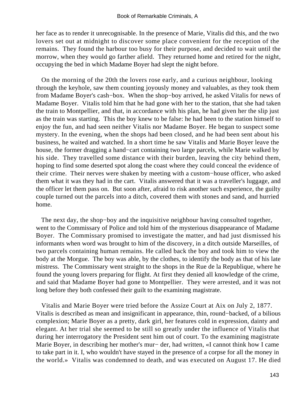her face as to render it unrecognisable. In the presence of Marie, Vitalis did this, and the two lovers set out at midnight to discover some place convenient for the reception of the remains. They found the harbour too busy for their purpose, and decided to wait until the morrow, when they would go farther afield. They returned home and retired for the night, occupying the bed in which Madame Boyer had slept the night before.

 On the morning of the 20th the lovers rose early, and a curious neighbour, looking through the keyhole, saw them counting joyously money and valuables, as they took them from Madame Boyer's cash−box. When the shop−boy arrived, he asked Vitalis for news of Madame Boyer. Vitalis told him that he had gone with her to the station, that she had taken the train to Montpellier, and that, in accordance with his plan, he had given her the slip just as the train was starting. This the boy knew to be false: he had been to the station himself to enjoy the fun, and had seen neither Vitalis nor Madame Boyer. He began to suspect some mystery. In the evening, when the shops had been closed, and he had been sent about his business, he waited and watched. In a short time he saw Vitalis and Marie Boyer leave the house, the former dragging a hand−cart containing two large parcels, while Marie walked by his side. They travelled some distance with their burden, leaving the city behind them, hoping to find some deserted spot along the coast where they could conceal the evidence of their crime. Their nerves were shaken by meeting with a custom−house officer, who asked them what it was they had in the cart. Vitalis answered that it was a traveller's luggage, and the officer let them pass on. But soon after, afraid to risk another such experience, the guilty couple turned out the parcels into a ditch, covered them with stones and sand, and hurried home.

The next day, the shop–boy and the inquisitive neighbour having consulted together, went to the Commissary of Police and told him of the mysterious disappearance of Madame Boyer. The Commissary promised to investigate the matter, and had just dismissed his informants when word was brought to him of the discovery, in a ditch outside Marseilles, of two parcels containing human remains. He called back the boy and took him to view the body at the Morgue. The boy was able, by the clothes, to identify the body as that of his late mistress. The Commissary went straight to the shops in the Rue de la Republique, where he found the young lovers preparing for flight. At first they denied all knowledge of the crime, and said that Madame Boyer had gone to Montpellier. They were arrested, and it was not long before they both confessed their guilt to the examining magistrate.

 Vitalis and Marie Boyer were tried before the Assize Court at Aix on July 2, 1877. Vitalis is described as mean and insignificant in appearance, thin, round−backed, of a bilious complexion; Marie Boyer as a pretty, dark girl, her features cold in expression, dainty and elegant. At her trial she seemed to be still so greatly under the influence of Vitalis that during her interrogatory the President sent him out of court. To the examining magistrate Marie Boyer, in describing her mother's mur− der, had written, «I cannot think how I came to take part in it. I, who wouldn't have stayed in the presence of a corpse for all the money in the world.» Vitalis was condemned to death, and was executed on August 17. He died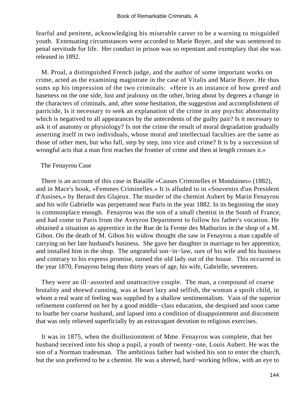fearful and penitent, acknowledging his miserable career to be a warning to misguided youth. Extenuating circumstances were accorded to Marie Boyer, and she was sentenced to penal servitude for life. Her conduct in prison was so repentant and exemplary that she was released in 1892.

 M. Proal, a distinguished French judge, and the author of some important works on crime, acted as the examining magistrate in the case of Vitalis and Marie Boyer. He thus sums up his impression of the two criminals: «Here is an instance of how greed and baseness on the one side, lust and jealousy on the other, bring about by degrees a change in the characters of criminals, and, after some hesitation, the suggestion and accomplishment of parricide, Is it necessary to seek an explanation of the crime in any psychic abnormality which is negatived to all appearances by the antecedents of the guilty pair? Is it necessary to ask it of anatomy or physiology? Is not the crime the result of moral degradation gradually asserting itself in two individuals, whose moral and intellectual faculties are the same as those of other men, but who fall, step by step, into vice and crime? It is by a succession of wrongful acts that a man first reaches the frontier of crime and then at length crosses it.»

## The Fenayrou Case

 There is an account of this case in Bataille «Causes Criminelles et Mondaines» (1882), and in Mace's book, «Femmes Criminelles.» It is alluded to in «Souvenirs d'un President d'Assises,» by Berard des Glajeux. The murder of the chemist Aubert by Marin Fenayrou and his wife Gabrielle was perpetrated near Paris in the year 1882. In its beginning the story is commonplace enough. Fenayrou was the son of a small chemist in the South of France, and had come to Paris from the Aveyron Department to follow his father's vocation. He obtained a situation as apprentice in the Rue de la Ferme des Mathurins in the shop of a M. Gibon. On the death of M. Gibon his widow thought she saw in Fenayrou a man capable of carrying on her late husband's business. She gave her daughter in marriage to her apprentice, and installed him in the shop. The ungrateful son−in−law, sure of his wife and his business and contrary to his express promise, turned the old lady out of the house. This occurred in the year 1870, Fenayrou being then thirty years of age, his wife, Gabrielle, seventeen.

 They were an ill−assorted and unattractive couple. The man, a compound of coarse brutality and shrewd cunning, was at heart lazy and selfish, the woman a spoilt child, in whom a real want of feeling was supplied by a shallow sentimentalism. Vain of the superior refinement conferred on her by a good middle−class education, she despised and soon came to loathe her coarse husband, and lapsed into a condition of disappointment and discontent that was only relieved superficially by an extravagant devotion to religious exercises.

 It was in 1875, when the disillusionment of Mme. Fenayrou was complete, that her husband received into his shop a pupil, a youth of twenty−one, Louis Aubert. He was the son of a Norman tradesman. The ambitious father had wished his son to enter the church, but the son preferred to be a chemist. He was a shrewd, hard−working fellow, with an eye to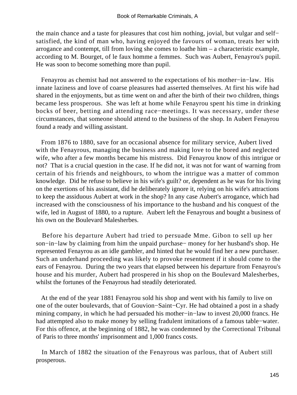the main chance and a taste for pleasures that cost him nothing, jovial, but vulgar and self− satisfied, the kind of man who, having enjoyed the favours of woman, treats her with arrogance and contempt, till from loving she comes to loathe him – a characteristic example, according to M. Bourget, of le faux homme a femmes. Such was Aubert, Fenayrou's pupil. He was soon to become something more than pupil.

 Fenayrou as chemist had not answered to the expectations of his mother−in−law. His innate laziness and love of coarse pleasures had asserted themselves. At first his wife had shared in the enjoyments, but as time went on and after the birth of their two children, things became less prosperous. She was left at home while Fenayrou spent his time in drinking bocks of beer, betting and attending race−meetings. It was necessary, under these circumstances, that someone should attend to the business of the shop. In Aubert Fenayrou found a ready and willing assistant.

 From 1876 to 1880, save for an occasional absence for military service, Aubert lived with the Fenayrous, managing the business and making love to the bored and neglected wife, who after a few months became his mistress. Did Fenayrou know of this intrigue or not? That is a crucial question in the case. If he did not, it was not for want of warning from certain of his friends and neighbours, to whom the intrigue was a matter of common knowledge. Did he refuse to believe in his wife's guilt? or, dependent as he was for his living on the exertions of his assistant, did he deliberately ignore it, relying on his wife's attractions to keep the assiduous Aubert at work in the shop? In any case Aubert's arrogance, which had increased with the consciousness of his importance to the husband and his conquest of the wife, led in August of 1880, to a rupture. Aubert left the Fenayrous and bought a business of his own on the Boulevard Malesherbes.

 Before his departure Aubert had tried to persuade Mme. Gibon to sell up her son−in−law by claiming from him the unpaid purchase− money for her husband's shop. He represented Fenayrou as an idle gambler, and hinted that he would find her a new purchaser. Such an underhand proceeding was likely to provoke resentment if it should come to the ears of Fenayrou. During the two years that elapsed between his departure from Fenayrou's house and his murder, Aubert had prospered in his shop on the Boulevard Malesherbes, whilst the fortunes of the Fenayrous had steadily deteriorated.

 At the end of the year 1881 Fenayrou sold his shop and went with his family to live on one of the outer boulevards, that of Gouvion−Saint−Cyr. He had obtained a post in a shady mining company, in which he had persuaded his mother−in−law to invest 20,000 francs. He had attempted also to make money by selling fradulent imitations of a famous table−water. For this offence, at the beginning of 1882, he was condemned by the Correctional Tribunal of Paris to three months' imprisonment and 1,000 francs costs.

 In March of 1882 the situation of the Fenayrous was parlous, that of Aubert still prosperous.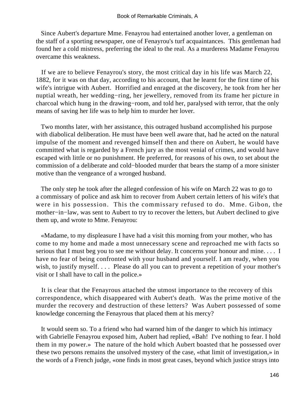Since Aubert's departure Mme. Fenayrou had entertained another lover, a gentleman on the staff of a sporting newspaper, one of Fenayrou's turf acquaintances. This gentleman had found her a cold mistress, preferring the ideal to the real. As a murderess Madame Fenayrou overcame this weakness.

 If we are to believe Fenayrou's story, the most critical day in his life was March 22, 1882, for it was on that day, according to his account, that he learnt for the first time of his wife's intrigue with Aubert. Horrified and enraged at the discovery, he took from her her nuptial wreath, her wedding−ring, her jewellery, removed from its frame her picture in charcoal which hung in the drawing−room, and told her, paralysed with terror, that the only means of saving her life was to help him to murder her lover.

 Two months later, with her assistance, this outraged husband accomplished his purpose with diabolical deliberation. He must have been well aware that, had he acted on the natural impulse of the moment and revenged himself then and there on Aubert, he would have committed what is regarded by a French jury as the most venial of crimes, and would have escaped with little or no punishment. He preferred, for reasons of his own, to set about the commission of a deliberate and cold−blooded murder that bears the stamp of a more sinister motive than the vengeance of a wronged husband.

 The only step he took after the alleged confession of his wife on March 22 was to go to a commissary of police and ask him to recover from Aubert certain letters of his wife's that were in his possession. This the commissary refused to do. Mme. Gibon, the mother–in–law, was sent to Aubert to try to recover the letters, but Aubert declined to give them up, and wrote to Mme. Fenayrou:

 «Madame, to my displeasure I have had a visit this morning from your mother, who has come to my home and made a most unnecessary scene and reproached me with facts so serious that I must beg you to see me without delay. It concerns your honour and mine.... I have no fear of being confronted with your husband and yourself. I am ready, when you wish, to justify myself. . . . Please do all you can to prevent a repetition of your mother's visit or I shall have to call in the police.»

 It is clear that the Fenayrous attached the utmost importance to the recovery of this correspondence, which disappeared with Aubert's death. Was the prime motive of the murder the recovery and destruction of these letters? Was Aubert possessed of some knowledge concerning the Fenayrous that placed them at his mercy?

 It would seem so. To a friend who had warned him of the danger to which his intimacy with Gabrielle Fenayrou exposed him, Aubert had replied, «Bah! I've nothing to fear. I hold them in my power.» The nature of the hold which Aubert boasted that he possessed over these two persons remains the unsolved mystery of the case, «that limit of investigation,» in the words of a French judge, «one finds in most great cases, beyond which justice strays into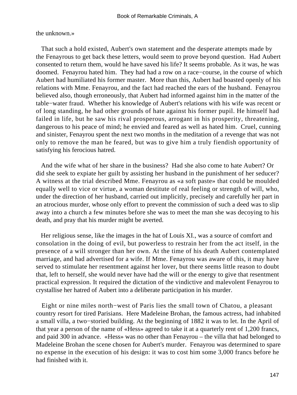## the unknown.»

 That such a hold existed, Aubert's own statement and the desperate attempts made by the Fenayrous to get back these letters, would seem to prove beyond question. Had Aubert consented to return them, would he have saved his life? It seems probable. As it was, he was doomed. Fenayrou hated him. They had had a row on a race−course, in the course of which Aubert had humiliated his former master. More than this, Aubert had boasted openly of his relations with Mme. Fenayrou, and the fact had reached the ears of the husband. Fenayrou believed also, though erroneously, that Aubert had informed against him in the matter of the table−water fraud. Whether his knowledge of Aubert's relations with his wife was recent or of long standing, he had other grounds of hate against his former pupil. He himself had failed in life, but he saw his rival prosperous, arrogant in his prosperity, threatening, dangerous to his peace of mind; he envied and feared as well as hated him. Cruel, cunning and sinister, Fenayrou spent the next two months in the meditation of a revenge that was not only to remove the man he feared, but was to give him a truly fiendish opportunity of satisfying his ferocious hatred.

 And the wife what of her share in the business? Had she also come to hate Aubert? Or did she seek to expiate her guilt by assisting her husband in the punishment of her seducer? A witness at the trial described Mme. Fenayrou as «a soft paste» that could be moulded equally well to vice or virtue, a woman destitute of real feeling or strength of will, who, under the direction of her husband, carried out implicitly, precisely and carefully her part in an atrocious murder, whose only effort to prevent the commission of such a deed was to slip away into a church a few minutes before she was to meet the man she was decoying to his death, and pray that his murder might be averted.

 Her religious sense, like the images in the hat of Louis XI., was a source of comfort and consolation in the doing of evil, but powerless to restrain her from the act itself, in the presence of a will stronger than her own. At the time of his death Aubert contemplated marriage, and had advertised for a wife. If Mme. Fenayrou was aware of this, it may have served to stimulate her resentment against her lover, but there seems little reason to doubt that, left to herself, she would never have had the will or the energy to give that resentment practical expression. It required the dictation of the vindictive and malevolent Fenayrou to crystallise her hatred of Aubert into a deliberate participation in his murder.

 Eight or nine miles north−west of Paris lies the small town of Chatou, a pleasant country resort for tired Parisians. Here Madeleine Brohan, the famous actress, had inhabited a small villa, a two−storied building. At the beginning of 1882 it was to let. In the April of that year a person of the name of «Hess» agreed to take it at a quarterly rent of 1,200 francs, and paid 300 in advance. «Hess» was no other than Fenayrou – the villa that had belonged to Madeleine Brohan the scene chosen for Aubert's murder. Fenayrou was determined to spare no expense in the execution of his design: it was to cost him some 3,000 francs before he had finished with it.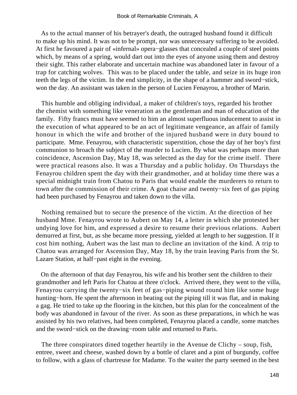As to the actual manner of his betrayer's death, the outraged husband found it difficult to make up his mind. It was not to be prompt, nor was unnecessary suffering to be avoided. At first he favoured a pair of «infernal» opera−glasses that concealed a couple of steel points which, by means of a spring, would dart out into the eyes of anyone using them and destroy their sight. This rather elaborate and uncertain machine was abandoned later in favour of a trap for catching wolves. This was to be placed under the table, and seize in its huge iron teeth the legs of the victim. In the end simplicity, in the shape of a hammer and sword−stick, won the day. An assistant was taken in the person of Lucien Fenayrou, a brother of Marin.

 This humble and obliging individual, a maker of children's toys, regarded his brother the chemist with something like veneration as the gentleman and man of education of the family. Fifty francs must have seemed to him an almost superfluous inducement to assist in the execution of what appeared to be an act of legitimate vengeance, an affair of family honour in which the wife and brother of the injured husband were in duty bound to participate. Mme. Fenayrou, with characteristic superstition, chose the day of her boy's first communion to broach the subject of the murder to Lucien. By what was perhaps more than coincidence, Ascension Day, May 18, was selected as the day for the crime itself. There were practical reasons also. It was a Thursday and a public holiday. On Thursdays the Fenayrou children spent the day with their grandmother, and at holiday time there was a special midnight train from Chatou to Paris that would enable the murderers to return to town after the commission of their crime. A goat chaise and twenty−six feet of gas piping had been purchased by Fenayrou and taken down to the villa.

 Nothing remained but to secure the presence of the victim. At the direction of her husband Mme. Fenayrou wrote to Aubert on May 14, a letter in which she protested her undying love for him, and expressed a desire to resume their previous relations. Aubert demurred at first, but, as she became more pressing, yielded at length to her suggestion. If it cost him nothing, Aubert was the last man to decline an invitation of the kind. A trip to Chatou was arranged for Ascension Day, May 18, by the train leaving Paris from the St. Lazare Station, at half−past eight in the evening.

 On the afternoon of that day Fenayrou, his wife and his brother sent the children to their grandmother and left Paris for Chatou at three o'clock. Arrived there, they went to the villa, Fenayrou carrying the twenty−six feet of gas−piping wound round him like some huge hunting−horn. He spent the afternoon in beating out the piping till it was flat, and in making a gag. He tried to take up the flooring in the kitchen, but this plan for the concealment of the body was abandoned in favour of the river. As soon as these preparations, in which he was assisted by his two relatives, had been completed, Fenayrou placed a candle, some matches and the sword−stick on the drawing−room table and returned to Paris.

 The three conspirators dined together heartily in the Avenue de Clichy – soup, fish, entree, sweet and cheese, washed down by a bottle of claret and a pint of burgundy, coffee to follow, with a glass of chartreuse for Madame. To the waiter the party seemed in the best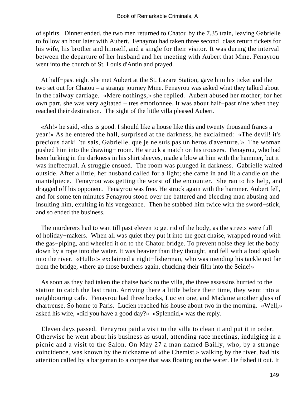of spirits. Dinner ended, the two men returned to Chatou by the 7.35 train, leaving Gabrielle to follow an hour later with Aubert. Fenayrou had taken three second−class return tickets for his wife, his brother and himself, and a single for their visitor. It was during the interval between the departure of her husband and her meeting with Aubert that Mme. Fenayrou went into the church of St. Louis d'Antin and prayed.

 At half−past eight she met Aubert at the St. Lazare Station, gave him his ticket and the two set out for Chatou – a strange journey Mme. Fenayrou was asked what they talked about in the railway carriage. «Mere nothings,» she replied. Aubert abused her mother; for her own part, she was very agitated – tres emotionnee. It was about half−past nine when they reached their destination. The sight of the little villa pleased Aubert.

 «Ah!» he said, «this is good. I should like a house like this and twenty thousand francs a year!» As he entered the hall, surprised at the darkness, he exclaimed: «The devil! it's precious dark! `tu sais, Gabrielle, que je ne suis pas un heros d'aventure.'» The woman pushed him into the drawing− room. He struck a match on his trousers. Fenayrou, who had been lurking in the darkness in his shirt sleeves, made a blow at him with the hammer, but it was ineffectual. A struggle ensued. The room was plunged in darkness. Gabrielle waited outside. After a little, her husband called for a light; she came in and lit a candle on the mantelpiece. Fenayrou was getting the worst of the encounter. She ran to his help, and dragged off his opponent. Fenayrou was free. He struck again with the hammer. Aubert fell, and for some ten minutes Fenayrou stood over the battered and bleeding man abusing and insulting him, exulting in his vengeance. Then he stabbed him twice with the sword−stick, and so ended the business.

 The murderers had to wait till past eleven to get rid of the body, as the streets were full of holiday−makers. When all was quiet they put it into the goat chaise, wrapped round with the gas−piping, and wheeled it on to the Chatou bridge. To prevent noise they let the body down by a rope into the water. It was heavier than they thought, and fell with a loud splash into the river. «Hullo!» exclaimed a night−fisherman, who was mending his tackle not far from the bridge, «there go those butchers again, chucking their filth into the Seine!»

 As soon as they had taken the chaise back to the villa, the three assassins hurried to the station to catch the last train. Arriving there a little before their time, they went into a neighbouring cafe. Fenayrou had three bocks, Lucien one, and Madame another glass of chartreuse. So home to Paris. Lucien reached his house about two in the morning. «Well,» asked his wife, «did you have a good day?» «Splendid,» was the reply.

 Eleven days passed. Fenayrou paid a visit to the villa to clean it and put it in order. Otherwise he went about his business as usual, attending race meetings, indulging in a picnic and a visit to the Salon. On May 27 a man named Bailly, who, by a strange coincidence, was known by the nickname of «the Chemist,» walking by the river, had his attention called by a bargeman to a corpse that was floating on the water. He fished it out. It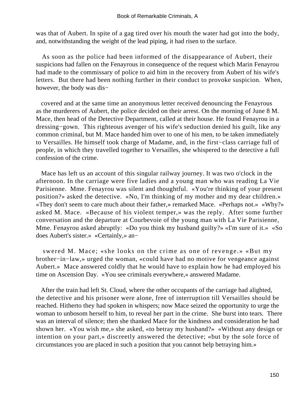was that of Aubert. In spite of a gag tired over his mouth the water had got into the body, and, notwithstanding the weight of the lead piping, it had risen to the surface.

 As soon as the police had been informed of the disappearance of Aubert, their suspicions had fallen on the Fenayrous in consequence of the request which Marin Fenayrou had made to the commissary of police to aid him in the recovery from Aubert of his wife's letters. But there had been nothing further in their conduct to provoke suspicion. When, however, the body was dis−

 covered and at the same time an anonymous letter received denouncing the Fenayrous as the murderers of Aubert, the police decided on their arrest. On the morning of June 8 M. Mace, then head of the Detective Department, called at their house. He found Fenayrou in a dressing−gown. This righteous avenger of his wife's seduction denied his guilt, like any common criminal, but M. Mace handed him over to one of his men, to be taken immediately to Versailles. He himself took charge of Madame, and, in the first−class carriage full of people, in which they travelled together to Versailles, she whispered to the detective a full confession of the crime.

 Mace has left us an account of this singular railway journey. It was two o'clock in the afternoon. In the carriage were five ladies and a young man who was reading La Vie Parisienne. Mme. Fenayrou was silent and thoughtful. «You're thinking of your present position?» asked the detective. «No, I'm thinking of my mother and my dear children.» «They don't seem to care much about their father,» remarked Mace. «Perhaps not.» «Why?» asked M. Mace. «Because of his violent temper,» was the reply. After some further conversation and the departure at Courbevoie of the young man with La Vie Parisienne, Mme. Fenayrou asked abruptly: «Do you think my husband guilty?» «I'm sure of it.» «So does Aubert's sister.» «Certainly,» an−

 swered M. Mace; «she looks on the crime as one of revenge.» «But my brother−in−law,» urged the woman, «could have had no motive for vengeance against Aubert.» Mace answered coldly that he would have to explain how he had employed his time on Ascension Day. «You see criminals everywhere,» answered Madame.

 After the train had left St. Cloud, where the other occupants of the carriage had alighted, the detective and his prisoner were alone, free of interruption till Versailles should be reached. Hitherto they had spoken in whispers; now Mace seized the opportunity to urge the woman to unbosom herself to him, to reveal her part in the crime. She burst into tears. There was an interval of silence; then she thanked Mace for the kindness and consideration he had shown her. «You wish me,» she asked, «to betray my husband?» «Without any design or intention on your part,» discreetly answered the detective; «but by the sole force of circumstances you are placed in such a position that you cannot help betraying him.»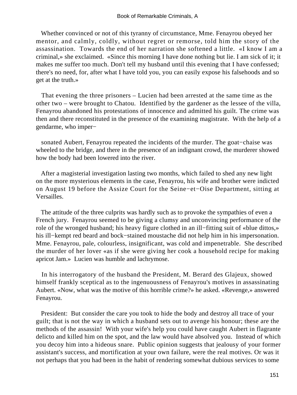Whether convinced or not of this tyranny of circumstance, Mme. Fenayrou obeyed her mentor, and calmly, coldly, without regret or remorse, told him the story of the assassination. Towards the end of her narration she softened a little. «I know I am a criminal,» she exclaimed. «Since this morning I have done nothing but lie. I am sick of it; it makes me suffer too much. Don't tell my husband until this evening that I have confessed; there's no need, for, after what I have told you, you can easily expose his falsehoods and so get at the truth.»

 That evening the three prisoners – Lucien had been arrested at the same time as the other two – were brought to Chatou. Identified by the gardener as the lessee of the villa, Fenayrou abandoned his protestations of innocence and admitted his guilt. The crime was then and there reconstituted in the presence of the examining magistrate. With the help of a gendarme, who imper−

 sonated Aubert, Fenayrou repeated the incidents of the murder. The goat−chaise was wheeled to the bridge, and there in the presence of an indignant crowd, the murderer showed how the body had been lowered into the river.

 After a magisterial investigation lasting two months, which failed to shed any new light on the more mysterious elements in the case, Fenayrou, his wife and brother were indicted on August 19 before the Assize Court for the Seine−et−Oise Department, sitting at Versailles.

 The attitude of the three culprits was hardly such as to provoke the sympathies of even a French jury. Fenayrou seemed to be giving a clumsy and unconvincing performance of the role of the wronged husband; his heavy figure clothed in an ill−fitting suit of «blue dittos,» his ill−kempt red beard and bock−stained moustache did not help him in his impersonation. Mme. Fenayrou, pale, colourless, insignificant, was cold and impenetrable. She described the murder of her lover «as if she were giving her cook a household recipe for making apricot Jam.» Lucien was humble and lachrymose.

 In his interrogatory of the husband the President, M. Berard des Glajeux, showed himself frankly sceptical as to the ingenuousness of Fenayrou's motives in assassinating Aubert. «Now, what was the motive of this horrible crime?» he asked. «Revenge,» answered Fenayrou.

 President: But consider the care you took to hide the body and destroy all trace of your guilt; that is not the way in which a husband sets out to avenge his honour; these are the methods of the assassin! With your wife's help you could have caught Aubert in flagrante delicto and killed him on the spot, and the law would have absolved you. Instead of which you decoy him into a hideous snare. Public opinion suggests that jealousy of your former assistant's success, and mortification at your own failure, were the real motives. Or was it not perhaps that you had been in the habit of rendering somewhat dubious services to some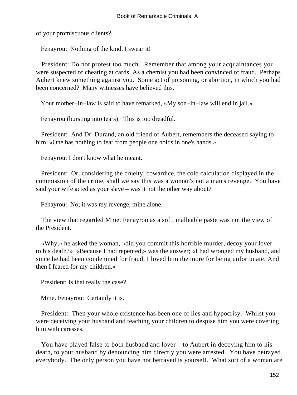of your promiscuous clients?

Fenayrou: Nothing of the kind, I swear it!

 President: Do not protest too much. Remember that among your acquaintances you were suspected of cheating at cards. As a chemist you had been convinced of fraud. Perhaps Aubert knew something against you. Some act of poisoning, or abortion, in which you had been concerned? Many witnesses have believed this.

Your mother−in−law is said to have remarked, «My son−in−law will end in jail.»

Fenayrou (bursting into tears): This is too dreadful.

 President: And Dr. Durand, an old friend of Aubert, remembers the deceased saying to him, «One has nothing to fear from people one holds in one's hands.»

Fenayrou: I don't know what he meant.

 President: Or, considering the cruelty, cowardice, the cold calculation displayed in the commission of the crime, shall we say this was a woman's not a man's revenge. You have said your wife acted as your slave – was it not the other way about?

Fenayrou: No; it was my revenge, mine alone.

 The view that regarded Mme. Fenayrou as a soft, malleable paste was not the view of the President.

 «Why,» he asked the woman, «did you commit this horrible murder, decoy your lover to his death?» «Because I had repented,» was the answer; «I had wronged my husband, and since he had been condemned for fraud, I loved him the more for being unfortunate. And then I feared for my children.»

President: Is that really the case?

Mme. Fenayrou: Certainly it is.

 President: Then your whole existence has been one of lies and hypocrisy. Whilst you were deceiving your husband and teaching your children to despise him you were covering him with caresses.

 You have played false to both husband and lover – to Aubert in decoying him to his death, to your husband by denouncing him directly you were arrested. You have betrayed everybody. The only person you have not betrayed is yourself. What sort of a woman are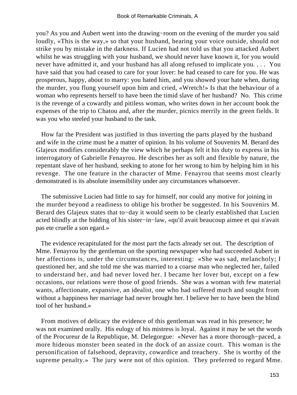you? As you and Aubert went into the drawing−room on the evening of the murder you said loudly, «This is the way,» so that your husband, hearing your voice outside, should not strike you by mistake in the darkness. If Lucien had not told us that you attacked Aubert whilst he was struggling with your husband, we should never have known it, for you would never have admitted it, and your husband has all along refused to implicate you. . . . You have said that you had ceased to care for your lover: he had ceased to care for you. He was prosperous, happy, about to marry: you hated him, and you showed your hate when, during the murder, you flung yourself upon him and cried, «Wretch!» Is that the behaviour of a woman who represents herself to have been the timid slave of her husband? No. This crime is the revenge of a cowardly and pitiless woman, who writes down in her account book the expenses of the trip to Chatou and, after the murder, picnics merrily in the green fields. It was you who steeled your husband to the task.

 How far the President was justified in thus inverting the parts played by the husband and wife in the crime must be a matter of opinion. In his volume of Souvenirs M. Berard des Glajeux modifies considerably the view which he perhaps felt it his duty to express in his interrogatory of Gabrielle Fenayrou. He describes her as soft and flexible by nature, the repentant slave of her husband, seeking to atone for her wrong to him by helping him in his revenge. The one feature in the character of Mme. Fenayrou that seems most clearly demonstrated is its absolute insensibility under any circumstances whatsoever.

 The submissive Lucien had little to say for himself, nor could any motive for joining in the murder beyond a readiness to oblige his brother be suggested. In his Souvenirs M. Berard des Glajeux states that to−day it would seem to be clearly established that Lucien acted blindly at the bidding of his sister−in−law, «qu'il avait beaucoup aimee et qui n'avait pas ete cruelle a son egard.»

 The evidence recapitulated for the most part the facts already set out. The description of Mme. Fenayrou by the gentleman on the sporting newspaper who had succeeded Aubert in her affections is, under the circumstances, interesting: «She was sad, melancholy; I questioned her, and she told me she was married to a coarse man who neglected her, failed to understand her, and had never loved her. I became her lover but, except on a few occasions, our relations were those of good friends. She was a woman with few material wants, affectionate, expansive, an idealist, one who had suffered much and sought from without a happiness her marriage had never brought her. I believe her to have been the blind tool of her husband.»

 From motives of delicacy the evidence of this gentleman was read in his presence; he was not examined orally. His eulogy of his mistress is loyal. Against it may be set the words of the Procureur de la Republique, M. Delegorgue: «Never has a more thorough−paced, a more hideous monster been seated in the dock of an assize court. This woman is the personification of falsehood, depravity, cowardice and treachery. She is worthy of the supreme penalty.» The jury were not of this opinion. They preferred to regard Mme.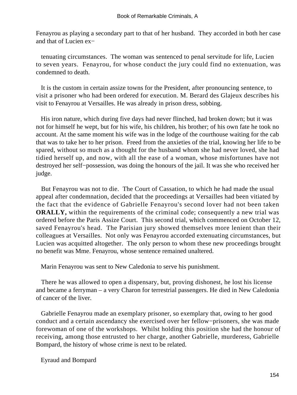Fenayrou as playing a secondary part to that of her husband. They accorded in both her case and that of Lucien ex−

 tenuating circumstances. The woman was sentenced to penal servitude for life, Lucien to seven years. Fenayrou, for whose conduct the jury could find no extenuation, was condemned to death.

 It is the custom in certain assize towns for the President, after pronouncing sentence, to visit a prisoner who had been ordered for execution. M. Berard des Glajeux describes his visit to Fenayrou at Versailles. He was already in prison dress, sobbing.

 His iron nature, which during five days had never flinched, had broken down; but it was not for himself he wept, but for his wife, his children, his brother; of his own fate he took no account. At the same moment his wife was in the lodge of the courthouse waiting for the cab that was to take her to her prison. Freed from the anxieties of the trial, knowing her life to be spared, without so much as a thought for the husband whom she had never loved, she had tidied herself up, and now, with all the ease of a woman, whose misfortunes have not destroyed her self−possession, was doing the honours of the jail. It was she who received her judge.

 But Fenayrou was not to die. The Court of Cassation, to which he had made the usual appeal after condemnation, decided that the proceedings at Versailles had been vitiated by the fact that the evidence of Gabrielle Fenayrou's second lover had not been taken **ORALLY**, within the requirements of the criminal code; consequently a new trial was ordered before the Paris Assize Court. This second trial, which commenced on October 12, saved Fenayrou's head. The Parisian jury showed themselves more lenient than their colleagues at Versailles. Not only was Fenayrou accorded extenuating circumstances, but Lucien was acquitted altogether. The only person to whom these new proceedings brought no benefit was Mme. Fenayrou, whose sentence remained unaltered.

Marin Fenayrou was sent to New Caledonia to serve his punishment.

 There he was allowed to open a dispensary, but, proving dishonest, he lost his license and became a ferryman – a very Charon for terrestrial passengers. He died in New Caledonia of cancer of the liver.

 Gabrielle Fenayrou made an exemplary prisoner, so exemplary that, owing to her good conduct and a certain ascendancy she exercised over her fellow−prisoners, she was made forewoman of one of the workshops. Whilst holding this position she had the honour of receiving, among those entrusted to her charge, another Gabrielle, murderess, Gabrielle Bompard, the history of whose crime is next to be related.

Eyraud and Bompard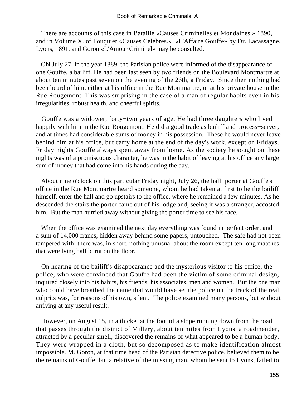There are accounts of this case in Bataille «Causes Criminelles et Mondaines,» 1890, and in Volume X. of Fouquier «Causes Celebres.» «L'Affaire Gouffe» by Dr. Lacassagne, Lyons, 1891, and Goron «L'Amour Criminel» may be consulted.

 ON July 27, in the year 1889, the Parisian police were informed of the disappearance of one Gouffe, a bailiff. He had been last seen by two friends on the Boulevard Montmartre at about ten minutes past seven on the evening of the 26th, a Friday. Since then nothing had been heard of him, either at his office in the Rue Montmartre, or at his private house in the Rue Rougemont. This was surprising in the case of a man of regular habits even in his irregularities, robust health, and cheerful spirits.

 Gouffe was a widower, forty−two years of age. He had three daughters who lived happily with him in the Rue Rougemont. He did a good trade as bailiff and process−server, and at times had considerable sums of money in his possession. These he would never leave behind him at his office, but carry home at the end of the day's work, except on Fridays. Friday nights Gouffe always spent away from home. As the society he sought on these nights was of a promiscuous character, he was in the habit of leaving at his office any large sum of money that had come into his hands during the day.

 About nine o'clock on this particular Friday night, July 26, the hall−porter at Gouffe's office in the Rue Montmartre heard someone, whom he had taken at first to be the bailiff himself, enter the hall and go upstairs to the office, where he remained a few minutes. As he descended the stairs the porter came out of his lodge and, seeing it was a stranger, accosted him. But the man hurried away without giving the porter time to see his face.

 When the office was examined the next day everything was found in perfect order, and a sum of 14,000 francs, hidden away behind some papers, untouched. The safe had not been tampered with; there was, in short, nothing unusual about the room except ten long matches that were lying half burnt on the floor.

 On hearing of the bailiff's disappearance and the mysterious visitor to his office, the police, who were convinced that Gouffe had been the victim of some criminal design, inquired closely into his habits, his friends, his associates, men and women. But the one man who could have breathed the name that would have set the police on the track of the real culprits was, for reasons of his own, silent. The police examined many persons, but without arriving at any useful result.

 However, on August 15, in a thicket at the foot of a slope running down from the road that passes through the district of Millery, about ten miles from Lyons, a roadmender, attracted by a peculiar smell, discovered the remains of what appeared to be a human body. They were wrapped in a cloth, but so decomposed as to make identification almost impossible. M. Goron, at that time head of the Parisian detective police, believed them to be the remains of Gouffe, but a relative of the missing man, whom he sent to Lyons, failed to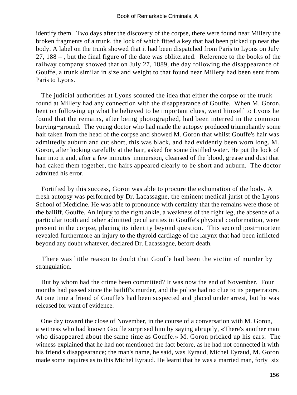identify them. Two days after the discovery of the corpse, there were found near Millery the broken fragments of a trunk, the lock of which fitted a key that had been picked up near the body. A label on the trunk showed that it had been dispatched from Paris to Lyons on July 27, 188 – , but the final figure of the date was obliterated. Reference to the books of the railway company showed that on July 27, 1889, the day following the disappearance of Gouffe, a trunk similar in size and weight to that found near Millery had been sent from Paris to Lyons.

 The judicial authorities at Lyons scouted the idea that either the corpse or the trunk found at Millery had any connection with the disappearance of Gouffe. When M. Goron, bent on following up what he believed to be important clues, went himself to Lyons he found that the remains, after being photographed, had been interred in the common burying−ground. The young doctor who had made the autopsy produced triumphantly some hair taken from the head of the corpse and showed M. Goron that whilst Gouffe's hair was admittedly auburn and cut short, this was black, and had evidently been worn long. M. Goron, after looking carefully at the hair, asked for some distilled water. He put the lock of hair into it and, after a few minutes' immersion, cleansed of the blood, grease and dust that had caked them together, the hairs appeared clearly to be short and auburn. The doctor admitted his error.

 Fortified by this success, Goron was able to procure the exhumation of the body. A fresh autopsy was performed by Dr. Lacassagne, the eminent medical jurist of the Lyons School of Medicine. He was able to pronounce with certainty that the remains were those of the bailiff, Gouffe. An injury to the right ankle, a weakness of the right leg, the absence of a particular tooth and other admitted peculiarities in Gouffe's physical conformation, were present in the corpse, placing its identity beyond question. This second post−mortem revealed furthermore an injury to the thyroid cartilage of the larynx that had been inflicted beyond any doubt whatever, declared Dr. Lacassagne, before death.

 There was little reason to doubt that Gouffe had been the victim of murder by strangulation.

 But by whom had the crime been committed? It was now the end of November. Four months had passed since the bailiff's murder, and the police had no clue to its perpetrators. At one time a friend of Gouffe's had been suspected and placed under arrest, but he was released for want of evidence.

 One day toward the close of November, in the course of a conversation with M. Goron, a witness who had known Gouffe surprised him by saying abruptly, «There's another man who disappeared about the same time as Gouffe.» M. Goron pricked up his ears. The witness explained that he had not mentioned the fact before, as he had not connected it with his friend's disappearance; the man's name, he said, was Eyraud, Michel Eyraud, M. Goron made some inquires as to this Michel Eyraud. He learnt that he was a married man, forty−six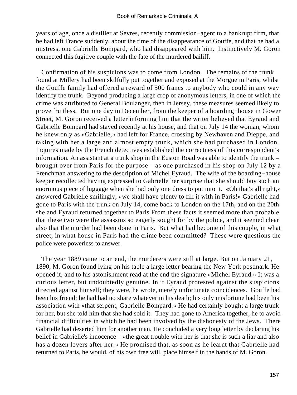years of age, once a distiller at Sevres, recently commission−agent to a bankrupt firm, that he had left France suddenly, about the time of the disappearance of Gouffe, and that he had a mistress, one Gabrielle Bompard, who had disappeared with him. Instinctively M. Goron connected this fugitive couple with the fate of the murdered bailiff.

 Confirmation of his suspicions was to come from London. The remains of the trunk found at Millery had been skilfully put together and exposed at the Morgue in Paris, whilst the Gouffe family had offered a reward of 500 francs to anybody who could in any way identify the trunk. Beyond producing a large crop of anonymous letters, in one of which the crime was attributed to General Boulanger, then in Jersey, these measures seemed likely to prove fruitless. But one day in December, from the keeper of a boarding−house in Gower Street, M. Goron received a letter informing him that the writer believed that Eyraud and Gabrielle Bompard had stayed recently at his house, and that on July 14 the woman, whom he knew only as «Gabrielle,» had left for France, crossing by Newhaven and Dieppe, and taking with her a large and almost empty trunk, which she had purchased in London. Inquires made by the French detectives established the correctness of this correspondent's information. An assistant at a trunk shop in the Euston Road was able to identify the trunk – brought over from Paris for the purpose – as one purchased in his shop on July 12 by a Frenchman answering to the description of Michel Eyraud. The wife of the boarding−house keeper recollected having expressed to Gabrielle her surprise that she should buy such an enormous piece of luggage when she had only one dress to put into it. «Oh that's all right,» answered Gabrielle smilingly, «we shall have plenty to fill it with in Paris!» Gabrielle had gone to Paris with the trunk on July 14, come back to London on the 17th, and on the 20th she and Eyraud returned together to Paris From these facts it seemed more than probable that these two were the assassins so eagerly sought for by the police, and it seemed clear also that the murder had been done in Paris. But what had become of this couple, in what street, in what house in Paris had the crime been committed? These were questions the police were powerless to answer.

 The year 1889 came to an end, the murderers were still at large. But on January 21, 1890, M. Goron found lying on his table a large letter bearing the New York postmark. He opened it, and to his astonishment read at the end the signature «Michel Eyraud.» It was a curious letter, but undoubtedly genuine. In it Eyraud protested against the suspicions directed against himself; they were, he wrote, merely unfortunate coincidences. Gouffe had been his friend; he had had no share whatever in his death; his only misfortune had been his association with «that serpent, Gabrielle Bompard.» He had certainly bought a large trunk for her, but she told him that she had sold it. They had gone to America together, he to avoid financial difficulties in which he had been involved by the dishonesty of the Jews. There Gabrielle had deserted him for another man. He concluded a very long letter by declaring his belief in Gabrielle's innocence – «the great trouble with her is that she is such a liar and also has a dozen lovers after her.» He promised that, as soon as he learnt that Gabrielle had returned to Paris, he would, of his own free will, place himself in the hands of M. Goron.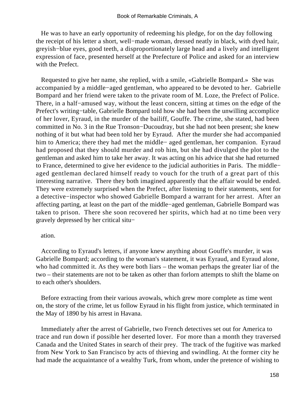He was to have an early opportunity of redeeming his pledge, for on the day following the receipt of his letter a short, well−made woman, dressed neatly in black, with dyed hair, greyish−blue eyes, good teeth, a disproportionately large head and a lively and intelligent expression of face, presented herself at the Prefecture of Police and asked for an interview with the Prefect.

 Requested to give her name, she replied, with a smile, «Gabrielle Bompard.» She was accompanied by a middle−aged gentleman, who appeared to be devoted to her. Gabrielle Bompard and her friend were taken to the private room of M. Loze, the Prefect of Police. There, in a half−amused way, without the least concern, sitting at times on the edge of the Prefect's writing−table, Gabrielle Bompard told how she had been the unwilling accomplice of her lover, Eyraud, in the murder of the bailiff, Gouffe. The crime, she stated, had been committed in No. 3 in the Rue Tronson−Ducoudray, but she had not been present; she knew nothing of it but what had been told her by Eyraud. After the murder she had accompanied him to America; there they had met the middle− aged gentleman, her companion. Eyraud had proposed that they should murder and rob him, but she had divulged the plot to the gentleman and asked him to take her away. It was acting on his advice that she had returned to France, determined to give her evidence to the judicial authorities in Paris. The middle− aged gentleman declared himself ready to vouch for the truth of a great part of this interesting narrative. There they both imagined apparently that the affair would be ended. They were extremely surprised when the Prefect, after listening to their statements, sent for a detective−inspector who showed Gabrielle Bompard a warrant for her arrest. After an affecting parting, at least on the part of the middle−aged gentleman, Gabrielle Bompard was taken to prison. There she soon recovered her spirits, which had at no time been very gravely depressed by her critical situ−

## ation.

 According to Eyraud's letters, if anyone knew anything about Gouffe's murder, it was Gabrielle Bompard; according to the woman's statement, it was Eyraud, and Eyraud alone, who had committed it. As they were both liars – the woman perhaps the greater liar of the two – their statements are not to be taken as other than forlorn attempts to shift the blame on to each other's shoulders.

 Before extracting from their various avowals, which grew more complete as time went on, the story of the crime, let us follow Eyraud in his flight from justice, which terminated in the May of 1890 by his arrest in Havana.

 Immediately after the arrest of Gabrielle, two French detectives set out for America to trace and run down if possible her deserted lover. For more than a month they traversed Canada and the United States in search of their prey. The track of the fugitive was marked from New York to San Francisco by acts of thieving and swindling. At the former city he had made the acquaintance of a wealthy Turk, from whom, under the pretence of wishing to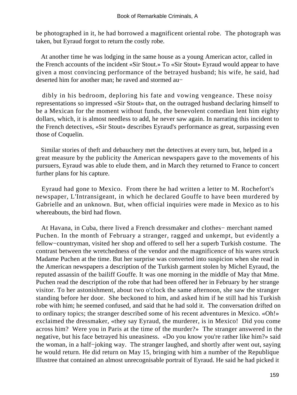be photographed in it, he had borrowed a magnificent oriental robe. The photograph was taken, but Eyraud forgot to return the costly robe.

 At another time he was lodging in the same house as a young American actor, called in the French accounts of the incident «Sir Stout.» To «Sir Stout» Eyraud would appear to have given a most convincing performance of the betrayed husband; his wife, he said, had deserted him for another man; he raved and stormed au−

 dibly in his bedroom, deploring his fate and vowing vengeance. These noisy representations so impressed «Sir Stout» that, on the outraged husband declaring himself to be a Mexican for the moment without funds, the benevolent comedian lent him eighty dollars, which, it is almost needless to add, he never saw again. In narrating this incident to the French detectives, «Sir Stout» describes Eyraud's performance as great, surpassing even those of Coquelin.

 Similar stories of theft and debauchery met the detectives at every turn, but, helped in a great measure by the publicity the American newspapers gave to the movements of his pursuers, Eyraud was able to elude them, and in March they returned to France to concert further plans for his capture.

 Eyraud had gone to Mexico. From there he had written a letter to M. Rochefort's newspaper, L'Intransigeant, in which he declared Gouffe to have been murdered by Gabrielle and an unknown. But, when official inquiries were made in Mexico as to his whereabouts, the bird had flown.

 At Havana, in Cuba, there lived a French dressmaker and clothes− merchant named Puchen. In the month of February a stranger, ragged and unkempt, but evidently a fellow−countryman, visited her shop and offered to sell her a superb Turkish costume. The contrast between the wretchedness of the vendor and the magnificence of his wares struck Madame Puchen at the time. But her surprise was converted into suspicion when she read in the American newspapers a description of the Turkish garment stolen by Michel Eyraud, the reputed assassin of the bailiff Gouffe. It was one morning in the middle of May that Mme. Puchen read the description of the robe that had been offered her in February by her strange visitor. To her astonishment, about two o'clock the same afternoon, she saw the stranger standing before her door. She beckoned to him, and asked him if he still had his Turkish robe with him; he seemed confused, and said that he had sold it. The conversation drifted on to ordinary topics; the stranger described some of his recent adventures in Mexico. «Oh!» exclaimed the dressmaker, «they say Eyraud, the murderer, is in Mexico! Did you come across him? Were you in Paris at the time of the murder?» The stranger answered in the negative, but his face betrayed his uneasiness. «Do you know you're rather like him?» said the woman, in a half−joking way. The stranger laughed, and shortly after went out, saying he would return. He did return on May 15, bringing with him a number of the Republique Illustree that contained an almost unrecognisable portrait of Eyraud. He said he had picked it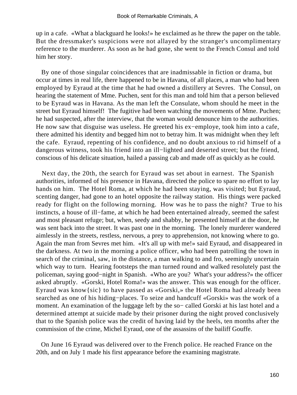up in a cafe. «What a blackguard he looks!» he exclaimed as he threw the paper on the table. But the dressmaker's suspicions were not allayed by the stranger's uncomplimentary reference to the murderer. As soon as he had gone, she went to the French Consul and told him her story.

 By one of those singular coincidences that are inadmissable in fiction or drama, but occur at times in real life, there happened to be in Havana, of all places, a man who had been employed by Eyraud at the time that he had owned a distillery at Sevres. The Consul, on hearing the statement of Mme. Puchen, sent for this man and told him that a person believed to be Eyraud was in Havana. As the man left the Consulate, whom should he meet in the street but Eyraud himself! The fugitive had been watching the movements of Mme. Puchen; he had suspected, after the interview, that the woman would denounce him to the authorities. He now saw that disguise was useless. He greeted his ex−employe, took him into a cafe, there admitted his identity and begged him not to betray him. It was midnight when they left the cafe. Eyraud, repenting of his confidence, and no doubt anxious to rid himself of a dangerous witness, took his friend into an ill−lighted and deserted street; but the friend, conscious of his delicate situation, hailed a passing cab and made off as quickly as he could.

 Next day, the 20th, the search for Eyraud was set about in earnest. The Spanish authorities, informed of his presence in Havana, directed the police to spare no effort to lay hands on him. The Hotel Roma, at which he had been staying, was visited; but Eyraud, scenting danger, had gone to an hotel opposite the railway station. His things were packed ready for flight on the following morning. How was he to pass the night? True to his instincts, a house of ill−fame, at which he had been entertained already, seemed the safest and most pleasant refuge; but, when, seedy and shabby, he presented himself at the door, he was sent back into the street. It was past one in the morning. The lonely murderer wandered aimlessly in the streets, restless, nervous, a prey to apprehension, not knowing where to go. Again the man from Sevres met him. «It's all up with me!» said Eyraud, and disappeared in the darkness. At two in the morning a police officer, who had been patrolling the town in search of the criminal, saw, in the distance, a man walking to and fro, seemingly uncertain which way to turn. Hearing footsteps the man turned round and walked resolutely past the policeman, saying good−night in Spanish. «Who are you? What's your address?» the officer asked abruptly. «Gorski, Hotel Roma!» was the answer. This was enough for the officer. Eyraud was know{sic} to have passed as «Gorski,» the Hotel Roma had already been searched as one of his hiding−places. To seize and handcuff «Gorski» was the work of a moment. An examination of the luggage left by the so− called Gorski at his last hotel and a determined attempt at suicide made by their prisoner during the night proved conclusively that to the Spanish police was the credit of having laid by the heels, ten months after the commission of the crime, Michel Eyraud, one of the assassins of the bailiff Gouffe.

 On June 16 Eyraud was delivered over to the French police. He reached France on the 20th, and on July 1 made his first appearance before the examining magistrate.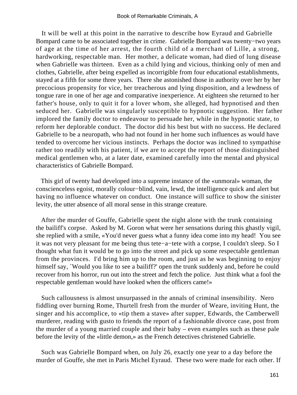It will be well at this point in the narrative to describe how Eyraud and Gabrielle Bompard came to be associated together in crime. Gabrielle Bompard was twenty−two years of age at the time of her arrest, the fourth child of a merchant of Lille, a strong, hardworking, respectable man. Her mother, a delicate woman, had died of lung disease when Gabrielle was thirteen. Even as a child lying and vicious, thinking only of men and clothes, Gabrielle, after being expelled as incorrigible from four educational establishments, stayed at a fifth for some three years. There she astonished those in authority over her by her precocious propensity for vice, her treacherous and lying disposition, and a lewdness of tongue rare in one of her age and comparative inexperience. At eighteen she returned to her father's house, only to quit it for a lover whom, she alleged, had hypnotised and then seduced her. Gabrielle was singularly susceptible to hypnotic suggestion. Her father implored the family doctor to endeavour to persuade her, while in the hypnotic state, to reform her deplorable conduct. The doctor did his best but with no success. He declared Gabrielle to be a neuropath, who had not found in her home such influences as would have tended to overcome her vicious instincts. Perhaps the doctor was inclined to sympathise rather too readily with his patient, if we are to accept the report of those distinguished medical gentlemen who, at a later date, examined carefully into the mental and physical characteristics of Gabrielle Bompard.

 This girl of twenty had developed into a supreme instance of the «unmoral» woman, the conscienceless egoist, morally colour−blind, vain, lewd, the intelligence quick and alert but having no influence whatever on conduct. One instance will suffice to show the sinister levity, the utter absence of all moral sense in this strange creature.

 After the murder of Gouffe, Gabrielle spent the night alone with the trunk containing the bailiff's corpse. Asked by M. Goron what were her sensations during this ghastly vigil, she replied with a smile, «You'd never guess what a funny idea come into my head! You see it was not very pleasant for me being thus tete−a−tete with a corpse, I couldn't sleep. So I thought what fun it would be to go into the street and pick up some respectable gentleman from the provinces. I'd bring him up to the room, and just as he was beginning to enjoy himself say, `Would you like to see a bailiff?' open the trunk suddenly and, before he could recover from his horror, run out into the street and fetch the police. Just think what a fool the respectable gentleman would have looked when the officers came!»

 Such callousness is almost unsurpassed in the annals of criminal insensibility. Nero fiddling over burning Rome, Thurtell fresh from the murder of Weare, inviting Hunt, the singer and his accomplice, to «tip them a stave» after supper, Edwards, the Camberwell murderer, reading with gusto to friends the report of a fashionable divorce case, post from the murder of a young married couple and their baby – even examples such as these pale before the levity of the «little demon,» as the French detectives christened Gabrielle.

 Such was Gabrielle Bompard when, on July 26, exactly one year to a day before the murder of Gouffe, she met in Paris Michel Eyraud. These two were made for each other. If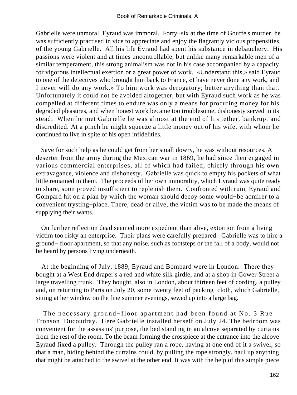Gabrielle were unmoral, Eyraud was immoral. Forty−six at the time of Gouffe's murder, he was sufficiently practised in vice to appreciate and enjoy the flagrantly vicious propensities of the young Gabrielle. All his life Eyraud had spent his substance in debauchery. His passions were violent and at times uncontrollable, but unlike many remarkable men of a similar temperament, this strong animalism was not in his case accompanied by a capacity for vigorous intellectual exertion or a great power of work. «Understand this,» said Eyraud to one of the detectives who brought him back to France, «I have never done any work, and I never will do any work.» To him work was derogatory; better anything than that. Unfortunately it could not be avoided altogether, but with Eyraud such work as he was compelled at different times to endure was only a means for procuring money for his degraded pleasures, and when honest work became too troublesome, dishonesty served in its stead. When he met Gabrielle he was almost at the end of his tether, bankrupt and discredited. At a pinch he might squeeze a little money out of his wife, with whom he continued to live in spite of his open infidelities.

 Save for such help as he could get from her small dowry, he was without resources. A deserter from the army during the Mexican war in 1869, he had since then engaged in various commercial enterprises, all of which had failed, chiefly through his own extravagance, violence and dishonesty. Gabrielle was quick to empty his pockets of what little remained in them. The proceeds of her own immorality, which Eyraud was quite ready to share, soon proved insufficient to replenish them. Confronted with ruin, Eyraud and Gompard hit on a plan by which the woman should decoy some would−be admirer to a convenient trysting−place. There, dead or alive, the victim was to be made the means of supplying their wants.

 On further reflection dead seemed more expedient than alive, extortion from a living victim too risky an enterprise. Their plans were carefully prepared. Gabrielle was to hire a ground− floor apartment, so that any noise, such as footsteps or the fall of a body, would not be heard by persons living underneath.

 At the beginning of July, 1889, Eyraud and Bompard were in London. There they bought at a West End draper's a red and white silk girdle, and at a shop in Gower Street a large travelling trunk. They bought, also in London, about thirteen feet of cording, a pulley and, on returning to Paris on July 20, some twenty feet of packing−cloth, which Gabrielle, sitting at her window on the fine summer evenings, sewed up into a large bag.

 The necessary ground−floor apartment had been found at No. 3 Rue Tronson−Ducoudray. Here Gabrielle installed herself on July 24. The bedroom was convenient for the assassins' purpose, the bed standing in an alcove separated by curtains from the rest of the room. To the beam forming the crosspiece at the entrance into the alcove Eyraud fixed a pulley. Through the pulley ran a rope, having at one end of it a swivel, so that a man, hiding behind the curtains could, by pulling the rope strongly, haul up anything that might be attached to the swivel at the other end. It was with the help of this simple piece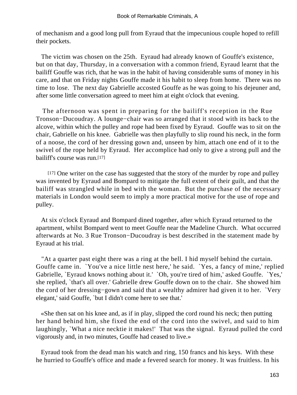of mechanism and a good long pull from Eyraud that the impecunious couple hoped to refill their pockets.

 The victim was chosen on the 25th. Eyraud had already known of Gouffe's existence, but on that day, Thursday, in a conversation with a common friend, Eyraud learnt that the bailiff Gouffe was rich, that he was in the habit of having considerable sums of money in his care, and that on Friday nights Gouffe made it his habit to sleep from home. There was no time to lose. The next day Gabrielle accosted Gouffe as he was going to his dejeuner and, after some little conversation agreed to meet him at eight o'clock that evening.

 The afternoon was spent in preparing for the bailiff's reception in the Rue Tronson−Ducoudray. A lounge−chair was so arranged that it stood with its back to the alcove, within which the pulley and rope had been fixed by Eyraud. Gouffe was to sit on the chair, Gabrielle on his knee. Gabrielle was then playfully to slip round his neck, in the form of a noose, the cord of her dressing gown and, unseen by him, attach one end of it to the swivel of the rope held by Eyraud. Her accomplice had only to give a strong pull and the bailiff's course was run.[17]

[17] One writer on the case has suggested that the story of the murder by rope and pulley was invented by Eyraud and Bompard to mitigate the full extent of their guilt, and that the bailiff was strangled while in bed with the woman. But the purchase of the necessary materials in London would seem to imply a more practical motive for the use of rope and pulley.

 At six o'clock Eyraud and Bompard dined together, after which Eyraud returned to the apartment, whilst Bompard went to meet Gouffe near the Madeline Church. What occurred afterwards at No. 3 Rue Tronson−Ducoudray is best described in the statement made by Eyraud at his trial.

 "At a quarter past eight there was a ring at the bell. I hid myself behind the curtain. Gouffe came in. `You've a nice little nest here,' he said. `Yes, a fancy of mine,' replied Gabrielle, `Eyraud knows nothing about it.' `Oh, you're tired of him,' asked Gouffe. `Yes,' she replied, `that's all over.' Gabrielle drew Gouffe down on to the chair. She showed him the cord of her dressing−gown and said that a wealthy admirer had given it to her. `Very elegant,' said Gouffe, `but I didn't come here to see that.'

 «She then sat on his knee and, as if in play, slipped the cord round his neck; then putting her hand behind him, she fixed the end of the cord into the swivel, and said to him laughingly, `What a nice necktie it makes!' That was the signal. Eyraud pulled the cord vigorously and, in two minutes, Gouffe had ceased to live.»

 Eyraud took from the dead man his watch and ring, 150 francs and his keys. With these he hurried to Gouffe's office and made a fevered search for money. It was fruitless. In his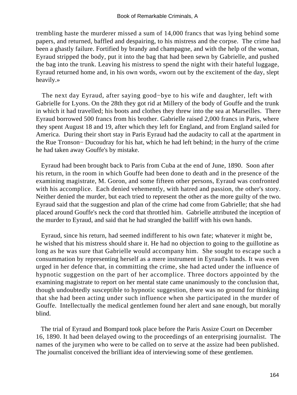trembling haste the murderer missed a sum of 14,000 francs that was lying behind some papers, and returned, baffled and despairing, to his mistress and the corpse. The crime had been a ghastly failure. Fortified by brandy and champagne, and with the help of the woman, Eyraud stripped the body, put it into the bag that had been sewn by Gabrielle, and pushed the bag into the trunk. Leaving his mistress to spend the night with their hateful luggage, Eyraud returned home and, in his own words, «worn out by the excitement of the day, slept heavily.»

 The next day Eyraud, after saying good−bye to his wife and daughter, left with Gabrielle for Lyons. On the 28th they got rid at Millery of the body of Gouffe and the trunk in which it had travelled; his boots and clothes they threw into the sea at Marseilles. There Eyraud borrowed 500 francs from his brother. Gabrielle raised 2,000 francs in Paris, where they spent August 18 and 19, after which they left for England, and from England sailed for America. During their short stay in Paris Eyraud had the audacity to call at the apartment in the Rue Tronson− Ducoudray for his hat, which he had left behind; in the hurry of the crime he had taken away Gouffe's by mistake.

 Eyraud had been brought back to Paris from Cuba at the end of June, 1890. Soon after his return, in the room in which Gouffe had been done to death and in the presence of the examining magistrate, M. Goron, and some fifteen other persons, Eyraud was confronted with his accomplice. Each denied vehemently, with hatred and passion, the other's story. Neither denied the murder, but each tried to represent the other as the more guilty of the two. Eyraud said that the suggestion and plan of the crime had come from Gabrielle; that she had placed around Gouffe's neck the cord that throttled him. Gabrielle attributed the inception of the murder to Eyraud, and said that he had strangled the bailiff with his own hands.

 Eyraud, since his return, had seemed indifferent to his own fate; whatever it might be, he wished that his mistress should share it. He had no objection to going to the guillotine as long as he was sure that Gabrielle would accompany him. She sought to escape such a consummation by representing herself as a mere instrument in Eyraud's hands. It was even urged in her defence that, in committing the crime, she had acted under the influence of hypnotic suggestion on the part of her accomplice. Three doctors appointed by the examining magistrate to report on her mental state came unanimously to the conclusion that, though undoubtedly susceptible to hypnotic suggestion, there was no ground for thinking that she had been acting under such influence when she participated in the murder of Gouffe. Intellectually the medical gentlemen found her alert and sane enough, but morally blind.

 The trial of Eyraud and Bompard took place before the Paris Assize Court on December 16, 1890. It had been delayed owing to the proceedings of an enterprising journalist. The names of the jurymen who were to be called on to serve at the assize had been published. The journalist conceived the brilliant idea of interviewing some of these gentlemen.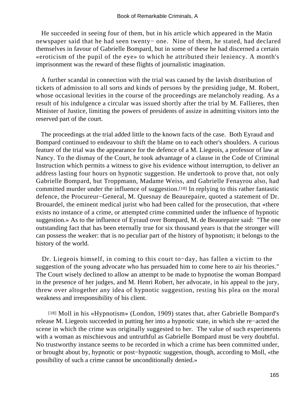He succeeded in seeing four of them, but in his article which appeared in the Matin newspaper said that he had seen twenty− one. Nine of them, he stated, had declared themselves in favour of Gabrielle Bompard, but in some of these he had discerned a certain «eroticism of the pupil of the eye» to which he attributed their leniency. A month's imprisonment was the reward of these flights of journalistic imagination.

 A further scandal in connection with the trial was caused by the lavish distribution of tickets of admission to all sorts and kinds of persons by the presiding judge, M. Robert, whose occasional levities in the course of the proceedings are melancholy reading. As a result of his indulgence a circular was issued shortly after the trial by M. Fallieres, then Minister of Justice, limiting the powers of presidents of assize in admitting visitors into the reserved part of the court.

 The proceedings at the trial added little to the known facts of the case. Both Eyraud and Bompard continued to endeavour to shift the blame on to each other's shoulders. A curious feature of the trial was the appearance for the defence of a M. Liegeois, a professor of law at Nancy. To the dismay of the Court, he took advantage of a clause in the Code of Criminal Instruction which permits a witness to give his evidence without interruption, to deliver an address lasting four hours on hypnotic suggestion. He undertook to prove that, not only Gabrielle Bompard, but Troppmann, Madame Weiss, and Gabrielle Fenayrou also, had committed murder under the influence of suggestion.[18] In replying to this rather fantastic defence, the Procureur−General, M. Quesnay de Beaurepaire, quoted a statement of Dr. Brouardel, the eminent medical jurist who had been called for the prosecution, that «there exists no instance of a crime, or attempted crime committed under the influence of hypnotic suggestion.» As to the influence of Eyraud over Bompard, M. de Beaurepaire said: "The one outstanding fact that has been eternally true for six thousand years is that the stronger will can possess the weaker: that is no peculiar part of the history of hypnotism; it belongs to the history of the world.

 Dr. Liegeois himself, in coming to this court to−day, has fallen a victim to the suggestion of the young advocate who has persuaded him to come here to air his theories." The Court wisely declined to allow an attempt to be made to hypnotise the woman Bompard in the presence of her judges, and M. Henri Robert, her advocate, in his appeal to the jury, threw over altogether any idea of hypnotic suggestion, resting his plea on the moral weakness and irresponsibility of his client.

[18] Moll in his «Hypnotism» (London, 1909) states that, after Gabrielle Bompard's release M. Liegeois succeeded in putting her into a hypnotic state, in which she re−acted the scene in which the crime was originally suggested to her. The value of such experiments with a woman as mischievous and untruthful as Gabrielle Bompard must be very doubtful. No trustworthy instance seems to be recorded in which a crime has been committed under, or brought about by, hypnotic or post−hypnotic suggestion, though, according to Moll, «the possibility of such a crime cannot be unconditionally denied.»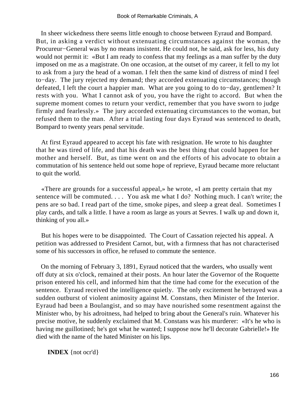In sheer wickedness there seems little enough to choose between Eyraud and Bompard. But, in asking a verdict without extenuating circumstances against the woman, the Procureur−General was by no means insistent. He could not, he said, ask for less, his duty would not permit it: «But I am ready to confess that my feelings as a man suffer by the duty imposed on me as a magistrate. On one occasion, at the outset of my career, it fell to my lot to ask from a jury the head of a woman. I felt then the same kind of distress of mind I feel to−day. The jury rejected my demand; they accorded extenuating circumstances; though defeated, I left the court a happier man. What are you going to do to−day, gentlemen? It rests with you. What I cannot ask of you, you have the right to accord. But when the supreme moment comes to return your verdict, remember that you have sworn to judge firmly and fearlessly.» The jury accorded extenuating circumstances to the woman, but refused them to the man. After a trial lasting four days Eyraud was sentenced to death, Bompard to twenty years penal servitude.

 At first Eyraud appeared to accept his fate with resignation. He wrote to his daughter that he was tired of life, and that his death was the best thing that could happen for her mother and herself. But, as time went on and the efforts of his advocate to obtain a commutation of his sentence held out some hope of reprieve, Eyraud became more reluctant to quit the world.

 «There are grounds for a successful appeal,» he wrote, «I am pretty certain that my sentence will be commuted. . . . You ask me what I do? Nothing much. I can't write; the pens are so bad. I read part of the time, smoke pipes, and sleep a great deal. Sometimes I play cards, and talk a little. I have a room as large as yours at Sevres. I walk up and down it, thinking of you all.»

 But his hopes were to be disappointed. The Court of Cassation rejected his appeal. A petition was addressed to President Carnot, but, with a firmness that has not characterised some of his successors in office, he refused to commute the sentence.

 On the morning of February 3, 1891, Eyraud noticed that the warders, who usually went off duty at six o'clock, remained at their posts. An hour later the Governor of the Roquette prison entered his cell, and informed him that the time had come for the execution of the sentence. Eyraud received the intelligence quietly. The only excitement he betrayed was a sudden outburst of violent animosity against M. Constans, then Minister of the Interior. Eyraud had been a Boulangist, and so may have nourished some resentment against the Minister who, by his adroitness, had helped to bring about the General's ruin. Whatever his precise motive, he suddenly exclaimed that M. Constans was his murderer: «It's he who is having me guillotined; he's got what he wanted; I suppose now he'll decorate Gabrielle!» He died with the name of the hated Minister on his lips.

**INDEX** {not ocr'd}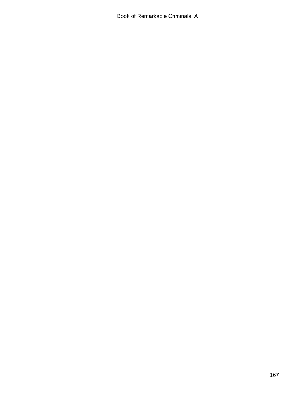Book of Remarkable Criminals, A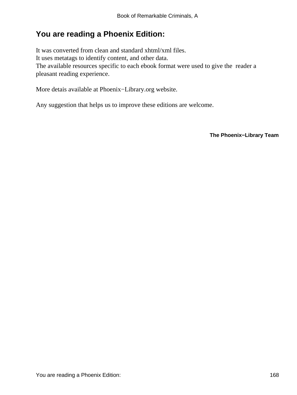## **You are reading a Phoenix Edition:**

It was converted from clean and standard xhtml/xml files. It uses metatags to identify content, and other data. The available resources specific to each ebook format were used to give the reader a pleasant reading experience.

More detais available at Phoenix−Library.org website.

Any suggestion that helps us to improve these editions are welcome.

**The Phoenix−Library Team**